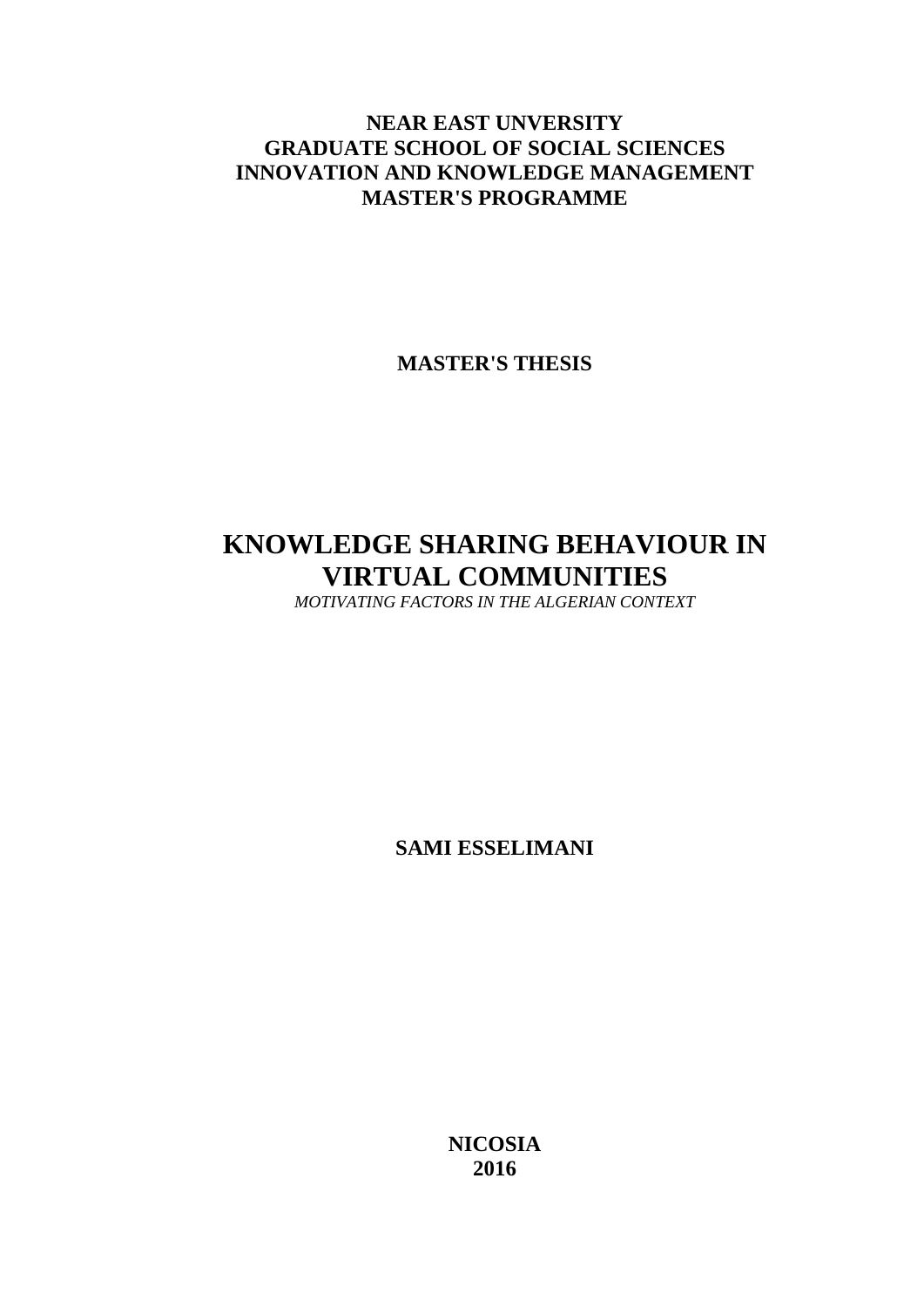### **NEAR EAST UNVERSITY GRADUATE SCHOOL OF SOCIAL SCIENCES INNOVATION AND KNOWLEDGE MANAGEMENT MASTER'S PROGRAMME**

**MASTER'S THESIS**

## **KNOWLEDGE SHARING BEHAVIOUR IN VIRTUAL COMMUNITIES**

*MOTIVATING FACTORS IN THE ALGERIAN CONTEXT*

**SAMI ESSELIMANI**

**NICOSIA 2016**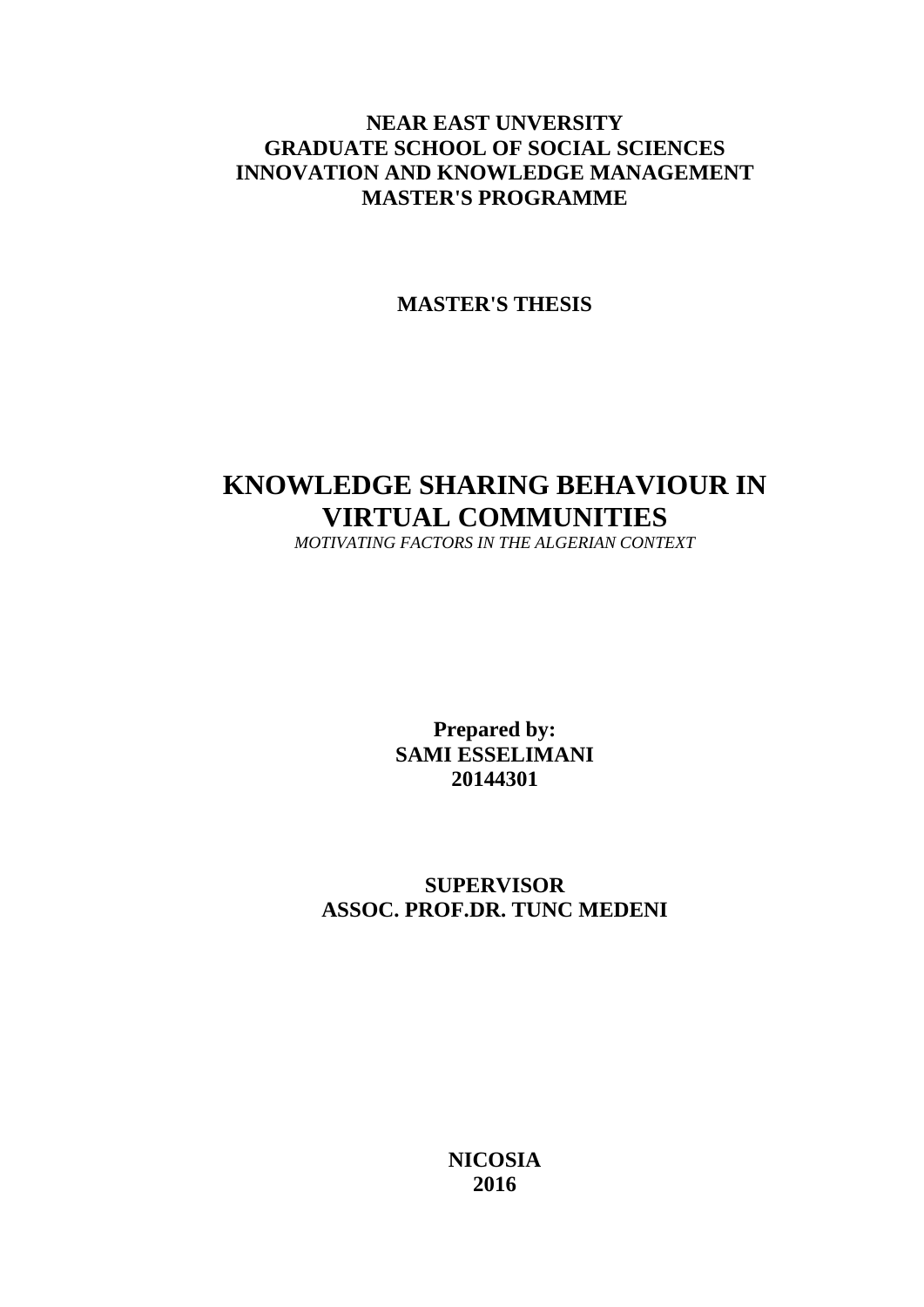### **NEAR EAST UNVERSITY GRADUATE SCHOOL OF SOCIAL SCIENCES INNOVATION AND KNOWLEDGE MANAGEMENT MASTER'S PROGRAMME**

**MASTER'S THESIS**

## **KNOWLEDGE SHARING BEHAVIOUR IN VIRTUAL COMMUNITIES**

*MOTIVATING FACTORS IN THE ALGERIAN CONTEXT*

**Prepared by: SAMI ESSELIMANI 20144301**

### **SUPERVISOR ASSOC. PROF.DR. TUNC MEDENI**

**NICOSIA 2016**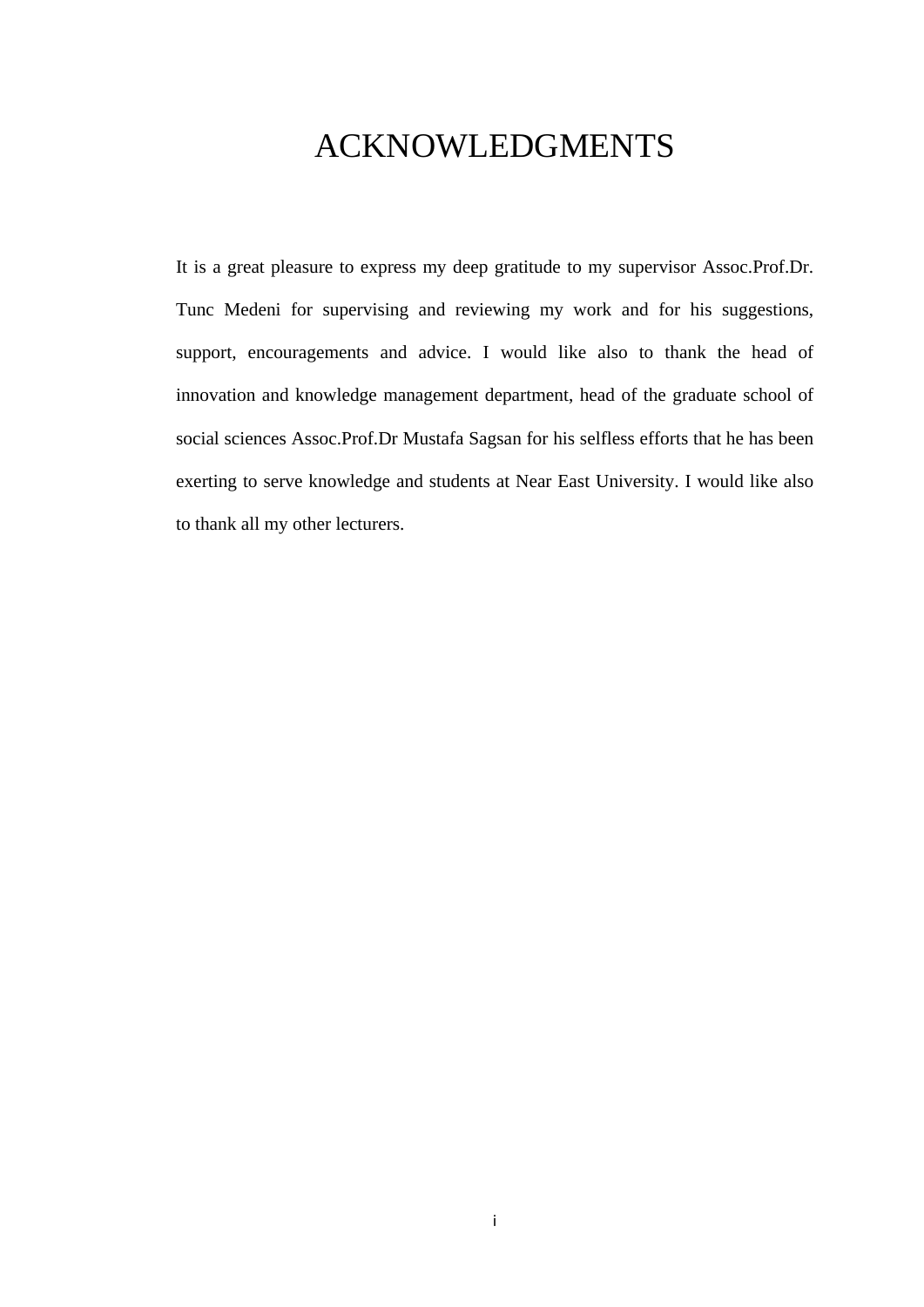## <span id="page-2-0"></span>ACKNOWLEDGMENTS

It is a great pleasure to express my deep gratitude to my supervisor Assoc.Prof.Dr. Tunc Medeni for supervising and reviewing my work and for his suggestions, support, encouragements and advice. I would like also to thank the head of innovation and knowledge management department, head of the graduate school of social sciences Assoc.Prof.Dr Mustafa Sagsan for his selfless efforts that he has been exerting to serve knowledge and students at Near East University. I would like also to thank all my other lecturers.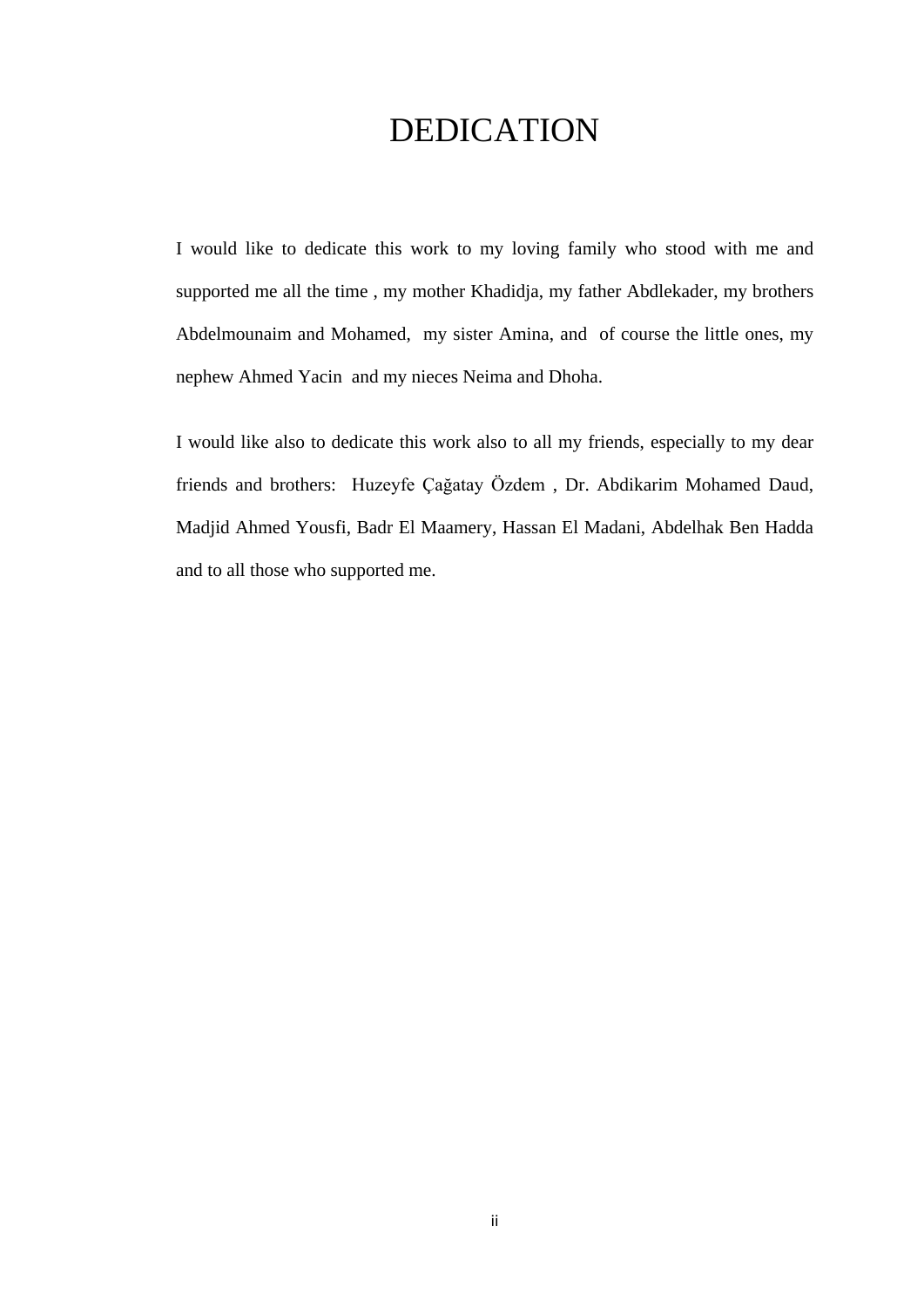## DEDICATION

<span id="page-3-0"></span>I would like to dedicate this work to my loving family who stood with me and supported me all the time , my mother Khadidja, my father Abdlekader, my brothers Abdelmounaim and Mohamed, my sister Amina, and of course the little ones, my nephew Ahmed Yacin and my nieces Neima and Dhoha.

I would like also to dedicate this work also to all my friends, especially to my dear friends and brothers: Huzeyfe Çağatay Özdem , Dr. Abdikarim Mohamed Daud, Madjid Ahmed Yousfi, Badr El Maamery, Hassan El Madani, Abdelhak Ben Hadda and to all those who supported me.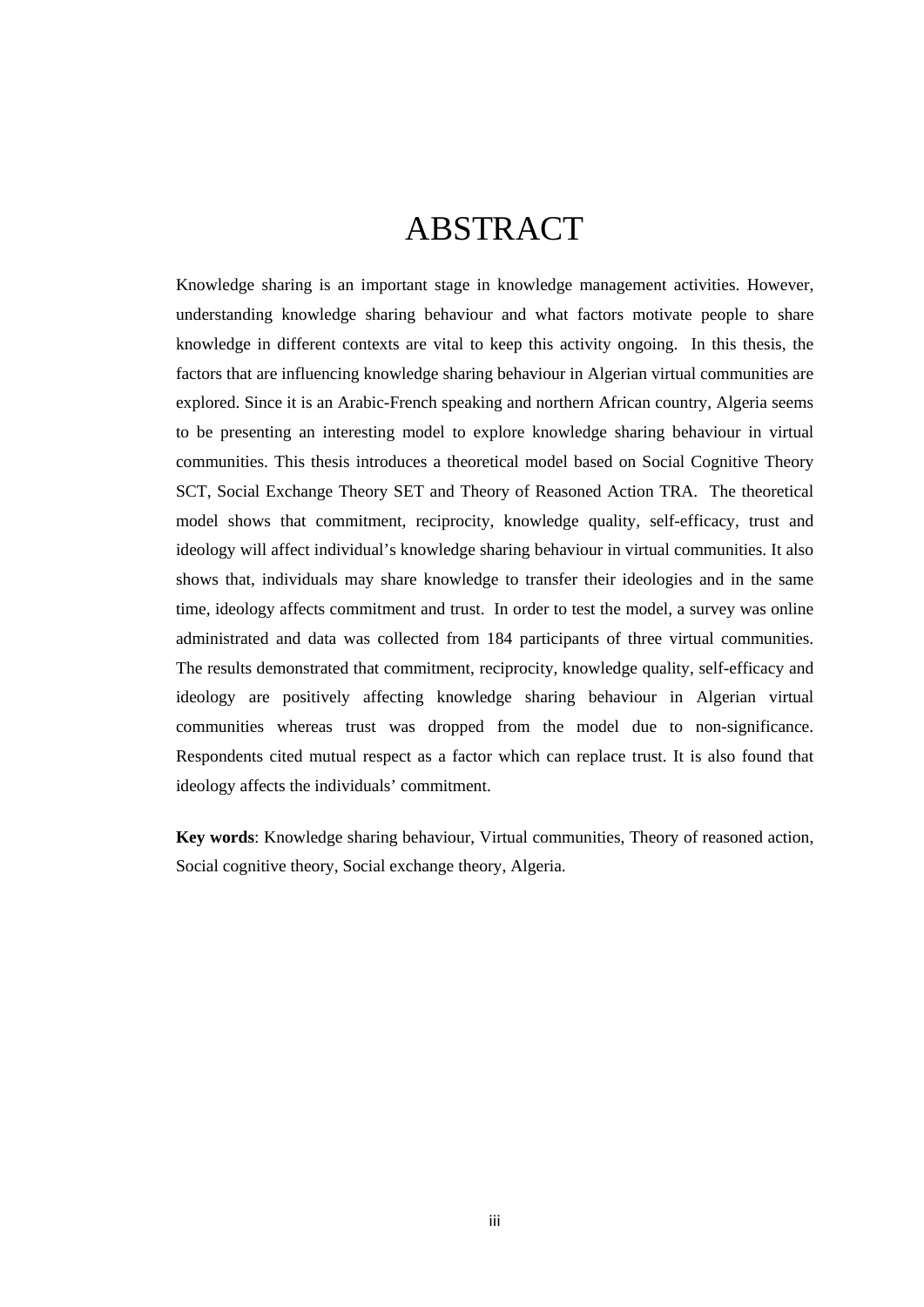## ABSTRACT

<span id="page-4-0"></span>Knowledge sharing is an important stage in knowledge management activities. However, understanding knowledge sharing behaviour and what factors motivate people to share knowledge in different contexts are vital to keep this activity ongoing. In this thesis, the factors that are influencing knowledge sharing behaviour in Algerian virtual communities are explored. Since it is an Arabic-French speaking and northern African country, Algeria seems to be presenting an interesting model to explore knowledge sharing behaviour in virtual communities. This thesis introduces a theoretical model based on Social Cognitive Theory SCT, Social Exchange Theory SET and Theory of Reasoned Action TRA. The theoretical model shows that commitment, reciprocity, knowledge quality, self-efficacy, trust and ideology will affect individual's knowledge sharing behaviour in virtual communities. It also shows that, individuals may share knowledge to transfer their ideologies and in the same time, ideology affects commitment and trust. In order to test the model, a survey was online administrated and data was collected from 184 participants of three virtual communities. The results demonstrated that commitment, reciprocity, knowledge quality, self-efficacy and ideology are positively affecting knowledge sharing behaviour in Algerian virtual communities whereas trust was dropped from the model due to non-significance. Respondents cited mutual respect as a factor which can replace trust. It is also found that ideology affects the individuals' commitment.

**Key words**: Knowledge sharing behaviour, Virtual communities, Theory of reasoned action, Social cognitive theory, Social exchange theory, Algeria.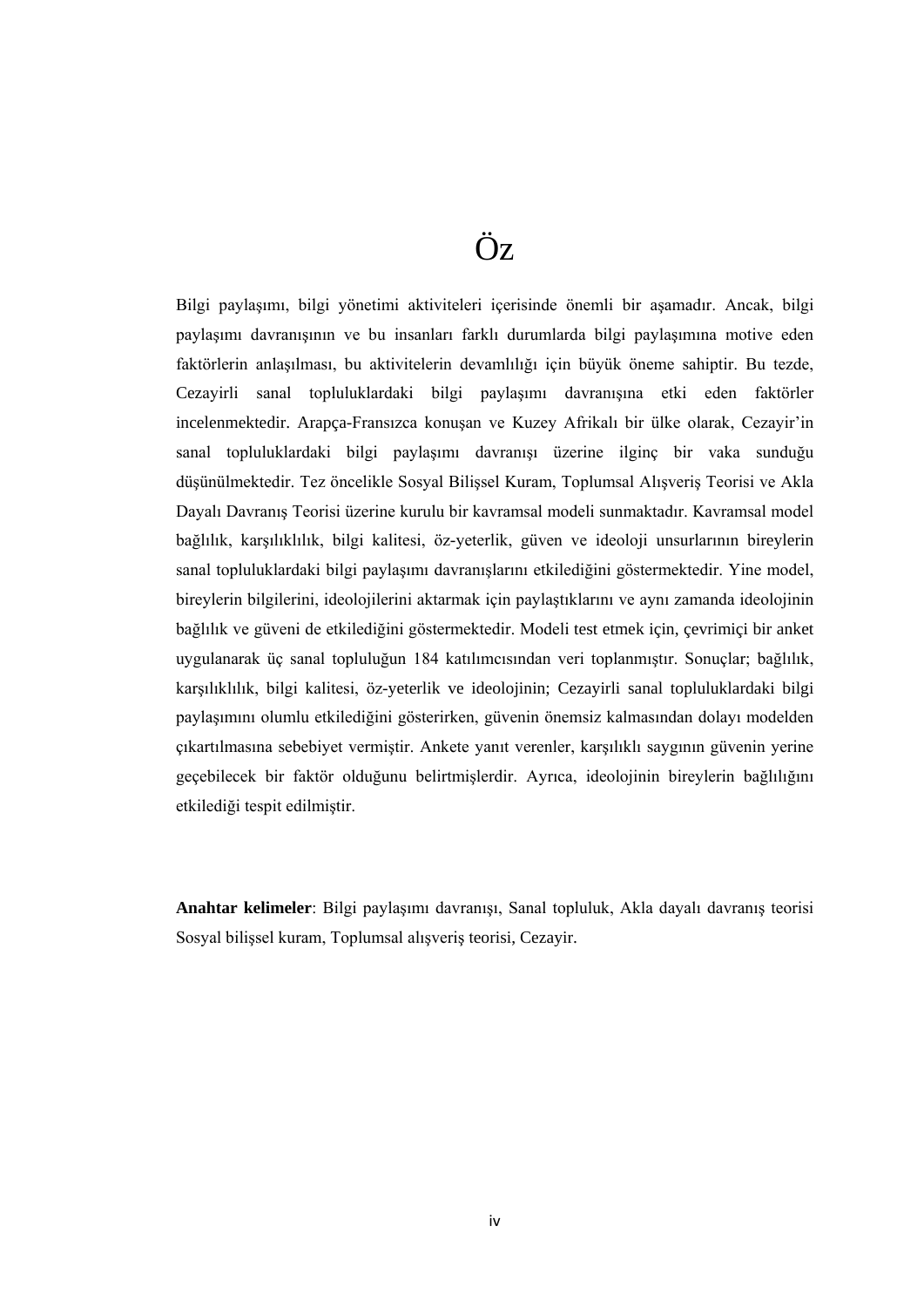## Öz

<span id="page-5-0"></span>Bilgi paylaşımı, bilgi yönetimi aktiviteleri içerisinde önemli bir aşamadır. Ancak, bilgi paylaşımı davranışının ve bu insanları farklı durumlarda bilgi paylaşımına motive eden faktörlerin anlaşılması, bu aktivitelerin devamlılığı için büyük öneme sahiptir. Bu tezde, Cezayirli sanal topluluklardaki bilgi paylaşımı davranışına etki eden faktörler incelenmektedir. Arapça-Fransızca konuşan ve Kuzey Afrikalı bir ülke olarak, Cezayir'in sanal topluluklardaki bilgi paylaşımı davranışı üzerine ilginç bir vaka sunduğu düşünülmektedir. Tez öncelikle Sosyal Bilişsel Kuram, Toplumsal Alışveriş Teorisi ve Akla Dayalı Davranış Teorisi üzerine kurulu bir kavramsal modeli sunmaktadır. Kavramsal model bağlılık, karşılıklılık, bilgi kalitesi, öz-yeterlik, güven ve ideoloji unsurlarının bireylerin sanal topluluklardaki bilgi paylaşımı davranışlarını etkilediğini göstermektedir. Yine model, bireylerin bilgilerini, ideolojilerini aktarmak için paylaştıklarını ve aynı zamanda ideolojinin bağlılık ve güveni de etkilediğini göstermektedir. Modeli test etmek için, çevrimiçi bir anket uygulanarak üç sanal topluluğun 184 katılımcısından veri toplanmıştır. Sonuçlar; bağlılık, karşılıklılık, bilgi kalitesi, öz-yeterlik ve ideolojinin; Cezayirli sanal topluluklardaki bilgi paylaşımını olumlu etkilediğini gösterirken, güvenin önemsiz kalmasından dolayı modelden çıkartılmasına sebebiyet vermiştir. Ankete yanıt verenler, karşılıklı saygının güvenin yerine geçebilecek bir faktör olduğunu belirtmişlerdir. Ayrıca, ideolojinin bireylerin bağlılığını etkilediği tespit edilmiştir.

**Anahtar kelimeler**: Bilgi paylaşımı davranışı, Sanal topluluk, Akla dayalı davranış teorisi Sosyal bilişsel kuram, Toplumsal alışveriş teorisi, Cezayir.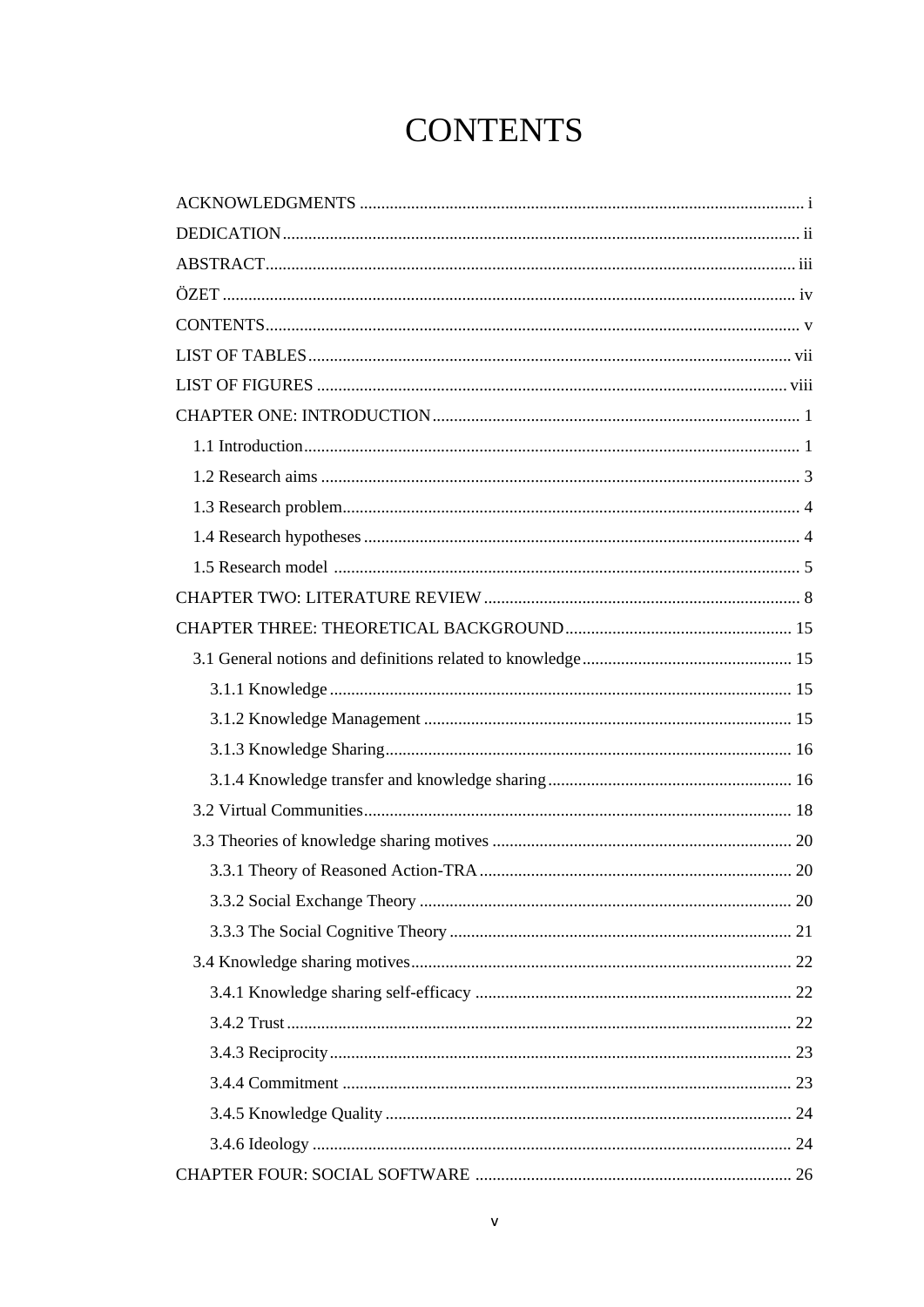## **CONTENTS**

<span id="page-6-0"></span>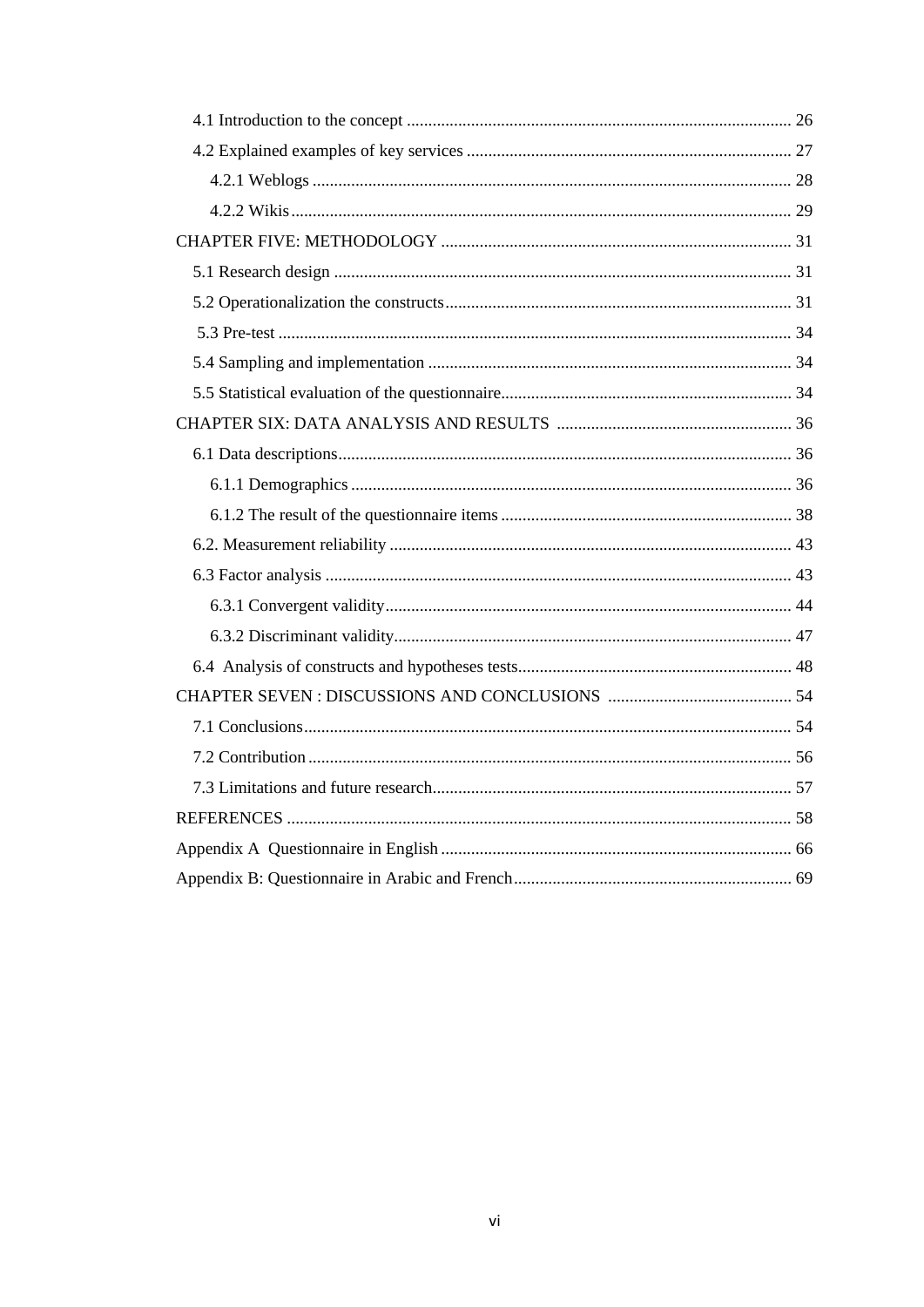<span id="page-7-0"></span>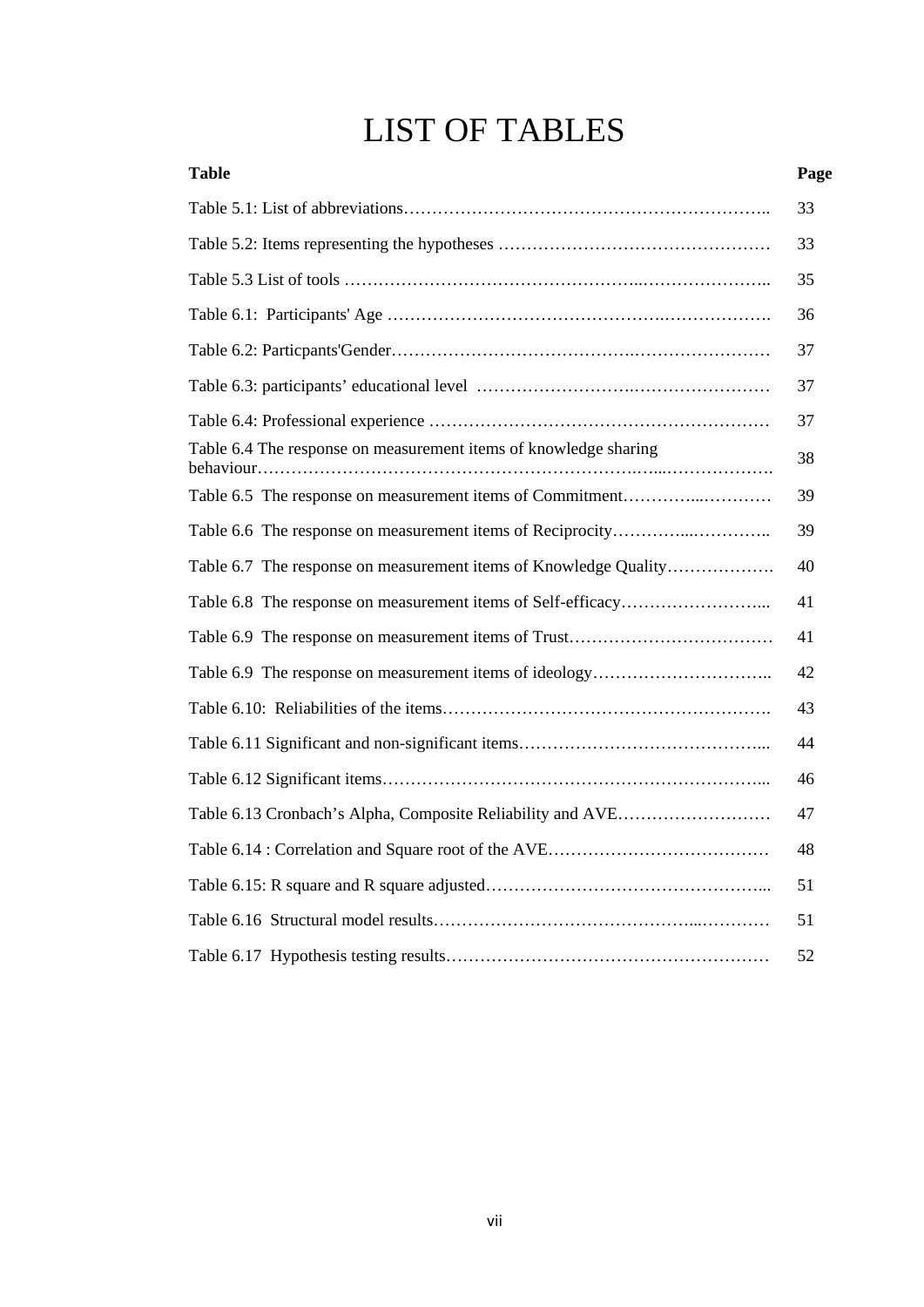## LIST OF TABLES

<span id="page-8-0"></span>

| <b>Table</b>                                                     | Page |
|------------------------------------------------------------------|------|
|                                                                  | 33   |
|                                                                  | 33   |
|                                                                  | 35   |
|                                                                  | 36   |
|                                                                  | 37   |
|                                                                  | 37   |
|                                                                  | 37   |
| Table 6.4 The response on measurement items of knowledge sharing | 38   |
| Table 6.5 The response on measurement items of Commitment        | 39   |
|                                                                  | 39   |
| Table 6.7 The response on measurement items of Knowledge Quality | 40   |
|                                                                  | 41   |
|                                                                  | 41   |
|                                                                  | 42   |
|                                                                  | 43   |
|                                                                  | 44   |
|                                                                  | 46   |
|                                                                  | 47   |
|                                                                  | 48   |
|                                                                  | 51   |
|                                                                  | 51   |
|                                                                  | 52   |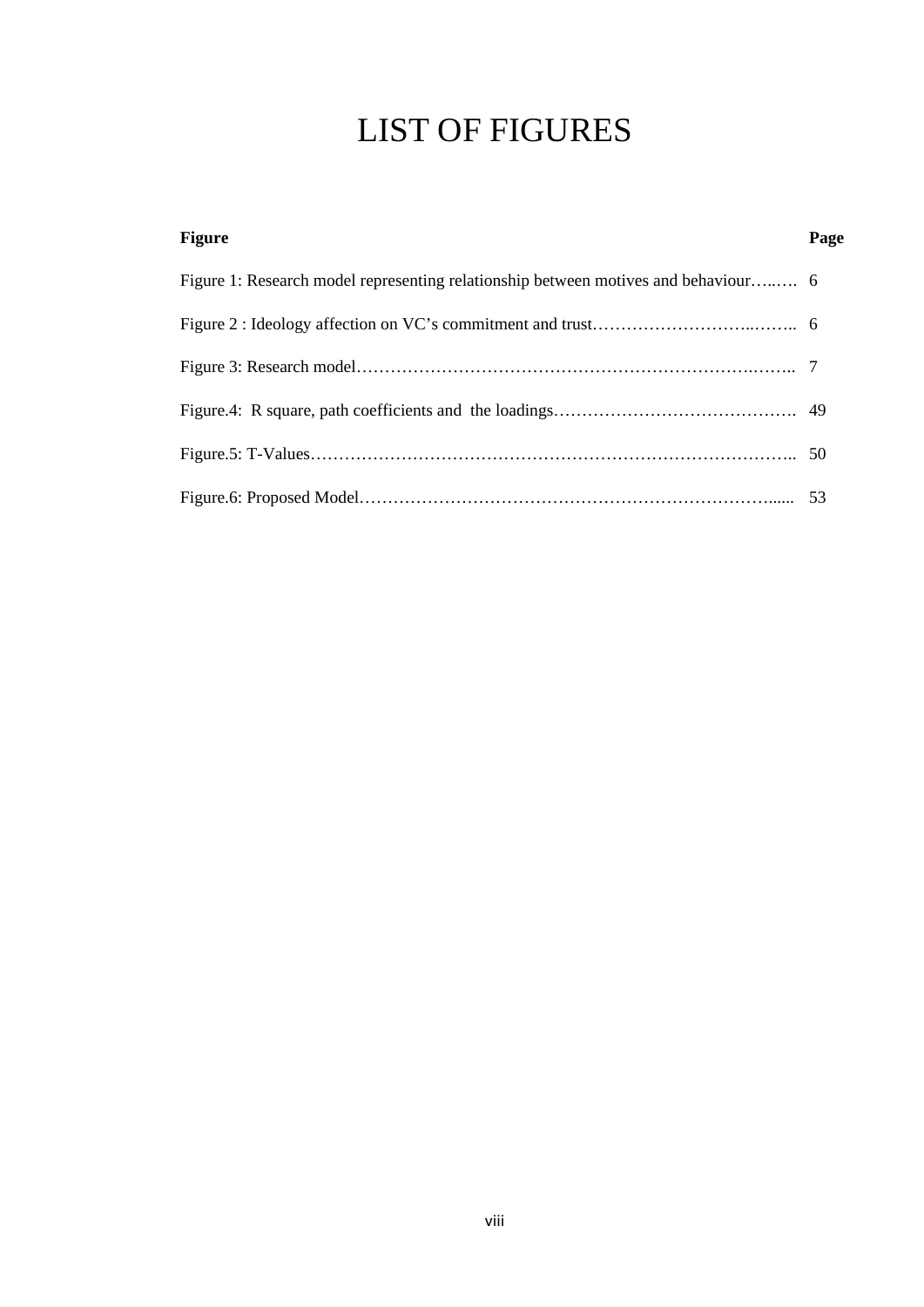## LIST OF FIGURES

| <b>Figure</b> | Page |
|---------------|------|
|               |      |
|               |      |
|               |      |
|               |      |
|               |      |
|               |      |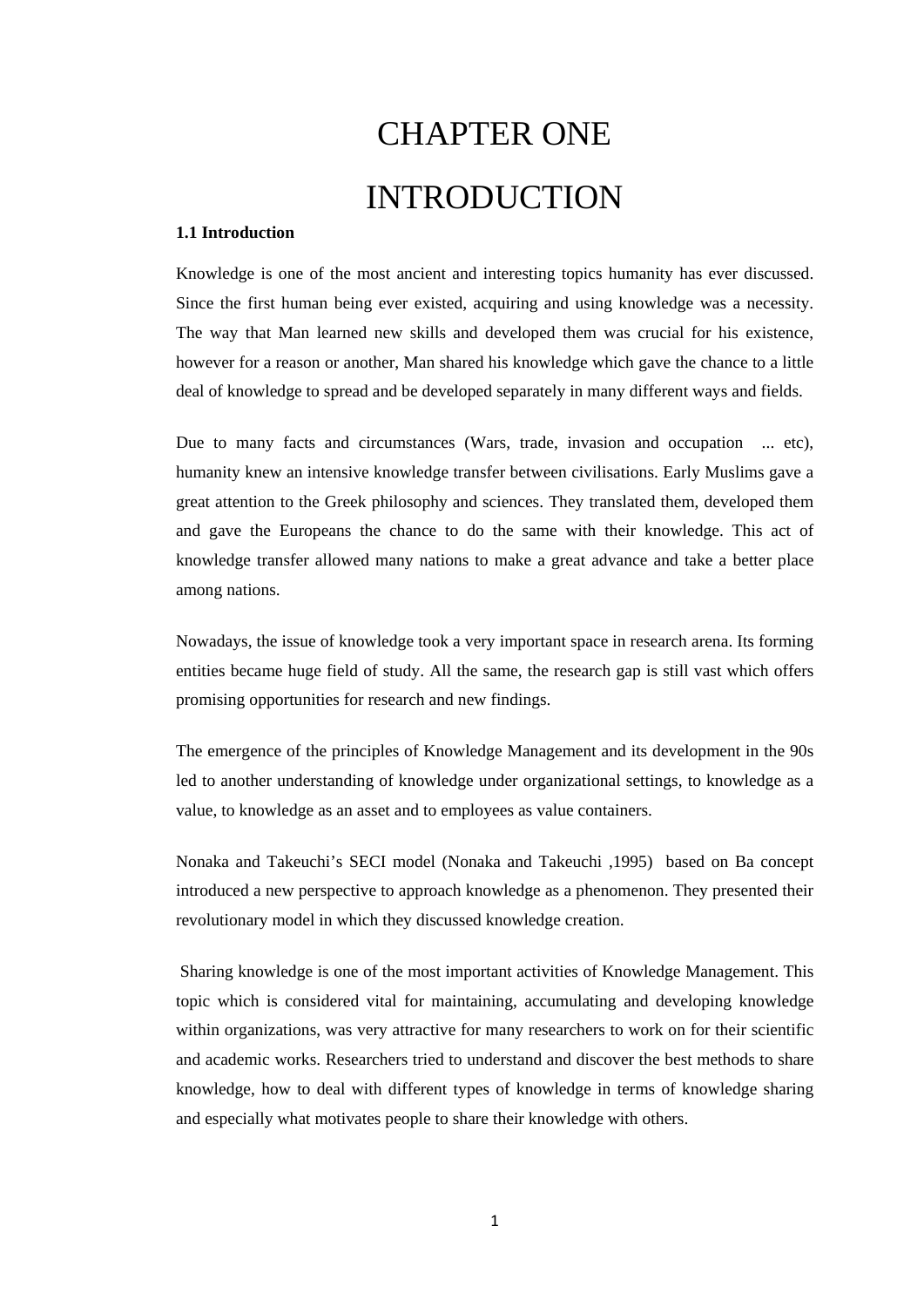# CHAPTER ONE INTRODUCTION

#### <span id="page-10-1"></span><span id="page-10-0"></span>**1.1 Introduction**

Knowledge is one of the most ancient and interesting topics humanity has ever discussed. Since the first human being ever existed, acquiring and using knowledge was a necessity. The way that Man learned new skills and developed them was crucial for his existence, however for a reason or another, Man shared his knowledge which gave the chance to a little deal of knowledge to spread and be developed separately in many different ways and fields.

Due to many facts and circumstances (Wars, trade, invasion and occupation ... etc), humanity knew an intensive knowledge transfer between civilisations. Early Muslims gave a great attention to the Greek philosophy and sciences. They translated them, developed them and gave the Europeans the chance to do the same with their knowledge. This act of knowledge transfer allowed many nations to make a great advance and take a better place among nations.

Nowadays, the issue of knowledge took a very important space in research arena. Its forming entities became huge field of study. All the same, the research gap is still vast which offers promising opportunities for research and new findings.

The emergence of the principles of Knowledge Management and its development in the 90s led to another understanding of knowledge under organizational settings, to knowledge as a value, to knowledge as an asset and to employees as value containers.

Nonaka and Takeuchi's SECI model (Nonaka and Takeuchi ,1995) based on Ba concept introduced a new perspective to approach knowledge as a phenomenon. They presented their revolutionary model in which they discussed knowledge creation.

Sharing knowledge is one of the most important activities of Knowledge Management. This topic which is considered vital for maintaining, accumulating and developing knowledge within organizations, was very attractive for many researchers to work on for their scientific and academic works. Researchers tried to understand and discover the best methods to share knowledge, how to deal with different types of knowledge in terms of knowledge sharing and especially what motivates people to share their knowledge with others.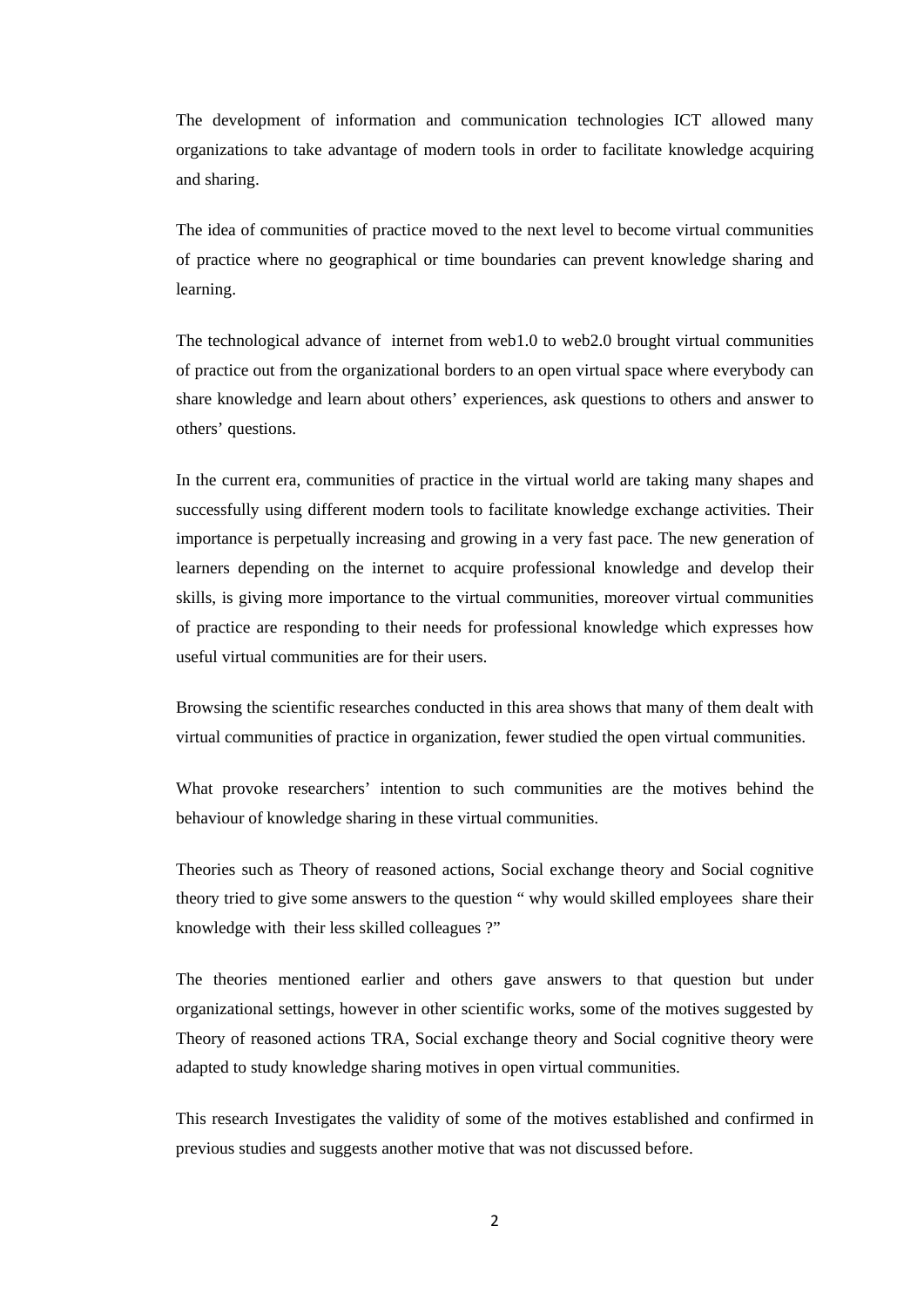The development of information and communication technologies ICT allowed many organizations to take advantage of modern tools in order to facilitate knowledge acquiring and sharing.

The idea of communities of practice moved to the next level to become virtual communities of practice where no geographical or time boundaries can prevent knowledge sharing and learning.

The technological advance of internet from web1.0 to web2.0 brought virtual communities of practice out from the organizational borders to an open virtual space where everybody can share knowledge and learn about others' experiences, ask questions to others and answer to others' questions.

In the current era, communities of practice in the virtual world are taking many shapes and successfully using different modern tools to facilitate knowledge exchange activities. Their importance is perpetually increasing and growing in a very fast pace. The new generation of learners depending on the internet to acquire professional knowledge and develop their skills, is giving more importance to the virtual communities, moreover virtual communities of practice are responding to their needs for professional knowledge which expresses how useful virtual communities are for their users.

Browsing the scientific researches conducted in this area shows that many of them dealt with virtual communities of practice in organization, fewer studied the open virtual communities.

What provoke researchers' intention to such communities are the motives behind the behaviour of knowledge sharing in these virtual communities.

Theories such as Theory of reasoned actions, Social exchange theory and Social cognitive theory tried to give some answers to the question " why would skilled employees share their knowledge with their less skilled colleagues ?"

The theories mentioned earlier and others gave answers to that question but under organizational settings, however in other scientific works, some of the motives suggested by Theory of reasoned actions TRA, Social exchange theory and Social cognitive theory were adapted to study knowledge sharing motives in open virtual communities.

This research Investigates the validity of some of the motives established and confirmed in previous studies and suggests another motive that was not discussed before.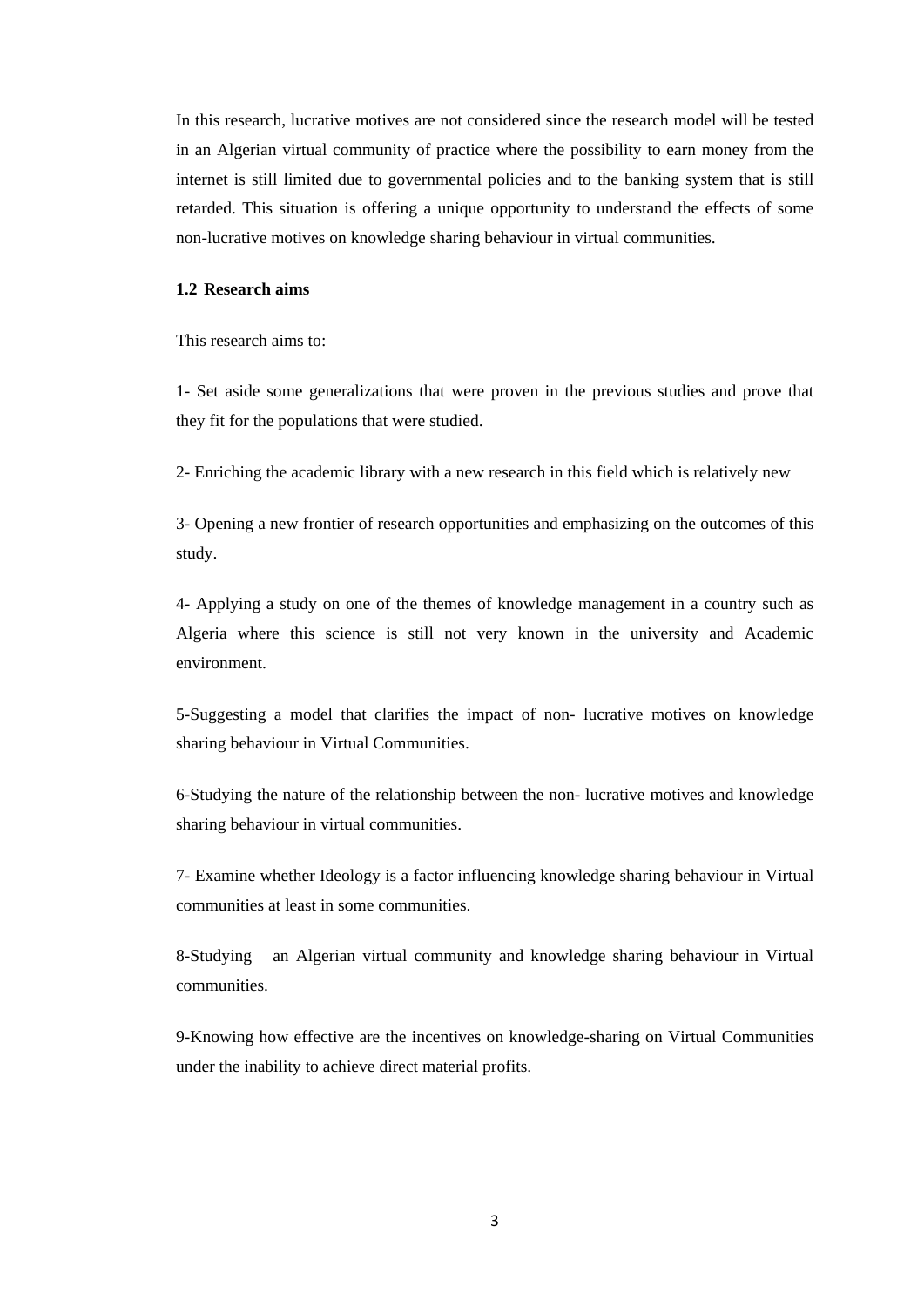In this research, lucrative motives are not considered since the research model will be tested in an Algerian virtual community of practice where the possibility to earn money from the internet is still limited due to governmental policies and to the banking system that is still retarded. This situation is offering a unique opportunity to understand the effects of some non-lucrative motives on knowledge sharing behaviour in virtual communities.

#### <span id="page-12-0"></span>**1.2 Research aims**

This research aims to:

1- Set aside some generalizations that were proven in the previous studies and prove that they fit for the populations that were studied.

2- Enriching the academic library with a new research in this field which is relatively new

3- Opening a new frontier of research opportunities and emphasizing on the outcomes of this study.

4- Applying a study on one of the themes of knowledge management in a country such as Algeria where this science is still not very known in the university and Academic environment.

5-Suggesting a model that clarifies the impact of non- lucrative motives on knowledge sharing behaviour in Virtual Communities.

6-Studying the nature of the relationship between the non- lucrative motives and knowledge sharing behaviour in virtual communities.

7- Examine whether Ideology is a factor influencing knowledge sharing behaviour in Virtual communities at least in some communities.

8-Studying an Algerian virtual community and knowledge sharing behaviour in Virtual communities.

9-Knowing how effective are the incentives on knowledge-sharing on Virtual Communities under the inability to achieve direct material profits.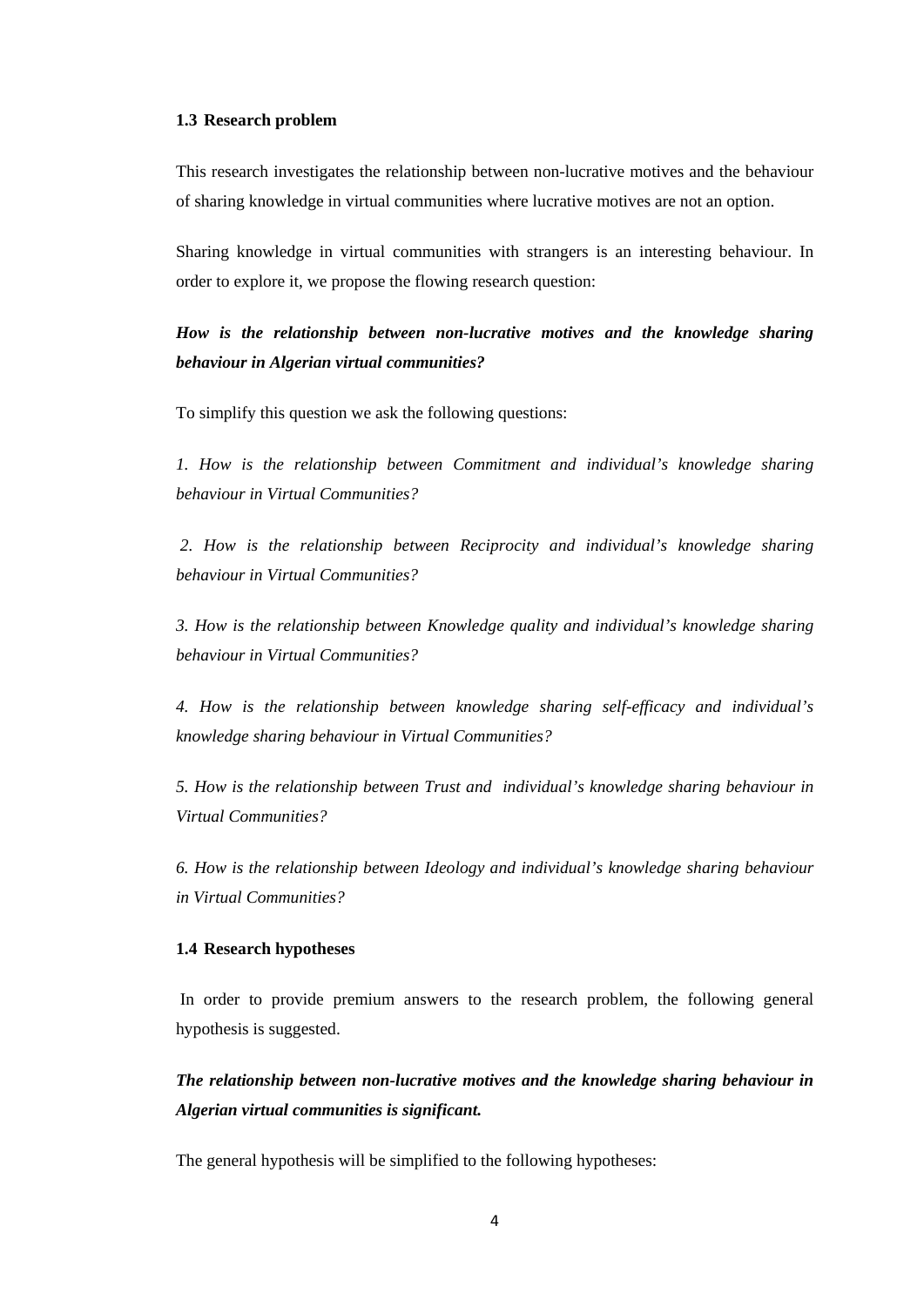#### <span id="page-13-0"></span>**1.3 Research problem**

This research investigates the relationship between non-lucrative motives and the behaviour of sharing knowledge in virtual communities where lucrative motives are not an option.

Sharing knowledge in virtual communities with strangers is an interesting behaviour. In order to explore it, we propose the flowing research question:

*How is the relationship between non-lucrative motives and the knowledge sharing behaviour in Algerian virtual communities?* 

To simplify this question we ask the following questions:

*1. How is the relationship between Commitment and individual's knowledge sharing behaviour in Virtual Communities?*

*2. How is the relationship between Reciprocity and individual's knowledge sharing behaviour in Virtual Communities?*

*3. How is the relationship between Knowledge quality and individual's knowledge sharing behaviour in Virtual Communities?*

*4. How is the relationship between knowledge sharing self-efficacy and individual's knowledge sharing behaviour in Virtual Communities?*

*5. How is the relationship between Trust and individual's knowledge sharing behaviour in Virtual Communities?*

*6. How is the relationship between Ideology and individual's knowledge sharing behaviour in Virtual Communities?*

#### <span id="page-13-1"></span>**1.4 Research hypotheses**

In order to provide premium answers to the research problem, the following general hypothesis is suggested.

*The relationship between non-lucrative motives and the knowledge sharing behaviour in Algerian virtual communities is significant.*

The general hypothesis will be simplified to the following hypotheses: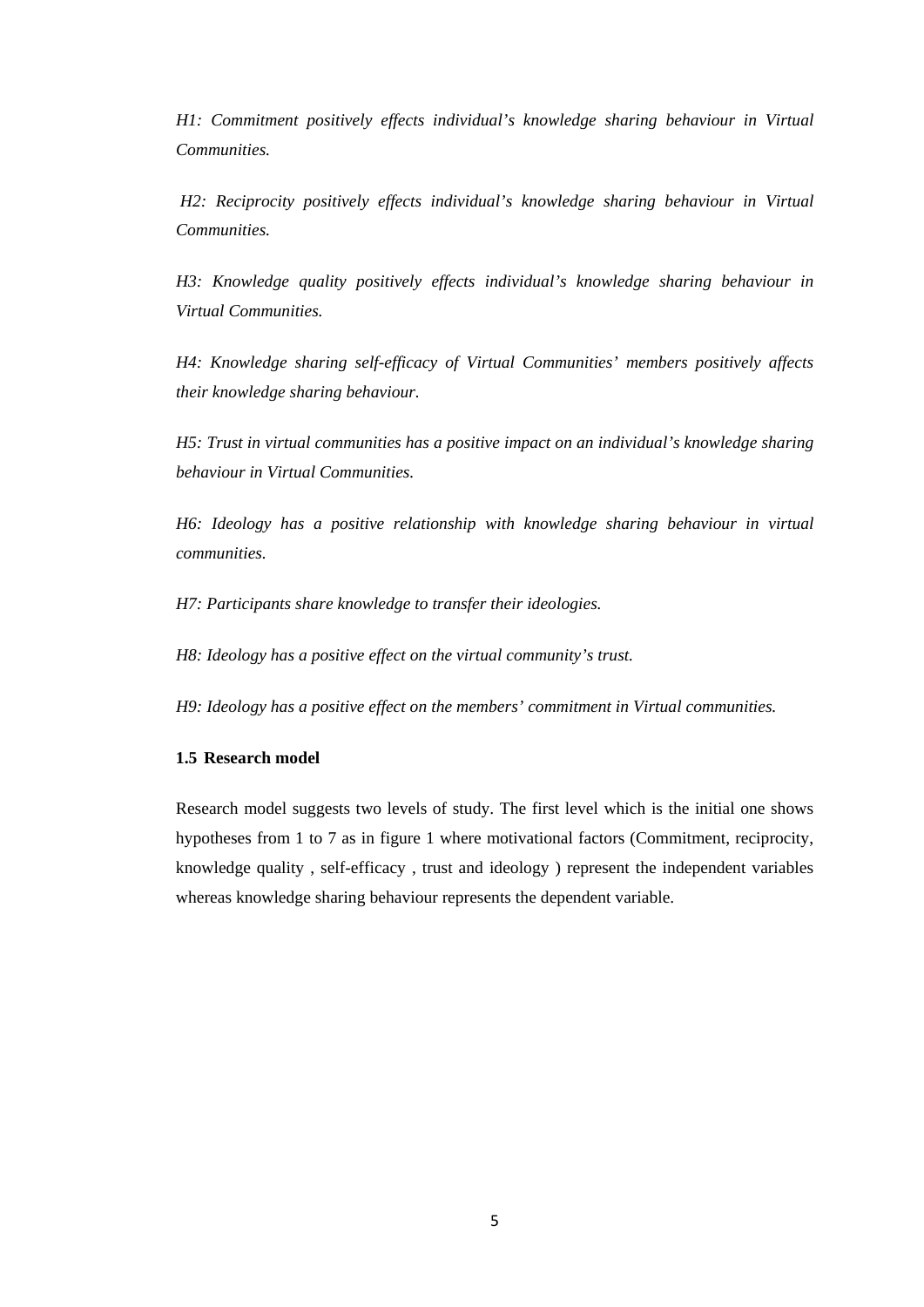*H1: Commitment positively effects individual's knowledge sharing behaviour in Virtual Communities.*

*H2: Reciprocity positively effects individual's knowledge sharing behaviour in Virtual Communities.*

*H3: Knowledge quality positively effects individual's knowledge sharing behaviour in Virtual Communities.*

*H4: Knowledge sharing self-efficacy of Virtual Communities' members positively affects their knowledge sharing behaviour.*

*H5: Trust in virtual communities has a positive impact on an individual's knowledge sharing behaviour in Virtual Communities.*

*H6: Ideology has a positive relationship with knowledge sharing behaviour in virtual communities.* 

*H7: Participants share knowledge to transfer their ideologies.*

*H8: Ideology has a positive effect on the virtual community's trust.* 

*H9: Ideology has a positive effect on the members' commitment in Virtual communities.* 

#### <span id="page-14-0"></span>**1.5 Research model**

Research model suggests two levels of study. The first level which is the initial one shows hypotheses from 1 to 7 as in figure 1 where motivational factors (Commitment, reciprocity, knowledge quality , self-efficacy , trust and ideology ) represent the independent variables whereas knowledge sharing behaviour represents the dependent variable.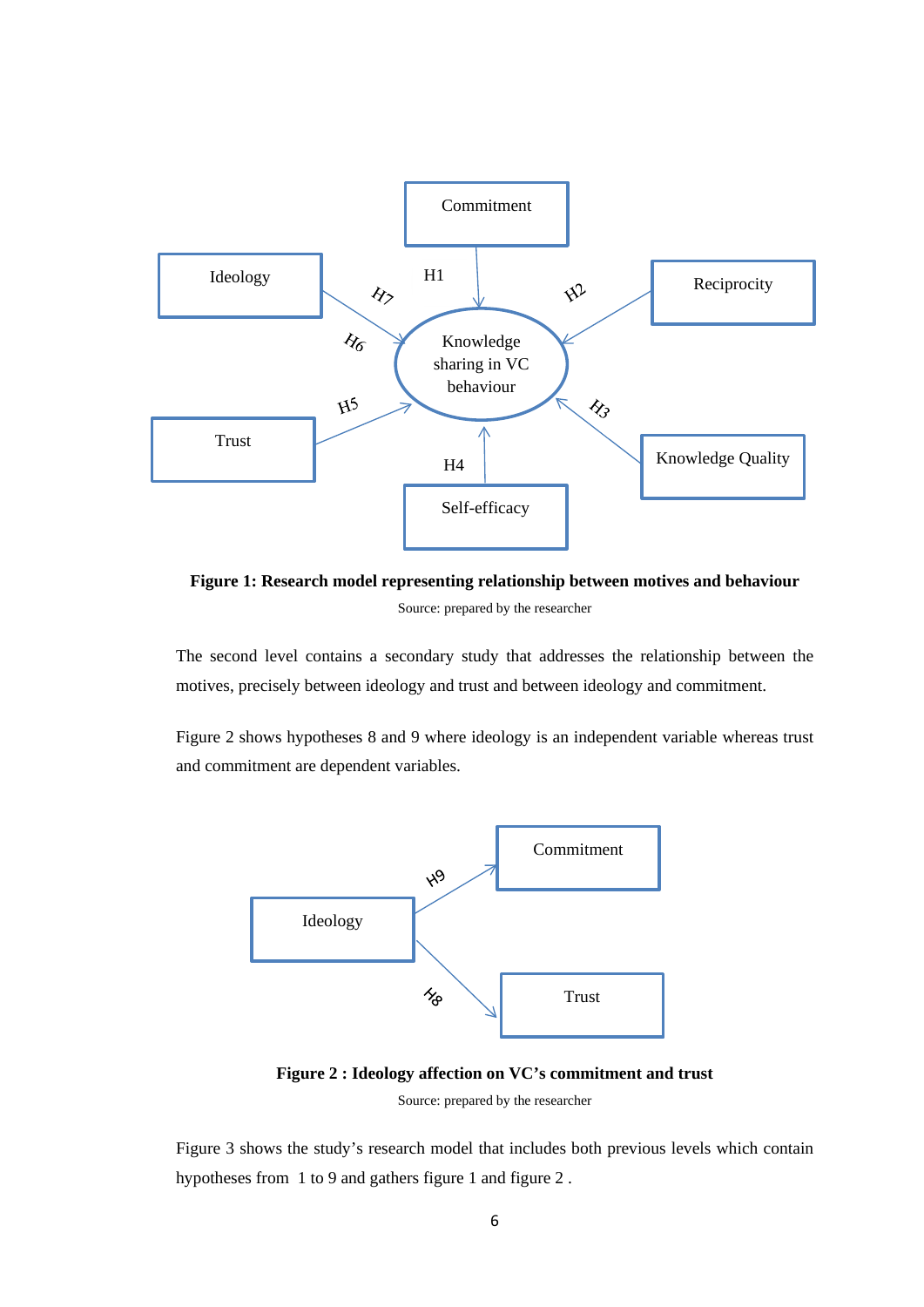

**Figure 1: Research model representing relationship between motives and behaviour** Source: prepared by the researcher

The second level contains a secondary study that addresses the relationship between the motives, precisely between ideology and trust and between ideology and commitment.

Figure 2 shows hypotheses 8 and 9 where ideology is an independent variable whereas trust and commitment are dependent variables.



**Figure 2 : Ideology affection on VC's commitment and trust**

Source: prepared by the researcher

Figure 3 shows the study's research model that includes both previous levels which contain hypotheses from 1 to 9 and gathers figure 1 and figure 2 .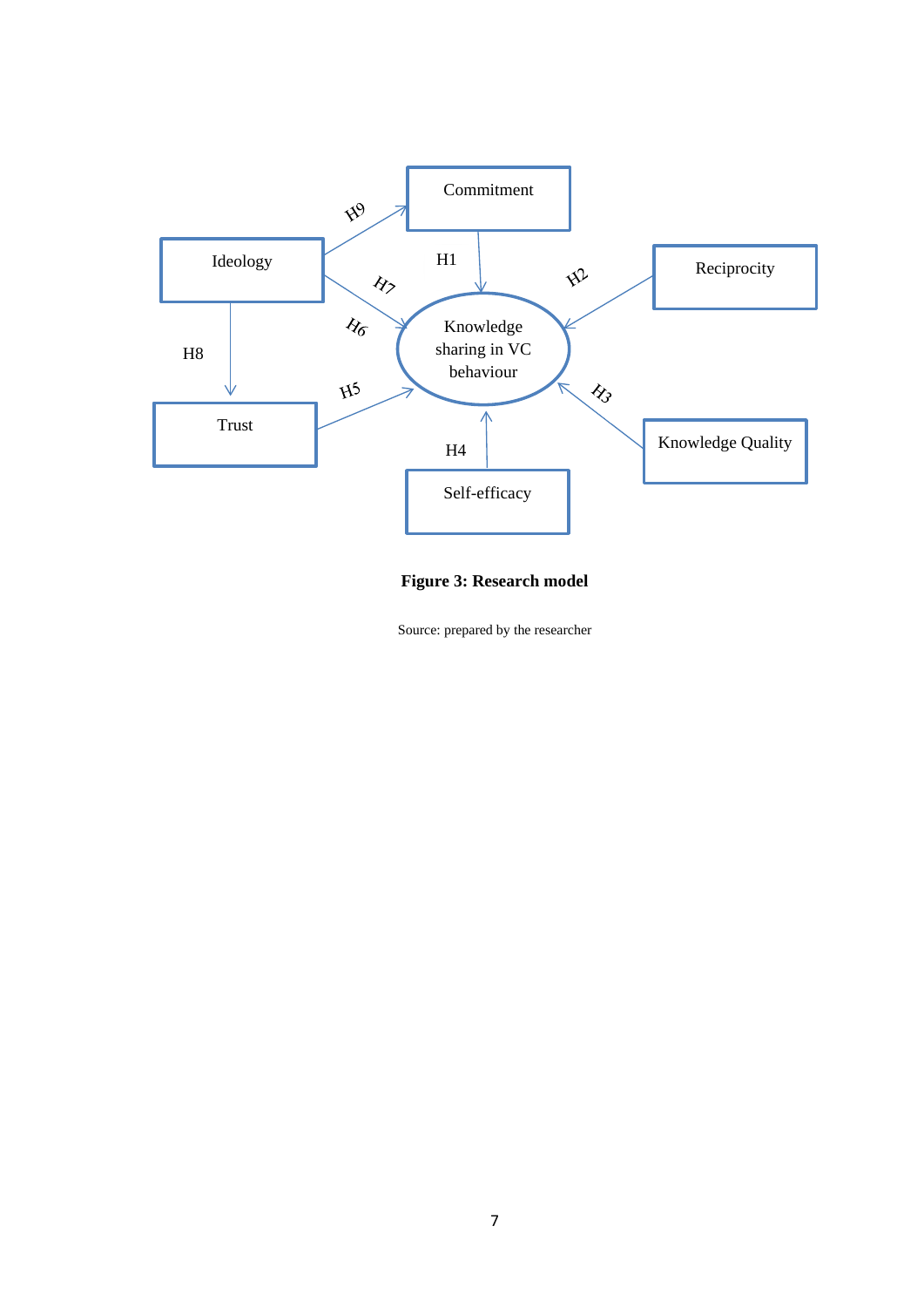

### **Figure 3: Research model**

Source: prepared by the researcher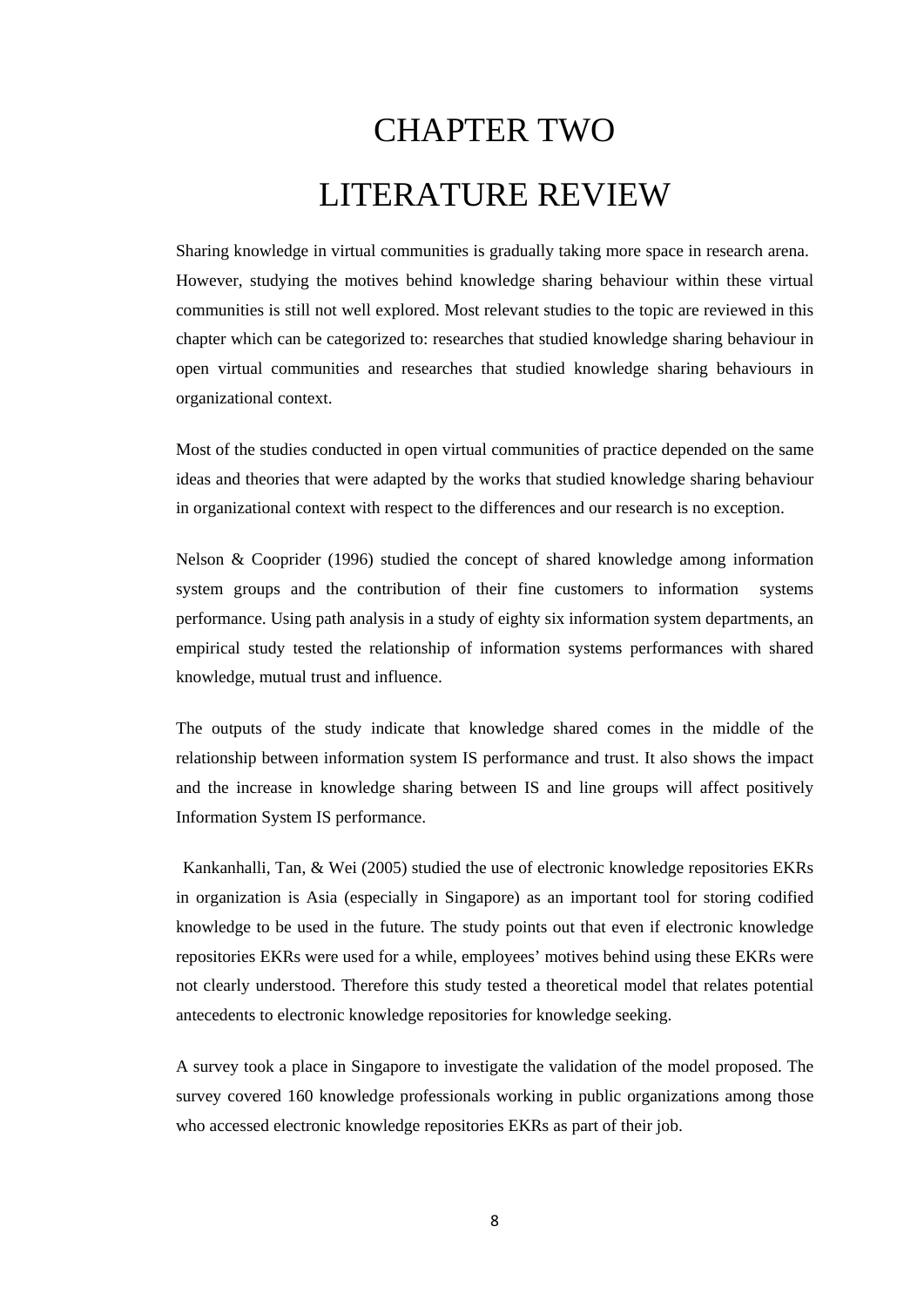# CHAPTER TWO LITERATURE REVIEW

<span id="page-17-0"></span>Sharing knowledge in virtual communities is gradually taking more space in research arena. However, studying the motives behind knowledge sharing behaviour within these virtual communities is still not well explored. Most relevant studies to the topic are reviewed in this chapter which can be categorized to: researches that studied knowledge sharing behaviour in open virtual communities and researches that studied knowledge sharing behaviours in organizational context.

Most of the studies conducted in open virtual communities of practice depended on the same ideas and theories that were adapted by the works that studied knowledge sharing behaviour in organizational context with respect to the differences and our research is no exception.

Nelson & Cooprider (1996) studied the concept of shared knowledge among information system groups and the contribution of their fine customers to information systems performance. Using path analysis in a study of eighty six information system departments, an empirical study tested the relationship of information systems performances with shared knowledge, mutual trust and influence.

The outputs of the study indicate that knowledge shared comes in the middle of the relationship between information system IS performance and trust. It also shows the impact and the increase in knowledge sharing between IS and line groups will affect positively Information System IS performance.

Kankanhalli, Tan, & Wei (2005) studied the use of electronic knowledge repositories EKRs in organization is Asia (especially in Singapore) as an important tool for storing codified knowledge to be used in the future. The study points out that even if electronic knowledge repositories EKRs were used for a while, employees' motives behind using these EKRs were not clearly understood. Therefore this study tested a theoretical model that relates potential antecedents to electronic knowledge repositories for knowledge seeking.

A survey took a place in Singapore to investigate the validation of the model proposed. The survey covered 160 knowledge professionals working in public organizations among those who accessed electronic knowledge repositories EKRs as part of their job.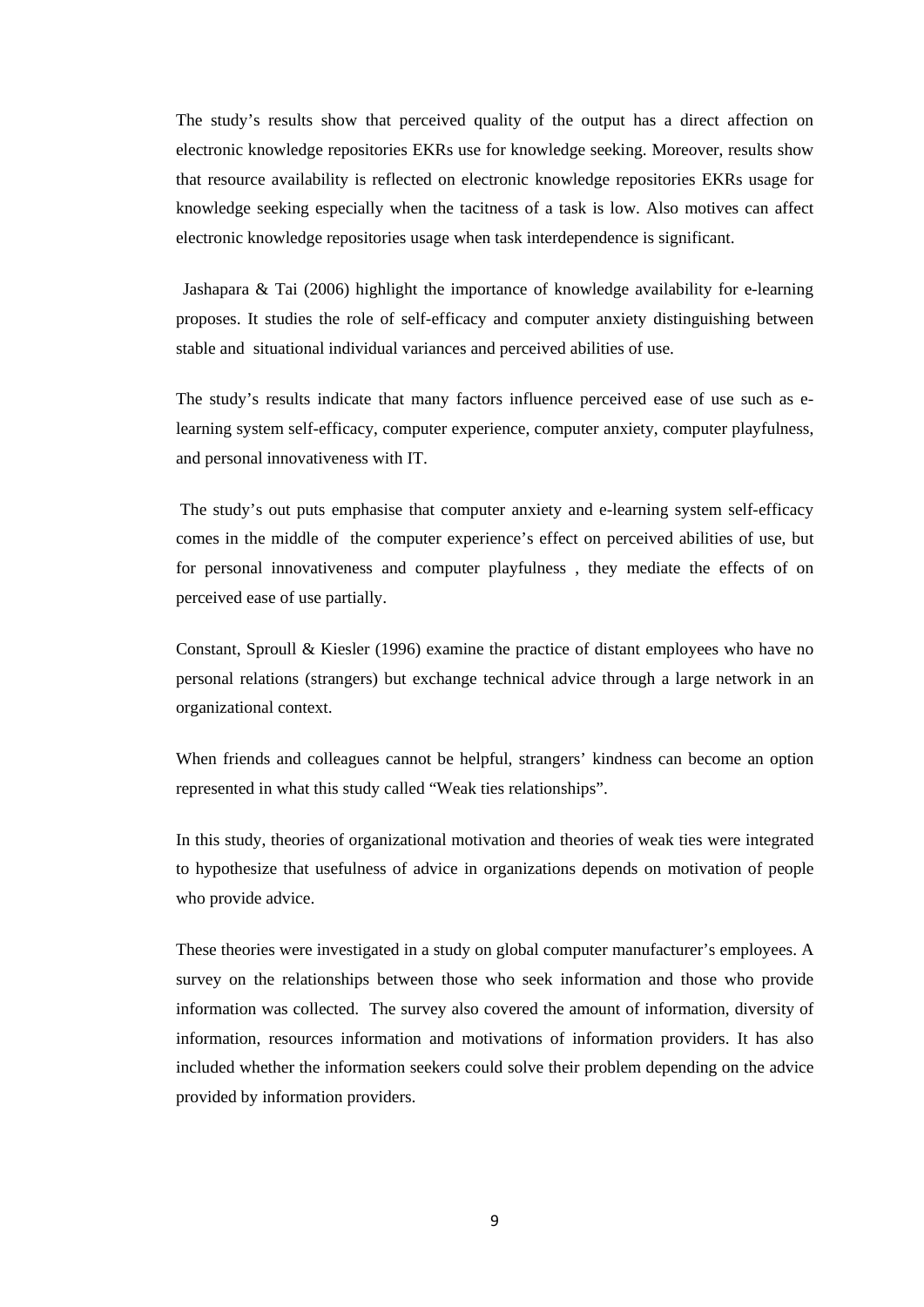The study's results show that perceived quality of the output has a direct affection on electronic knowledge repositories EKRs use for knowledge seeking. Moreover, results show that resource availability is reflected on electronic knowledge repositories EKRs usage for knowledge seeking especially when the tacitness of a task is low. Also motives can affect electronic knowledge repositories usage when task interdependence is significant.

Jashapara & Tai (2006) highlight the importance of knowledge availability for e-learning proposes. It studies the role of self-efficacy and computer anxiety distinguishing between stable and situational individual variances and perceived abilities of use.

The study's results indicate that many factors influence perceived ease of use such as elearning system self-efficacy, computer experience, computer anxiety, computer playfulness, and personal innovativeness with IT.

The study's out puts emphasise that computer anxiety and e-learning system self-efficacy comes in the middle of the computer experience's effect on perceived abilities of use, but for personal innovativeness and computer playfulness , they mediate the effects of on perceived ease of use partially.

Constant, Sproull & Kiesler (1996) examine the practice of distant employees who have no personal relations (strangers) but exchange technical advice through a large network in an organizational context.

When friends and colleagues cannot be helpful, strangers' kindness can become an option represented in what this study called "Weak ties relationships".

In this study, theories of organizational motivation and theories of weak ties were integrated to hypothesize that usefulness of advice in organizations depends on motivation of people who provide advice.

These theories were investigated in a study on global computer manufacturer's employees. A survey on the relationships between those who seek information and those who provide information was collected. The survey also covered the amount of information, diversity of information, resources information and motivations of information providers. It has also included whether the information seekers could solve their problem depending on the advice provided by information providers.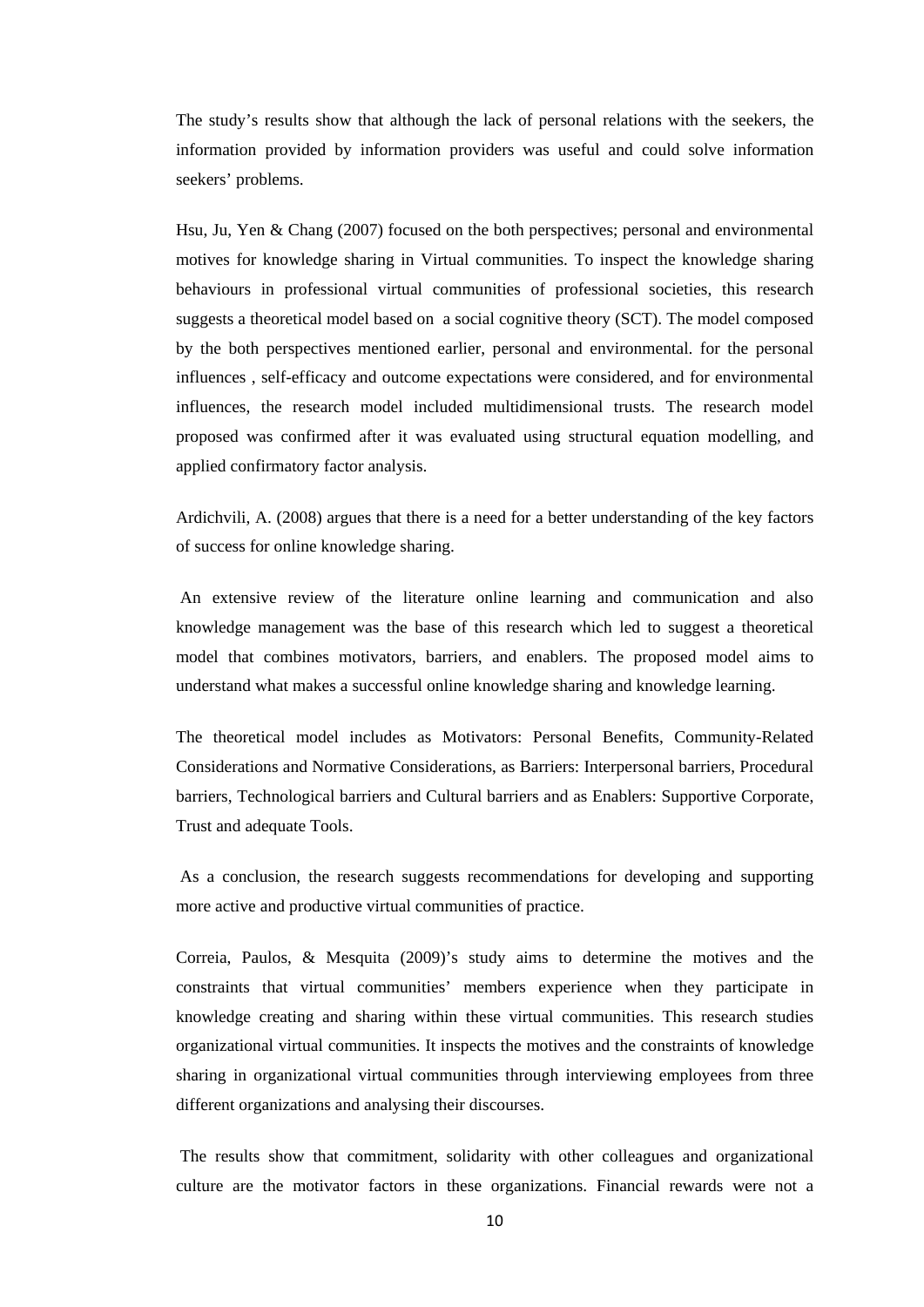The study's results show that although the lack of personal relations with the seekers, the information provided by information providers was useful and could solve information seekers' problems.

Hsu, Ju, Yen & Chang (2007) focused on the both perspectives; personal and environmental motives for knowledge sharing in Virtual communities. To inspect the knowledge sharing behaviours in professional virtual communities of professional societies, this research suggests a theoretical model based on a social cognitive theory (SCT). The model composed by the both perspectives mentioned earlier, personal and environmental. for the personal influences , self-efficacy and outcome expectations were considered, and for environmental influences, the research model included multidimensional trusts. The research model proposed was confirmed after it was evaluated using structural equation modelling, and applied confirmatory factor analysis.

Ardichvili, A. (2008) argues that there is a need for a better understanding of the key factors of success for online knowledge sharing.

An extensive review of the literature online learning and communication and also knowledge management was the base of this research which led to suggest a theoretical model that combines motivators, barriers, and enablers. The proposed model aims to understand what makes a successful online knowledge sharing and knowledge learning.

The theoretical model includes as Motivators: Personal Benefits, Community-Related Considerations and Normative Considerations, as Barriers: Interpersonal barriers, Procedural barriers, Technological barriers and Cultural barriers and as Enablers: Supportive Corporate, Trust and adequate Tools.

As a conclusion, the research suggests recommendations for developing and supporting more active and productive virtual communities of practice.

Correia, Paulos, & Mesquita (2009)'s study aims to determine the motives and the constraints that virtual communities' members experience when they participate in knowledge creating and sharing within these virtual communities. This research studies organizational virtual communities. It inspects the motives and the constraints of knowledge sharing in organizational virtual communities through interviewing employees from three different organizations and analysing their discourses.

The results show that commitment, solidarity with other colleagues and organizational culture are the motivator factors in these organizations. Financial rewards were not a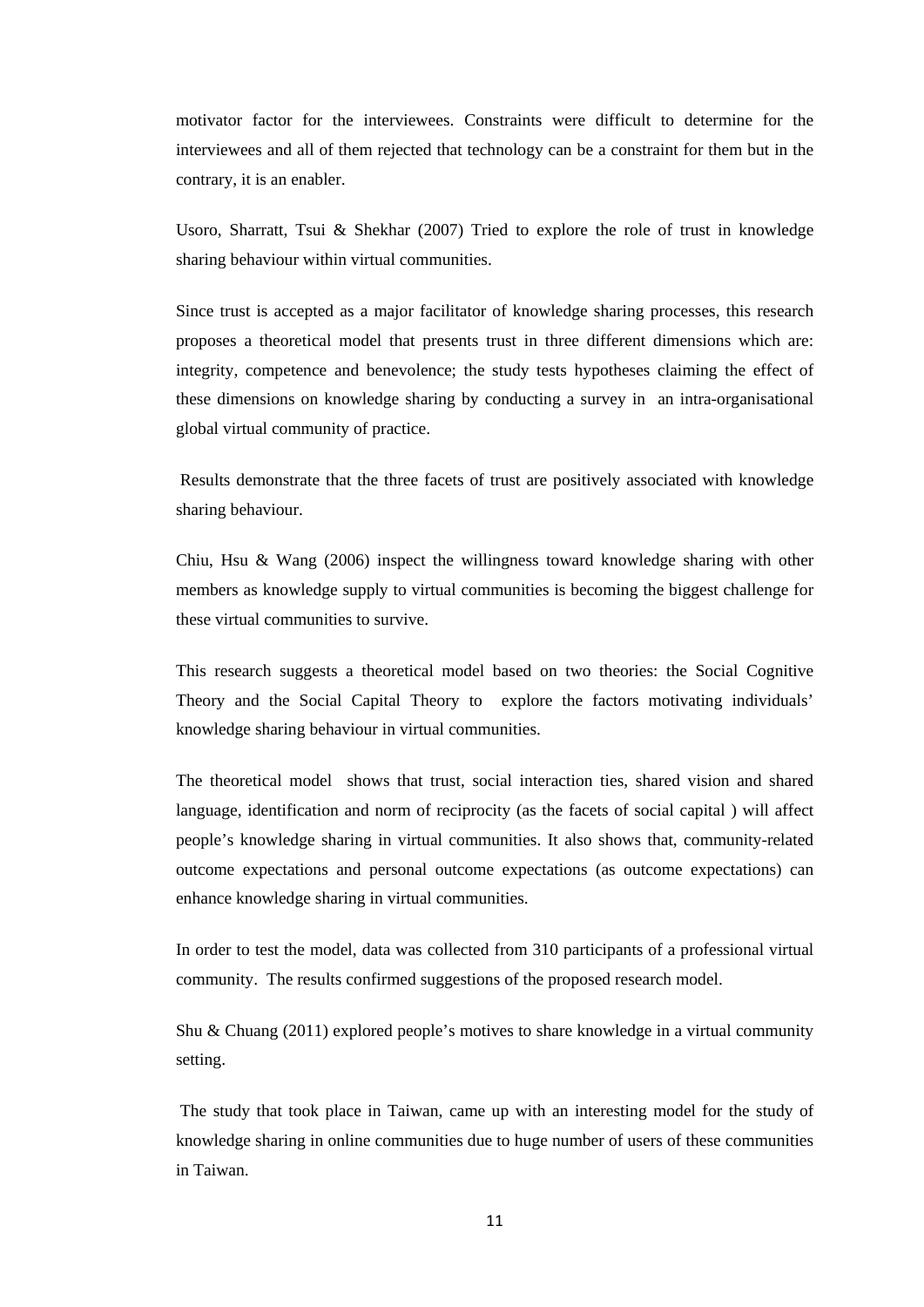motivator factor for the interviewees. Constraints were difficult to determine for the interviewees and all of them rejected that technology can be a constraint for them but in the contrary, it is an enabler.

Usoro, Sharratt, Tsui & Shekhar (2007) Tried to explore the role of trust in knowledge sharing behaviour within virtual communities.

Since trust is accepted as a major facilitator of knowledge sharing processes, this research proposes a theoretical model that presents trust in three different dimensions which are: integrity, competence and benevolence; the study tests hypotheses claiming the effect of these dimensions on knowledge sharing by conducting a survey in an intra-organisational global virtual community of practice.

Results demonstrate that the three facets of trust are positively associated with knowledge sharing behaviour.

Chiu, Hsu & Wang (2006) inspect the willingness toward knowledge sharing with other members as knowledge supply to virtual communities is becoming the biggest challenge for these virtual communities to survive.

This research suggests a theoretical model based on two theories: the Social Cognitive Theory and the Social Capital Theory to explore the factors motivating individuals' knowledge sharing behaviour in virtual communities.

The theoretical model shows that trust, social interaction ties, shared vision and shared language, identification and norm of reciprocity (as the facets of social capital ) will affect people's knowledge sharing in virtual communities. It also shows that, community-related outcome expectations and personal outcome expectations (as outcome expectations) can enhance knowledge sharing in virtual communities.

In order to test the model, data was collected from 310 participants of a professional virtual community. The results confirmed suggestions of the proposed research model.

Shu & Chuang (2011) explored people's motives to share knowledge in a virtual community setting.

The study that took place in Taiwan, came up with an interesting model for the study of knowledge sharing in online communities due to huge number of users of these communities in Taiwan.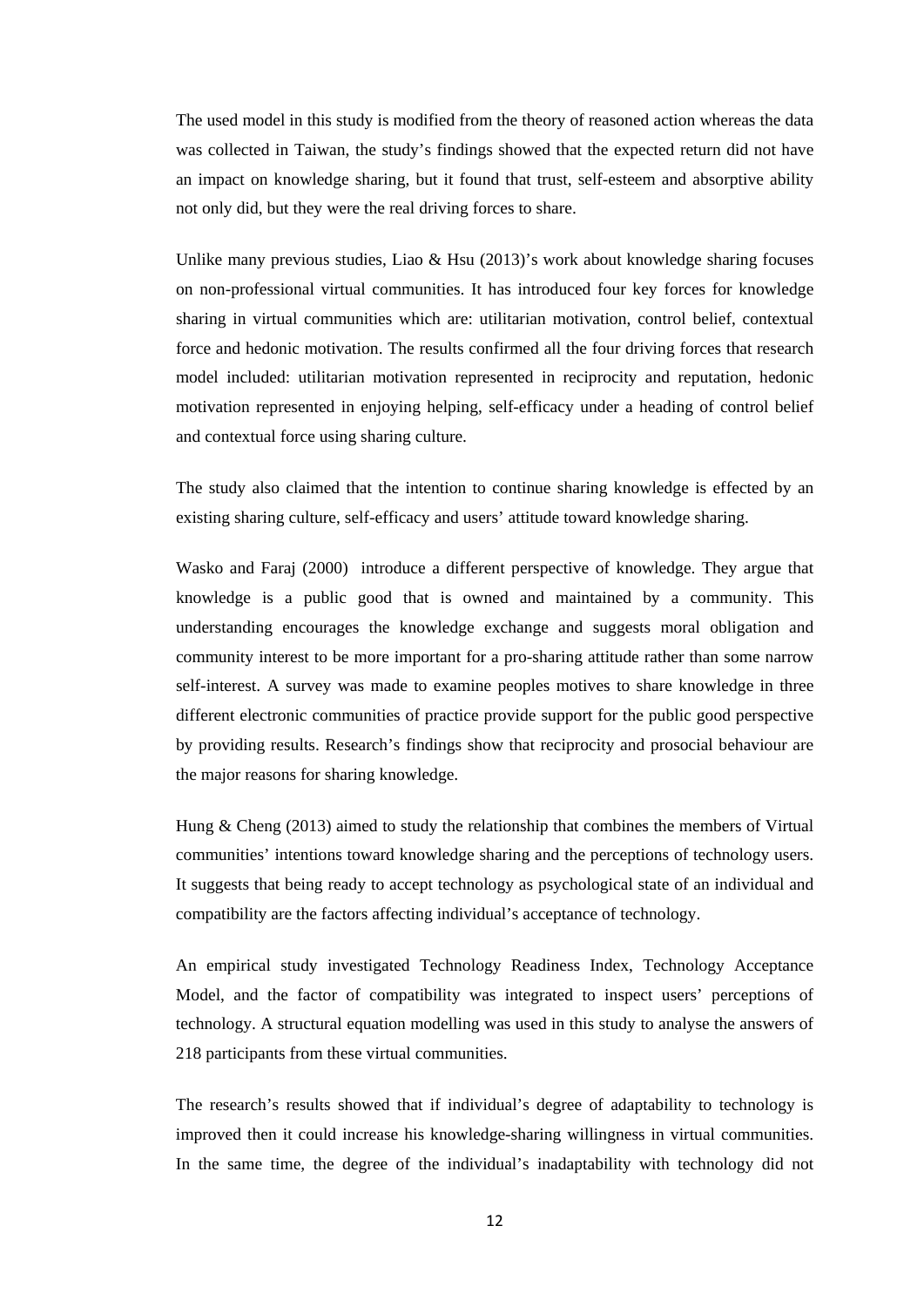The used model in this study is modified from the theory of reasoned action whereas the data was collected in Taiwan, the study's findings showed that the expected return did not have an impact on knowledge sharing, but it found that trust, self-esteem and absorptive ability not only did, but they were the real driving forces to share.

Unlike many previous studies, Liao  $\&$  Hsu (2013)'s work about knowledge sharing focuses on non-professional virtual communities. It has introduced four key forces for knowledge sharing in virtual communities which are: utilitarian motivation, control belief, contextual force and hedonic motivation. The results confirmed all the four driving forces that research model included: utilitarian motivation represented in reciprocity and reputation, hedonic motivation represented in enjoying helping, self-efficacy under a heading of control belief and contextual force using sharing culture.

The study also claimed that the intention to continue sharing knowledge is effected by an existing sharing culture, self-efficacy and users' attitude toward knowledge sharing.

Wasko and Faraj (2000) introduce a different perspective of knowledge. They argue that knowledge is a public good that is owned and maintained by a community. This understanding encourages the knowledge exchange and suggests moral obligation and community interest to be more important for a pro-sharing attitude rather than some narrow self-interest. A survey was made to examine peoples motives to share knowledge in three different electronic communities of practice provide support for the public good perspective by providing results. Research's findings show that reciprocity and prosocial behaviour are the major reasons for sharing knowledge.

Hung & Cheng (2013) aimed to study the relationship that combines the members of Virtual communities' intentions toward knowledge sharing and the perceptions of technology users. It suggests that being ready to accept technology as psychological state of an individual and compatibility are the factors affecting individual's acceptance of technology.

An empirical study investigated Technology Readiness Index, Technology Acceptance Model, and the factor of compatibility was integrated to inspect users' perceptions of technology. A structural equation modelling was used in this study to analyse the answers of 218 participants from these virtual communities.

The research's results showed that if individual's degree of adaptability to technology is improved then it could increase his knowledge-sharing willingness in virtual communities. In the same time, the degree of the individual's inadaptability with technology did not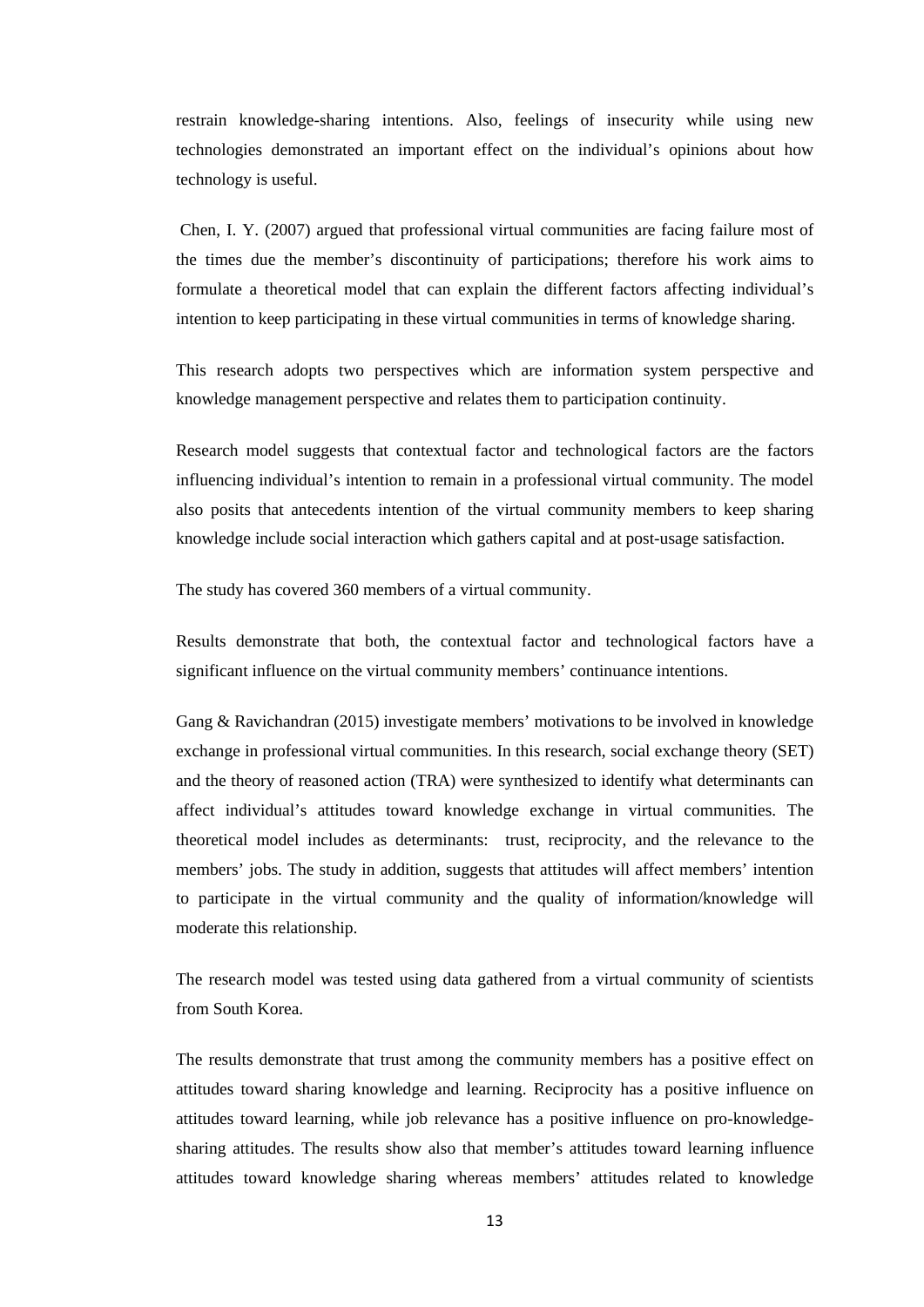restrain knowledge-sharing intentions. Also, feelings of insecurity while using new technologies demonstrated an important effect on the individual's opinions about how technology is useful.

Chen, I. Y. (2007) argued that professional virtual communities are facing failure most of the times due the member's discontinuity of participations; therefore his work aims to formulate a theoretical model that can explain the different factors affecting individual's intention to keep participating in these virtual communities in terms of knowledge sharing.

This research adopts two perspectives which are information system perspective and knowledge management perspective and relates them to participation continuity.

Research model suggests that contextual factor and technological factors are the factors influencing individual's intention to remain in a professional virtual community. The model also posits that antecedents intention of the virtual community members to keep sharing knowledge include social interaction which gathers capital and at post-usage satisfaction.

The study has covered 360 members of a virtual community.

Results demonstrate that both, the contextual factor and technological factors have a significant influence on the virtual community members' continuance intentions.

Gang & Ravichandran (2015) investigate members' motivations to be involved in knowledge exchange in professional virtual communities. In this research, social exchange theory (SET) and the theory of reasoned action (TRA) were synthesized to identify what determinants can affect individual's attitudes toward knowledge exchange in virtual communities. The theoretical model includes as determinants: trust, reciprocity, and the relevance to the members' jobs. The study in addition, suggests that attitudes will affect members' intention to participate in the virtual community and the quality of information/knowledge will moderate this relationship.

The research model was tested using data gathered from a virtual community of scientists from South Korea.

The results demonstrate that trust among the community members has a positive effect on attitudes toward sharing knowledge and learning. Reciprocity has a positive influence on attitudes toward learning, while job relevance has a positive influence on pro-knowledgesharing attitudes. The results show also that member's attitudes toward learning influence attitudes toward knowledge sharing whereas members' attitudes related to knowledge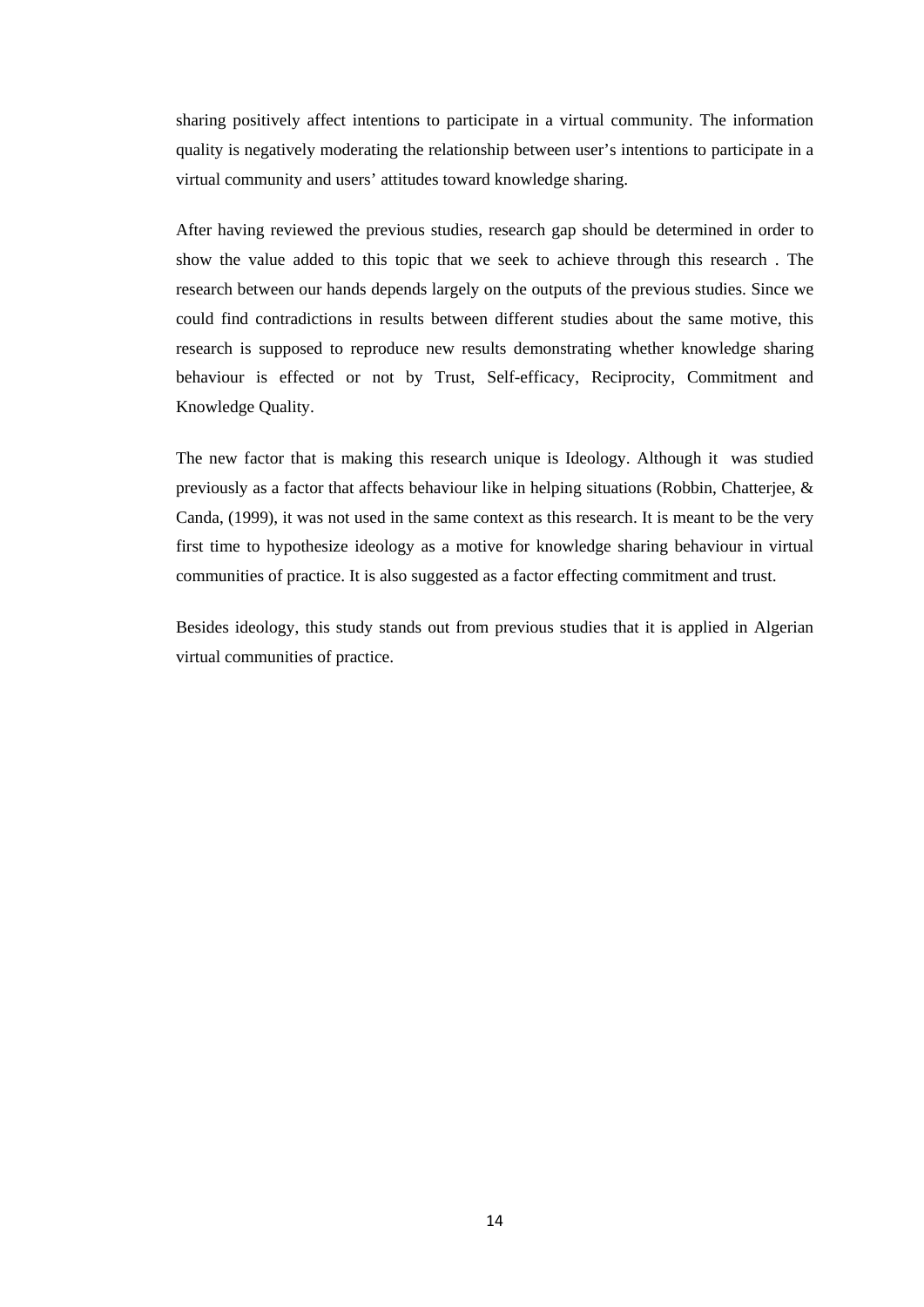sharing positively affect intentions to participate in a virtual community. The information quality is negatively moderating the relationship between user's intentions to participate in a virtual community and users' attitudes toward knowledge sharing.

After having reviewed the previous studies, research gap should be determined in order to show the value added to this topic that we seek to achieve through this research . The research between our hands depends largely on the outputs of the previous studies. Since we could find contradictions in results between different studies about the same motive, this research is supposed to reproduce new results demonstrating whether knowledge sharing behaviour is effected or not by Trust, Self-efficacy, Reciprocity, Commitment and Knowledge Quality.

The new factor that is making this research unique is Ideology. Although it was studied previously as a factor that affects behaviour like in helping situations (Robbin, Chatterjee, & Canda, (1999), it was not used in the same context as this research. It is meant to be the very first time to hypothesize ideology as a motive for knowledge sharing behaviour in virtual communities of practice. It is also suggested as a factor effecting commitment and trust.

Besides ideology, this study stands out from previous studies that it is applied in Algerian virtual communities of practice.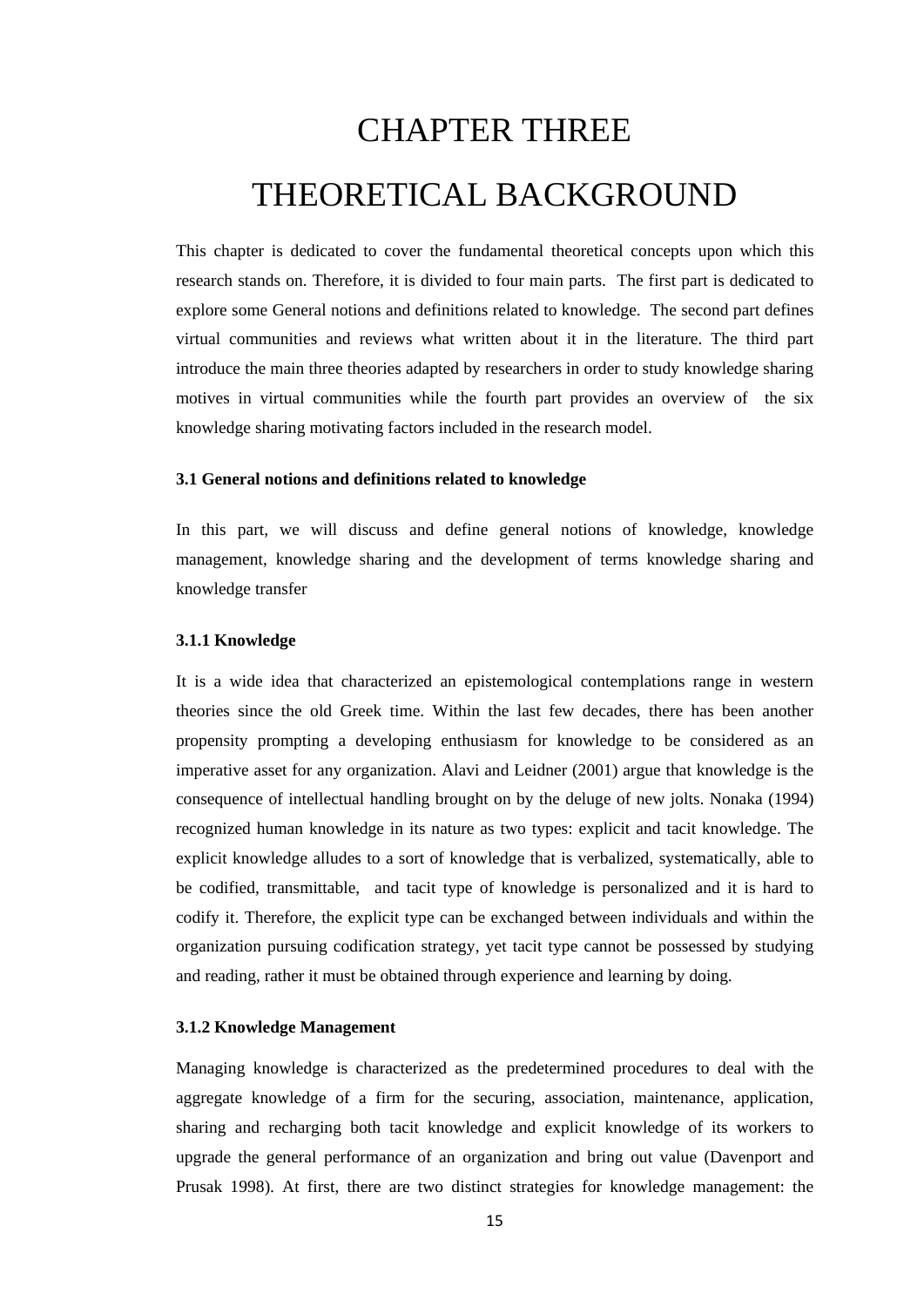# <span id="page-24-0"></span>CHAPTER THREE THEORETICAL BACKGROUND

This chapter is dedicated to cover the fundamental theoretical concepts upon which this research stands on. Therefore, it is divided to four main parts. The first part is dedicated to explore some General notions and definitions related to knowledge. The second part defines virtual communities and reviews what written about it in the literature. The third part introduce the main three theories adapted by researchers in order to study knowledge sharing motives in virtual communities while the fourth part provides an overview of the six knowledge sharing motivating factors included in the research model.

#### <span id="page-24-1"></span>**3.1 General notions and definitions related to knowledge**

In this part, we will discuss and define general notions of knowledge, knowledge management, knowledge sharing and the development of terms knowledge sharing and knowledge transfer

#### <span id="page-24-2"></span>**3.1.1 Knowledge**

It is a wide idea that characterized an epistemological contemplations range in western theories since the old Greek time. Within the last few decades, there has been another propensity prompting a developing enthusiasm for knowledge to be considered as an imperative asset for any organization. Alavi and Leidner (2001) argue that knowledge is the consequence of intellectual handling brought on by the deluge of new jolts. Nonaka (1994) recognized human knowledge in its nature as two types: explicit and tacit knowledge. The explicit knowledge alludes to a sort of knowledge that is verbalized, systematically, able to be codified, transmittable, and tacit type of knowledge is personalized and it is hard to codify it. Therefore, the explicit type can be exchanged between individuals and within the organization pursuing codification strategy, yet tacit type cannot be possessed by studying and reading, rather it must be obtained through experience and learning by doing.

#### <span id="page-24-3"></span>**3.1.2 Knowledge Management**

Managing knowledge is characterized as the predetermined procedures to deal with the aggregate knowledge of a firm for the securing, association, maintenance, application, sharing and recharging both tacit knowledge and explicit knowledge of its workers to upgrade the general performance of an organization and bring out value (Davenport and Prusak 1998). At first, there are two distinct strategies for knowledge management: the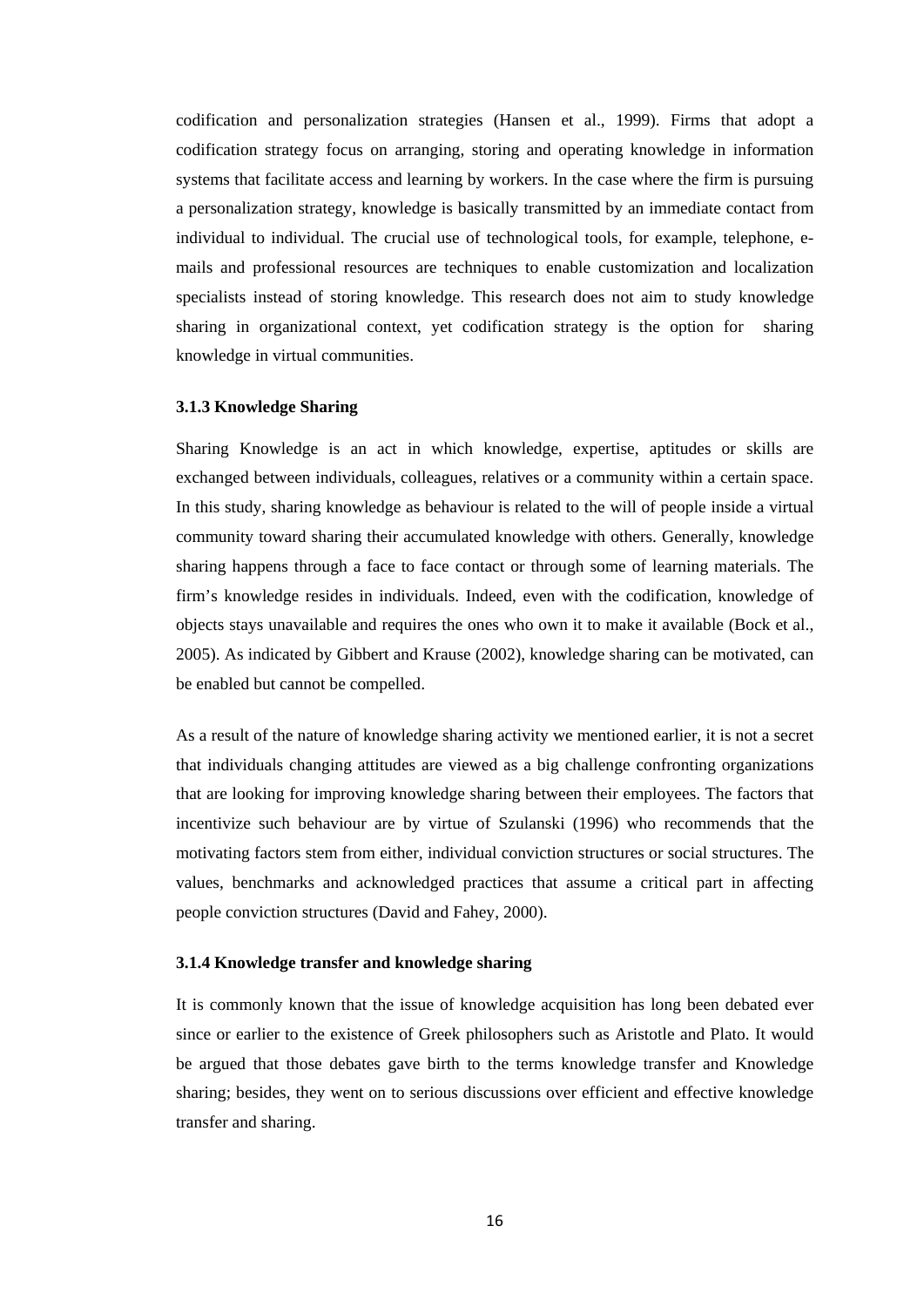codification and personalization strategies (Hansen et al., 1999). Firms that adopt a codification strategy focus on arranging, storing and operating knowledge in information systems that facilitate access and learning by workers. In the case where the firm is pursuing a personalization strategy, knowledge is basically transmitted by an immediate contact from individual to individual. The crucial use of technological tools, for example, telephone, emails and professional resources are techniques to enable customization and localization specialists instead of storing knowledge. This research does not aim to study knowledge sharing in organizational context, yet codification strategy is the option for sharing knowledge in virtual communities.

#### <span id="page-25-0"></span>**3.1.3 Knowledge Sharing**

Sharing Knowledge is an act in which knowledge, expertise, aptitudes or skills are exchanged between individuals, colleagues, relatives or a community within a certain space. In this study, sharing knowledge as behaviour is related to the will of people inside a virtual community toward sharing their accumulated knowledge with others. Generally, knowledge sharing happens through a face to face contact or through some of learning materials. The firm's knowledge resides in individuals. Indeed, even with the codification, knowledge of objects stays unavailable and requires the ones who own it to make it available (Bock et al., 2005). As indicated by Gibbert and Krause (2002), knowledge sharing can be motivated, can be enabled but cannot be compelled.

As a result of the nature of knowledge sharing activity we mentioned earlier, it is not a secret that individuals changing attitudes are viewed as a big challenge confronting organizations that are looking for improving knowledge sharing between their employees. The factors that incentivize such behaviour are by virtue of Szulanski (1996) who recommends that the motivating factors stem from either, individual conviction structures or social structures. The values, benchmarks and acknowledged practices that assume a critical part in affecting people conviction structures (David and Fahey, 2000).

#### <span id="page-25-1"></span>**3.1.4 Knowledge transfer and knowledge sharing**

It is commonly known that the issue of knowledge acquisition has long been debated ever since or earlier to the existence of Greek philosophers such as Aristotle and Plato. It would be argued that those debates gave birth to the terms knowledge transfer and Knowledge sharing; besides, they went on to serious discussions over efficient and effective knowledge transfer and sharing.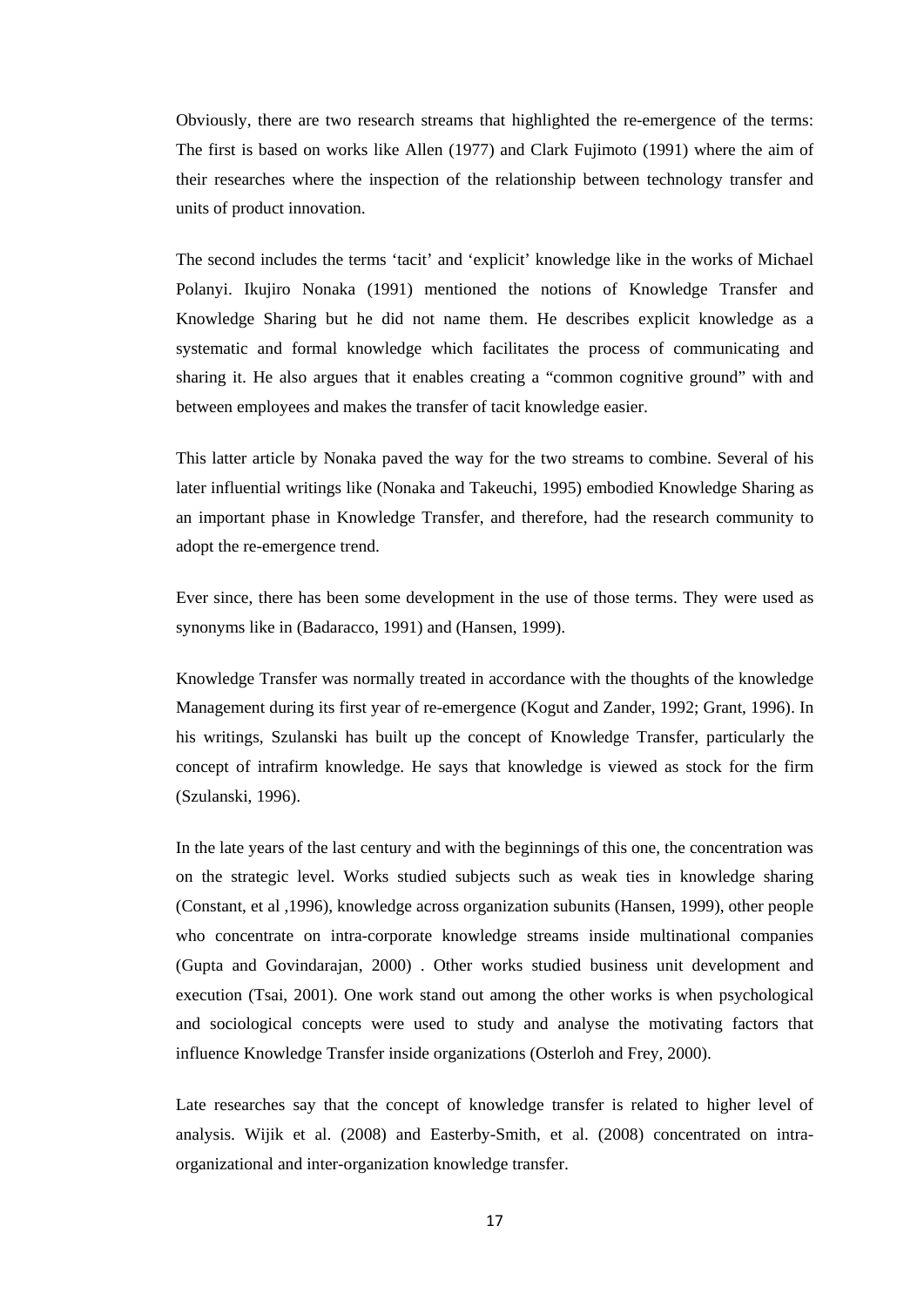Obviously, there are two research streams that highlighted the re-emergence of the terms: The first is based on works like Allen (1977) and Clark Fujimoto (1991) where the aim of their researches where the inspection of the relationship between technology transfer and units of product innovation.

The second includes the terms 'tacit' and 'explicit' knowledge like in the works of Michael Polanyi. Ikujiro Nonaka (1991) mentioned the notions of Knowledge Transfer and Knowledge Sharing but he did not name them. He describes explicit knowledge as a systematic and formal knowledge which facilitates the process of communicating and sharing it. He also argues that it enables creating a "common cognitive ground" with and between employees and makes the transfer of tacit knowledge easier.

This latter article by Nonaka paved the way for the two streams to combine. Several of his later influential writings like (Nonaka and Takeuchi, 1995) embodied Knowledge Sharing as an important phase in Knowledge Transfer, and therefore, had the research community to adopt the re-emergence trend.

Ever since, there has been some development in the use of those terms. They were used as synonyms like in (Badaracco, 1991) and (Hansen, 1999).

Knowledge Transfer was normally treated in accordance with the thoughts of the knowledge Management during its first year of re-emergence (Kogut and Zander, 1992; Grant, 1996). In his writings, Szulanski has built up the concept of Knowledge Transfer, particularly the concept of intrafirm knowledge. He says that knowledge is viewed as stock for the firm (Szulanski, 1996).

In the late years of the last century and with the beginnings of this one, the concentration was on the strategic level. Works studied subjects such as weak ties in knowledge sharing (Constant, et al ,1996), knowledge across organization subunits (Hansen, 1999), other people who concentrate on intra-corporate knowledge streams inside multinational companies (Gupta and Govindarajan, 2000) . Other works studied business unit development and execution (Tsai, 2001). One work stand out among the other works is when psychological and sociological concepts were used to study and analyse the motivating factors that influence Knowledge Transfer inside organizations (Osterloh and Frey, 2000).

Late researches say that the concept of knowledge transfer is related to higher level of analysis. Wijik et al. (2008) and Easterby-Smith, et al. (2008) concentrated on intraorganizational and inter-organization knowledge transfer.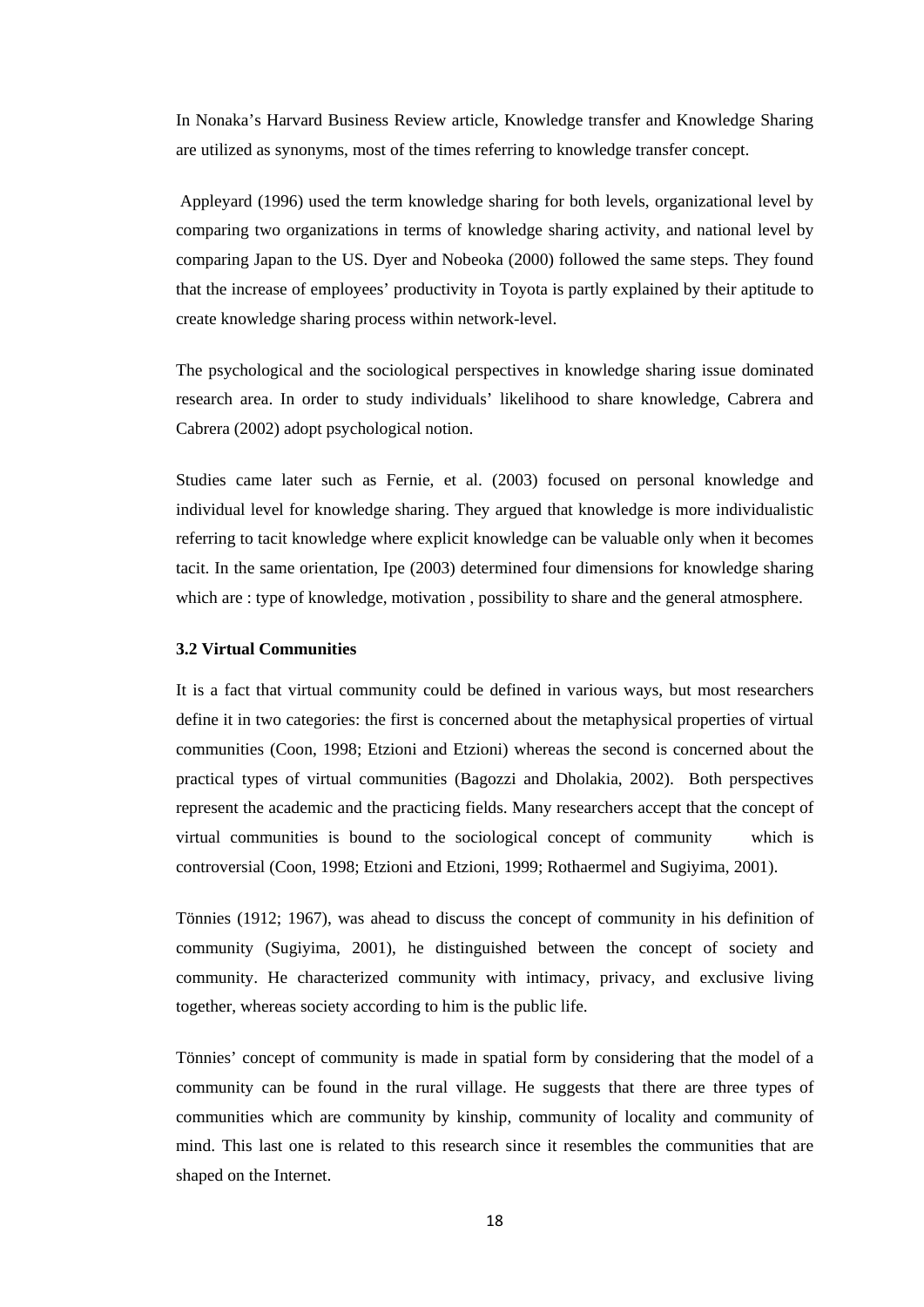In Nonaka's Harvard Business Review article, Knowledge transfer and Knowledge Sharing are utilized as synonyms, most of the times referring to knowledge transfer concept.

Appleyard (1996) used the term knowledge sharing for both levels, organizational level by comparing two organizations in terms of knowledge sharing activity, and national level by comparing Japan to the US. Dyer and Nobeoka (2000) followed the same steps. They found that the increase of employees' productivity in Toyota is partly explained by their aptitude to create knowledge sharing process within network-level.

The psychological and the sociological perspectives in knowledge sharing issue dominated research area. In order to study individuals' likelihood to share knowledge, Cabrera and Cabrera (2002) adopt psychological notion.

Studies came later such as Fernie, et al. (2003) focused on personal knowledge and individual level for knowledge sharing. They argued that knowledge is more individualistic referring to tacit knowledge where explicit knowledge can be valuable only when it becomes tacit. In the same orientation, Ipe (2003) determined four dimensions for knowledge sharing which are : type of knowledge, motivation , possibility to share and the general atmosphere.

#### <span id="page-27-0"></span>**3.2 Virtual Communities**

It is a fact that virtual community could be defined in various ways, but most researchers define it in two categories: the first is concerned about the metaphysical properties of virtual communities (Coon, 1998; Etzioni and Etzioni) whereas the second is concerned about the practical types of virtual communities (Bagozzi and Dholakia, 2002). Both perspectives represent the academic and the practicing fields. Many researchers accept that the concept of virtual communities is bound to the sociological concept of community which is controversial (Coon, 1998; Etzioni and Etzioni, 1999; Rothaermel and Sugiyima, 2001).

Tönnies (1912; 1967), was ahead to discuss the concept of community in his definition of community (Sugiyima, 2001), he distinguished between the concept of society and community. He characterized community with intimacy, privacy, and exclusive living together, whereas society according to him is the public life.

Tönnies' concept of community is made in spatial form by considering that the model of a community can be found in the rural village. He suggests that there are three types of communities which are community by kinship, community of locality and community of mind. This last one is related to this research since it resembles the communities that are shaped on the Internet.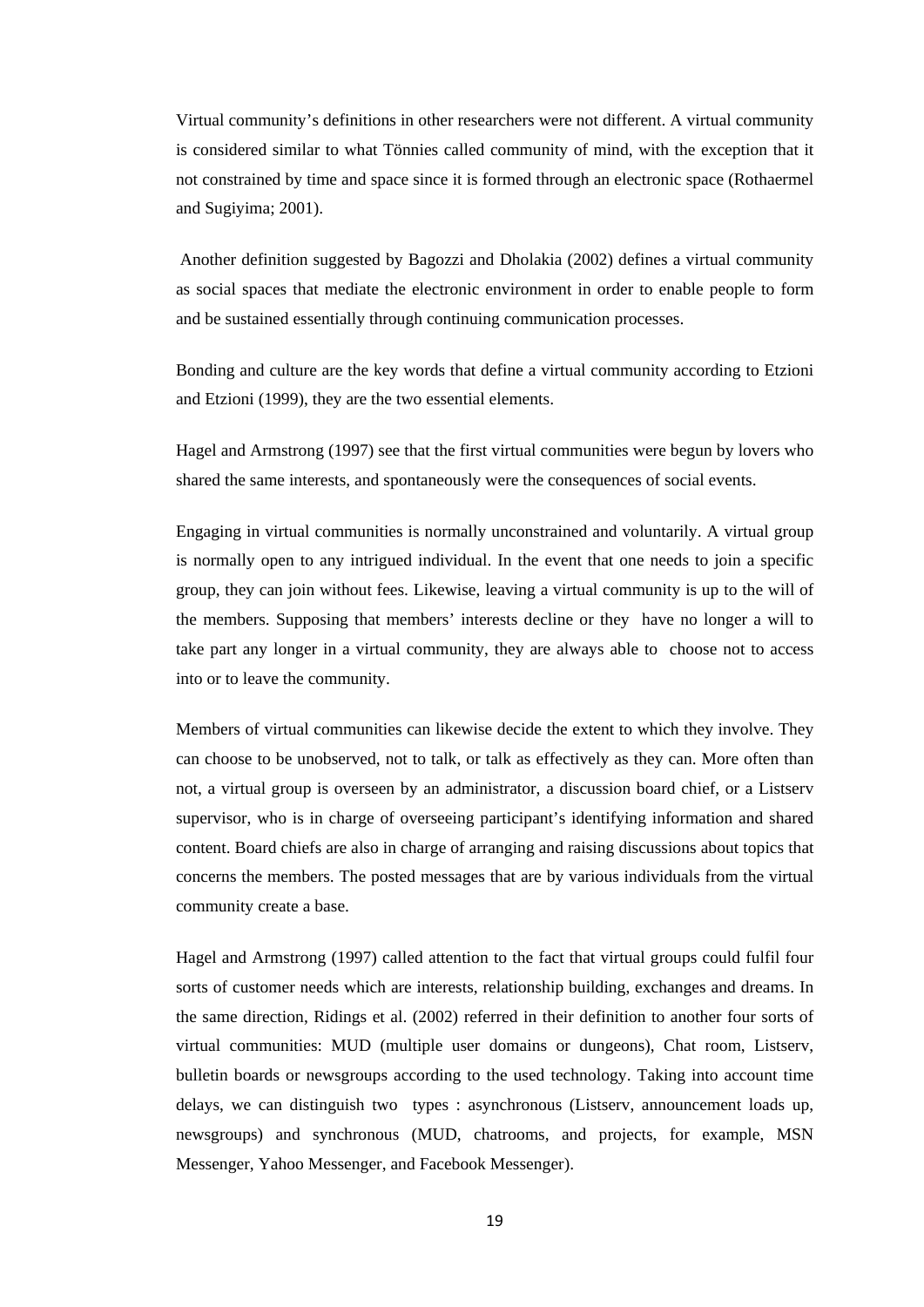Virtual community's definitions in other researchers were not different. A virtual community is considered similar to what Tönnies called community of mind, with the exception that it not constrained by time and space since it is formed through an electronic space (Rothaermel and Sugiyima; 2001).

Another definition suggested by Bagozzi and Dholakia (2002) defines a virtual community as social spaces that mediate the electronic environment in order to enable people to form and be sustained essentially through continuing communication processes.

Bonding and culture are the key words that define a virtual community according to Etzioni and Etzioni (1999), they are the two essential elements.

Hagel and Armstrong (1997) see that the first virtual communities were begun by lovers who shared the same interests, and spontaneously were the consequences of social events.

Engaging in virtual communities is normally unconstrained and voluntarily. A virtual group is normally open to any intrigued individual. In the event that one needs to join a specific group, they can join without fees. Likewise, leaving a virtual community is up to the will of the members. Supposing that members' interests decline or they have no longer a will to take part any longer in a virtual community, they are always able to choose not to access into or to leave the community.

Members of virtual communities can likewise decide the extent to which they involve. They can choose to be unobserved, not to talk, or talk as effectively as they can. More often than not, a virtual group is overseen by an administrator, a discussion board chief, or a Listserv supervisor, who is in charge of overseeing participant's identifying information and shared content. Board chiefs are also in charge of arranging and raising discussions about topics that concerns the members. The posted messages that are by various individuals from the virtual community create a base.

Hagel and Armstrong (1997) called attention to the fact that virtual groups could fulfil four sorts of customer needs which are interests, relationship building, exchanges and dreams. In the same direction, Ridings et al. (2002) referred in their definition to another four sorts of virtual communities: MUD (multiple user domains or dungeons), Chat room, Listserv, bulletin boards or newsgroups according to the used technology. Taking into account time delays, we can distinguish two types : asynchronous (Listserv, announcement loads up, newsgroups) and synchronous (MUD, chatrooms, and projects, for example, MSN Messenger, Yahoo Messenger, and Facebook Messenger).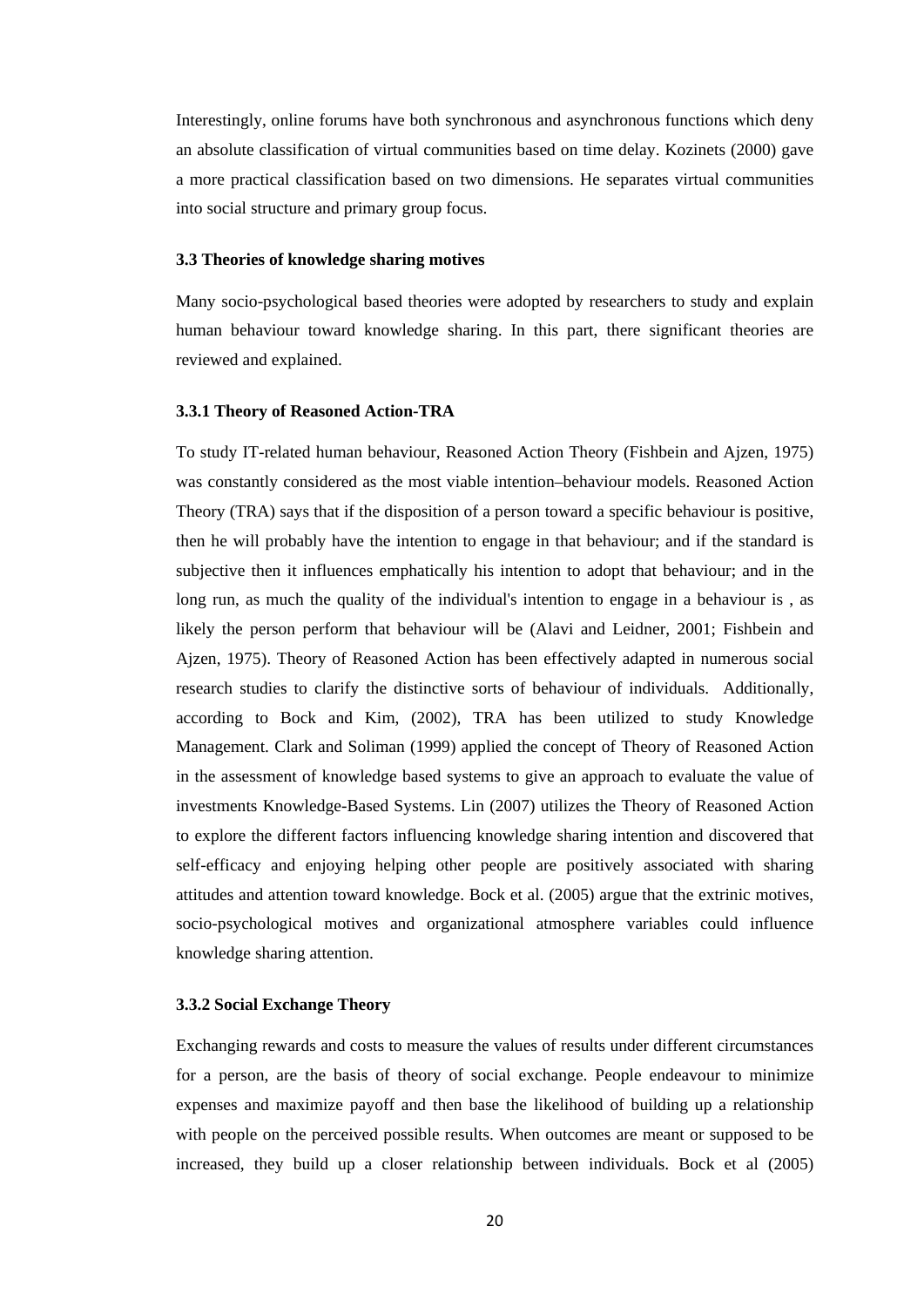Interestingly, online forums have both synchronous and asynchronous functions which deny an absolute classification of virtual communities based on time delay. Kozinets (2000) gave a more practical classification based on two dimensions. He separates virtual communities into social structure and primary group focus.

#### <span id="page-29-0"></span>**3.3 Theories of knowledge sharing motives**

Many socio-psychological based theories were adopted by researchers to study and explain human behaviour toward knowledge sharing. In this part, there significant theories are reviewed and explained.

#### <span id="page-29-1"></span>**3.3.1 Theory of Reasoned Action-TRA**

To study IT-related human behaviour, Reasoned Action Theory (Fishbein and Ajzen, 1975) was constantly considered as the most viable intention–behaviour models. Reasoned Action Theory (TRA) says that if the disposition of a person toward a specific behaviour is positive, then he will probably have the intention to engage in that behaviour; and if the standard is subjective then it influences emphatically his intention to adopt that behaviour; and in the long run, as much the quality of the individual's intention to engage in a behaviour is , as likely the person perform that behaviour will be (Alavi and Leidner, 2001; Fishbein and Ajzen, 1975). Theory of Reasoned Action has been effectively adapted in numerous social research studies to clarify the distinctive sorts of behaviour of individuals. Additionally, according to Bock and Kim, (2002), TRA has been utilized to study Knowledge Management. Clark and Soliman (1999) applied the concept of Theory of Reasoned Action in the assessment of knowledge based systems to give an approach to evaluate the value of investments Knowledge-Based Systems. Lin (2007) utilizes the Theory of Reasoned Action to explore the different factors influencing knowledge sharing intention and discovered that self-efficacy and enjoying helping other people are positively associated with sharing attitudes and attention toward knowledge. Bock et al. (2005) argue that the extrinic motives, socio-psychological motives and organizational atmosphere variables could influence knowledge sharing attention.

#### <span id="page-29-2"></span>**3.3.2 Social Exchange Theory**

Exchanging rewards and costs to measure the values of results under different circumstances for a person, are the basis of theory of social exchange. People endeavour to minimize expenses and maximize payoff and then base the likelihood of building up a relationship with people on the perceived possible results. When outcomes are meant or supposed to be increased, they build up a closer relationship between individuals. Bock et al (2005)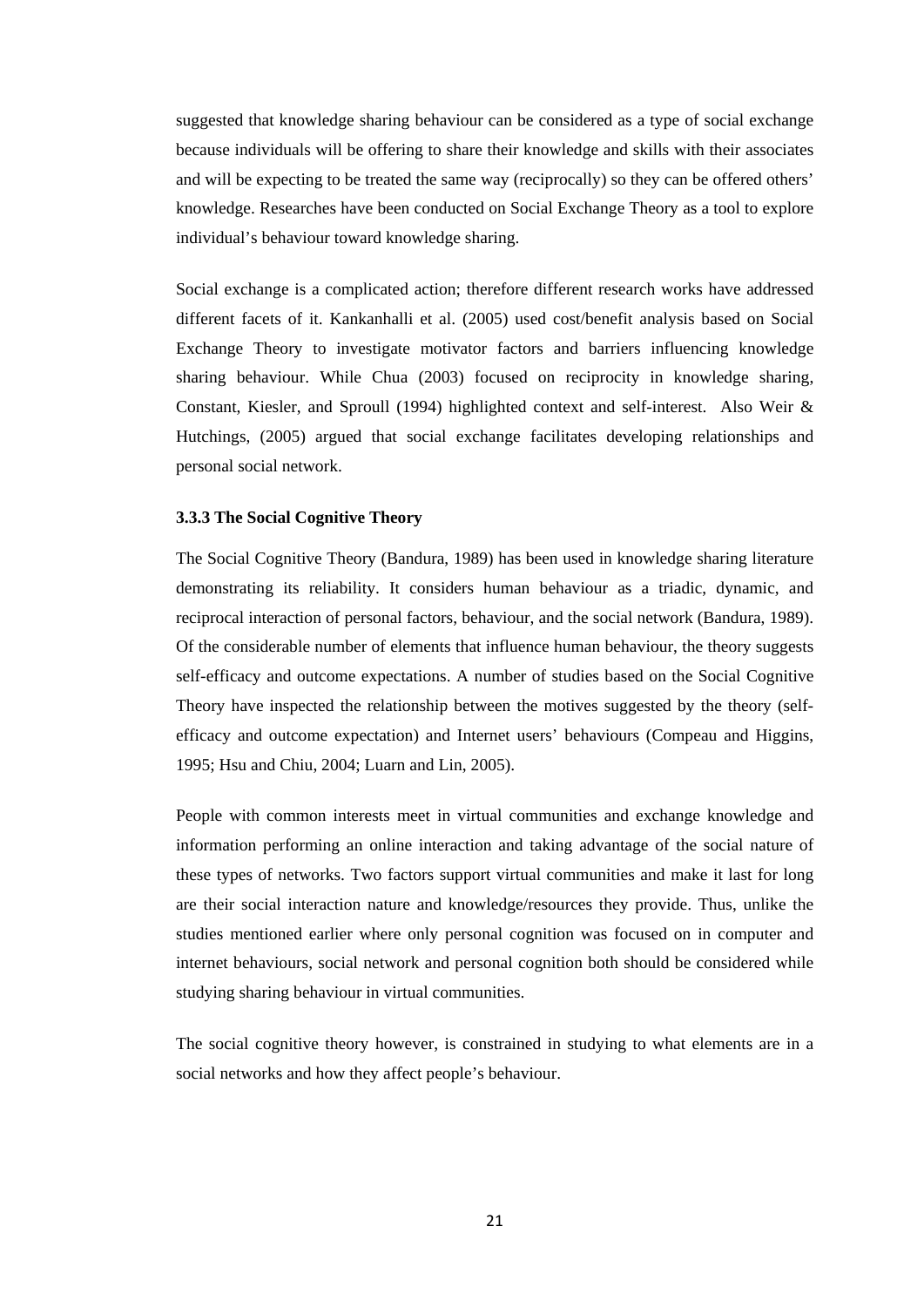suggested that knowledge sharing behaviour can be considered as a type of social exchange because individuals will be offering to share their knowledge and skills with their associates and will be expecting to be treated the same way (reciprocally) so they can be offered others' knowledge. Researches have been conducted on Social Exchange Theory as a tool to explore individual's behaviour toward knowledge sharing.

Social exchange is a complicated action; therefore different research works have addressed different facets of it. Kankanhalli et al. (2005) used cost/benefit analysis based on Social Exchange Theory to investigate motivator factors and barriers influencing knowledge sharing behaviour. While Chua (2003) focused on reciprocity in knowledge sharing, Constant, Kiesler, and Sproull (1994) highlighted context and self-interest. Also Weir & Hutchings, (2005) argued that social exchange facilitates developing relationships and personal social network.

#### <span id="page-30-0"></span>**3.3.3 The Social Cognitive Theory**

The Social Cognitive Theory (Bandura, 1989) has been used in knowledge sharing literature demonstrating its reliability. It considers human behaviour as a triadic, dynamic, and reciprocal interaction of personal factors, behaviour, and the social network (Bandura, 1989). Of the considerable number of elements that influence human behaviour, the theory suggests self-efficacy and outcome expectations. A number of studies based on the Social Cognitive Theory have inspected the relationship between the motives suggested by the theory (selfefficacy and outcome expectation) and Internet users' behaviours (Compeau and Higgins, 1995; Hsu and Chiu, 2004; Luarn and Lin, 2005).

People with common interests meet in virtual communities and exchange knowledge and information performing an online interaction and taking advantage of the social nature of these types of networks. Two factors support virtual communities and make it last for long are their social interaction nature and knowledge/resources they provide. Thus, unlike the studies mentioned earlier where only personal cognition was focused on in computer and internet behaviours, social network and personal cognition both should be considered while studying sharing behaviour in virtual communities.

The social cognitive theory however, is constrained in studying to what elements are in a social networks and how they affect people's behaviour.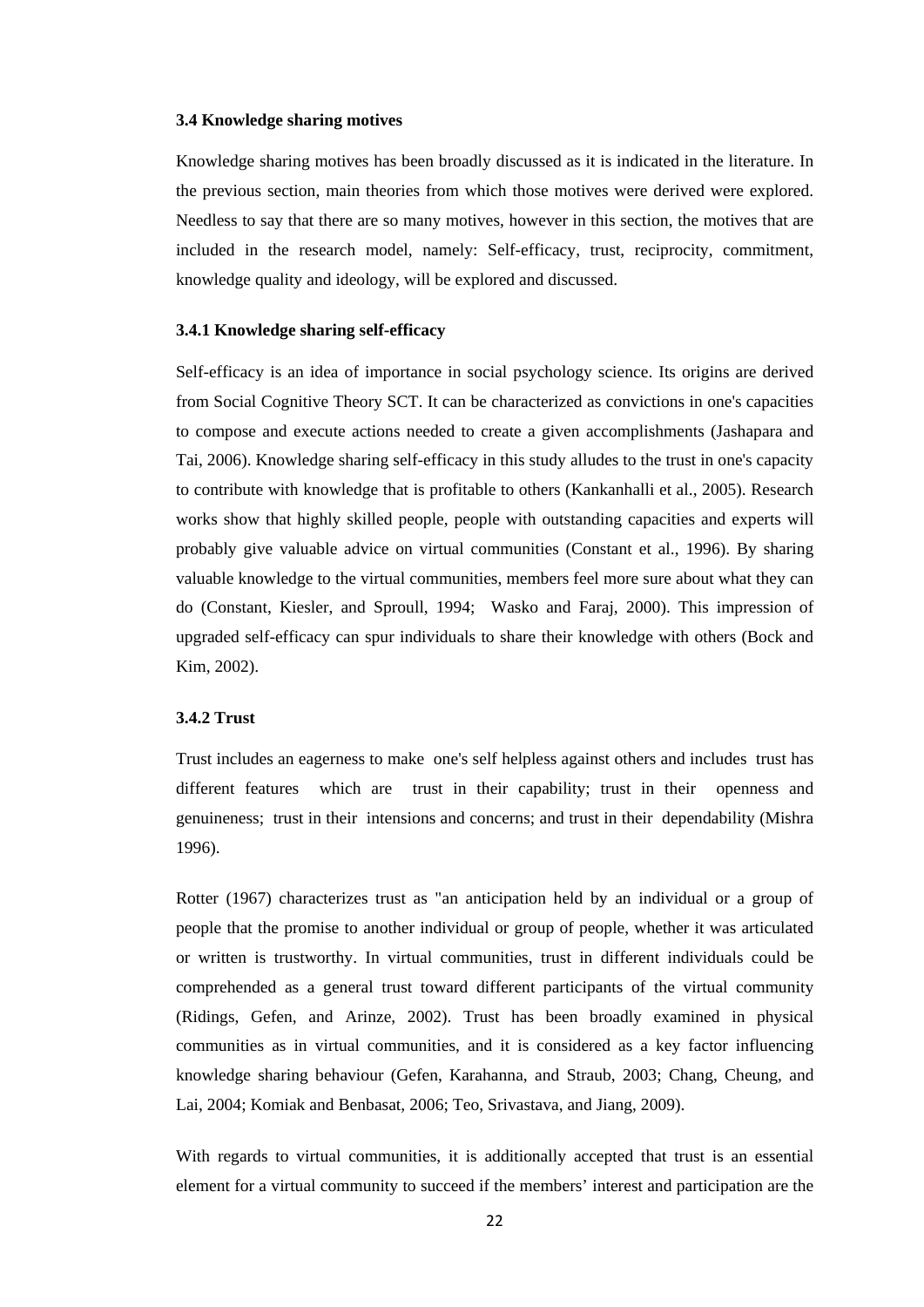#### <span id="page-31-0"></span>**3.4 Knowledge sharing motives**

Knowledge sharing motives has been broadly discussed as it is indicated in the literature. In the previous section, main theories from which those motives were derived were explored. Needless to say that there are so many motives, however in this section, the motives that are included in the research model, namely: Self-efficacy, trust, reciprocity, commitment, knowledge quality and ideology, will be explored and discussed.

#### <span id="page-31-1"></span>**3.4.1 Knowledge sharing self-efficacy**

Self-efficacy is an idea of importance in social psychology science. Its origins are derived from Social Cognitive Theory SCT. It can be characterized as convictions in one's capacities to compose and execute actions needed to create a given accomplishments (Jashapara and Tai, 2006). Knowledge sharing self-efficacy in this study alludes to the trust in one's capacity to contribute with knowledge that is profitable to others (Kankanhalli et al., 2005). Research works show that highly skilled people, people with outstanding capacities and experts will probably give valuable advice on virtual communities (Constant et al., 1996). By sharing valuable knowledge to the virtual communities, members feel more sure about what they can do (Constant, Kiesler, and Sproull, 1994; Wasko and Faraj, 2000). This impression of upgraded self-efficacy can spur individuals to share their knowledge with others (Bock and Kim, 2002).

#### <span id="page-31-2"></span>**3.4.2 Trust**

Trust includes an eagerness to make one's self helpless against others and includes trust has different features which are trust in their capability; trust in their openness and genuineness; trust in their intensions and concerns; and trust in their dependability (Mishra 1996).

Rotter (1967) characterizes trust as "an anticipation held by an individual or a group of people that the promise to another individual or group of people, whether it was articulated or written is trustworthy. In virtual communities, trust in different individuals could be comprehended as a general trust toward different participants of the virtual community (Ridings, Gefen, and Arinze, 2002). Trust has been broadly examined in physical communities as in virtual communities, and it is considered as a key factor influencing knowledge sharing behaviour (Gefen, Karahanna, and Straub, 2003; Chang, Cheung, and Lai, 2004; Komiak and Benbasat, 2006; Teo, Srivastava, and Jiang, 2009).

With regards to virtual communities, it is additionally accepted that trust is an essential element for a virtual community to succeed if the members' interest and participation are the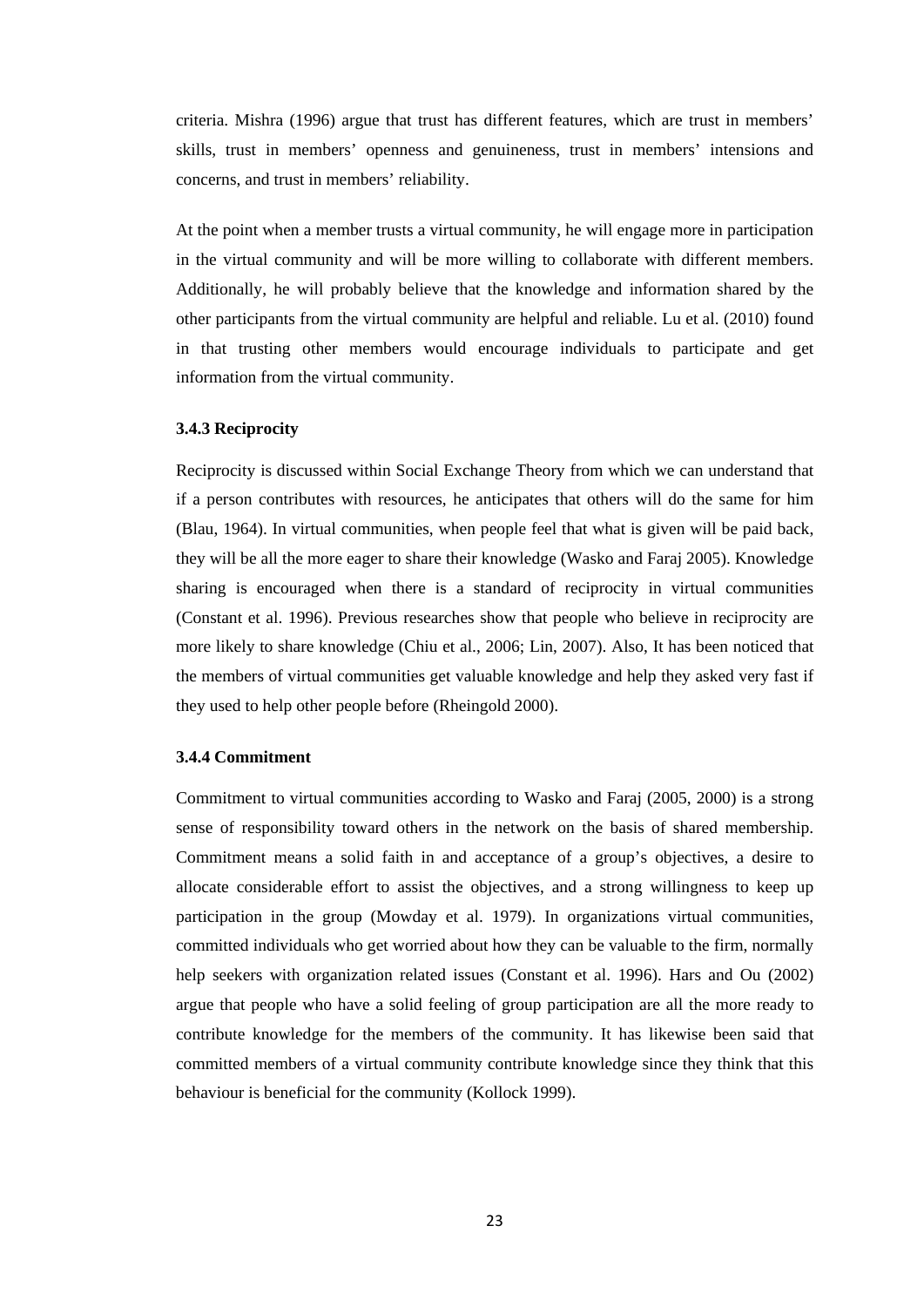criteria. Mishra (1996) argue that trust has different features, which are trust in members' skills, trust in members' openness and genuineness, trust in members' intensions and concerns, and trust in members' reliability.

At the point when a member trusts a virtual community, he will engage more in participation in the virtual community and will be more willing to collaborate with different members. Additionally, he will probably believe that the knowledge and information shared by the other participants from the virtual community are helpful and reliable. Lu et al. (2010) found in that trusting other members would encourage individuals to participate and get information from the virtual community.

#### <span id="page-32-0"></span>**3.4.3 Reciprocity**

Reciprocity is discussed within Social Exchange Theory from which we can understand that if a person contributes with resources, he anticipates that others will do the same for him (Blau, 1964). In virtual communities, when people feel that what is given will be paid back, they will be all the more eager to share their knowledge (Wasko and Faraj 2005). Knowledge sharing is encouraged when there is a standard of reciprocity in virtual communities (Constant et al. 1996). Previous researches show that people who believe in reciprocity are more likely to share knowledge (Chiu et al., 2006; Lin, 2007). Also, It has been noticed that the members of virtual communities get valuable knowledge and help they asked very fast if they used to help other people before (Rheingold 2000).

#### <span id="page-32-1"></span>**3.4.4 Commitment**

Commitment to virtual communities according to Wasko and Faraj (2005, 2000) is a strong sense of responsibility toward others in the network on the basis of shared membership. Commitment means a solid faith in and acceptance of a group's objectives, a desire to allocate considerable effort to assist the objectives, and a strong willingness to keep up participation in the group (Mowday et al. 1979). In organizations virtual communities, committed individuals who get worried about how they can be valuable to the firm, normally help seekers with organization related issues (Constant et al. 1996). Hars and Ou (2002) argue that people who have a solid feeling of group participation are all the more ready to contribute knowledge for the members of the community. It has likewise been said that committed members of a virtual community contribute knowledge since they think that this behaviour is beneficial for the community (Kollock 1999).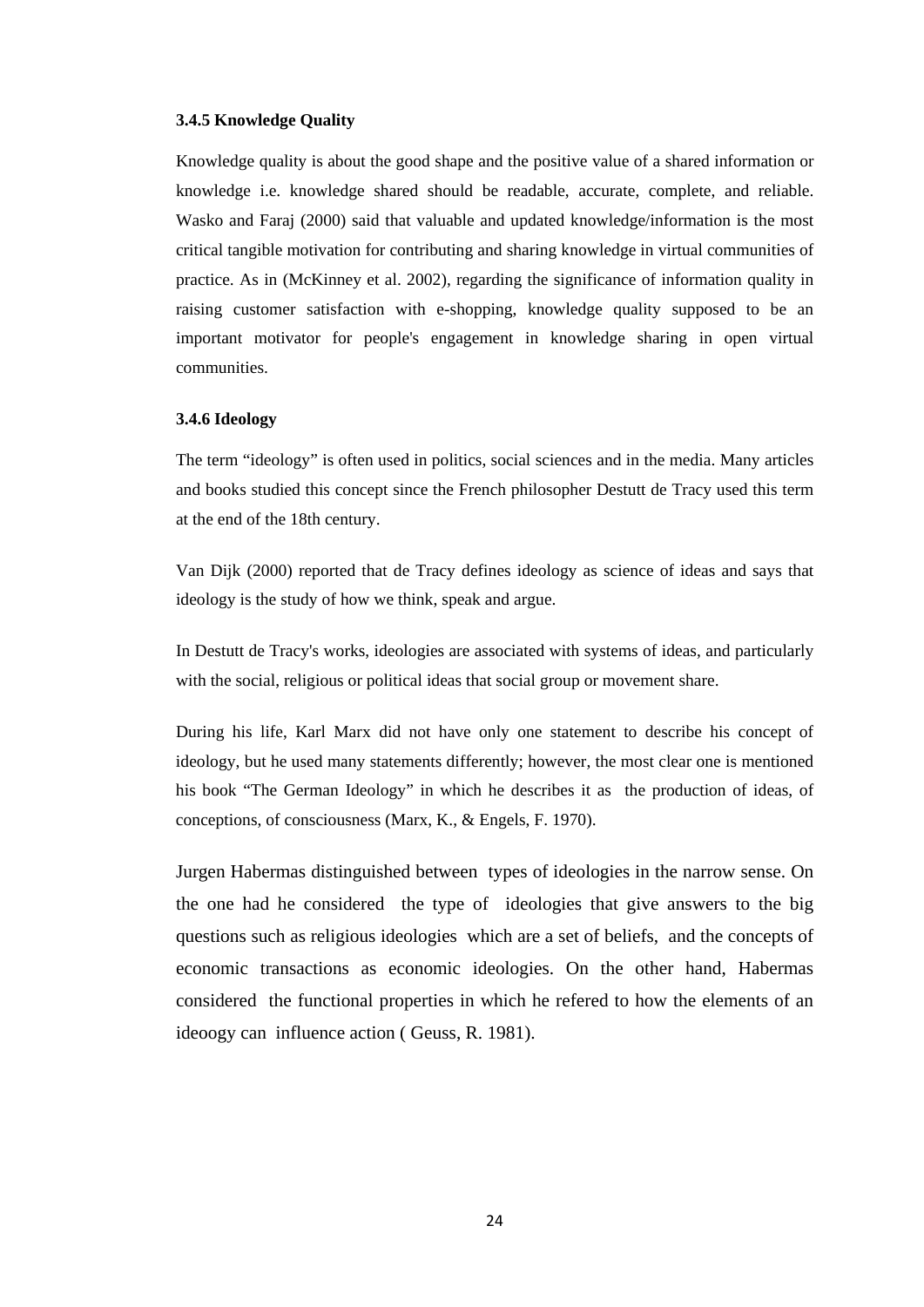#### <span id="page-33-0"></span>**3.4.5 Knowledge Quality**

Knowledge quality is about the good shape and the positive value of a shared information or knowledge i.e. knowledge shared should be readable, accurate, complete, and reliable. Wasko and Faraj (2000) said that valuable and updated knowledge/information is the most critical tangible motivation for contributing and sharing knowledge in virtual communities of practice. As in (McKinney et al. 2002), regarding the significance of information quality in raising customer satisfaction with e-shopping, knowledge quality supposed to be an important motivator for people's engagement in knowledge sharing in open virtual communities.

#### <span id="page-33-1"></span>**3.4.6 Ideology**

The term "ideology" is often used in politics, social sciences and in the media. Many articles and books studied this concept since the French philosopher Destutt de Tracy used this term at the end of the 18th century.

Van Dijk (2000) reported that de Tracy defines ideology as science of ideas and says that ideology is the study of how we think, speak and argue.

In Destutt de Tracy's works, ideologies are associated with systems of ideas, and particularly with the social, religious or political ideas that social group or movement share.

During his life, Karl Marx did not have only one statement to describe his concept of ideology, but he used many statements differently; however, the most clear one is mentioned his book "The German Ideology" in which he describes it as the production of ideas, of conceptions, of consciousness (Marx, K., & Engels, F. 1970).

Jurgen Habermas distinguished between types of ideologies in the narrow sense. On the one had he considered the type of ideologies that give answers to the big questions such as religious ideologies which are a set of beliefs, and the concepts of economic transactions as economic ideologies. On the other hand, Habermas considered the functional properties in which he refered to how the elements of an ideoogy can influence action ( Geuss, R. 1981).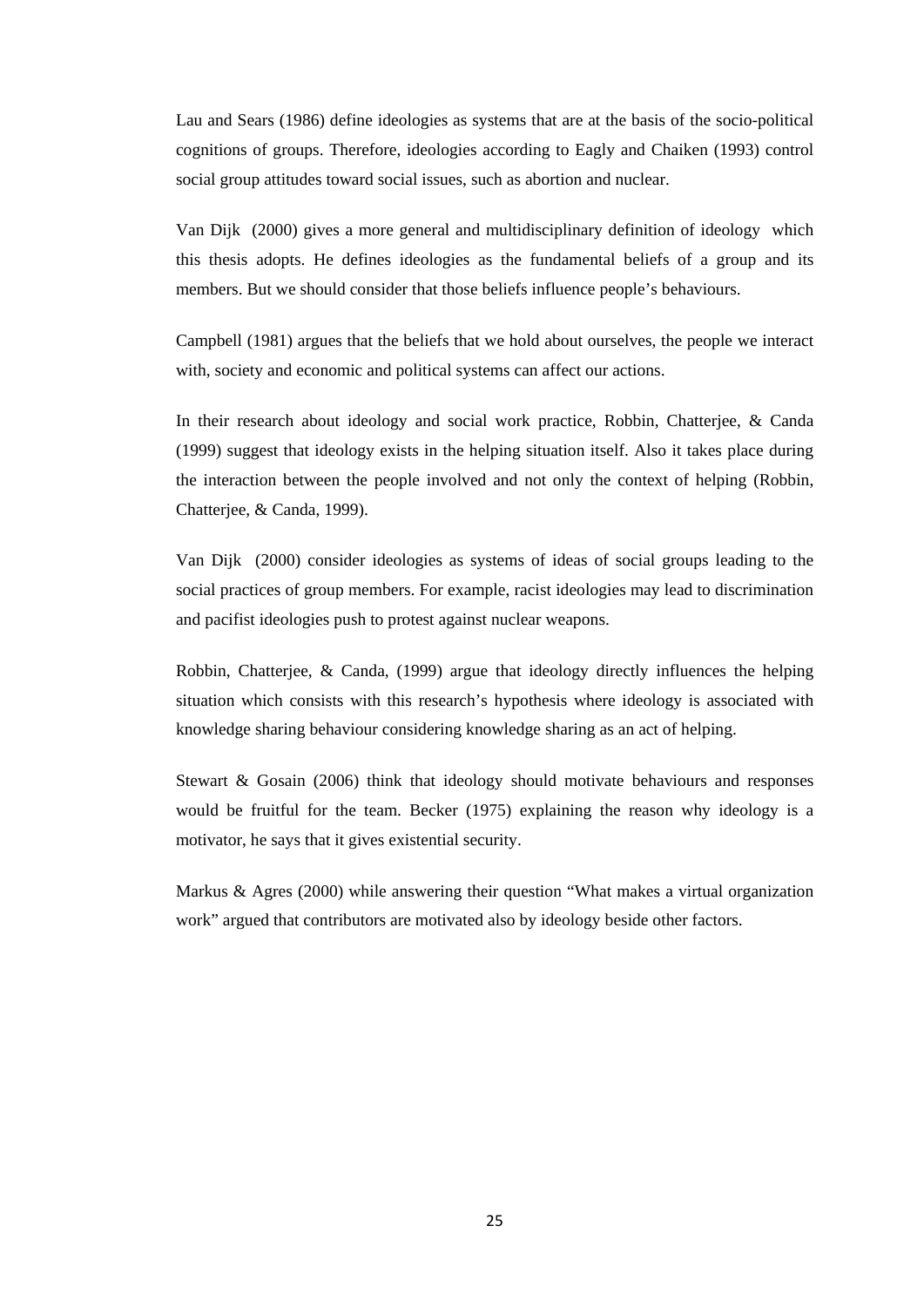Lau and Sears (1986) define ideologies as systems that are at the basis of the socio-political cognitions of groups. Therefore, ideologies according to Eagly and Chaiken (1993) control social group attitudes toward social issues, such as abortion and nuclear.

Van Dijk (2000) gives a more general and multidisciplinary definition of ideology which this thesis adopts. He defines ideologies as the fundamental beliefs of a group and its members. But we should consider that those beliefs influence people's behaviours.

Campbell (1981) argues that the beliefs that we hold about ourselves, the people we interact with, society and economic and political systems can affect our actions.

In their research about ideology and social work practice, Robbin, Chatterjee, & Canda (1999) suggest that ideology exists in the helping situation itself. Also it takes place during the interaction between the people involved and not only the context of helping (Robbin, Chatterjee, & Canda, 1999).

Van Dijk (2000) consider ideologies as systems of ideas of social groups leading to the social practices of group members. For example, racist ideologies may lead to discrimination and pacifist ideologies push to protest against nuclear weapons.

Robbin, Chatterjee, & Canda, (1999) argue that ideology directly influences the helping situation which consists with this research's hypothesis where ideology is associated with knowledge sharing behaviour considering knowledge sharing as an act of helping.

Stewart & Gosain (2006) think that ideology should motivate behaviours and responses would be fruitful for the team. Becker (1975) explaining the reason why ideology is a motivator, he says that it gives existential security.

Markus & Agres (2000) while answering their question "What makes a virtual organization work" argued that contributors are motivated also by ideology beside other factors.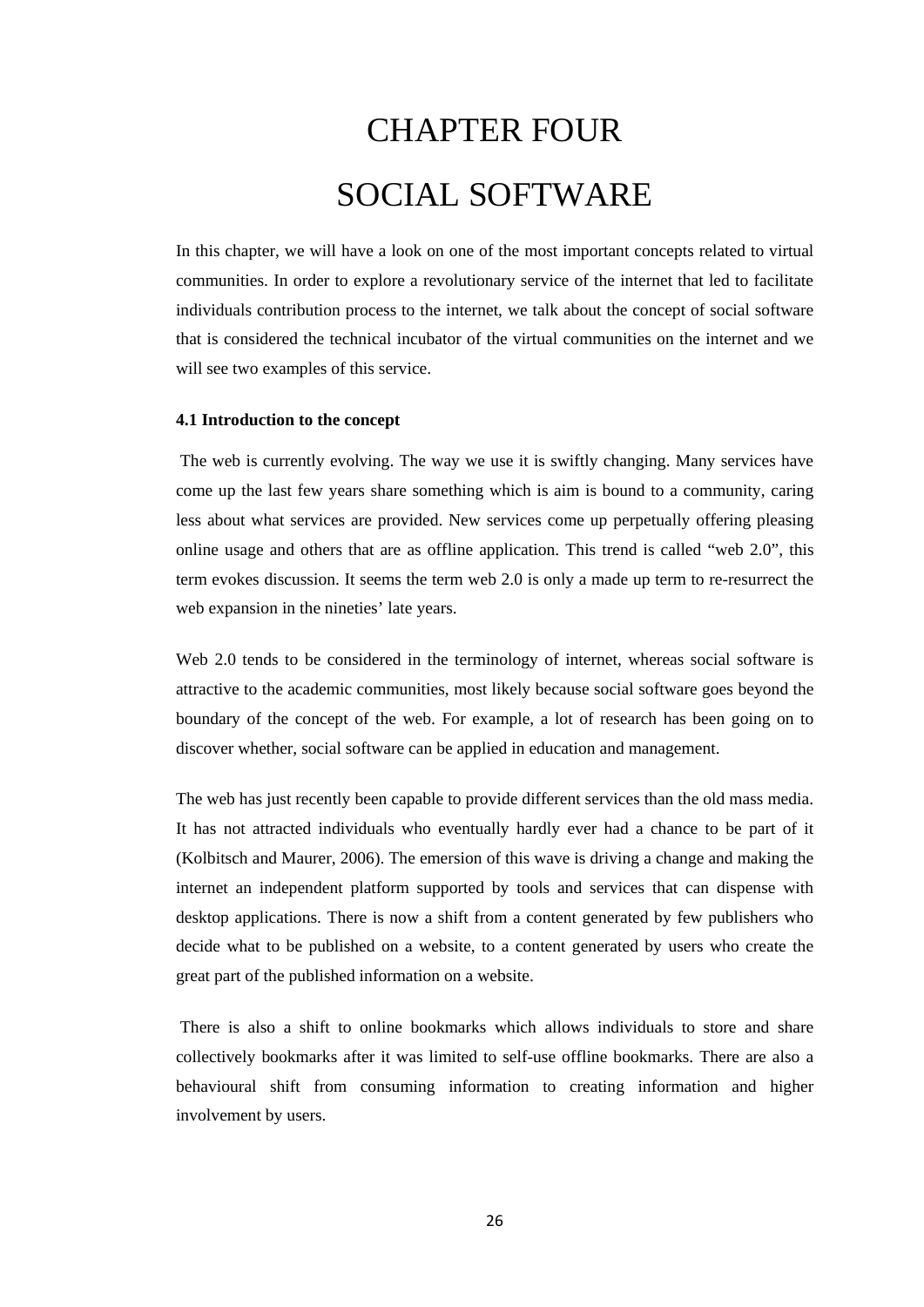# CHAPTER FOUR SOCIAL SOFTWARE

<span id="page-35-0"></span>In this chapter, we will have a look on one of the most important concepts related to virtual communities. In order to explore a revolutionary service of the internet that led to facilitate individuals contribution process to the internet, we talk about the concept of social software that is considered the technical incubator of the virtual communities on the internet and we will see two examples of this service.

#### <span id="page-35-1"></span>**4.1 Introduction to the concept**

The web is currently evolving. The way we use it is swiftly changing. Many services have come up the last few years share something which is aim is bound to a community, caring less about what services are provided. New services come up perpetually offering pleasing online usage and others that are as offline application. This trend is called "web 2.0", this term evokes discussion. It seems the term web 2.0 is only a made up term to re-resurrect the web expansion in the nineties' late years.

Web 2.0 tends to be considered in the terminology of internet, whereas social software is attractive to the academic communities, most likely because social software goes beyond the boundary of the concept of the web. For example, a lot of research has been going on to discover whether, social software can be applied in education and management.

The web has just recently been capable to provide different services than the old mass media. It has not attracted individuals who eventually hardly ever had a chance to be part of it (Kolbitsch and Maurer, 2006). The emersion of this wave is driving a change and making the internet an independent platform supported by tools and services that can dispense with desktop applications. There is now a shift from a content generated by few publishers who decide what to be published on a website, to a content generated by users who create the great part of the published information on a website.

There is also a shift to online bookmarks which allows individuals to store and share collectively bookmarks after it was limited to self-use offline bookmarks. There are also a behavioural shift from consuming information to creating information and higher involvement by users.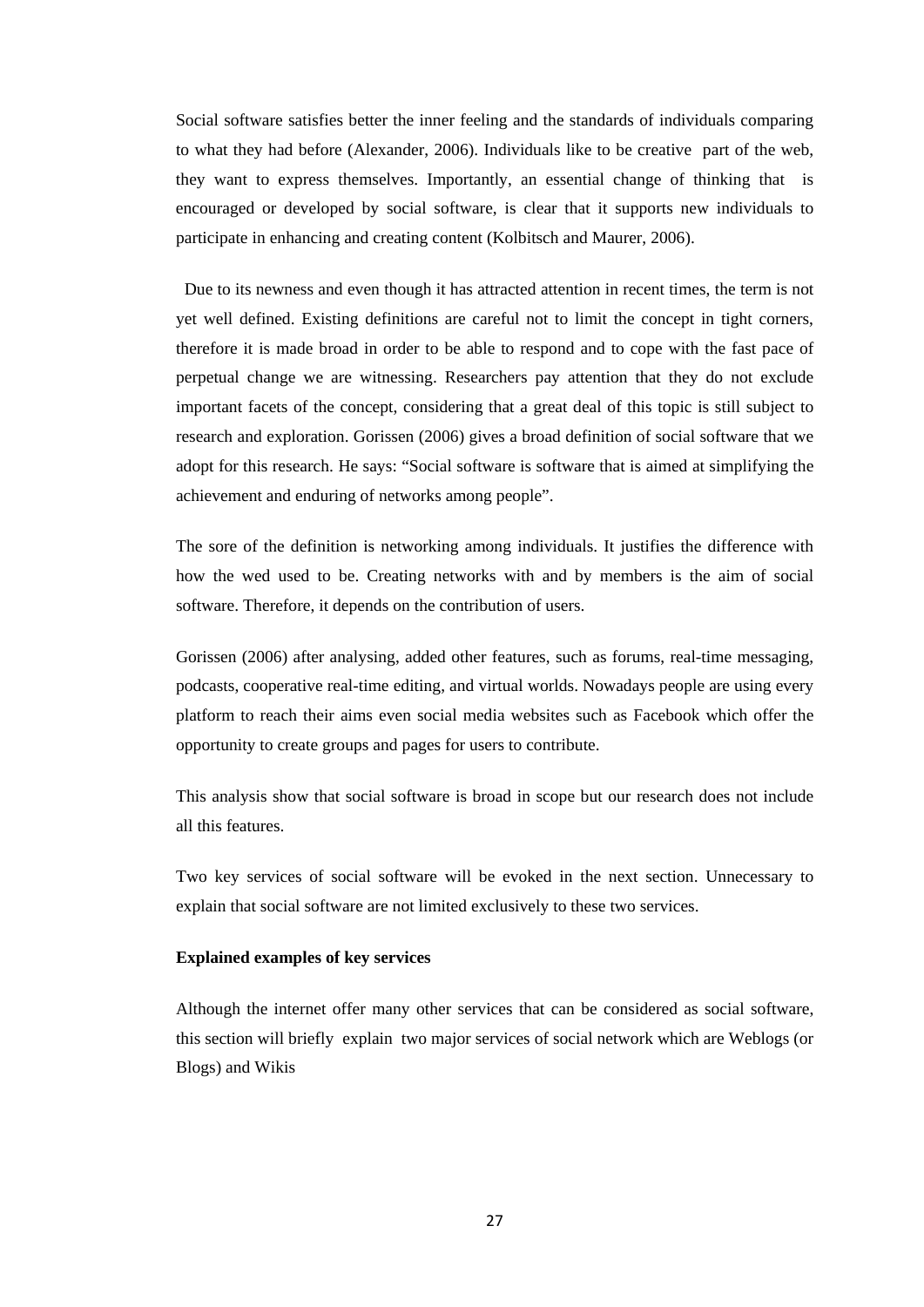Social software satisfies better the inner feeling and the standards of individuals comparing to what they had before (Alexander, 2006). Individuals like to be creative part of the web, they want to express themselves. Importantly, an essential change of thinking that is encouraged or developed by social software, is clear that it supports new individuals to participate in enhancing and creating content (Kolbitsch and Maurer, 2006).

 Due to its newness and even though it has attracted attention in recent times, the term is not yet well defined. Existing definitions are careful not to limit the concept in tight corners, therefore it is made broad in order to be able to respond and to cope with the fast pace of perpetual change we are witnessing. Researchers pay attention that they do not exclude important facets of the concept, considering that a great deal of this topic is still subject to research and exploration. Gorissen (2006) gives a broad definition of social software that we adopt for this research. He says: "Social software is software that is aimed at simplifying the achievement and enduring of networks among people".

The sore of the definition is networking among individuals. It justifies the difference with how the wed used to be. Creating networks with and by members is the aim of social software. Therefore, it depends on the contribution of users.

Gorissen (2006) after analysing, added other features, such as forums, real-time messaging, podcasts, cooperative real-time editing, and virtual worlds. Nowadays people are using every platform to reach their aims even social media websites such as Facebook which offer the opportunity to create groups and pages for users to contribute.

This analysis show that social software is broad in scope but our research does not include all this features.

Two key services of social software will be evoked in the next section. Unnecessary to explain that social software are not limited exclusively to these two services.

#### **Explained examples of key services**

Although the internet offer many other services that can be considered as social software, this section will briefly explain two major services of social network which are Weblogs (or Blogs) and Wikis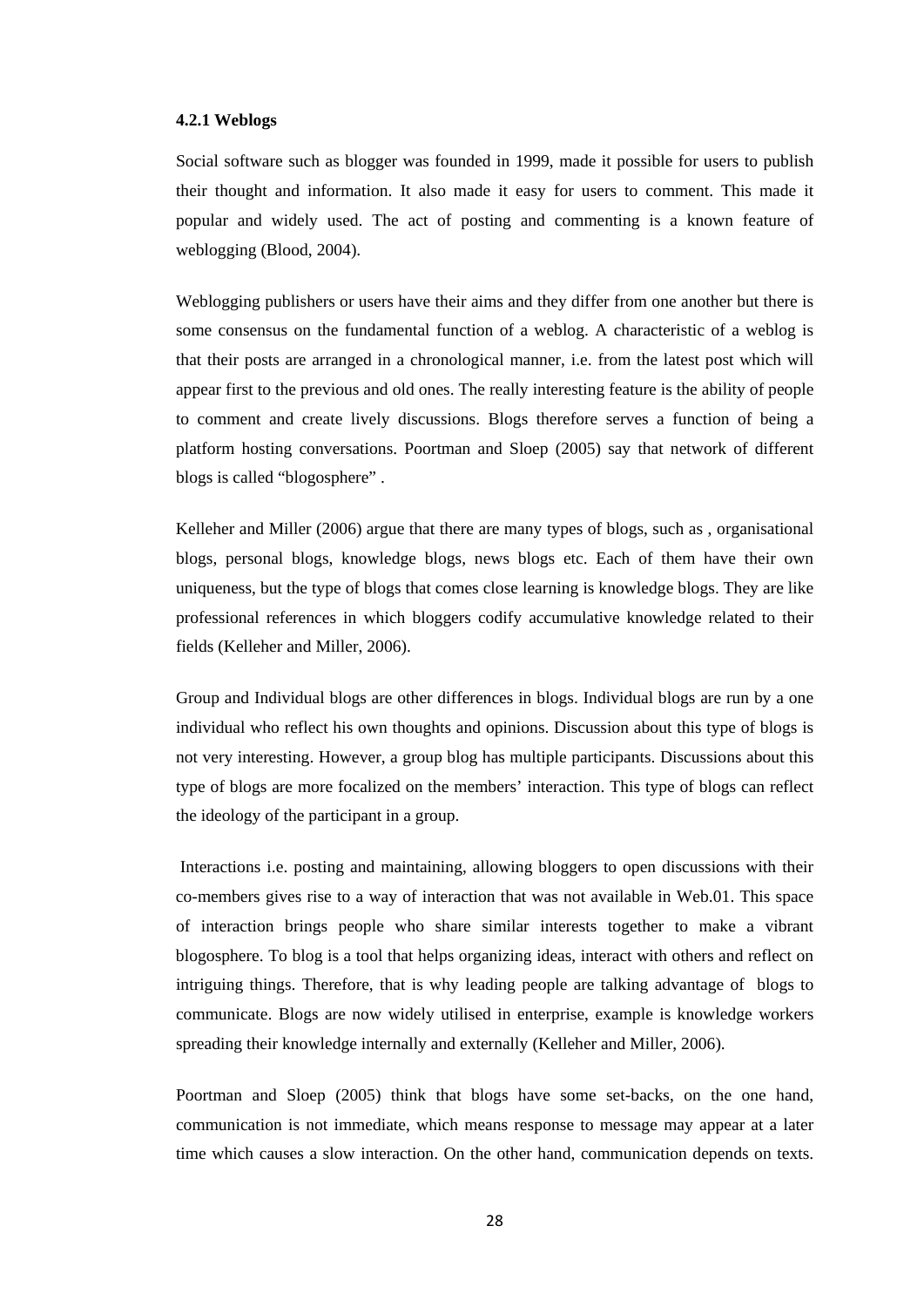#### **4.2.1 Weblogs**

Social software such as blogger was founded in 1999, made it possible for users to publish their thought and information. It also made it easy for users to comment. This made it popular and widely used. The act of posting and commenting is a known feature of weblogging (Blood, 2004).

Weblogging publishers or users have their aims and they differ from one another but there is some consensus on the fundamental function of a weblog. A characteristic of a weblog is that their posts are arranged in a chronological manner, i.e. from the latest post which will appear first to the previous and old ones. The really interesting feature is the ability of people to comment and create lively discussions. Blogs therefore serves a function of being a platform hosting conversations. Poortman and Sloep (2005) say that network of different blogs is called "blogosphere" .

Kelleher and Miller (2006) argue that there are many types of blogs, such as , organisational blogs, personal blogs, knowledge blogs, news blogs etc. Each of them have their own uniqueness, but the type of blogs that comes close learning is knowledge blogs. They are like professional references in which bloggers codify accumulative knowledge related to their fields (Kelleher and Miller, 2006).

Group and Individual blogs are other differences in blogs. Individual blogs are run by a one individual who reflect his own thoughts and opinions. Discussion about this type of blogs is not very interesting. However, a group blog has multiple participants. Discussions about this type of blogs are more focalized on the members' interaction. This type of blogs can reflect the ideology of the participant in a group.

Interactions i.e. posting and maintaining, allowing bloggers to open discussions with their co-members gives rise to a way of interaction that was not available in Web.01. This space of interaction brings people who share similar interests together to make a vibrant blogosphere. To blog is a tool that helps organizing ideas, interact with others and reflect on intriguing things. Therefore, that is why leading people are talking advantage of blogs to communicate. Blogs are now widely utilised in enterprise, example is knowledge workers spreading their knowledge internally and externally (Kelleher and Miller, 2006).

Poortman and Sloep (2005) think that blogs have some set-backs, on the one hand, communication is not immediate, which means response to message may appear at a later time which causes a slow interaction. On the other hand, communication depends on texts.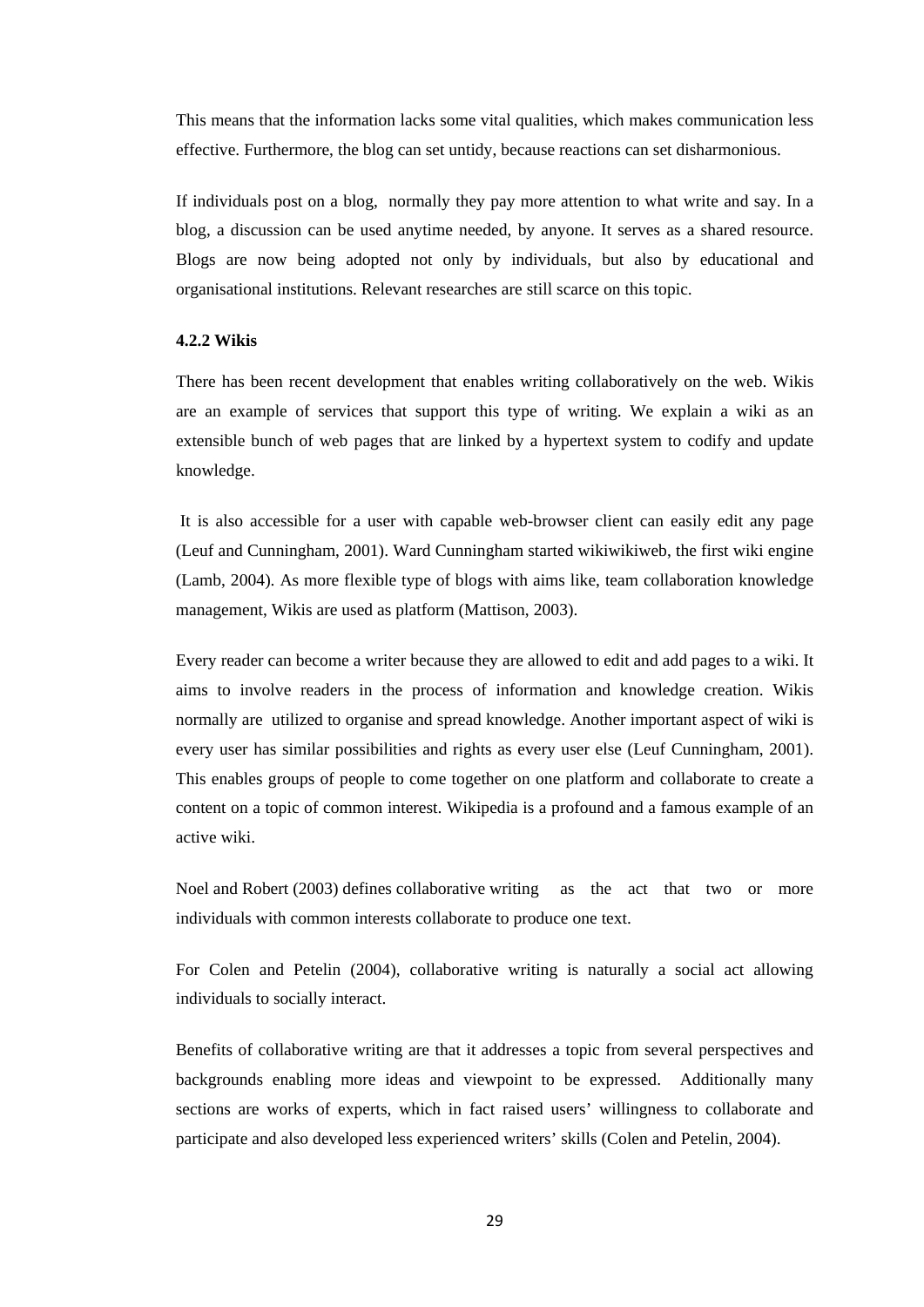This means that the information lacks some vital qualities, which makes communication less effective. Furthermore, the blog can set untidy, because reactions can set disharmonious.

If individuals post on a blog, normally they pay more attention to what write and say. In a blog, a discussion can be used anytime needed, by anyone. It serves as a shared resource. Blogs are now being adopted not only by individuals, but also by educational and organisational institutions. Relevant researches are still scarce on this topic.

#### **4.2.2 Wikis**

There has been recent development that enables writing collaboratively on the web. Wikis are an example of services that support this type of writing. We explain a wiki as an extensible bunch of web pages that are linked by a hypertext system to codify and update knowledge.

It is also accessible for a user with capable web-browser client can easily edit any page (Leuf and Cunningham, 2001). Ward Cunningham started wikiwikiweb, the first wiki engine (Lamb, 2004). As more flexible type of blogs with aims like, team collaboration knowledge management, Wikis are used as platform (Mattison, 2003).

Every reader can become a writer because they are allowed to edit and add pages to a wiki. It aims to involve readers in the process of information and knowledge creation. Wikis normally are utilized to organise and spread knowledge. Another important aspect of wiki is every user has similar possibilities and rights as every user else (Leuf Cunningham, 2001). This enables groups of people to come together on one platform and collaborate to create a content on a topic of common interest. Wikipedia is a profound and a famous example of an active wiki.

Noel and Robert (2003) defines collaborative writing as the act that two or more individuals with common interests collaborate to produce one text.

For Colen and Petelin (2004), collaborative writing is naturally a social act allowing individuals to socially interact.

Benefits of collaborative writing are that it addresses a topic from several perspectives and backgrounds enabling more ideas and viewpoint to be expressed. Additionally many sections are works of experts, which in fact raised users' willingness to collaborate and participate and also developed less experienced writers' skills (Colen and Petelin, 2004).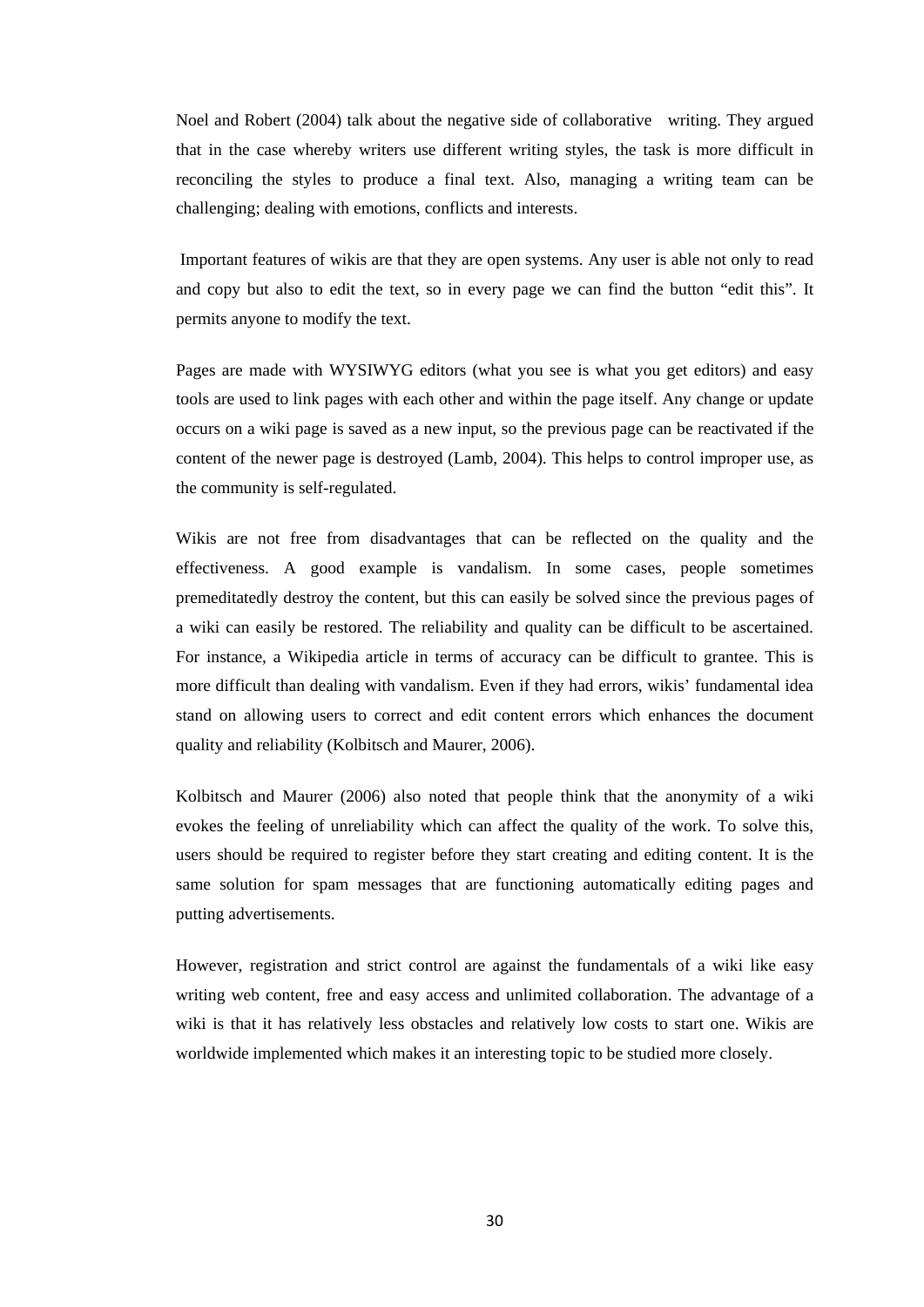Noel and Robert (2004) talk about the negative side of collaborative writing. They argued that in the case whereby writers use different writing styles, the task is more difficult in reconciling the styles to produce a final text. Also, managing a writing team can be challenging; dealing with emotions, conflicts and interests.

Important features of wikis are that they are open systems. Any user is able not only to read and copy but also to edit the text, so in every page we can find the button "edit this". It permits anyone to modify the text.

Pages are made with WYSIWYG editors (what you see is what you get editors) and easy tools are used to link pages with each other and within the page itself. Any change or update occurs on a wiki page is saved as a new input, so the previous page can be reactivated if the content of the newer page is destroyed (Lamb, 2004). This helps to control improper use, as the community is self-regulated.

Wikis are not free from disadvantages that can be reflected on the quality and the effectiveness. A good example is vandalism. In some cases, people sometimes premeditatedly destroy the content, but this can easily be solved since the previous pages of a wiki can easily be restored. The reliability and quality can be difficult to be ascertained. For instance, a Wikipedia article in terms of accuracy can be difficult to grantee. This is more difficult than dealing with vandalism. Even if they had errors, wikis' fundamental idea stand on allowing users to correct and edit content errors which enhances the document quality and reliability (Kolbitsch and Maurer, 2006).

Kolbitsch and Maurer (2006) also noted that people think that the anonymity of a wiki evokes the feeling of unreliability which can affect the quality of the work. To solve this, users should be required to register before they start creating and editing content. It is the same solution for spam messages that are functioning automatically editing pages and putting advertisements.

However, registration and strict control are against the fundamentals of a wiki like easy writing web content, free and easy access and unlimited collaboration. The advantage of a wiki is that it has relatively less obstacles and relatively low costs to start one. Wikis are worldwide implemented which makes it an interesting topic to be studied more closely.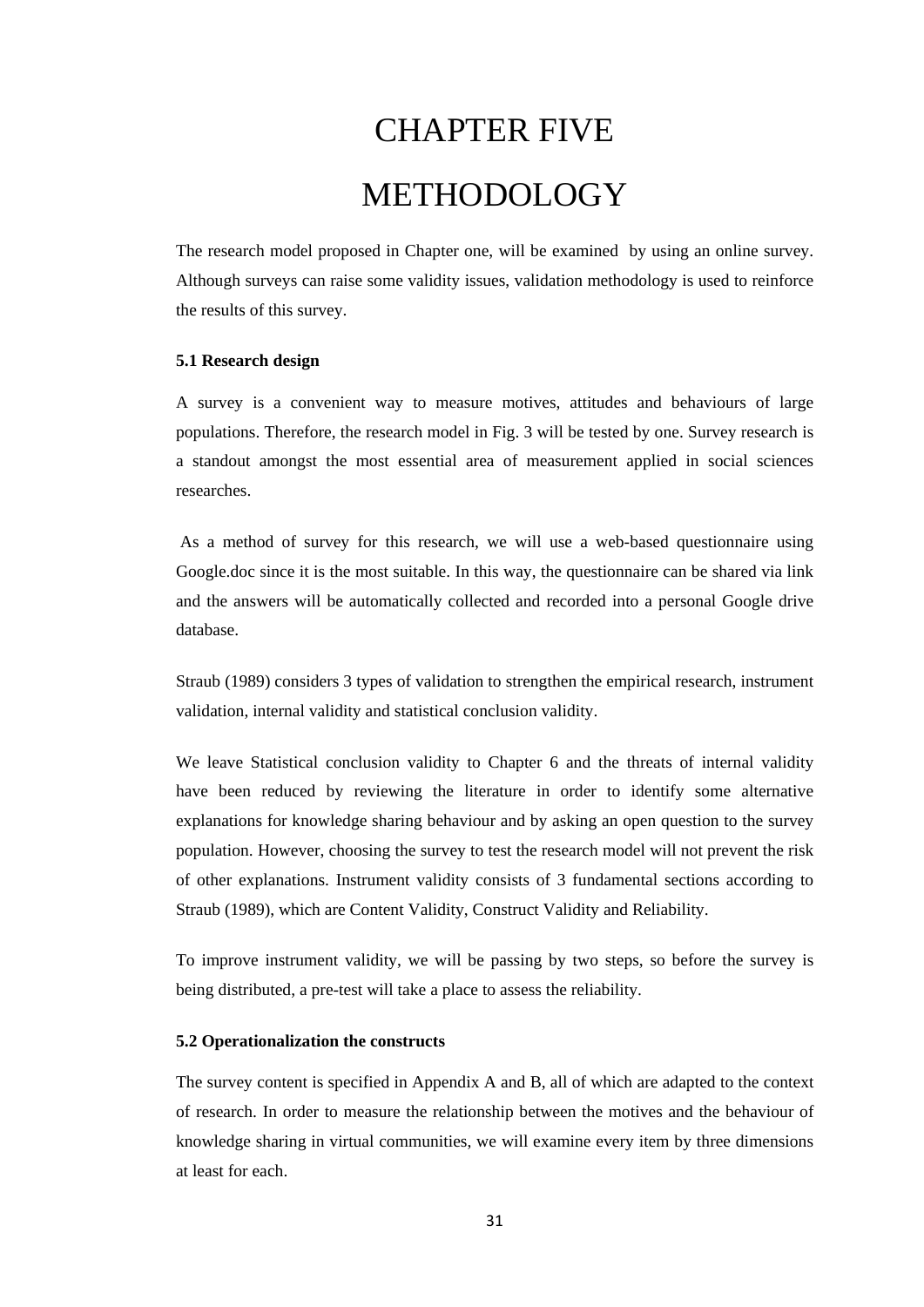## CHAPTER FIVE METHODOLOGY

The research model proposed in Chapter one, will be examined by using an online survey. Although surveys can raise some validity issues, validation methodology is used to reinforce the results of this survey.

#### **5.1 Research design**

A survey is a convenient way to measure motives, attitudes and behaviours of large populations. Therefore, the research model in Fig. 3 will be tested by one. Survey research is a standout amongst the most essential area of measurement applied in social sciences researches.

As a method of survey for this research, we will use a web-based questionnaire using Google.doc since it is the most suitable. In this way, the questionnaire can be shared via link and the answers will be automatically collected and recorded into a personal Google drive database.

Straub (1989) considers 3 types of validation to strengthen the empirical research, instrument validation, internal validity and statistical conclusion validity.

We leave Statistical conclusion validity to Chapter 6 and the threats of internal validity have been reduced by reviewing the literature in order to identify some alternative explanations for knowledge sharing behaviour and by asking an open question to the survey population. However, choosing the survey to test the research model will not prevent the risk of other explanations. Instrument validity consists of 3 fundamental sections according to Straub (1989), which are Content Validity, Construct Validity and Reliability.

To improve instrument validity, we will be passing by two steps, so before the survey is being distributed, a pre-test will take a place to assess the reliability.

#### **5.2 Operationalization the constructs**

The survey content is specified in Appendix A and B, all of which are adapted to the context of research. In order to measure the relationship between the motives and the behaviour of knowledge sharing in virtual communities, we will examine every item by three dimensions at least for each.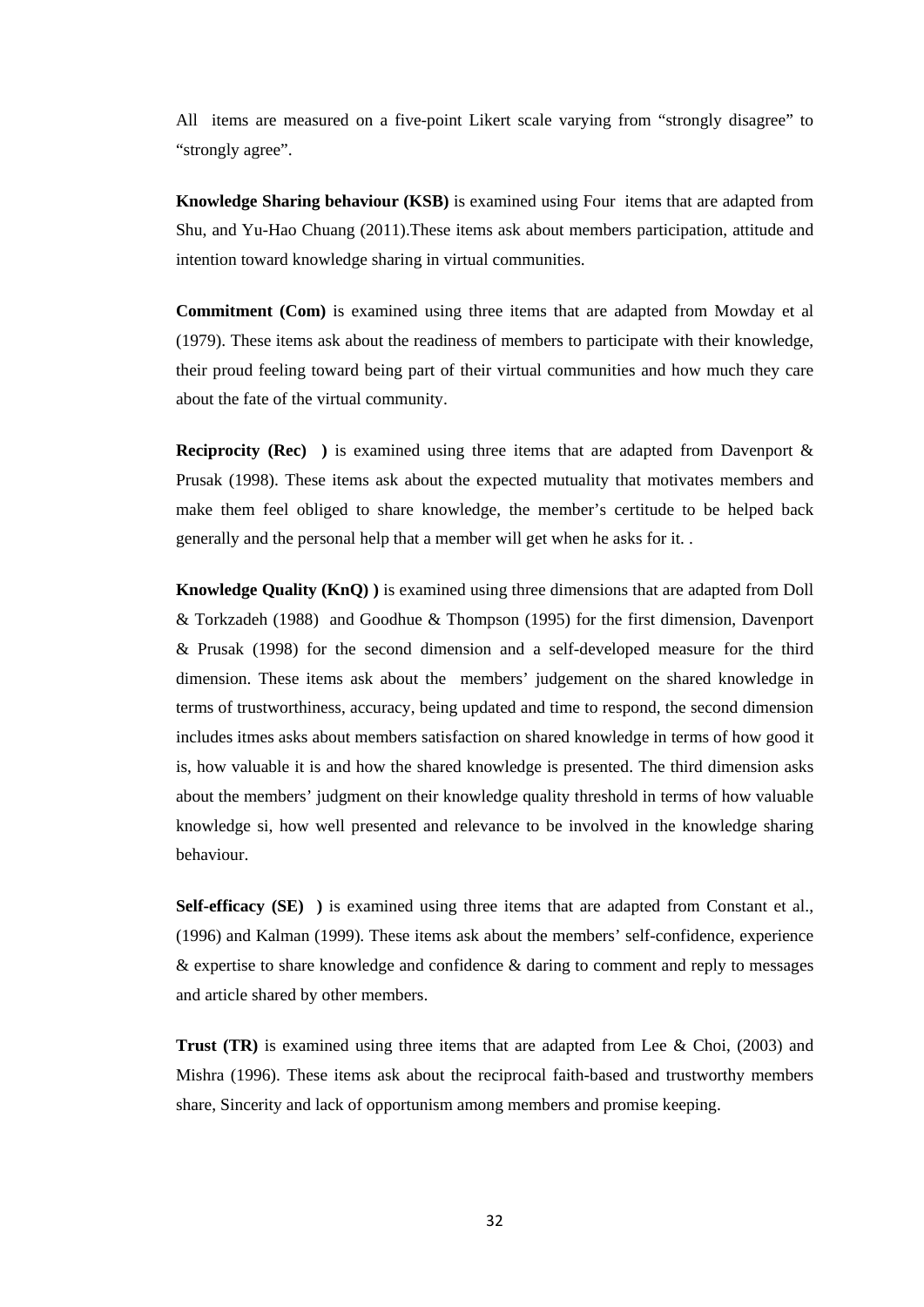All items are measured on a five-point Likert scale varying from "strongly disagree" to "strongly agree".

**Knowledge Sharing behaviour (KSB)** is examined using Four items that are adapted from Shu, and Yu-Hao Chuang (2011).These items ask about members participation, attitude and intention toward knowledge sharing in virtual communities.

**Commitment (Com)** is examined using three items that are adapted from Mowday et al (1979). These items ask about the readiness of members to participate with their knowledge, their proud feeling toward being part of their virtual communities and how much they care about the fate of the virtual community.

**Reciprocity (Rec)** ) is examined using three items that are adapted from Davenport & Prusak (1998). These items ask about the expected mutuality that motivates members and make them feel obliged to share knowledge, the member's certitude to be helped back generally and the personal help that a member will get when he asks for it. .

**Knowledge Quality (KnQ) )** is examined using three dimensions that are adapted from Doll & Torkzadeh (1988) and Goodhue & Thompson (1995) for the first dimension, Davenport & Prusak (1998) for the second dimension and a self-developed measure for the third dimension. These items ask about the members' judgement on the shared knowledge in terms of trustworthiness, accuracy, being updated and time to respond, the second dimension includes itmes asks about members satisfaction on shared knowledge in terms of how good it is, how valuable it is and how the shared knowledge is presented. The third dimension asks about the members' judgment on their knowledge quality threshold in terms of how valuable knowledge si, how well presented and relevance to be involved in the knowledge sharing behaviour.

**Self-efficacy (SE) )** is examined using three items that are adapted from Constant et al., (1996) and Kalman (1999). These items ask about the members' self-confidence, experience & expertise to share knowledge and confidence & daring to comment and reply to messages and article shared by other members.

**Trust (TR)** is examined using three items that are adapted from Lee & Choi, (2003) and Mishra (1996). These items ask about the reciprocal faith-based and trustworthy members share, Sincerity and lack of opportunism among members and promise keeping.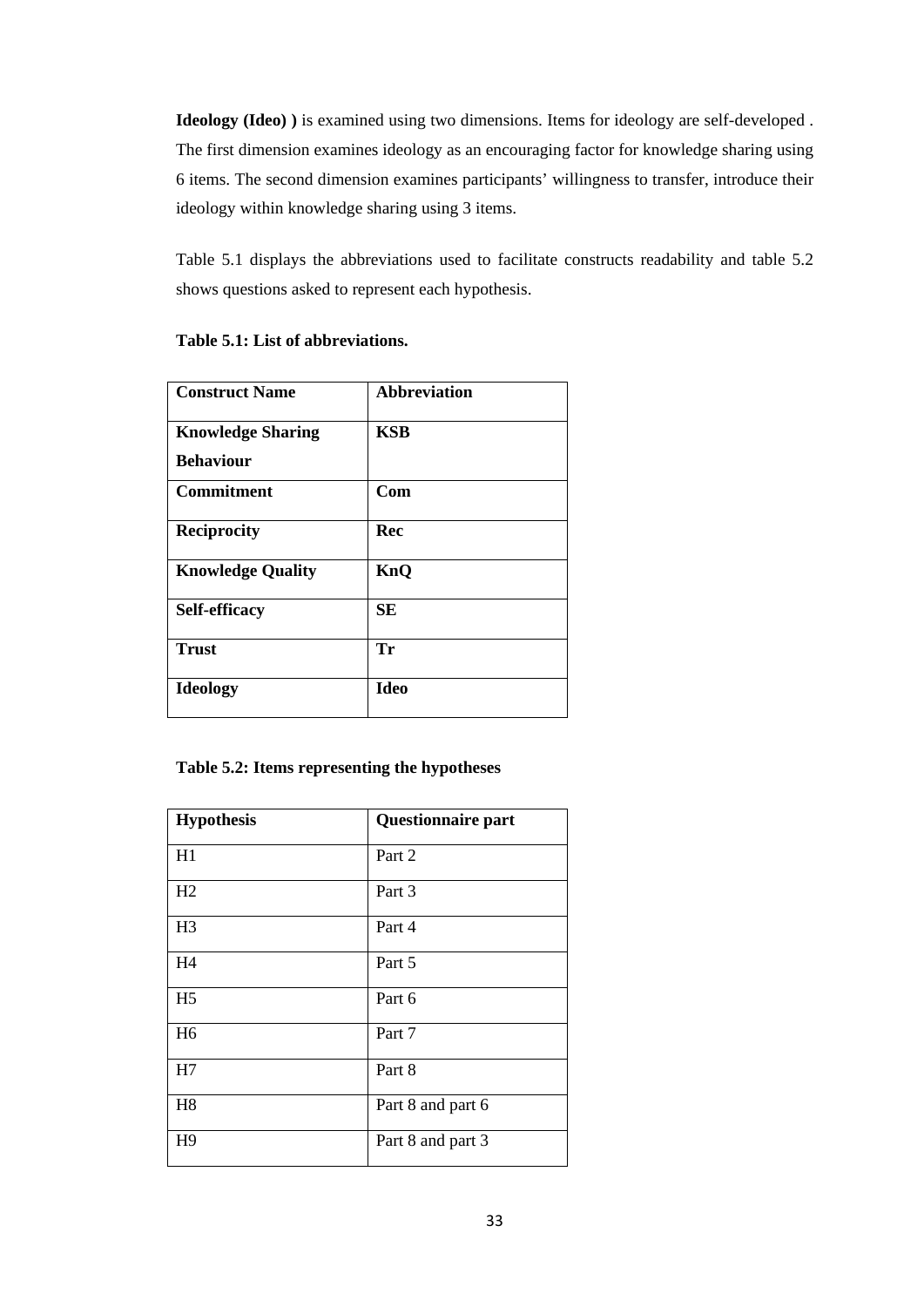**Ideology (Ideo) )** is examined using two dimensions. Items for ideology are self-developed . The first dimension examines ideology as an encouraging factor for knowledge sharing using 6 items. The second dimension examines participants' willingness to transfer, introduce their ideology within knowledge sharing using 3 items.

Table 5.1 displays the abbreviations used to facilitate constructs readability and table 5.2 shows questions asked to represent each hypothesis.

| <b>Construct Name</b>    | <b>Abbreviation</b> |
|--------------------------|---------------------|
| <b>Knowledge Sharing</b> | KSB                 |
| <b>Behaviour</b>         |                     |
| <b>Commitment</b>        | Com                 |
| <b>Reciprocity</b>       | Rec                 |
| <b>Knowledge Quality</b> | KnO                 |
| Self-efficacy            | SЕ                  |
| <b>Trust</b>             | Tr                  |
| <b>Ideology</b>          | <b>Ideo</b>         |

#### **Table 5.1: List of abbreviations.**

#### **Table 5.2: Items representing the hypotheses**

| <b>Hypothesis</b> | Questionnaire part |
|-------------------|--------------------|
| H1                | Part 2             |
| H2                | Part 3             |
| H <sub>3</sub>    | Part 4             |
| H <sub>4</sub>    | Part 5             |
| H <sub>5</sub>    | Part 6             |
| H <sub>6</sub>    | Part 7             |
| H7                | Part 8             |
| H <sub>8</sub>    | Part 8 and part 6  |
| H <sub>9</sub>    | Part 8 and part 3  |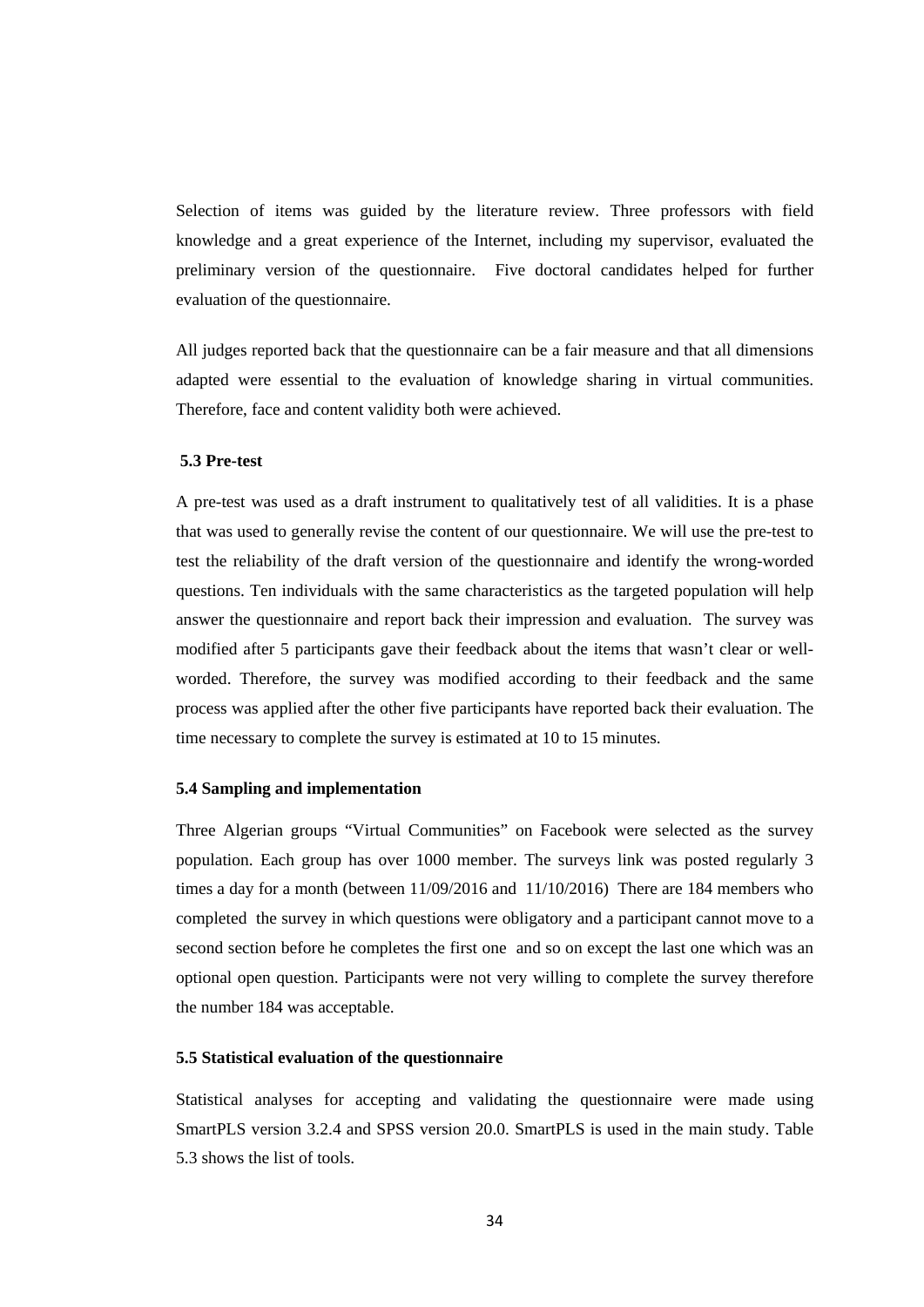Selection of items was guided by the literature review. Three professors with field knowledge and a great experience of the Internet, including my supervisor, evaluated the preliminary version of the questionnaire. Five doctoral candidates helped for further evaluation of the questionnaire.

All judges reported back that the questionnaire can be a fair measure and that all dimensions adapted were essential to the evaluation of knowledge sharing in virtual communities. Therefore, face and content validity both were achieved.

#### **5.3 Pre-test**

A pre-test was used as a draft instrument to qualitatively test of all validities. It is a phase that was used to generally revise the content of our questionnaire. We will use the pre-test to test the reliability of the draft version of the questionnaire and identify the wrong-worded questions. Ten individuals with the same characteristics as the targeted population will help answer the questionnaire and report back their impression and evaluation. The survey was modified after 5 participants gave their feedback about the items that wasn't clear or wellworded. Therefore, the survey was modified according to their feedback and the same process was applied after the other five participants have reported back their evaluation. The time necessary to complete the survey is estimated at 10 to 15 minutes.

#### **5.4 Sampling and implementation**

Three Algerian groups "Virtual Communities" on Facebook were selected as the survey population. Each group has over 1000 member. The surveys link was posted regularly 3 times a day for a month (between 11/09/2016 and 11/10/2016) There are 184 members who completed the survey in which questions were obligatory and a participant cannot move to a second section before he completes the first one and so on except the last one which was an optional open question. Participants were not very willing to complete the survey therefore the number 184 was acceptable.

#### **5.5 Statistical evaluation of the questionnaire**

Statistical analyses for accepting and validating the questionnaire were made using SmartPLS version 3.2.4 and SPSS version 20.0. SmartPLS is used in the main study. Table 5.3 shows the list of tools.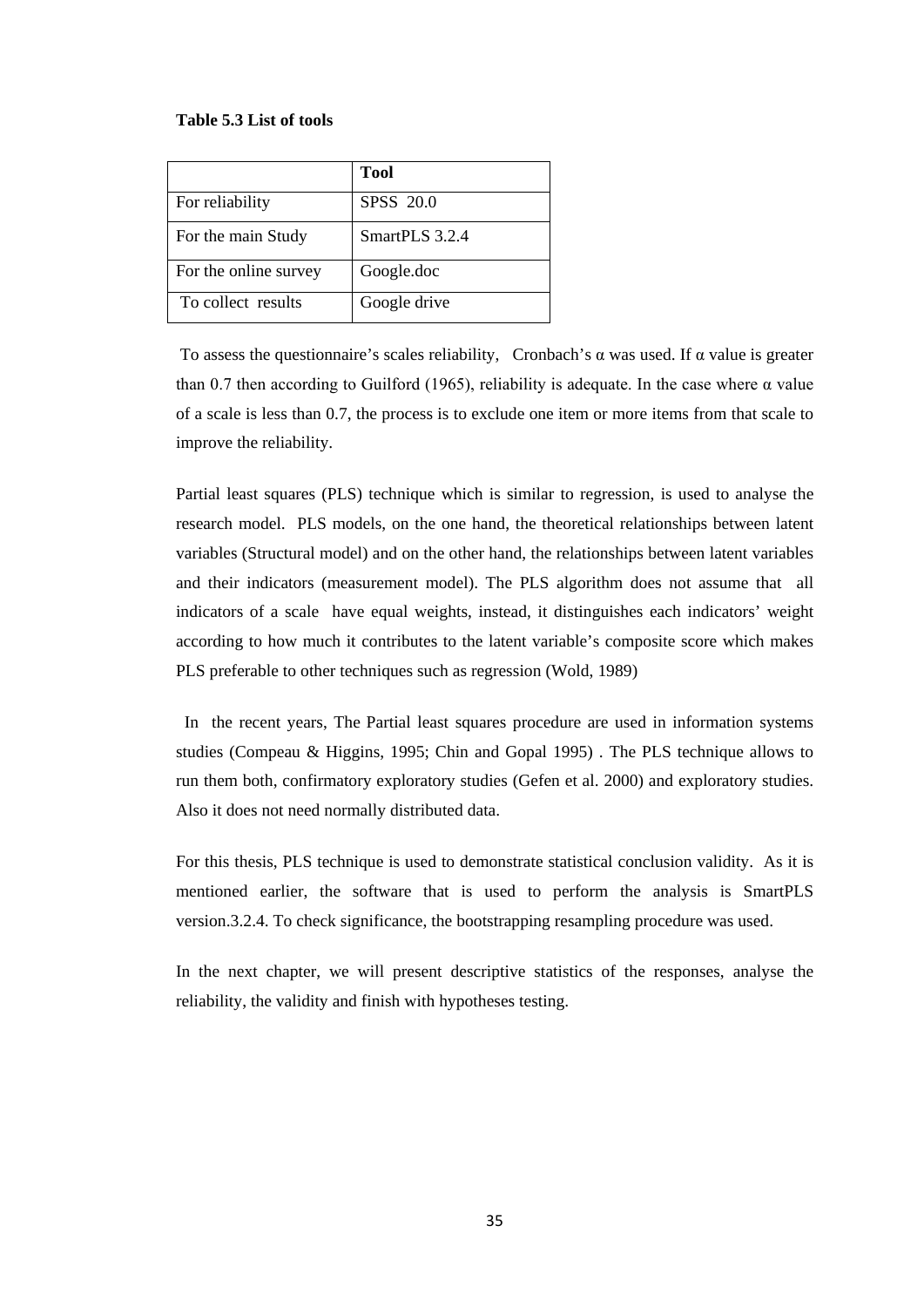#### **Table 5.3 List of tools**

|                       | <b>Tool</b>      |
|-----------------------|------------------|
| For reliability       | <b>SPSS</b> 20.0 |
| For the main Study    | SmartPLS 3.2.4   |
| For the online survey | Google.doc       |
| To collect results    | Google drive     |

To assess the questionnaire's scales reliability, Cronbach's  $\alpha$  was used. If  $\alpha$  value is greater than 0.7 then according to Guilford (1965), reliability is adequate. In the case where  $\alpha$  value of a scale is less than 0.7, the process is to exclude one item or more items from that scale to improve the reliability.

Partial least squares (PLS) technique which is similar to regression, is used to analyse the research model. PLS models, on the one hand, the theoretical relationships between latent variables (Structural model) and on the other hand, the relationships between latent variables and their indicators (measurement model). The PLS algorithm does not assume that all indicators of a scale have equal weights, instead, it distinguishes each indicators' weight according to how much it contributes to the latent variable's composite score which makes PLS preferable to other techniques such as regression (Wold, 1989)

 In the recent years, The Partial least squares procedure are used in information systems studies (Compeau & Higgins, 1995; Chin and Gopal 1995) . The PLS technique allows to run them both, confirmatory exploratory studies (Gefen et al. 2000) and exploratory studies. Also it does not need normally distributed data.

For this thesis, PLS technique is used to demonstrate statistical conclusion validity. As it is mentioned earlier, the software that is used to perform the analysis is SmartPLS version.3.2.4. To check significance, the bootstrapping resampling procedure was used.

In the next chapter, we will present descriptive statistics of the responses, analyse the reliability, the validity and finish with hypotheses testing.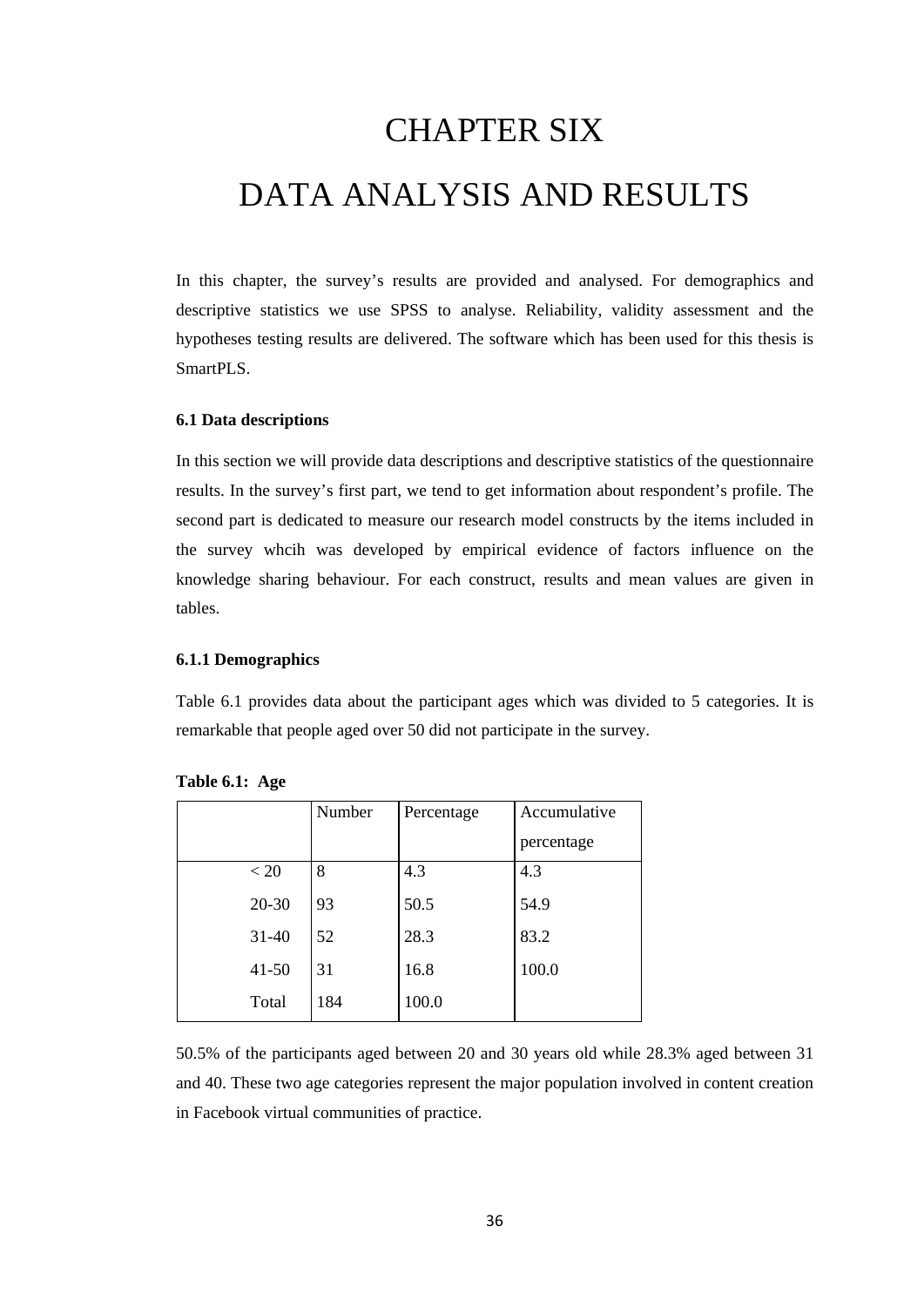# CHAPTER SIX DATA ANALYSIS AND RESULTS

In this chapter, the survey's results are provided and analysed. For demographics and descriptive statistics we use SPSS to analyse. Reliability, validity assessment and the hypotheses testing results are delivered. The software which has been used for this thesis is SmartPLS.

#### **6.1 Data descriptions**

In this section we will provide data descriptions and descriptive statistics of the questionnaire results. In the survey's first part, we tend to get information about respondent's profile. The second part is dedicated to measure our research model constructs by the items included in the survey whcih was developed by empirical evidence of factors influence on the knowledge sharing behaviour. For each construct, results and mean values are given in tables.

#### **6.1.1 Demographics**

Table 6.1 provides data about the participant ages which was divided to 5 categories. It is remarkable that people aged over 50 did not participate in the survey.

|           | Number | Percentage | Accumulative |
|-----------|--------|------------|--------------|
|           |        |            | percentage   |
| < 20      | 8      | 4.3        | 4.3          |
| $20 - 30$ | 93     | 50.5       | 54.9         |
| $31 - 40$ | 52     | 28.3       | 83.2         |
| $41 - 50$ | 31     | 16.8       | 100.0        |
| Total     | 184    | 100.0      |              |

| Table 6.1: Age |  |  |
|----------------|--|--|
|----------------|--|--|

50.5% of the participants aged between 20 and 30 years old while 28.3% aged between 31 and 40. These two age categories represent the major population involved in content creation in Facebook virtual communities of practice.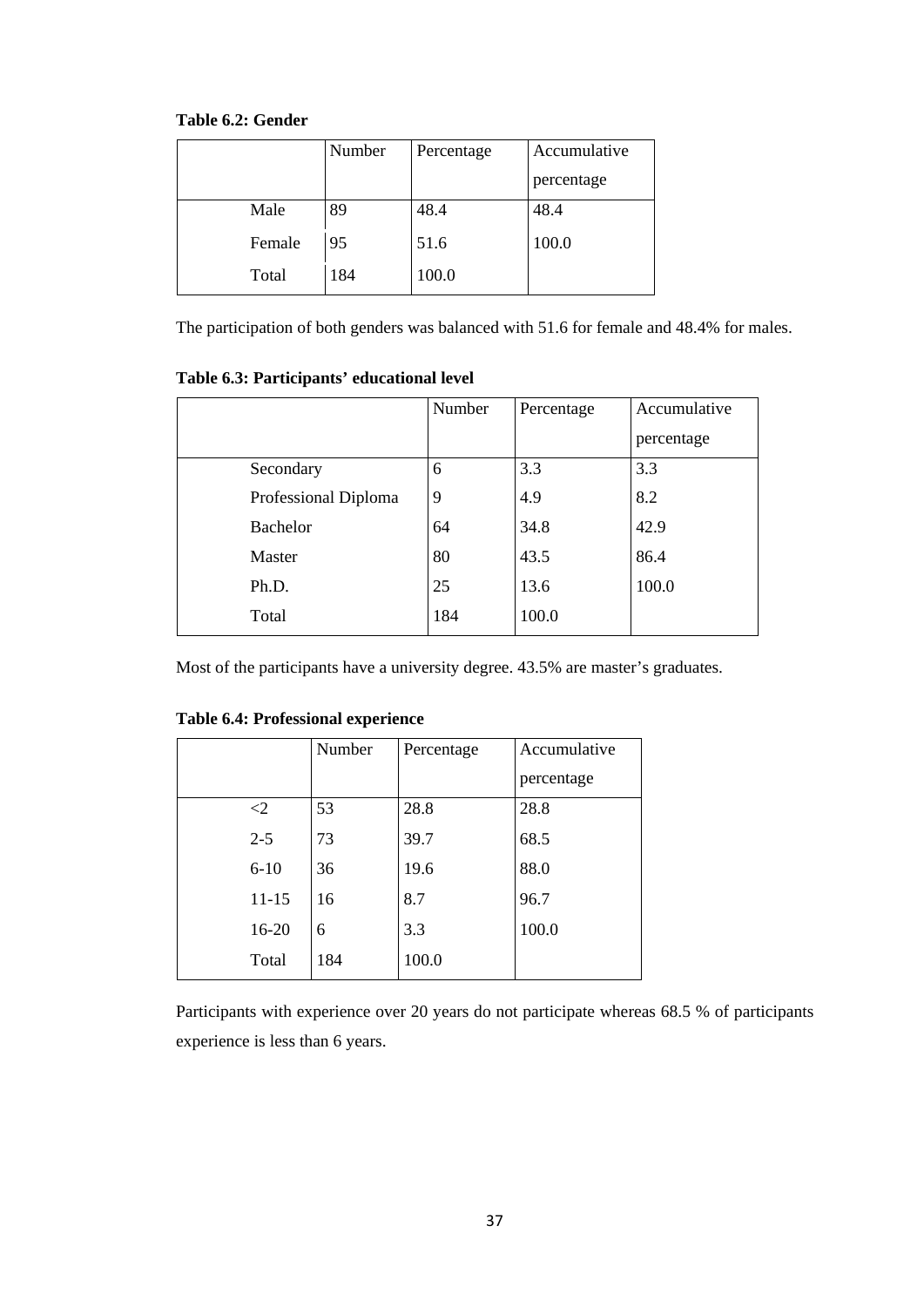| Table 6.2: Gender |  |
|-------------------|--|
|-------------------|--|

|        | Number<br>Percentage |       | Accumulative |
|--------|----------------------|-------|--------------|
|        |                      |       | percentage   |
| Male   | 89                   | 48.4  | 48.4         |
| Female | 95                   | 51.6  | 100.0        |
| Total  | 184                  | 100.0 |              |

The participation of both genders was balanced with 51.6 for female and 48.4% for males.

| Table 0.3. I al deipants cultational level |        |            |              |  |  |  |  |  |  |
|--------------------------------------------|--------|------------|--------------|--|--|--|--|--|--|
|                                            | Number | Percentage | Accumulative |  |  |  |  |  |  |
|                                            |        |            | percentage   |  |  |  |  |  |  |
| Secondary                                  | 6      | 3.3        | 3.3          |  |  |  |  |  |  |
| Professional Diploma                       | 9      | 4.9        | 8.2          |  |  |  |  |  |  |
| <b>Bachelor</b>                            | 64     | 34.8       | 42.9         |  |  |  |  |  |  |
| Master                                     | 80     | 43.5       | 86.4         |  |  |  |  |  |  |
| Ph.D.                                      | 25     | 13.6       | 100.0        |  |  |  |  |  |  |
| Total                                      | 184    | 100.0      |              |  |  |  |  |  |  |

**Table 6.3: Participants' educational level**

Most of the participants have a university degree. 43.5% are master's graduates.

|           | Number | Percentage | Accumulative |
|-----------|--------|------------|--------------|
|           |        |            | percentage   |
| $\leq$ 2  | 53     | 28.8       | 28.8         |
| $2 - 5$   | 73     | 39.7       | 68.5         |
| $6 - 10$  | 36     | 19.6       | 88.0         |
| $11 - 15$ | 16     | 8.7        | 96.7         |
| 16-20     | 6      | 3.3        | 100.0        |
| Total     | 184    | 100.0      |              |

**Table 6.4: Professional experience** 

Participants with experience over 20 years do not participate whereas 68.5 % of participants experience is less than 6 years.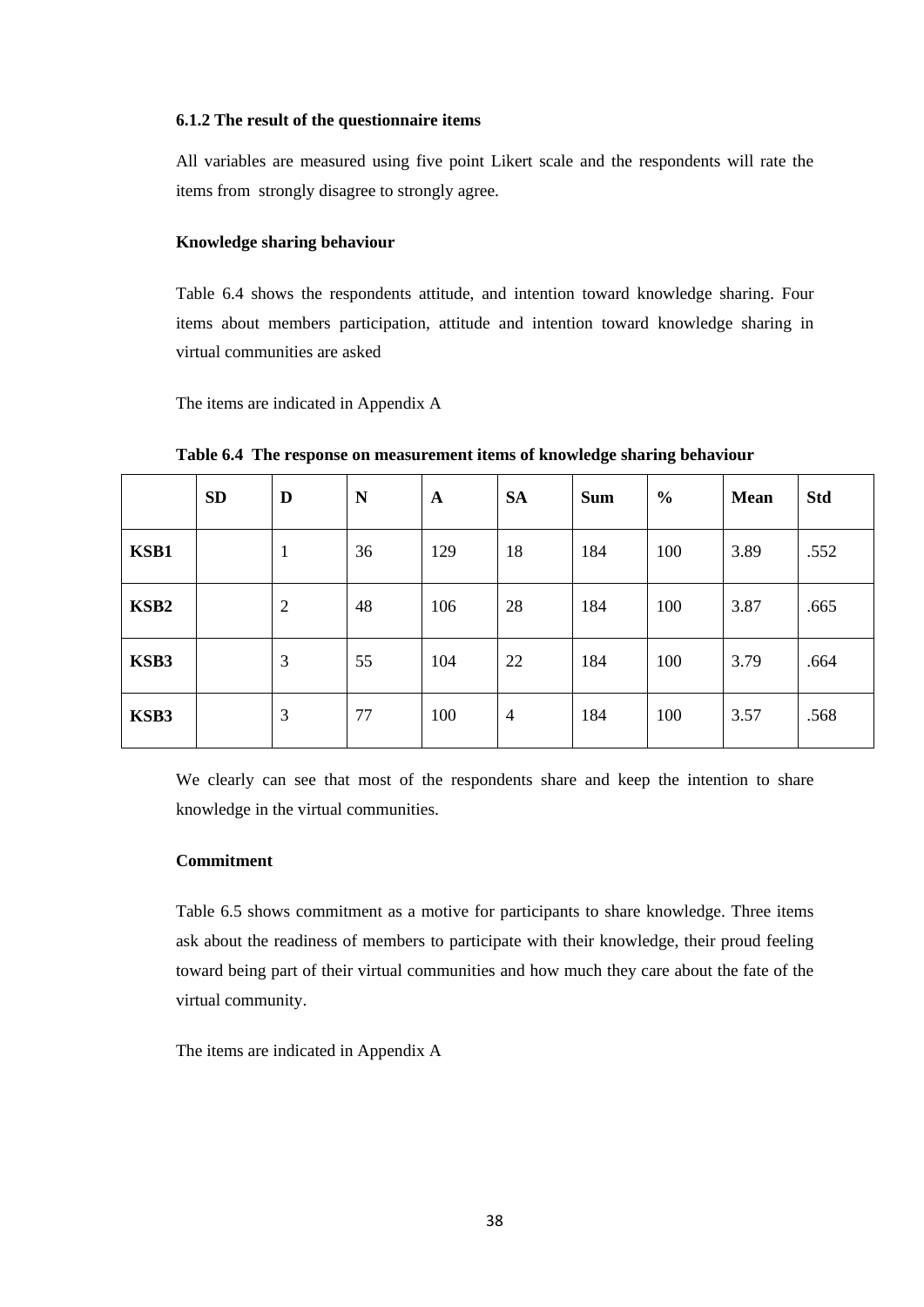#### **6.1.2 The result of the questionnaire items**

All variables are measured using five point Likert scale and the respondents will rate the items from strongly disagree to strongly agree.

#### **Knowledge sharing behaviour**

Table 6.4 shows the respondents attitude, and intention toward knowledge sharing. Four items about members participation, attitude and intention toward knowledge sharing in virtual communities are asked

The items are indicated in Appendix A

|                  | <b>SD</b> | D              | N  | $\mathbf{A}$ | <b>SA</b>      | <b>Sum</b> | $\frac{0}{0}$ | <b>Mean</b> | <b>Std</b> |
|------------------|-----------|----------------|----|--------------|----------------|------------|---------------|-------------|------------|
| KSB1             |           | $\mathbf{1}$   | 36 | 129          | 18             | 184        | 100           | 3.89        | .552       |
| KSB <sub>2</sub> |           | $\overline{2}$ | 48 | 106          | 28             | 184        | 100           | 3.87        | .665       |
| KSB3             |           | 3              | 55 | 104          | 22             | 184        | 100           | 3.79        | .664       |
| KSB3             |           | 3              | 77 | 100          | $\overline{4}$ | 184        | 100           | 3.57        | .568       |

**Table 6.4 The response on measurement items of knowledge sharing behaviour**

We clearly can see that most of the respondents share and keep the intention to share knowledge in the virtual communities.

#### **Commitment**

Table 6.5 shows commitment as a motive for participants to share knowledge. Three items ask about the readiness of members to participate with their knowledge, their proud feeling toward being part of their virtual communities and how much they care about the fate of the virtual community.

The items are indicated in Appendix A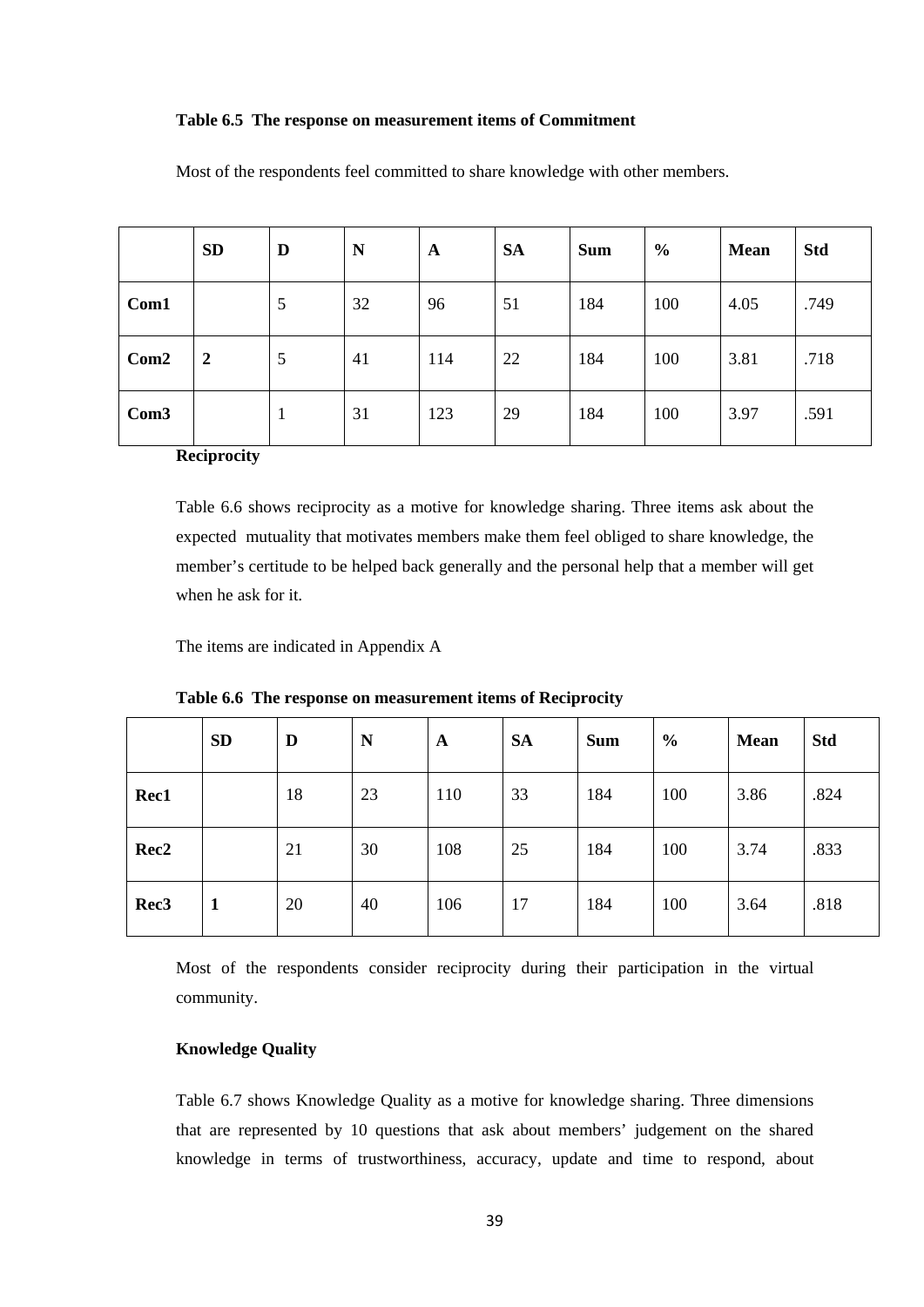#### **Table 6.5 The response on measurement items of Commitment**

|                  | <b>SD</b>      | D | N  | A   | <b>SA</b> | <b>Sum</b> | $\frac{0}{0}$ | <b>Mean</b> | <b>Std</b> |
|------------------|----------------|---|----|-----|-----------|------------|---------------|-------------|------------|
| Com1             |                | 5 | 32 | 96  | 51        | 184        | 100           | 4.05        | .749       |
| Com2             | $\overline{2}$ | 5 | 41 | 114 | 22        | 184        | 100           | 3.81        | .718       |
| Com <sub>3</sub> |                | 1 | 31 | 123 | 29        | 184        | 100           | 3.97        | .591       |

Most of the respondents feel committed to share knowledge with other members.

**Reciprocity**

Table 6.6 shows reciprocity as a motive for knowledge sharing. Three items ask about the expected mutuality that motivates members make them feel obliged to share knowledge, the member's certitude to be helped back generally and the personal help that a member will get when he ask for it.

The items are indicated in Appendix A

|                  | <b>SD</b>    | D  | N  | $\mathbf A$ | <b>SA</b> | <b>Sum</b> | $\frac{0}{0}$ | <b>Mean</b> | <b>Std</b> |
|------------------|--------------|----|----|-------------|-----------|------------|---------------|-------------|------------|
| Rec1             |              | 18 | 23 | 110         | 33        | 184        | 100           | 3.86        | .824       |
| Rec <sub>2</sub> |              | 21 | 30 | 108         | 25        | 184        | 100           | 3.74        | .833       |
| Rec <sub>3</sub> | $\mathbf{1}$ | 20 | 40 | 106         | 17        | 184        | 100           | 3.64        | .818       |

**Table 6.6 The response on measurement items of Reciprocity**

Most of the respondents consider reciprocity during their participation in the virtual community.

### **Knowledge Quality**

Table 6.7 shows Knowledge Quality as a motive for knowledge sharing. Three dimensions that are represented by 10 questions that ask about members' judgement on the shared knowledge in terms of trustworthiness, accuracy, update and time to respond, about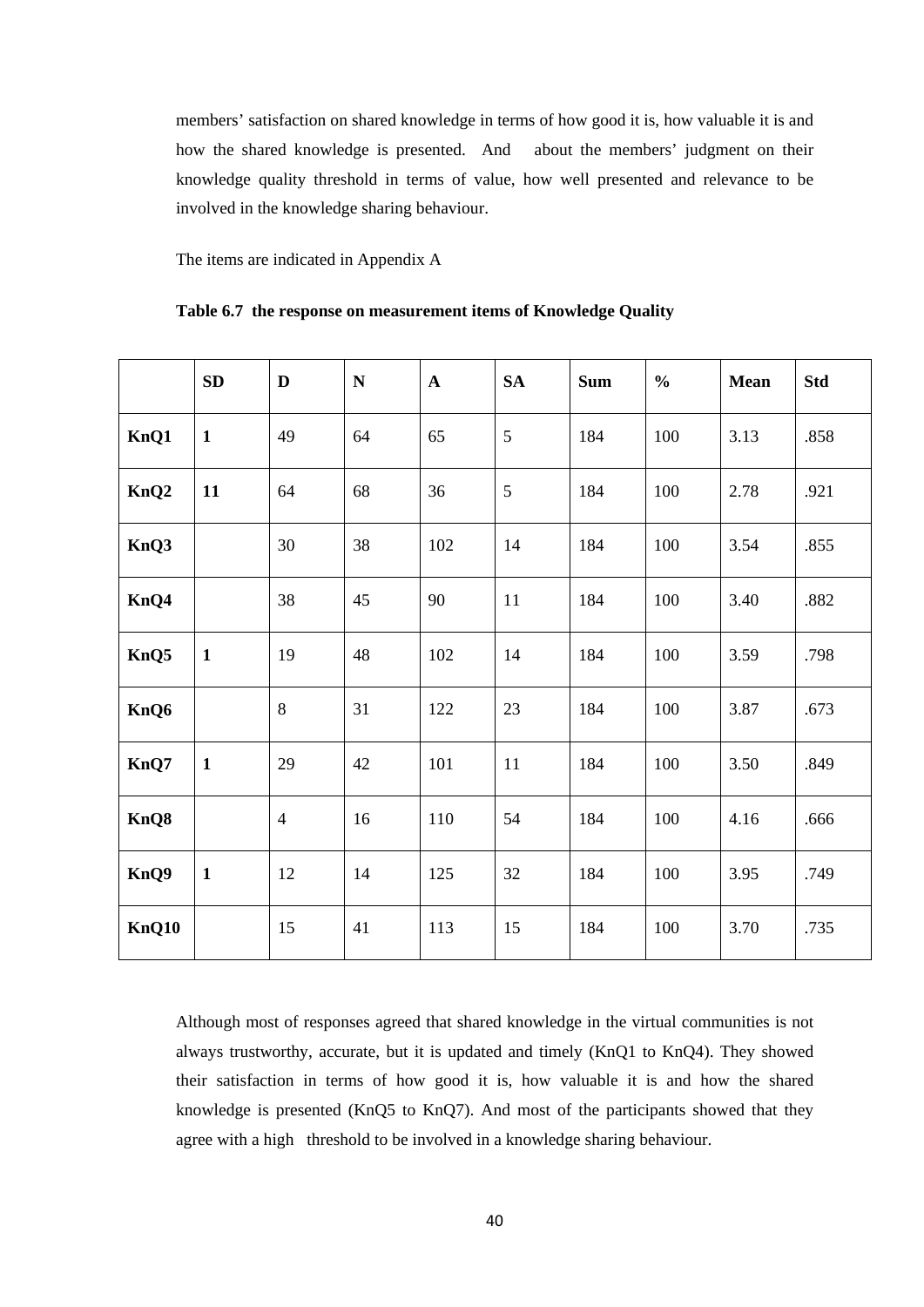members' satisfaction on shared knowledge in terms of how good it is, how valuable it is and how the shared knowledge is presented. And about the members' judgment on their knowledge quality threshold in terms of value, how well presented and relevance to be involved in the knowledge sharing behaviour.

The items are indicated in Appendix A

|  |  | Table 6.7 the response on measurement items of Knowledge Quality |  |  |  |
|--|--|------------------------------------------------------------------|--|--|--|
|--|--|------------------------------------------------------------------|--|--|--|

|                  | SD           | D              | ${\bf N}$ | $\mathbf{A}$ | <b>SA</b> | <b>Sum</b> | $\frac{0}{0}$ | <b>Mean</b> | <b>Std</b> |
|------------------|--------------|----------------|-----------|--------------|-----------|------------|---------------|-------------|------------|
| KnQ1             | $\mathbf{1}$ | 49             | 64        | 65           | 5         | 184        | 100           | 3.13        | .858       |
| KnQ <sub>2</sub> | 11           | 64             | 68        | 36           | 5         | 184        | 100           | 2.78        | .921       |
| KnQ3             |              | 30             | 38        | 102          | 14        | 184        | 100           | 3.54        | .855       |
| KnQ4             |              | 38             | 45        | 90           | 11        | 184        | 100           | 3.40        | .882       |
| KnQ5             | $\mathbf{1}$ | 19             | 48        | 102          | 14        | 184        | 100           | 3.59        | .798       |
| KnQ6             |              | 8              | 31        | 122          | 23        | 184        | 100           | 3.87        | .673       |
| KnQ7             | $\mathbf{1}$ | 29             | 42        | 101          | 11        | 184        | 100           | 3.50        | .849       |
| KnQ8             |              | $\overline{4}$ | 16        | 110          | 54        | 184        | 100           | 4.16        | .666       |
| KnQ9             | $\mathbf{1}$ | 12             | 14        | 125          | 32        | 184        | 100           | 3.95        | .749       |
| KnQ10            |              | 15             | 41        | 113          | 15        | 184        | 100           | 3.70        | .735       |

Although most of responses agreed that shared knowledge in the virtual communities is not always trustworthy, accurate, but it is updated and timely (KnQ1 to KnQ4). They showed their satisfaction in terms of how good it is, how valuable it is and how the shared knowledge is presented (KnQ5 to KnQ7). And most of the participants showed that they agree with a high threshold to be involved in a knowledge sharing behaviour.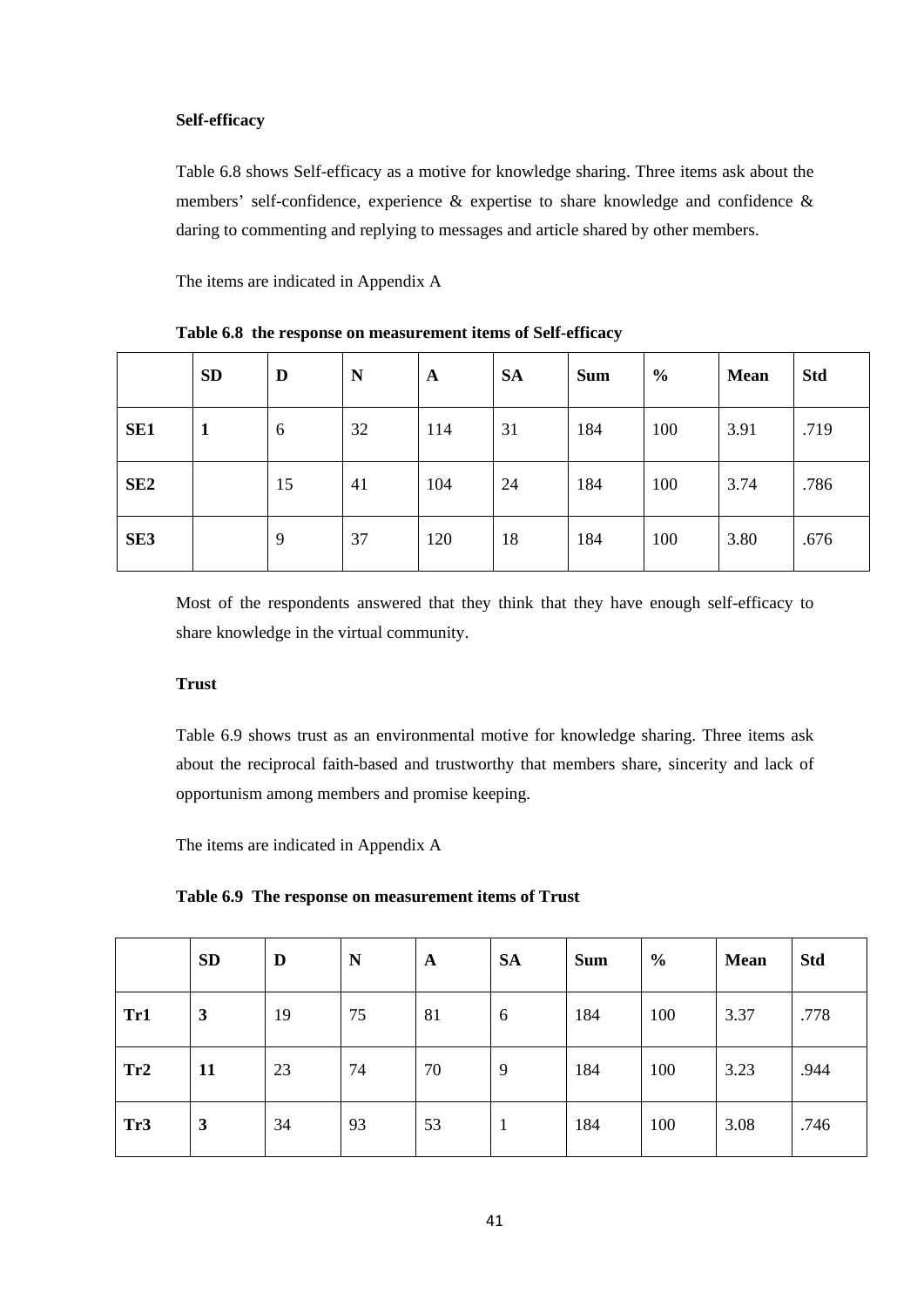#### **Self-efficacy**

Table 6.8 shows Self-efficacy as a motive for knowledge sharing. Three items ask about the members' self-confidence, experience & expertise to share knowledge and confidence & daring to commenting and replying to messages and article shared by other members.

The items are indicated in Appendix A

|                 | <b>SD</b>    | D  | N  | A   | <b>SA</b> | <b>Sum</b> | $\frac{0}{0}$ | <b>Mean</b> | <b>Std</b> |
|-----------------|--------------|----|----|-----|-----------|------------|---------------|-------------|------------|
| SE <sub>1</sub> | $\mathbf{1}$ | 6  | 32 | 114 | 31        | 184        | 100           | 3.91        | .719       |
| SE <sub>2</sub> |              | 15 | 41 | 104 | 24        | 184        | 100           | 3.74        | .786       |
| SE <sub>3</sub> |              | 9  | 37 | 120 | 18        | 184        | 100           | 3.80        | .676       |

**Table 6.8 the response on measurement items of Self-efficacy**

Most of the respondents answered that they think that they have enough self-efficacy to share knowledge in the virtual community.

#### **Trust**

Table 6.9 shows trust as an environmental motive for knowledge sharing. Three items ask about the reciprocal faith-based and trustworthy that members share, sincerity and lack of opportunism among members and promise keeping.

The items are indicated in Appendix A

| Table 6.9 The response on measurement items of Trust |  |  |  |
|------------------------------------------------------|--|--|--|
|------------------------------------------------------|--|--|--|

|                 | <b>SD</b>    | D  | N  | $\mathbf{A}$ | <b>SA</b> | <b>Sum</b> | $\frac{0}{0}$ | Mean | <b>Std</b> |
|-----------------|--------------|----|----|--------------|-----------|------------|---------------|------|------------|
| Tr1             | $\mathbf{3}$ | 19 | 75 | 81           | 6         | 184        | 100           | 3.37 | .778       |
| Tr2             | 11           | 23 | 74 | 70           | 9         | 184        | 100           | 3.23 | .944       |
| Tr <sub>3</sub> | 3            | 34 | 93 | 53           |           | 184        | 100           | 3.08 | .746       |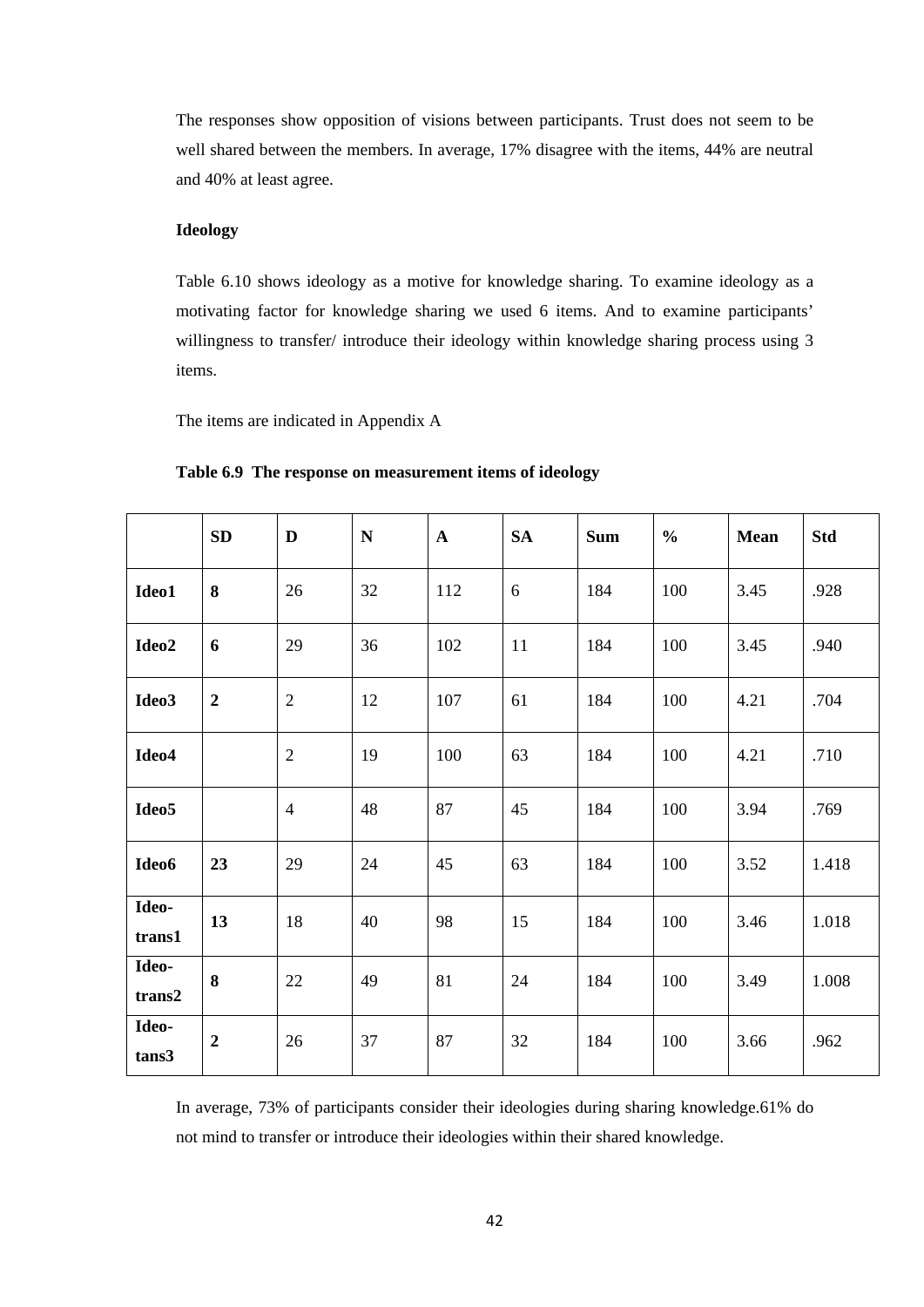The responses show opposition of visions between participants. Trust does not seem to be well shared between the members. In average, 17% disagree with the items, 44% are neutral and 40% at least agree.

#### **Ideology**

Table 6.10 shows ideology as a motive for knowledge sharing. To examine ideology as a motivating factor for knowledge sharing we used 6 items. And to examine participants' willingness to transfer/ introduce their ideology within knowledge sharing process using 3 items.

The items are indicated in Appendix A

|                   | SD               | D              | ${\bf N}$ | $\mathbf{A}$ | <b>SA</b> | <b>Sum</b> | $\frac{0}{0}$ | <b>Mean</b> | <b>Std</b> |
|-------------------|------------------|----------------|-----------|--------------|-----------|------------|---------------|-------------|------------|
| Ideo1             | 8                | 26             | 32        | 112          | 6         | 184        | 100           | 3.45        | .928       |
| Ideo2             | 6                | 29             | 36        | 102          | 11        | 184        | 100           | 3.45        | .940       |
| Ideo3             | $\boldsymbol{2}$ | $\mathfrak{2}$ | 12        | 107          | 61        | 184        | 100           | 4.21        | .704       |
| Ideo4             |                  | $\mathfrak{2}$ | 19        | 100          | 63        | 184        | 100           | 4.21        | .710       |
| Ideo <sub>5</sub> |                  | $\overline{4}$ | 48        | 87           | 45        | 184        | 100           | 3.94        | .769       |
| Ideo6             | 23               | 29             | 24        | 45           | 63        | 184        | 100           | 3.52        | 1.418      |
| Ideo-<br>trans1   | 13               | 18             | 40        | 98           | 15        | 184        | 100           | 3.46        | 1.018      |
| Ideo-<br>trans2   | 8                | 22             | 49        | 81           | 24        | 184        | 100           | 3.49        | 1.008      |
| Ideo-<br>tans3    | $\boldsymbol{2}$ | 26             | 37        | 87           | 32        | 184        | 100           | 3.66        | .962       |

**Table 6.9 The response on measurement items of ideology**

In average, 73% of participants consider their ideologies during sharing knowledge.61% do not mind to transfer or introduce their ideologies within their shared knowledge.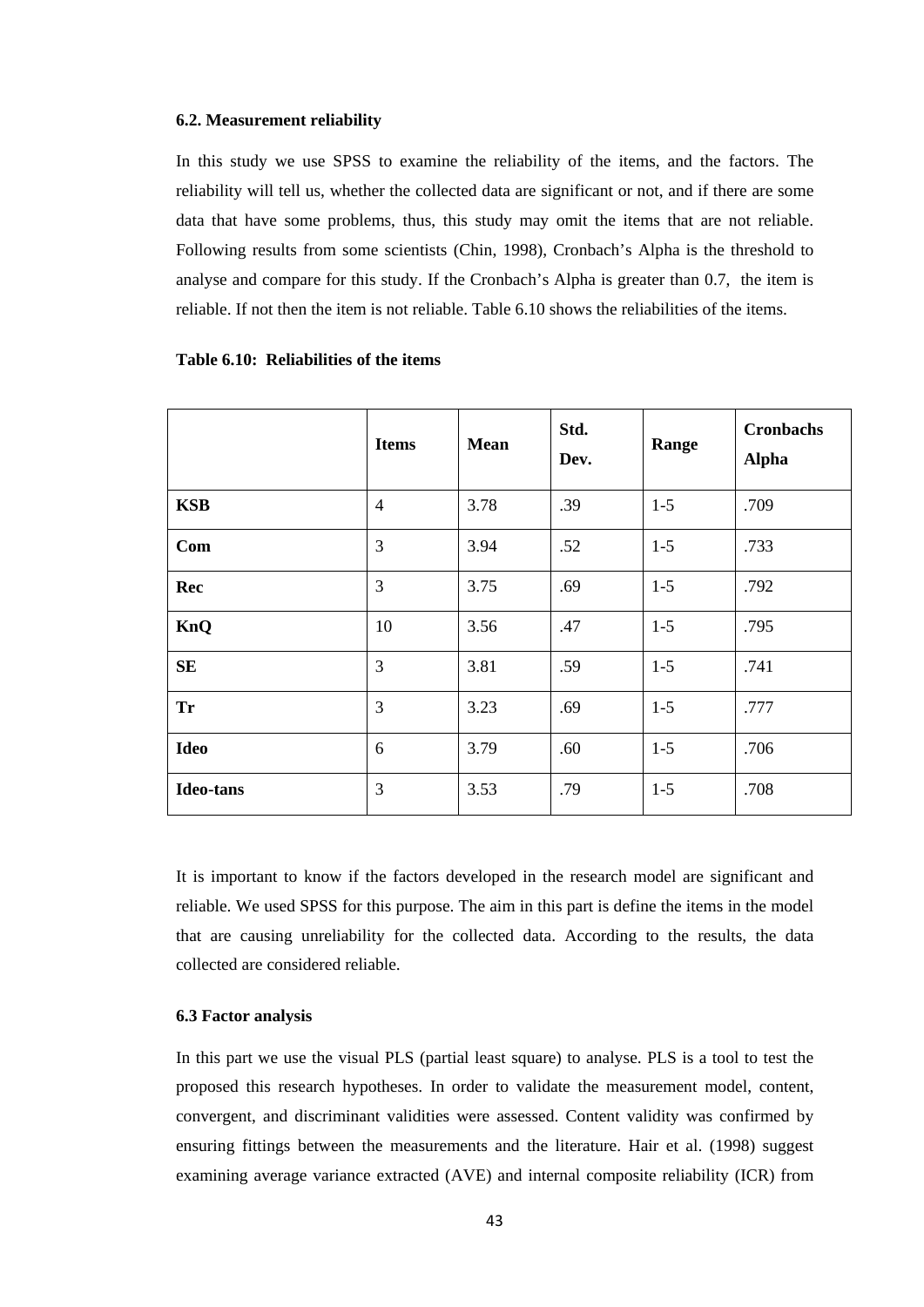#### **6.2. Measurement reliability**

In this study we use SPSS to examine the reliability of the items, and the factors. The reliability will tell us, whether the collected data are significant or not, and if there are some data that have some problems, thus, this study may omit the items that are not reliable. Following results from some scientists (Chin, 1998), Cronbach's Alpha is the threshold to analyse and compare for this study. If the Cronbach's Alpha is greater than 0.7, the item is reliable. If not then the item is not reliable. Table 6.10 shows the reliabilities of the items.

|                  | <b>Items</b>   | <b>Mean</b> | Std.<br>Dev. | Range   | <b>Cronbachs</b><br><b>Alpha</b> |
|------------------|----------------|-------------|--------------|---------|----------------------------------|
| <b>KSB</b>       | $\overline{4}$ | 3.78        | .39          | $1 - 5$ | .709                             |
| Com              | 3              | 3.94        | .52          | $1 - 5$ | .733                             |
| Rec              | 3              | 3.75        | .69          | $1 - 5$ | .792                             |
| KnQ              | 10             | 3.56        | .47          | $1 - 5$ | .795                             |
| <b>SE</b>        | 3              | 3.81        | .59          | $1 - 5$ | .741                             |
| <b>Tr</b>        | 3              | 3.23        | .69          | $1 - 5$ | .777                             |
| <b>Ideo</b>      | 6              | 3.79        | .60          | $1 - 5$ | .706                             |
| <b>Ideo-tans</b> | 3              | 3.53        | .79          | $1-5$   | .708                             |

#### **Table 6.10: Reliabilities of the items**

It is important to know if the factors developed in the research model are significant and reliable. We used SPSS for this purpose. The aim in this part is define the items in the model that are causing unreliability for the collected data. According to the results, the data collected are considered reliable.

#### **6.3 Factor analysis**

In this part we use the visual PLS (partial least square) to analyse. PLS is a tool to test the proposed this research hypotheses. In order to validate the measurement model, content, convergent, and discriminant validities were assessed. Content validity was confirmed by ensuring fittings between the measurements and the literature. Hair et al. (1998) suggest examining average variance extracted (AVE) and internal composite reliability (ICR) from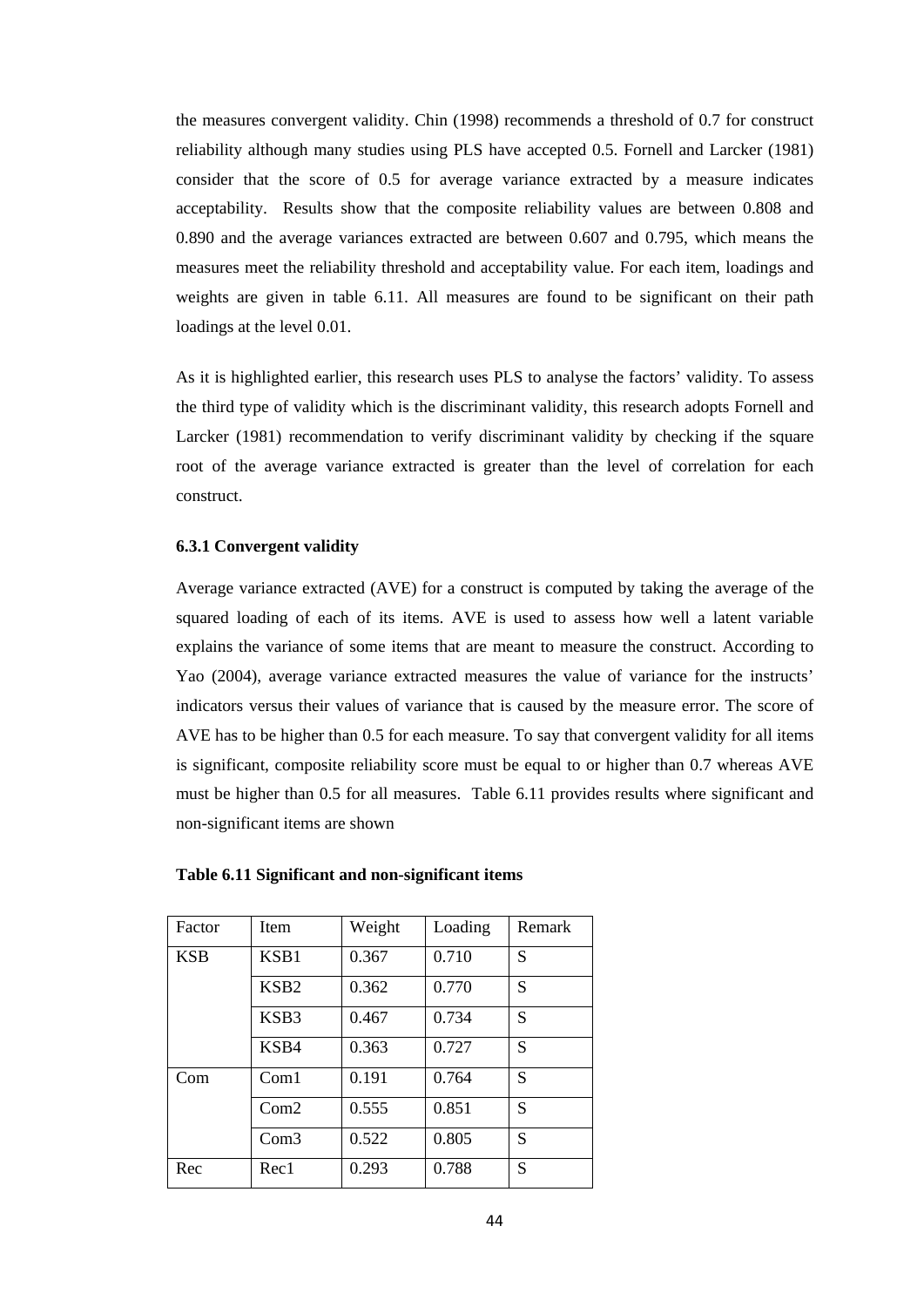the measures convergent validity. Chin (1998) recommends a threshold of 0.7 for construct reliability although many studies using PLS have accepted 0.5. Fornell and Larcker (1981) consider that the score of 0.5 for average variance extracted by a measure indicates acceptability. Results show that the composite reliability values are between 0.808 and 0.890 and the average variances extracted are between 0.607 and 0.795, which means the measures meet the reliability threshold and acceptability value. For each item, loadings and weights are given in table 6.11. All measures are found to be significant on their path loadings at the level 0.01.

As it is highlighted earlier, this research uses PLS to analyse the factors' validity. To assess the third type of validity which is the discriminant validity, this research adopts Fornell and Larcker (1981) recommendation to verify discriminant validity by checking if the square root of the average variance extracted is greater than the level of correlation for each construct.

#### **6.3.1 Convergent validity**

Average variance extracted (AVE) for a construct is computed by taking the average of the squared loading of each of its items. AVE is used to assess how well a latent variable explains the variance of some items that are meant to measure the construct. According to Yao (2004), average variance extracted measures the value of variance for the instructs' indicators versus their values of variance that is caused by the measure error. The score of AVE has to be higher than 0.5 for each measure. To say that convergent validity for all items is significant, composite reliability score must be equal to or higher than 0.7 whereas AVE must be higher than 0.5 for all measures. Table 6.11 provides results where significant and non-significant items are shown

| Factor     | Item             | Weight | Loading | Remark |
|------------|------------------|--------|---------|--------|
| <b>KSB</b> | KSB1             | 0.367  | 0.710   | S      |
|            | KSB <sub>2</sub> | 0.362  | 0.770   | S      |
|            | KSB3             | 0.467  | 0.734   | S      |
|            | KSB4             | 0.363  | 0.727   | S      |
| Com        | Com1             | 0.191  | 0.764   | S      |
|            | Com2             | 0.555  | 0.851   | S      |
|            | Com3             | 0.522  | 0.805   | S      |
| Rec        | Rec1             | 0.293  | 0.788   | S      |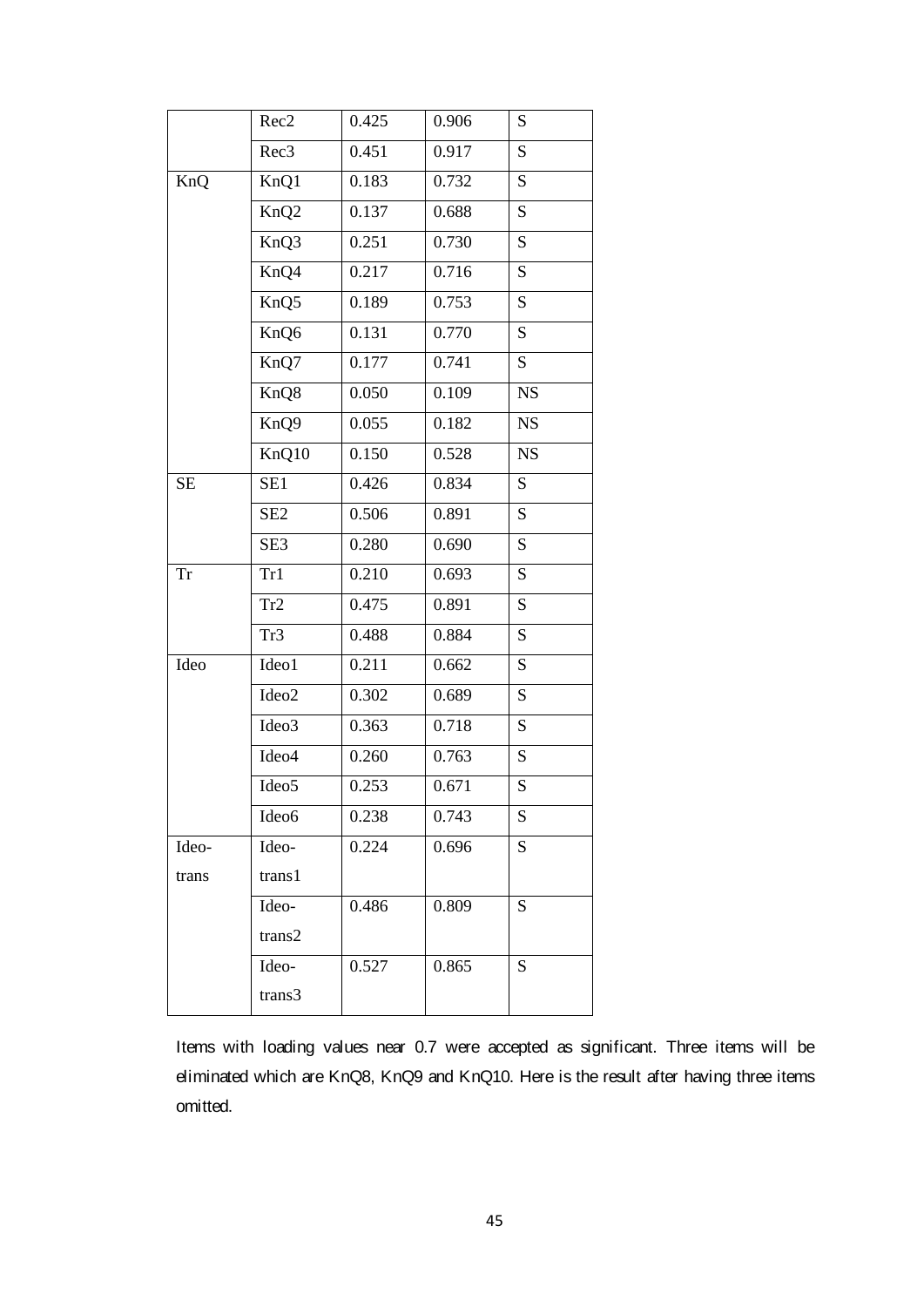|           | Rec <sub>2</sub>          | 0.425 | 0.906 | S         |
|-----------|---------------------------|-------|-------|-----------|
|           | Rec <sub>3</sub>          | 0.451 | 0.917 | S         |
| KnQ       | KnQ1                      | 0.183 | 0.732 | S         |
|           | KnQ <sub>2</sub>          | 0.137 | 0.688 | ${\bf S}$ |
|           | $\overline{\text{KnQ}}$ 3 | 0.251 | 0.730 | S         |
|           | KnQ4                      | 0.217 | 0.716 | S         |
|           | KnQ5                      | 0.189 | 0.753 | S         |
|           | KnQ6                      | 0.131 | 0.770 | S         |
|           | KnQ7                      | 0.177 | 0.741 | S         |
|           | KnQ8                      | 0.050 | 0.109 | NS        |
|           | KnQ9                      | 0.055 | 0.182 | NS        |
|           | KnQ10                     | 0.150 | 0.528 | <b>NS</b> |
| $\rm SE$  | SE1                       | 0.426 | 0.834 | S         |
|           | SE <sub>2</sub>           | 0.506 | 0.891 | S         |
|           | SE <sub>3</sub>           | 0.280 | 0.690 | S         |
| <b>Tr</b> | Tr1                       | 0.210 | 0.693 | S         |
|           | Tr2                       | 0.475 | 0.891 | S         |
|           | Tr3                       | 0.488 | 0.884 | S         |
| Ideo      | Ideo1                     | 0.211 | 0.662 | S         |
|           | Ideo2                     | 0.302 | 0.689 | S         |
|           | Ideo3                     | 0.363 | 0.718 | S         |
|           | Ideo4                     | 0.260 | 0.763 | S         |
|           | Ideo5                     | 0.253 | 0.671 | S         |
|           | Ideo6                     | 0.238 | 0.743 | ${\bf S}$ |
| Ideo-     | Ideo-                     | 0.224 | 0.696 | S         |
| trans     | trans1                    |       |       |           |
|           | Ideo-                     | 0.486 | 0.809 | S         |
|           | trans2                    |       |       |           |
|           | Ideo-                     | 0.527 | 0.865 | S         |
|           | trans3                    |       |       |           |

Items with loading values near 0.7 were accepted as significant. Three items will be eliminated which are KnQ8, KnQ9 and KnQ10. Here is the result after having three items omitted.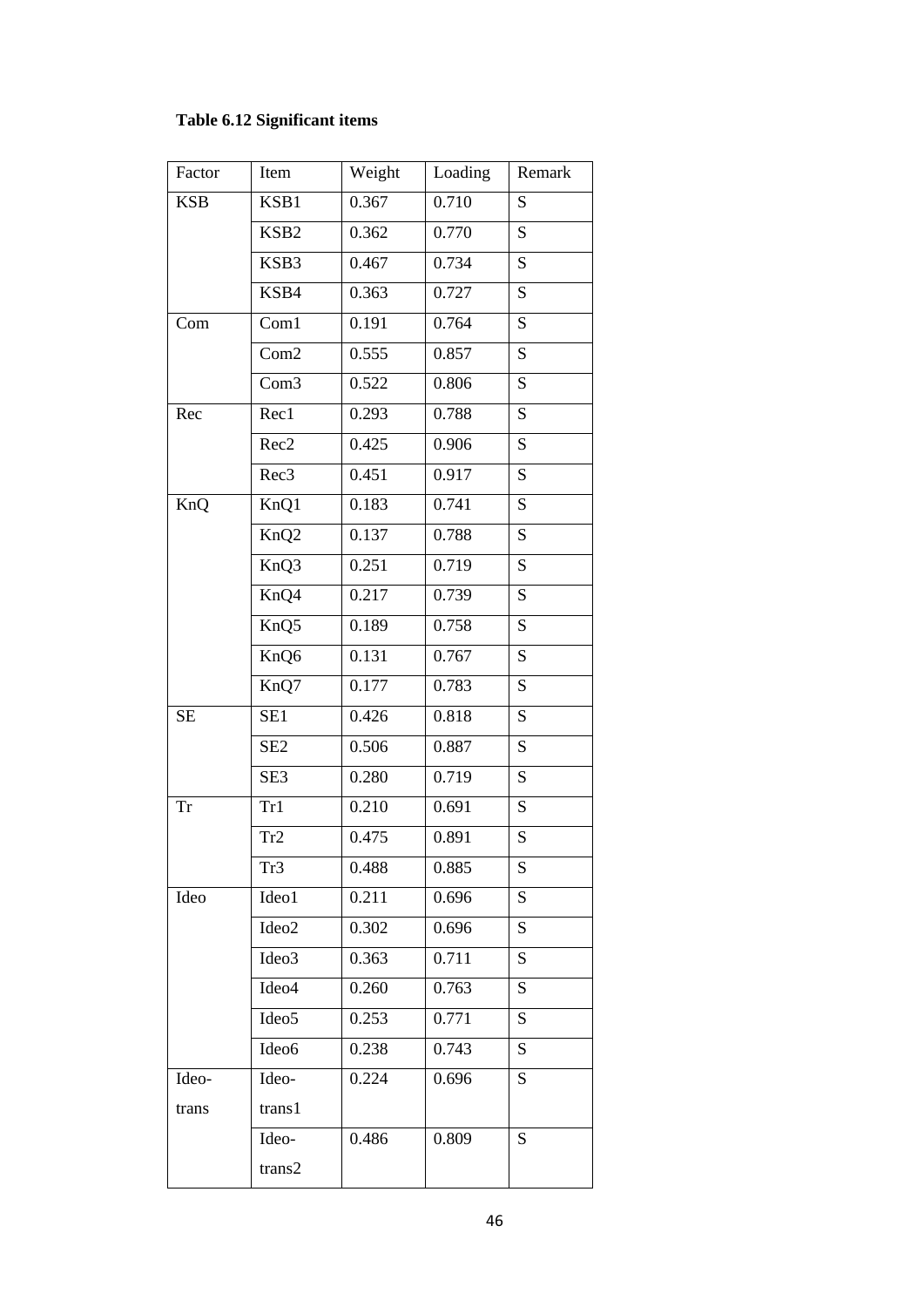## **Table 6.12 Significant items**

| Factor     | Item              | Weight | Loading | Remark    |
|------------|-------------------|--------|---------|-----------|
| <b>KSB</b> | KSB1              | 0.367  | 0.710   | S         |
|            | KSB <sub>2</sub>  | 0.362  | 0.770   | ${\bf S}$ |
|            | KSB3              | 0.467  | 0.734   | S         |
|            | KSB4              | 0.363  | 0.727   | S         |
| Com        | Com1              | 0.191  | 0.764   | S         |
|            | Com2              | 0.555  | 0.857   | ${\bf S}$ |
|            | Com <sub>3</sub>  | 0.522  | 0.806   | S         |
| Rec        | Rec1              | 0.293  | 0.788   | S         |
|            | Rec2              | 0.425  | 0.906   | S         |
|            | Rec <sub>3</sub>  | 0.451  | 0.917   | S         |
| KnQ        | KnQ1              | 0.183  | 0.741   | S         |
|            | KnQ <sub>2</sub>  | 0.137  | 0.788   | S         |
|            | KnQ3              | 0.251  | 0.719   | S         |
|            | KnQ4              | 0.217  | 0.739   | S         |
|            | KnQ5              | 0.189  | 0.758   | S         |
|            | KnQ6              | 0.131  | 0.767   | S         |
|            | KnQ7              | 0.177  | 0.783   | S         |
| <b>SE</b>  | SE <sub>1</sub>   | 0.426  | 0.818   | S         |
|            | SE <sub>2</sub>   | 0.506  | 0.887   | S         |
|            | SE <sub>3</sub>   | 0.280  | 0.719   | S         |
| <b>Tr</b>  | Tr1               | 0.210  | 0.691   | S         |
|            | Tr2               | 0.475  | 0.891   | ${\bf S}$ |
|            | Tr <sub>3</sub>   | 0.488  | 0.885   | S         |
| Ideo       | Ideo1             | 0.211  | 0.696   | ${\bf S}$ |
|            | Ideo2             | 0.302  | 0.696   | S         |
|            | Ideo3             | 0.363  | 0.711   | S         |
|            | Ideo4             | 0.260  | 0.763   | S         |
|            | Ideo <sub>5</sub> | 0.253  | 0.771   | S         |
|            | Ideo6             | 0.238  | 0.743   | S         |
| Ideo-      | Ideo-             | 0.224  | 0.696   | S         |
| trans      | trans1            |        |         |           |
|            | Ideo-             | 0.486  | 0.809   | S         |
|            | trans2            |        |         |           |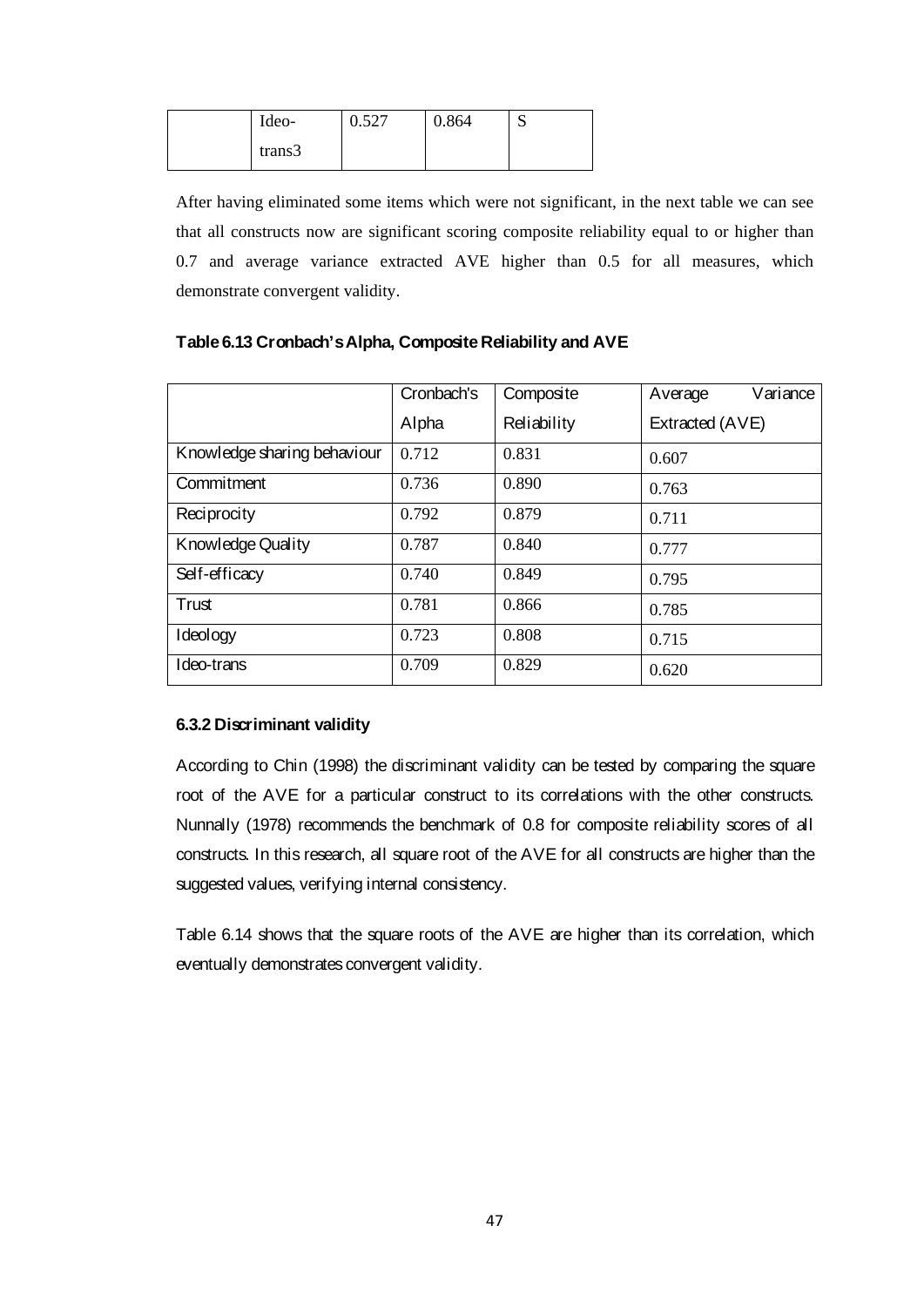| Ideo-  | 0.527 | 0.864 | N |
|--------|-------|-------|---|
| trans3 |       |       |   |

After having eliminated some items which were not significant, in the next table we can see that all constructs now are significant scoring composite reliability equal to or higher than 0.7 and average variance extracted AVE higher than 0.5 for all measures, which demonstrate convergent validity.

|                             | Cronbach's | Composite   | Variance<br>Average |
|-----------------------------|------------|-------------|---------------------|
|                             | Alpha      | Reliability | Extracted (AVE)     |
| Knowledge sharing behaviour | 0.712      | 0.831       | 0.607               |
| Commitment                  | 0.736      | 0.890       | 0.763               |
| Reciprocity                 | 0.792      | 0.879       | 0.711               |
| Knowledge Quality           | 0.787      | 0.840       | 0.777               |
| Self-efficacy               | 0.740      | 0.849       | 0.795               |
| Trust                       | 0.781      | 0.866       | 0.785               |
| Ideology                    | 0.723      | 0.808       | 0.715               |
| Ideo-trans                  | 0.709      | 0.829       | 0.620               |

## **Table 6.13 Cronbach's Alpha, Composite Reliability and AVE**

### **6.3.2 Discriminant validity**

According to Chin (1998) the discriminant validity can be tested by comparing the square root of the AVE for a particular construct to its correlations with the other constructs. Nunnally (1978) recommends the benchmark of 0.8 for composite reliability scores of all constructs. In this research, all square root of the AVE for all constructs are higher than the suggested values, verifying internal consistency.

Table 6.14 shows that the square roots of the AVE are higher than its correlation, which eventually demonstrates convergent validity.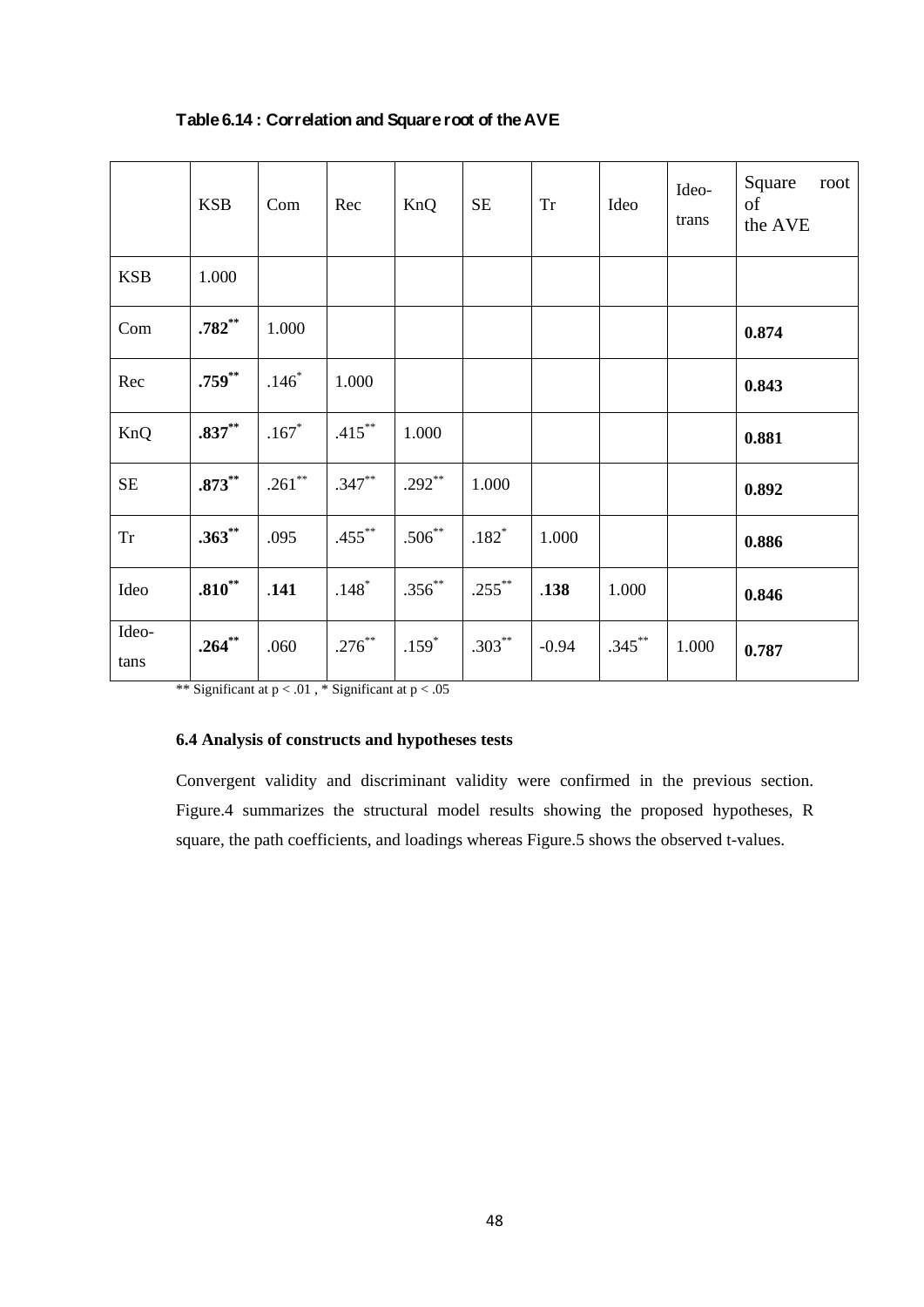|               | <b>KSB</b>  | Com       | Rec       | KnQ       | $\rm SE$  | <b>Tr</b> | Ideo      | Ideo-<br>trans | Square<br>root<br>of<br>the AVE |
|---------------|-------------|-----------|-----------|-----------|-----------|-----------|-----------|----------------|---------------------------------|
| <b>KSB</b>    | 1.000       |           |           |           |           |           |           |                |                                 |
| Com           | $.782**$    | 1.000     |           |           |           |           |           |                | 0.874                           |
| Rec           | $.759^{**}$ | $.146*$   | 1.000     |           |           |           |           |                | 0.843                           |
| KnQ           | $.837**$    | $.167*$   | $.415***$ | 1.000     |           |           |           |                | 0.881                           |
| $\rm SE$      | $.873***$   | $.261***$ | $.347***$ | $.292**$  | 1.000     |           |           |                | 0.892                           |
| ${\rm Tr}$    | $.363^{**}$ | .095      | $.455***$ | $.506***$ | $.182*$   | 1.000     |           |                | 0.886                           |
| Ideo          | $.810***$   | .141      | $.148*$   | $.356***$ | $.255***$ | .138      | 1.000     |                | 0.846                           |
| Ideo-<br>tans | $.264**$    | .060      | $.276***$ | $.159*$   | $.303***$ | $-0.94$   | $.345***$ | 1.000          | 0.787                           |

## **Table 6.14 : Correlation and Square root of the AVE**

\*\* Significant at  $p < .01$ , \* Significant at  $p < .05$ 

## **6.4 Analysis of constructs and hypotheses tests**

Convergent validity and discriminant validity were confirmed in the previous section. Figure.4 summarizes the structural model results showing the proposed hypotheses, R square, the path coefficients, and loadings whereas Figure.5 shows the observed t-values.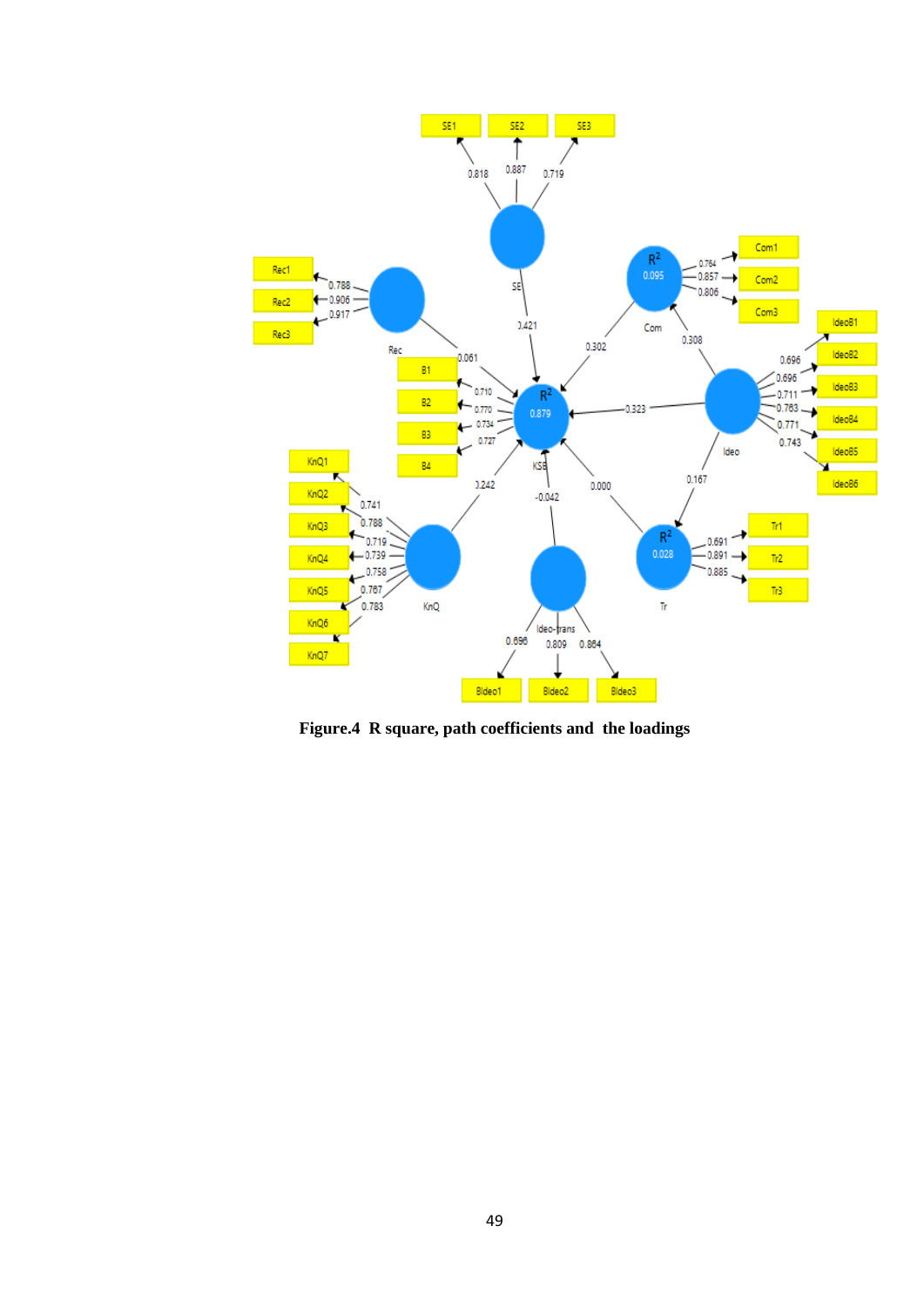

**Figure.4 R square, path coefficients and the loadings**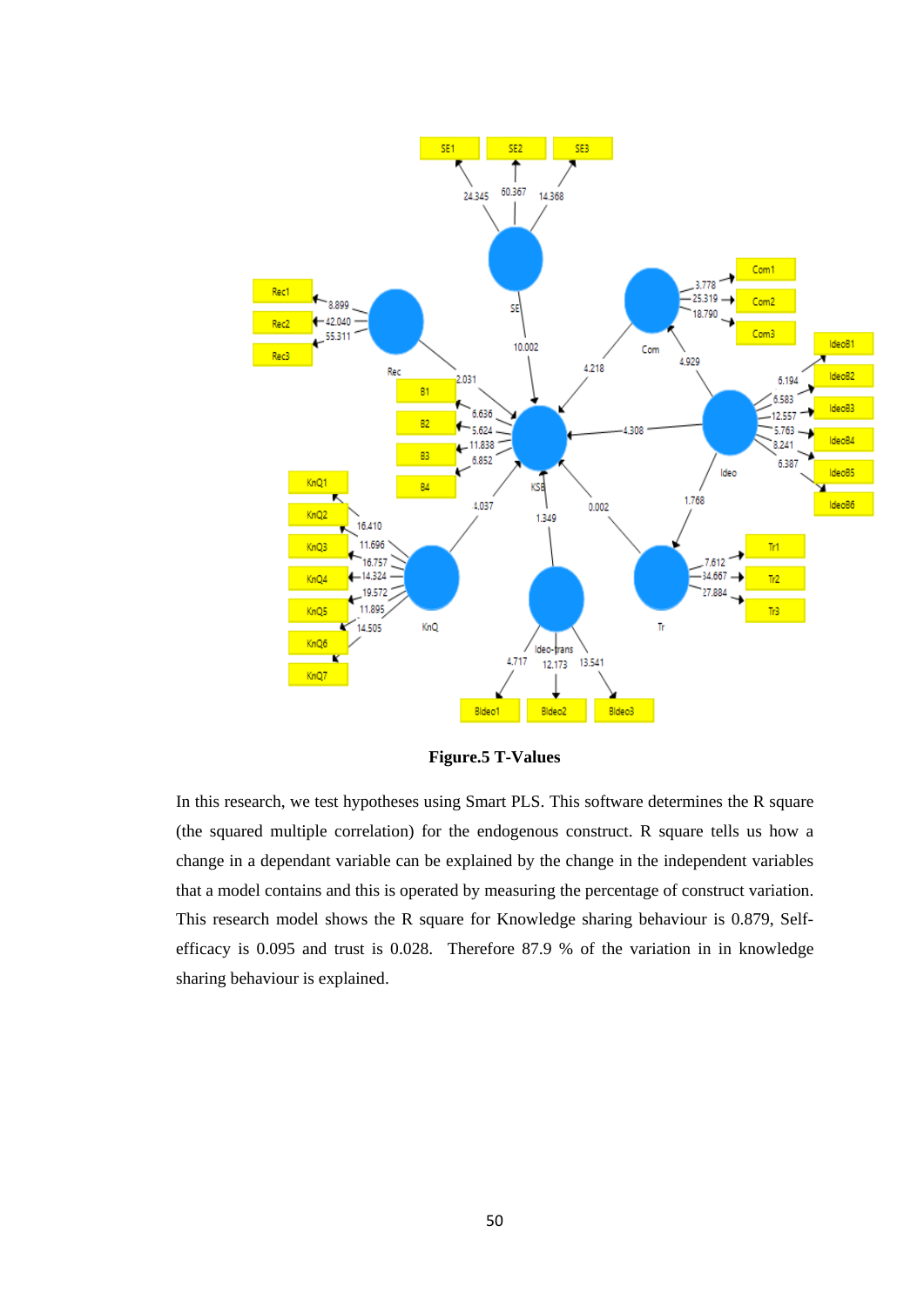

**Figure.5 T-Values**

In this research, we test hypotheses using Smart PLS. This software determines the R square (the squared multiple correlation) for the endogenous construct. R square tells us how a change in a dependant variable can be explained by the change in the independent variables that a model contains and this is operated by measuring the percentage of construct variation. This research model shows the R square for Knowledge sharing behaviour is 0.879, Selfefficacy is 0.095 and trust is 0.028. Therefore 87.9 % of the variation in in knowledge sharing behaviour is explained.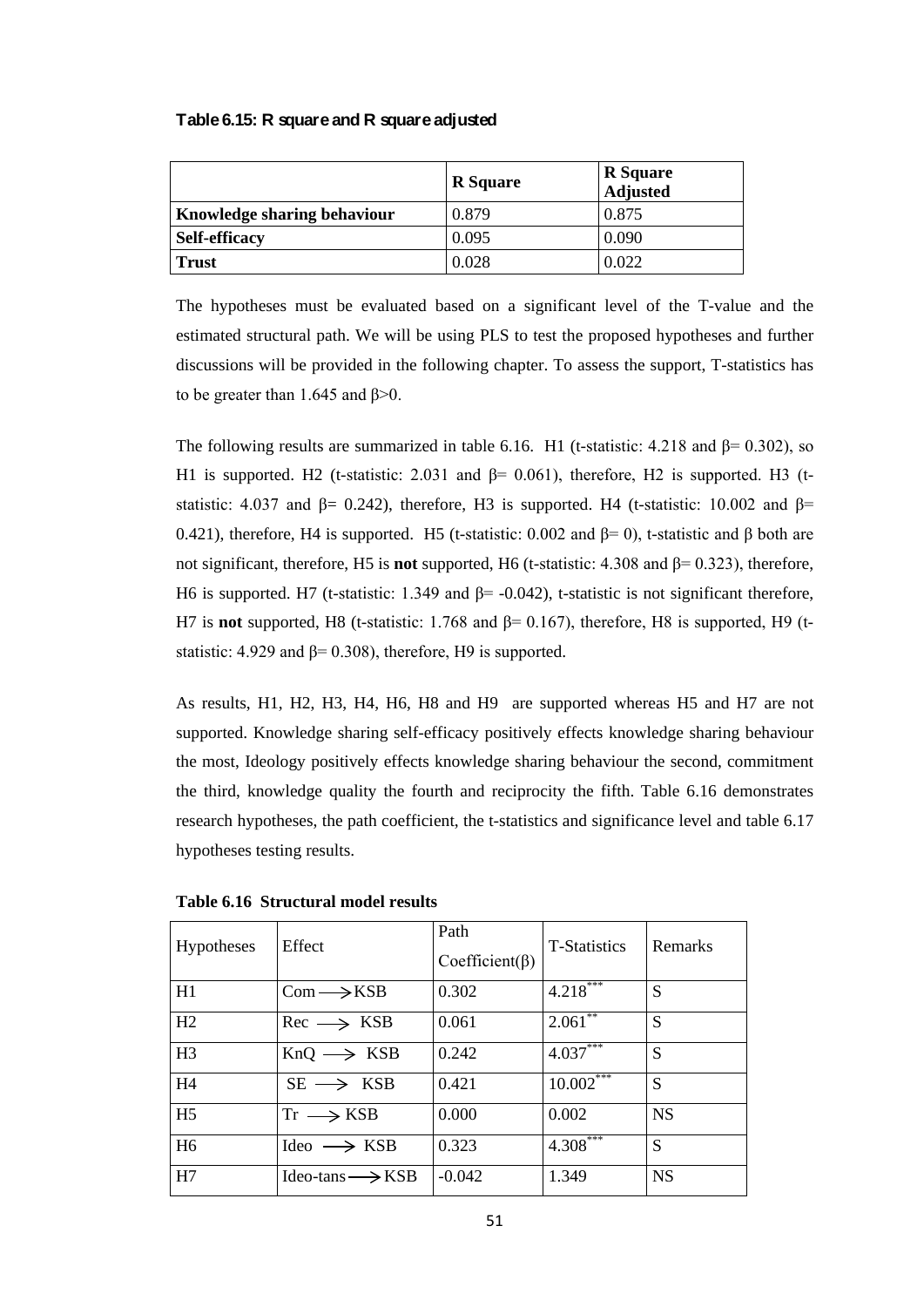#### **Table 6.15: R square and R square adjusted**

|                             | <b>R</b> Square | <b>R</b> Square<br>Adjusted |
|-----------------------------|-----------------|-----------------------------|
| Knowledge sharing behaviour | 0.879           | 0.875                       |
| <b>Self-efficacy</b>        | 0.095           | 0.090                       |
| <b>Trust</b>                | 0.028           | 0.022                       |

The hypotheses must be evaluated based on a significant level of the T-value and the estimated structural path. We will be using PLS to test the proposed hypotheses and further discussions will be provided in the following chapter. To assess the support, T-statistics has to be greater than 1.645 and  $β$ >0.

The following results are summarized in table 6.16. H1 (t-statistic: 4.218 and  $\beta$ = 0.302), so H1 is supported. H2 (t-statistic: 2.031 and  $β = 0.061$ ), therefore, H2 is supported. H3 (tstatistic: 4.037 and  $\beta$ = 0.242), therefore, H3 is supported. H4 (t-statistic: 10.002 and  $\beta$ = 0.421), therefore, H4 is supported. H5 (t-statistic: 0.002 and  $\beta$ = 0), t-statistic and  $\beta$  both are not significant, therefore, H5 is **not** supported, H6 (t-statistic: 4.308 and β= 0.323), therefore, H6 is supported. H7 (t-statistic: 1.349 and β= -0.042), t-statistic is not significant therefore, H7 is **not** supported, H8 (t-statistic: 1.768 and β= 0.167), therefore, H8 is supported, H9 (tstatistic: 4.929 and  $\beta$ = 0.308), therefore, H9 is supported.

As results, H1, H2, H3, H4, H6, H8 and H9 are supported whereas H5 and H7 are not supported. Knowledge sharing self-efficacy positively effects knowledge sharing behaviour the most, Ideology positively effects knowledge sharing behaviour the second, commitment the third, knowledge quality the fourth and reciprocity the fifth. Table 6.16 demonstrates research hypotheses, the path coefficient, the t-statistics and significance level and table 6.17 hypotheses testing results.

| <b>Hypotheses</b> | Effect                          | Path<br>$Coefficient(\beta)$ | <b>T-Statistics</b> | Remarks   |
|-------------------|---------------------------------|------------------------------|---------------------|-----------|
| H1                | $Com \rightarrow KSB$           | 0.302                        | 4.218               | S         |
| H2                | $Rec \longrightarrow KSB$       | 0.061                        | 2.061               | S         |
| H <sub>3</sub>    | $KnQ \longrightarrow KSB$       | 0.242                        | 4.037               | S         |
| H4                | $SE \longrightarrow KSB$        | 0.421                        | $10.002***$         | S         |
| H <sub>5</sub>    | $Tr \longrightarrow KSB$        | 0.000                        | 0.002               | <b>NS</b> |
| H <sub>6</sub>    | $I$ deo $\longrightarrow$ KSB   | 0.323                        | 4.308               | S         |
| H7                | $Ideo-tans \longrightarrow KSB$ | $-0.042$                     | 1.349               | <b>NS</b> |

**Table 6.16 Structural model results**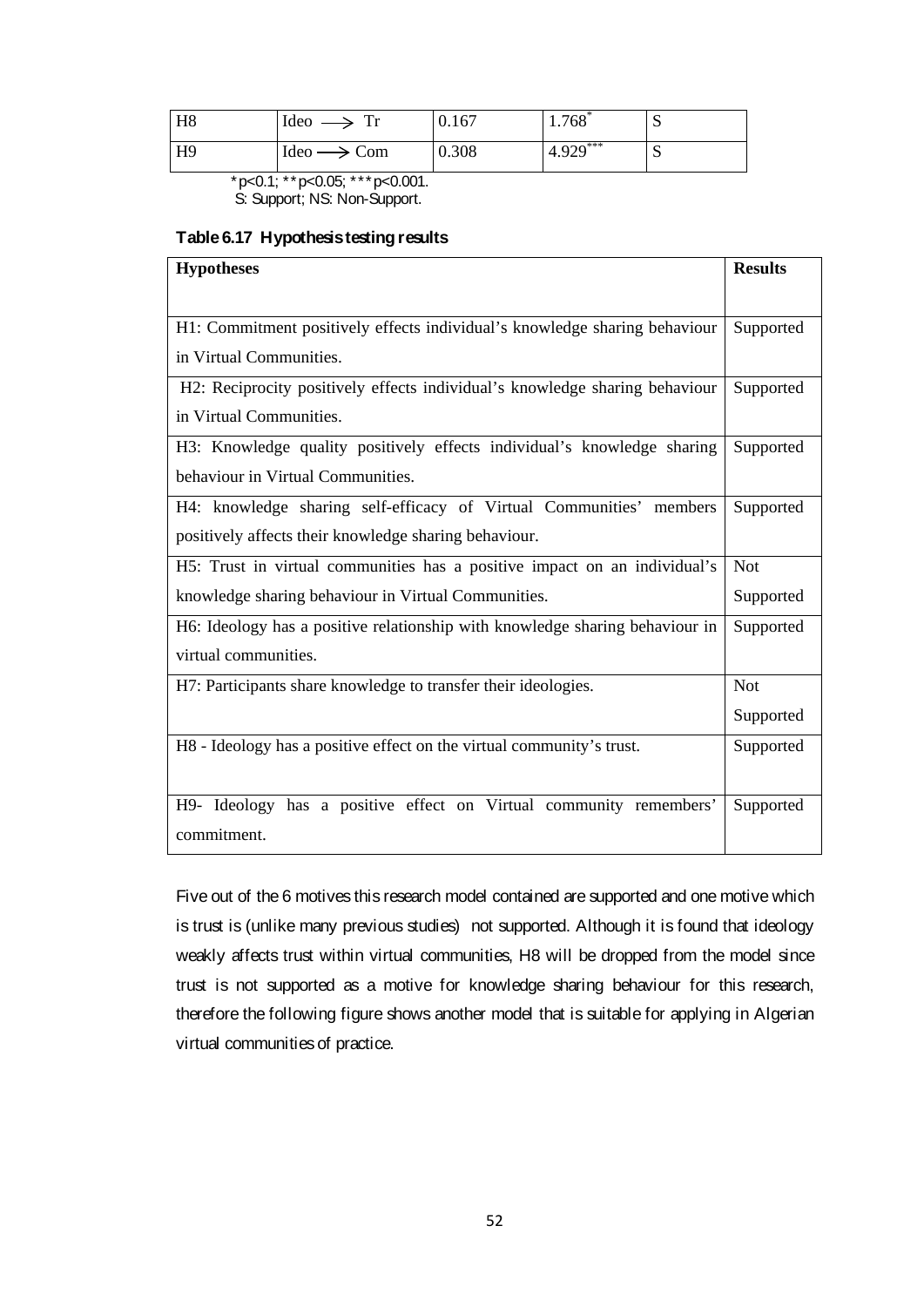| H <sub>8</sub> | Ideo $\longrightarrow$ Tr                | 0.167 | $1.768*$    | ◡ |
|----------------|------------------------------------------|-------|-------------|---|
| H <sub>9</sub> | $\text{Ideo} \longrightarrow \text{Com}$ | 0.308 | $14.929***$ | N |

 $*p<0.1$ ;  $*p<0.05$ ;  $**p<0.001$ .

S: Support; NS: Non-Support.

## **Table 6.17 Hypothesis testing results**

| <b>Hypotheses</b>                                                            | <b>Results</b> |  |  |  |
|------------------------------------------------------------------------------|----------------|--|--|--|
|                                                                              |                |  |  |  |
| H1: Commitment positively effects individual's knowledge sharing behaviour   |                |  |  |  |
| in Virtual Communities.                                                      |                |  |  |  |
| H2: Reciprocity positively effects individual's knowledge sharing behaviour  | Supported      |  |  |  |
| in Virtual Communities.                                                      |                |  |  |  |
| H3: Knowledge quality positively effects individual's knowledge sharing      | Supported      |  |  |  |
| behaviour in Virtual Communities.                                            |                |  |  |  |
| H4: knowledge sharing self-efficacy of Virtual Communities' members          | Supported      |  |  |  |
| positively affects their knowledge sharing behaviour.                        |                |  |  |  |
| H5: Trust in virtual communities has a positive impact on an individual's    | <b>Not</b>     |  |  |  |
| knowledge sharing behaviour in Virtual Communities.                          |                |  |  |  |
| H6: Ideology has a positive relationship with knowledge sharing behaviour in |                |  |  |  |
| virtual communities.                                                         |                |  |  |  |
| H7: Participants share knowledge to transfer their ideologies.               | <b>Not</b>     |  |  |  |
|                                                                              | Supported      |  |  |  |
| H8 - Ideology has a positive effect on the virtual community's trust.        |                |  |  |  |
|                                                                              |                |  |  |  |
| H9- Ideology has a positive effect on Virtual community remembers'           | Supported      |  |  |  |
| commitment.                                                                  |                |  |  |  |

Five out of the 6 motives this research model contained are supported and one motive which is trust is (unlike many previous studies) not supported. Although it is found that ideology weakly affects trust within virtual communities, H8 will be dropped from the model since trust is not supported as a motive for knowledge sharing behaviour for this research, therefore the following figure shows another model that is suitable for applying in Algerian virtual communities of practice.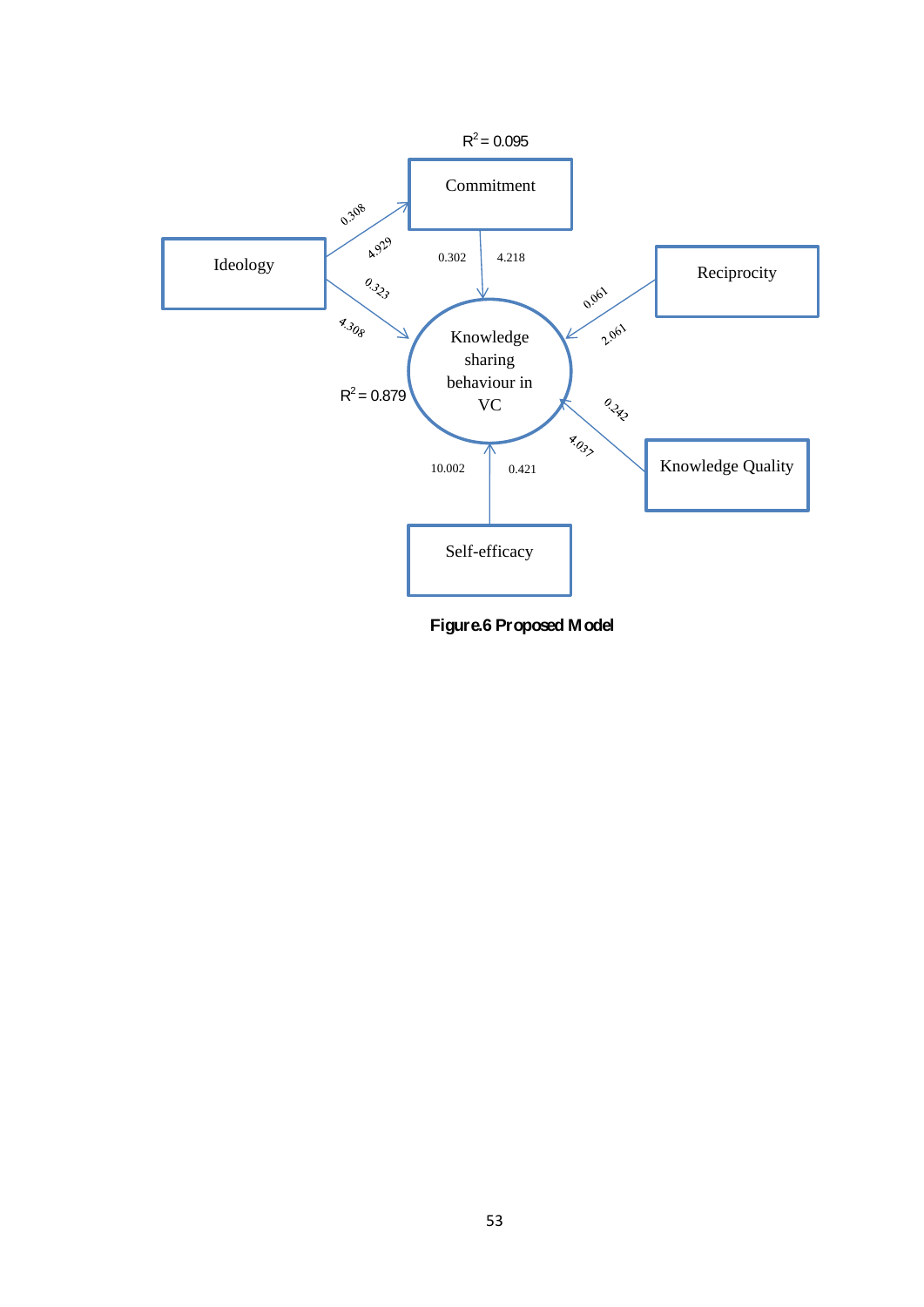

**Figure.6 Proposed Model**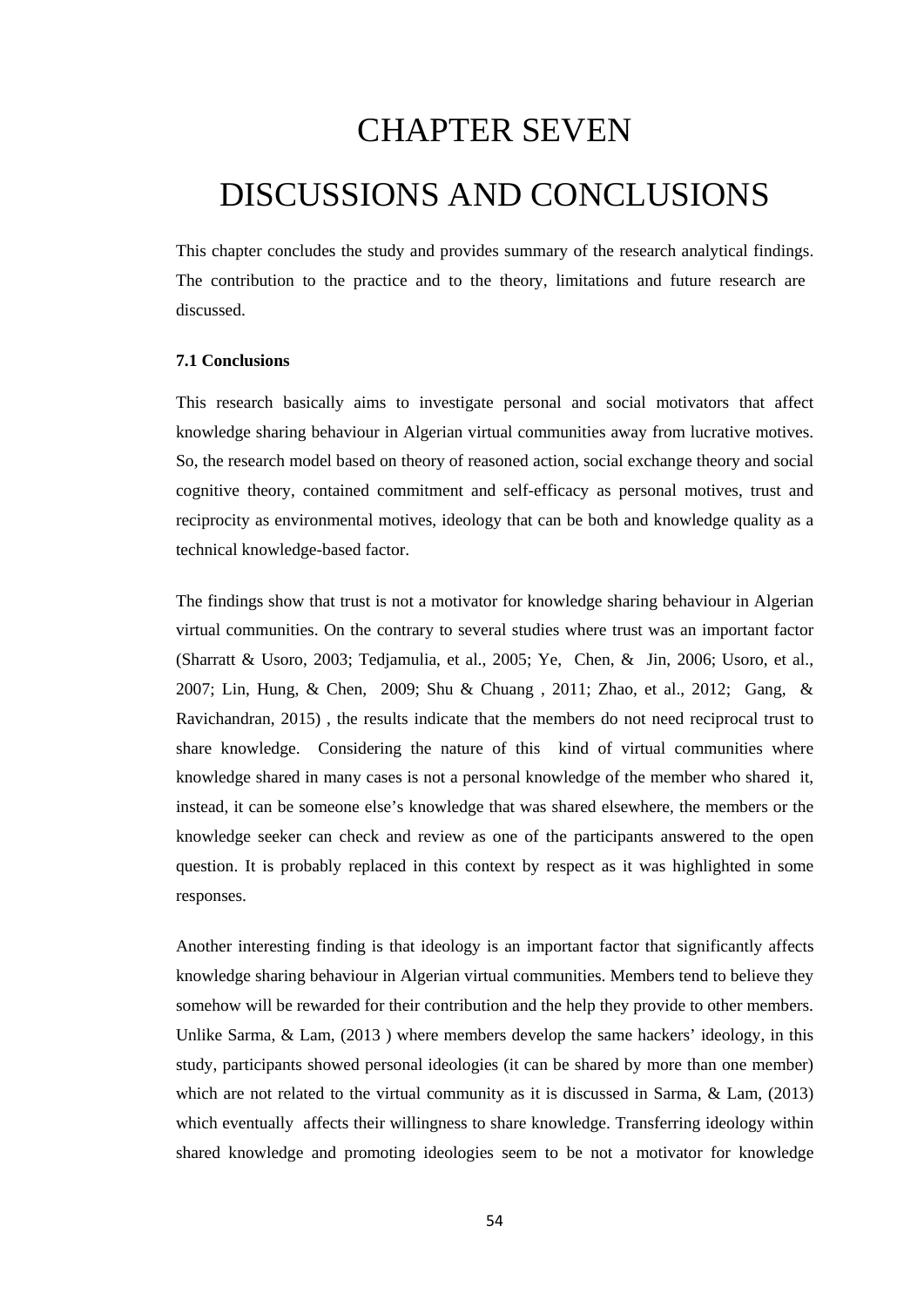## CHAPTER SEVEN DISCUSSIONS AND CONCLUSIONS

This chapter concludes the study and provides summary of the research analytical findings. The contribution to the practice and to the theory, limitations and future research are discussed.

#### **7.1 Conclusions**

This research basically aims to investigate personal and social motivators that affect knowledge sharing behaviour in Algerian virtual communities away from lucrative motives. So, the research model based on theory of reasoned action, social exchange theory and social cognitive theory, contained commitment and self-efficacy as personal motives, trust and reciprocity as environmental motives, ideology that can be both and knowledge quality as a technical knowledge-based factor.

The findings show that trust is not a motivator for knowledge sharing behaviour in Algerian virtual communities. On the contrary to several studies where trust was an important factor (Sharratt & Usoro, 2003; Tedjamulia, et al., 2005; Ye, Chen, & Jin, 2006; Usoro, et al., 2007; Lin, Hung, & Chen, 2009; Shu & Chuang , 2011; Zhao, et al., 2012; Gang, & Ravichandran, 2015) , the results indicate that the members do not need reciprocal trust to share knowledge. Considering the nature of this kind of virtual communities where knowledge shared in many cases is not a personal knowledge of the member who shared it, instead, it can be someone else's knowledge that was shared elsewhere, the members or the knowledge seeker can check and review as one of the participants answered to the open question. It is probably replaced in this context by respect as it was highlighted in some responses.

Another interesting finding is that ideology is an important factor that significantly affects knowledge sharing behaviour in Algerian virtual communities. Members tend to believe they somehow will be rewarded for their contribution and the help they provide to other members. Unlike Sarma, & Lam, (2013) where members develop the same hackers' ideology, in this study, participants showed personal ideologies (it can be shared by more than one member) which are not related to the virtual community as it is discussed in Sarma, & Lam, (2013) which eventually affects their willingness to share knowledge. Transferring ideology within shared knowledge and promoting ideologies seem to be not a motivator for knowledge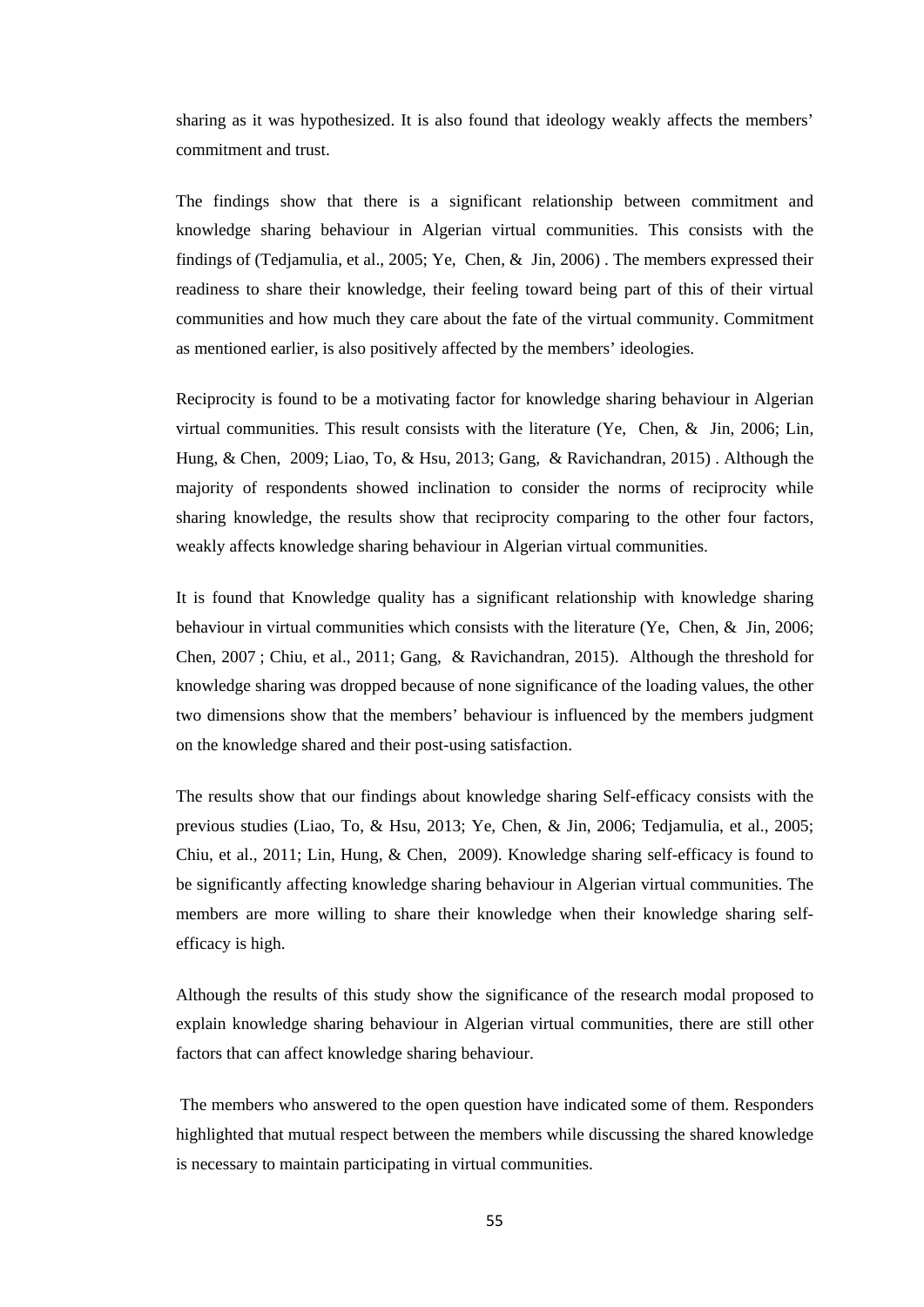sharing as it was hypothesized. It is also found that ideology weakly affects the members' commitment and trust.

The findings show that there is a significant relationship between commitment and knowledge sharing behaviour in Algerian virtual communities. This consists with the findings of (Tedjamulia, et al., 2005; Ye, Chen, & Jin, 2006) . The members expressed their readiness to share their knowledge, their feeling toward being part of this of their virtual communities and how much they care about the fate of the virtual community. Commitment as mentioned earlier, is also positively affected by the members' ideologies.

Reciprocity is found to be a motivating factor for knowledge sharing behaviour in Algerian virtual communities. This result consists with the literature (Ye, Chen, & Jin, 2006; Lin, Hung, & Chen, 2009; Liao, To, & Hsu, 2013; Gang, & Ravichandran, 2015) . Although the majority of respondents showed inclination to consider the norms of reciprocity while sharing knowledge, the results show that reciprocity comparing to the other four factors, weakly affects knowledge sharing behaviour in Algerian virtual communities.

It is found that Knowledge quality has a significant relationship with knowledge sharing behaviour in virtual communities which consists with the literature (Ye, Chen, & Jin, 2006; Chen, 2007 ; Chiu, et al., 2011; Gang, & Ravichandran, 2015). Although the threshold for knowledge sharing was dropped because of none significance of the loading values, the other two dimensions show that the members' behaviour is influenced by the members judgment on the knowledge shared and their post-using satisfaction.

The results show that our findings about knowledge sharing Self-efficacy consists with the previous studies (Liao, To, & Hsu, 2013; Ye, Chen, & Jin, 2006; Tedjamulia, et al., 2005; Chiu, et al., 2011; Lin, Hung, & Chen, 2009). Knowledge sharing self-efficacy is found to be significantly affecting knowledge sharing behaviour in Algerian virtual communities. The members are more willing to share their knowledge when their knowledge sharing selfefficacy is high.

Although the results of this study show the significance of the research modal proposed to explain knowledge sharing behaviour in Algerian virtual communities, there are still other factors that can affect knowledge sharing behaviour.

The members who answered to the open question have indicated some of them. Responders highlighted that mutual respect between the members while discussing the shared knowledge is necessary to maintain participating in virtual communities.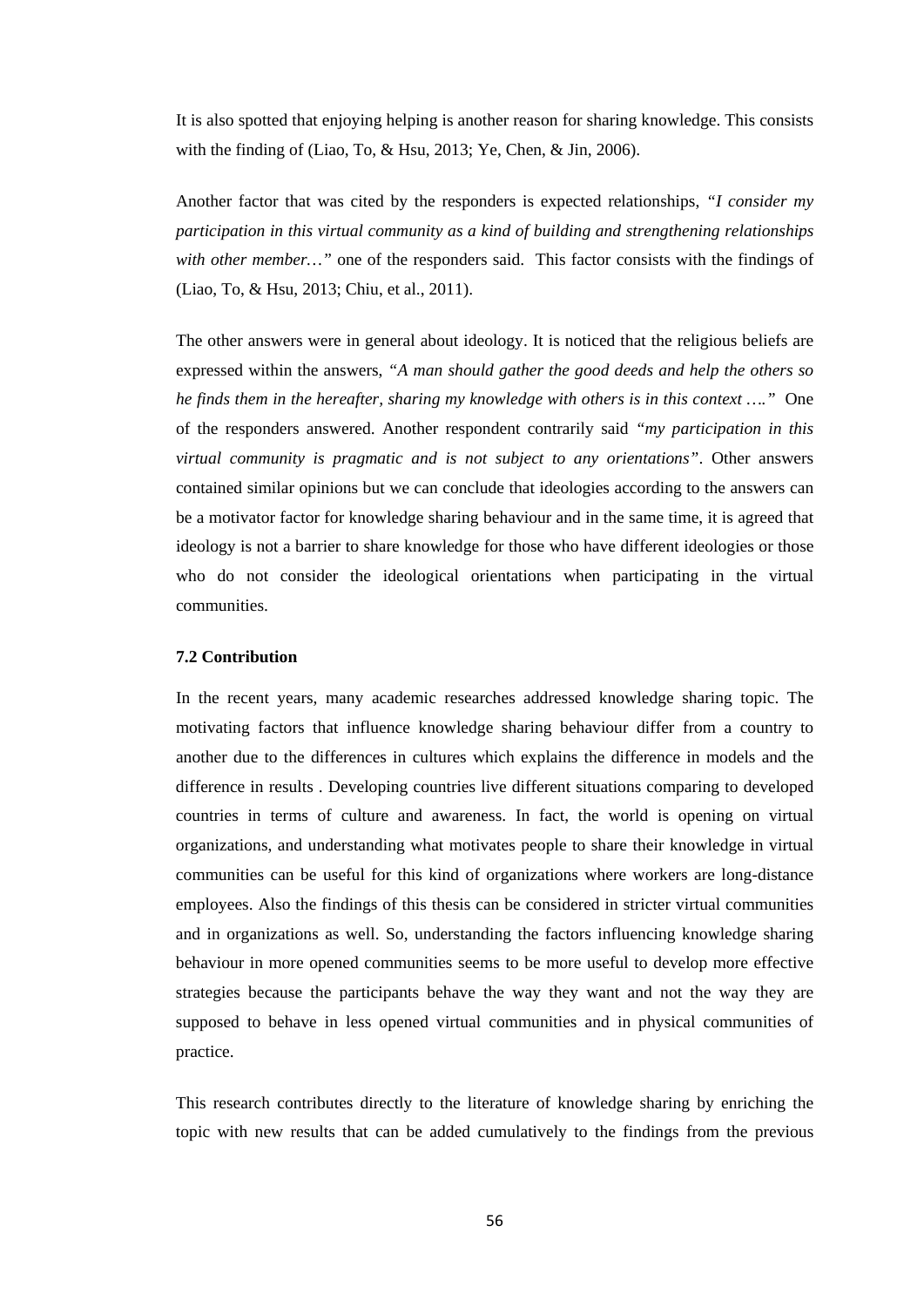It is also spotted that enjoying helping is another reason for sharing knowledge. This consists with the finding of (Liao, To, & Hsu, 2013; Ye, Chen, & Jin, 2006).

Another factor that was cited by the responders is expected relationships, *"I consider my participation in this virtual community as a kind of building and strengthening relationships with other member…"* one of the responders said. This factor consists with the findings of (Liao, To, & Hsu, 2013; Chiu, et al., 2011).

The other answers were in general about ideology. It is noticed that the religious beliefs are expressed within the answers, *"A man should gather the good deeds and help the others so he finds them in the hereafter, sharing my knowledge with others is in this context …."* One of the responders answered. Another respondent contrarily said *"my participation in this virtual community is pragmatic and is not subject to any orientations"*. Other answers contained similar opinions but we can conclude that ideologies according to the answers can be a motivator factor for knowledge sharing behaviour and in the same time, it is agreed that ideology is not a barrier to share knowledge for those who have different ideologies or those who do not consider the ideological orientations when participating in the virtual communities.

#### **7.2 Contribution**

In the recent years, many academic researches addressed knowledge sharing topic. The motivating factors that influence knowledge sharing behaviour differ from a country to another due to the differences in cultures which explains the difference in models and the difference in results . Developing countries live different situations comparing to developed countries in terms of culture and awareness. In fact, the world is opening on virtual organizations, and understanding what motivates people to share their knowledge in virtual communities can be useful for this kind of organizations where workers are long-distance employees. Also the findings of this thesis can be considered in stricter virtual communities and in organizations as well. So, understanding the factors influencing knowledge sharing behaviour in more opened communities seems to be more useful to develop more effective strategies because the participants behave the way they want and not the way they are supposed to behave in less opened virtual communities and in physical communities of practice.

This research contributes directly to the literature of knowledge sharing by enriching the topic with new results that can be added cumulatively to the findings from the previous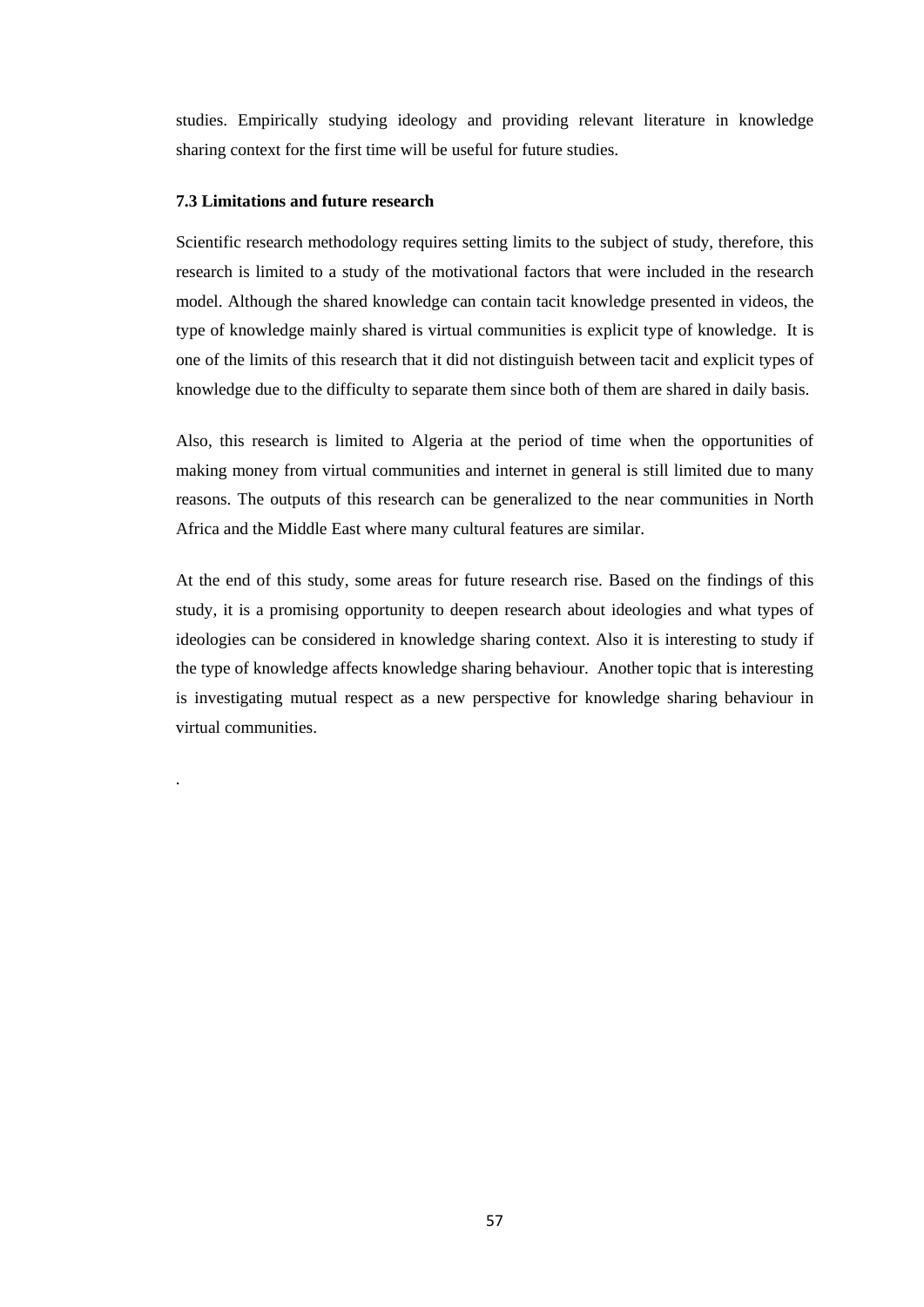studies. Empirically studying ideology and providing relevant literature in knowledge sharing context for the first time will be useful for future studies.

#### **7.3 Limitations and future research**

.

Scientific research methodology requires setting limits to the subject of study, therefore, this research is limited to a study of the motivational factors that were included in the research model. Although the shared knowledge can contain tacit knowledge presented in videos, the type of knowledge mainly shared is virtual communities is explicit type of knowledge. It is one of the limits of this research that it did not distinguish between tacit and explicit types of knowledge due to the difficulty to separate them since both of them are shared in daily basis.

Also, this research is limited to Algeria at the period of time when the opportunities of making money from virtual communities and internet in general is still limited due to many reasons. The outputs of this research can be generalized to the near communities in North Africa and the Middle East where many cultural features are similar.

At the end of this study, some areas for future research rise. Based on the findings of this study, it is a promising opportunity to deepen research about ideologies and what types of ideologies can be considered in knowledge sharing context. Also it is interesting to study if the type of knowledge affects knowledge sharing behaviour. Another topic that is interesting is investigating mutual respect as a new perspective for knowledge sharing behaviour in virtual communities.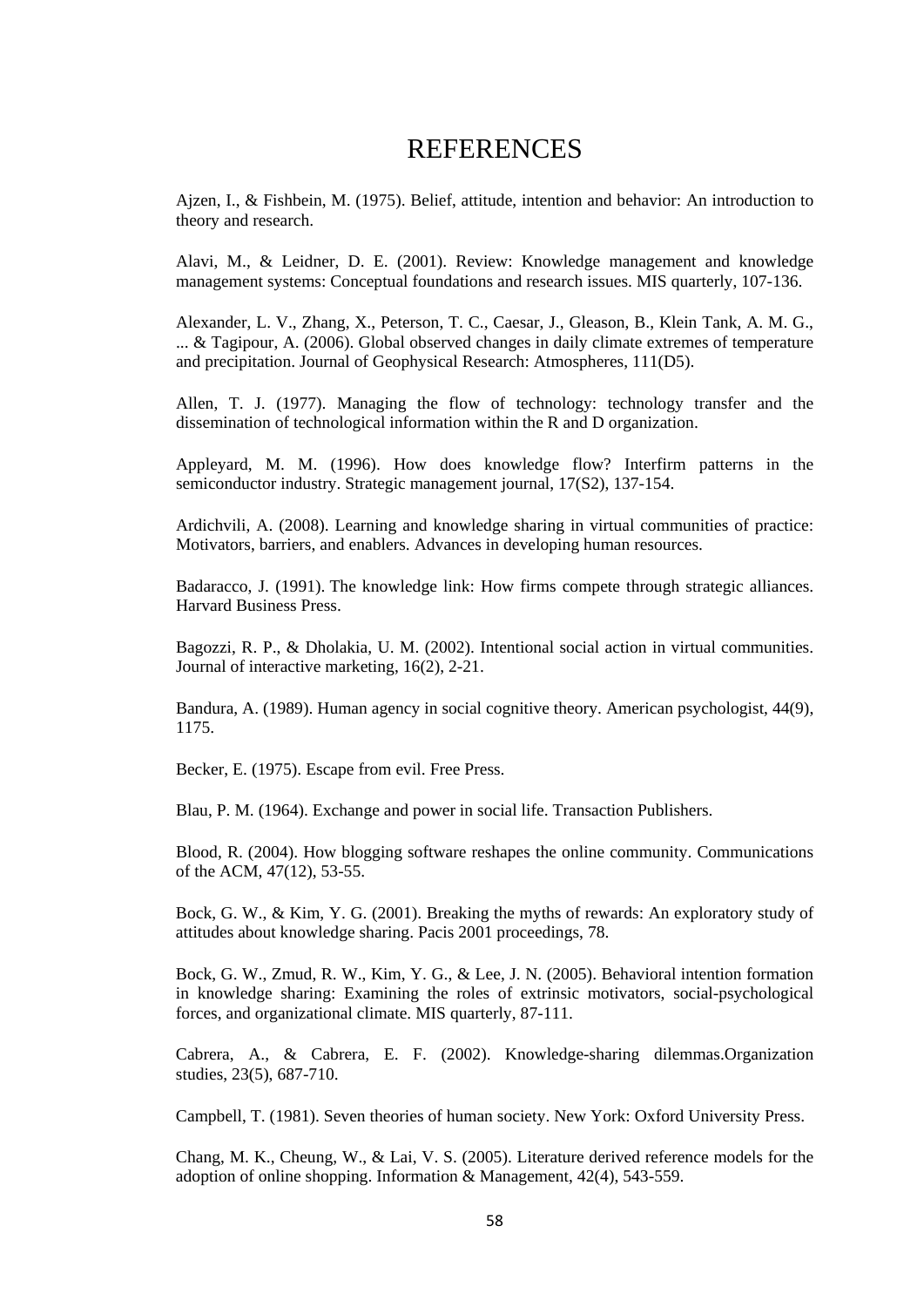## REFERENCES

Ajzen, I., & Fishbein, M. (1975). Belief, attitude, intention and behavior: An introduction to theory and research.

Alavi, M., & Leidner, D. E. (2001). Review: Knowledge management and knowledge management systems: Conceptual foundations and research issues. MIS quarterly, 107-136.

Alexander, L. V., Zhang, X., Peterson, T. C., Caesar, J., Gleason, B., Klein Tank, A. M. G., ... & Tagipour, A. (2006). Global observed changes in daily climate extremes of temperature and precipitation. Journal of Geophysical Research: Atmospheres, 111(D5).

Allen, T. J. (1977). Managing the flow of technology: technology transfer and the dissemination of technological information within the R and D organization.

Appleyard, M. M. (1996). How does knowledge flow? Interfirm patterns in the semiconductor industry. Strategic management journal, 17(S2), 137-154.

Ardichvili, A. (2008). Learning and knowledge sharing in virtual communities of practice: Motivators, barriers, and enablers. Advances in developing human resources.

Badaracco, J. (1991). The knowledge link: How firms compete through strategic alliances. Harvard Business Press.

Bagozzi, R. P., & Dholakia, U. M. (2002). Intentional social action in virtual communities. Journal of interactive marketing, 16(2), 2-21.

Bandura, A. (1989). Human agency in social cognitive theory. American psychologist, 44(9), 1175.

Becker, E. (1975). Escape from evil. Free Press.

Blau, P. M. (1964). Exchange and power in social life. Transaction Publishers.

Blood, R. (2004). How blogging software reshapes the online community. Communications of the ACM, 47(12), 53-55.

Bock, G. W., & Kim, Y. G. (2001). Breaking the myths of rewards: An exploratory study of attitudes about knowledge sharing. Pacis 2001 proceedings, 78.

Bock, G. W., Zmud, R. W., Kim, Y. G., & Lee, J. N. (2005). Behavioral intention formation in knowledge sharing: Examining the roles of extrinsic motivators, social-psychological forces, and organizational climate. MIS quarterly, 87-111.

Cabrera, A., & Cabrera, E. F. (2002). Knowledge-sharing dilemmas.Organization studies, 23(5), 687-710.

Campbell, T. (1981). Seven theories of human society. New York: Oxford University Press.

Chang, M. K., Cheung, W., & Lai, V. S. (2005). Literature derived reference models for the adoption of online shopping. Information & Management, 42(4), 543-559.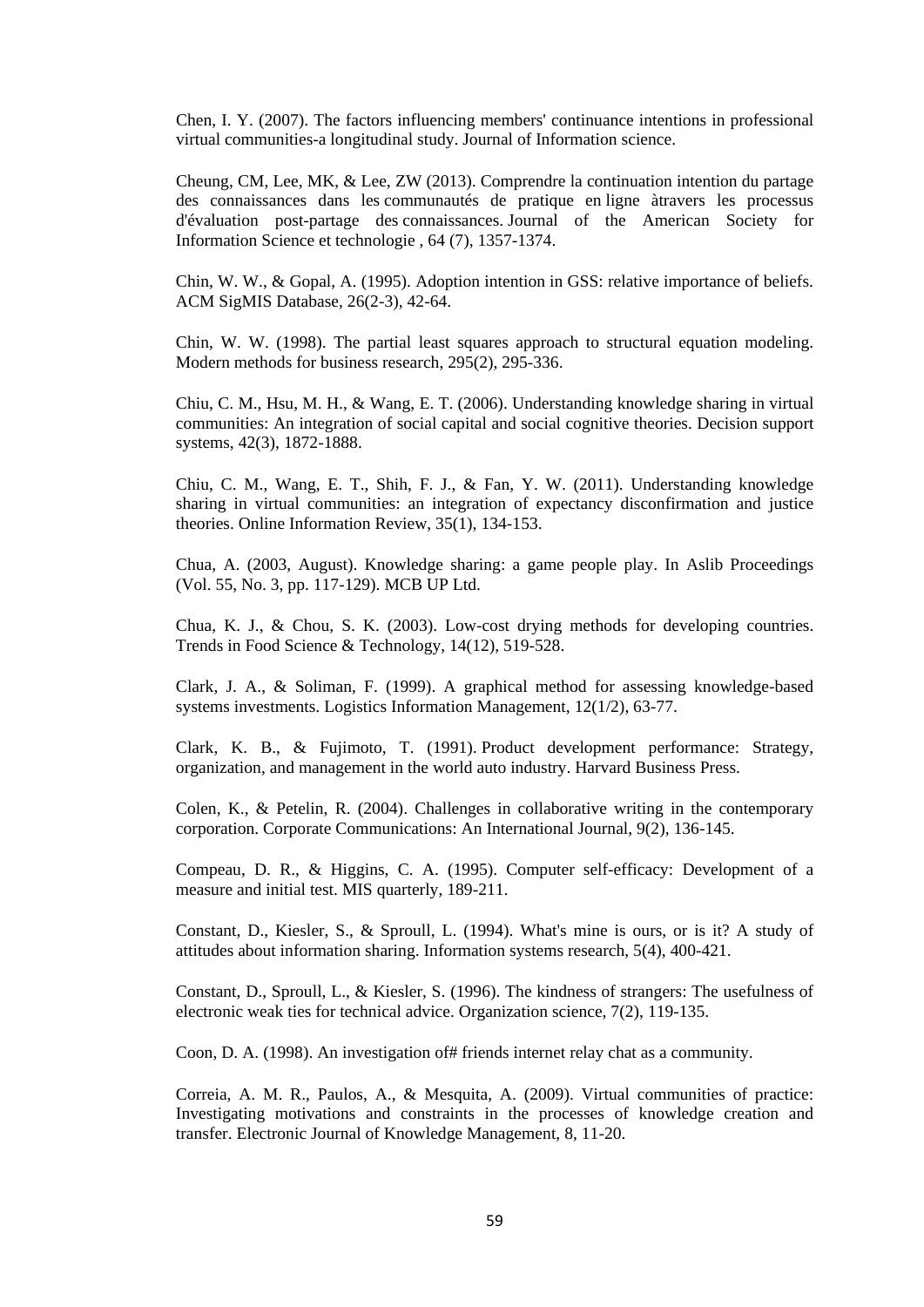Chen, I. Y. (2007). The factors influencing members' continuance intentions in professional virtual communities-a longitudinal study. Journal of Information science.

Cheung, CM, Lee, MK, & Lee, ZW (2013). Comprendre la continuation intention du partage des connaissances dans les communautés de pratique en ligne àtravers les processus d'évaluation post-partage des connaissances. Journal of the American Society for Information Science et technologie , 64 (7), 1357-1374.

Chin, W. W., & Gopal, A. (1995). Adoption intention in GSS: relative importance of beliefs. ACM SigMIS Database, 26(2-3), 42-64.

Chin, W. W. (1998). The partial least squares approach to structural equation modeling. Modern methods for business research, 295(2), 295-336.

Chiu, C. M., Hsu, M. H., & Wang, E. T. (2006). Understanding knowledge sharing in virtual communities: An integration of social capital and social cognitive theories. Decision support systems, 42(3), 1872-1888.

Chiu, C. M., Wang, E. T., Shih, F. J., & Fan, Y. W. (2011). Understanding knowledge sharing in virtual communities: an integration of expectancy disconfirmation and justice theories. Online Information Review, 35(1), 134-153.

Chua, A. (2003, August). Knowledge sharing: a game people play. In Aslib Proceedings (Vol. 55, No. 3, pp. 117-129). MCB UP Ltd.

Chua, K. J., & Chou, S. K. (2003). Low-cost drying methods for developing countries. Trends in Food Science & Technology, 14(12), 519-528.

Clark, J. A., & Soliman, F. (1999). A graphical method for assessing knowledge-based systems investments. Logistics Information Management, 12(1/2), 63-77.

Clark, K. B., & Fujimoto, T. (1991). Product development performance: Strategy, organization, and management in the world auto industry. Harvard Business Press.

Colen, K., & Petelin, R. (2004). Challenges in collaborative writing in the contemporary corporation. Corporate Communications: An International Journal, 9(2), 136-145.

Compeau, D. R., & Higgins, C. A. (1995). Computer self-efficacy: Development of a measure and initial test. MIS quarterly, 189-211.

Constant, D., Kiesler, S., & Sproull, L. (1994). What's mine is ours, or is it? A study of attitudes about information sharing. Information systems research, 5(4), 400-421.

Constant, D., Sproull, L., & Kiesler, S. (1996). The kindness of strangers: The usefulness of electronic weak ties for technical advice. Organization science, 7(2), 119-135.

Coon, D. A. (1998). An investigation of# friends internet relay chat as a community.

Correia, A. M. R., Paulos, A., & Mesquita, A. (2009). Virtual communities of practice: Investigating motivations and constraints in the processes of knowledge creation and transfer. Electronic Journal of Knowledge Management, 8, 11-20.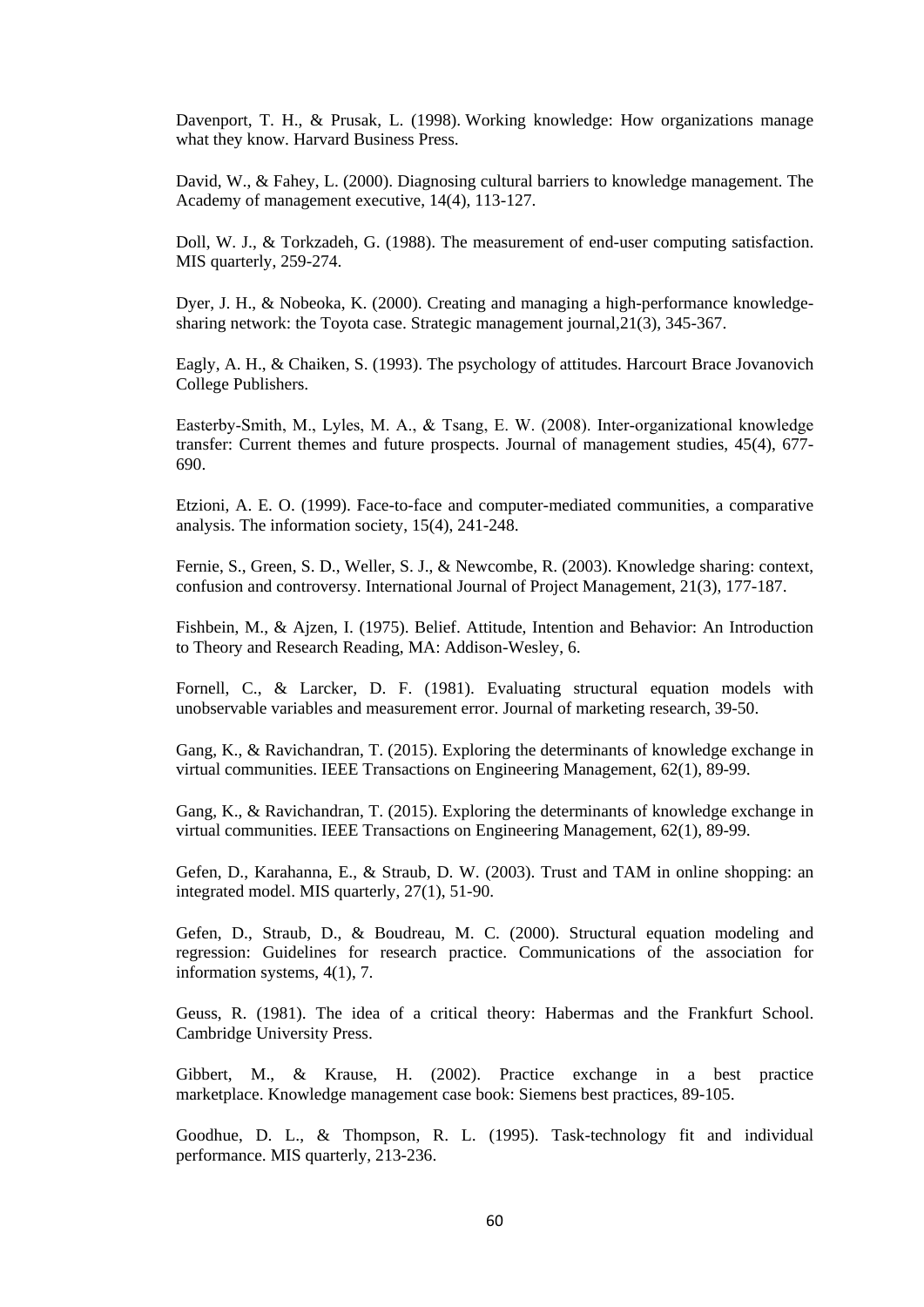Davenport, T. H., & Prusak, L. (1998). Working knowledge: How organizations manage what they know. Harvard Business Press.

David, W., & Fahey, L. (2000). Diagnosing cultural barriers to knowledge management. The Academy of management executive, 14(4), 113-127.

Doll, W. J., & Torkzadeh, G. (1988). The measurement of end-user computing satisfaction. MIS quarterly, 259-274.

Dyer, J. H., & Nobeoka, K. (2000). Creating and managing a high-performance knowledgesharing network: the Toyota case. Strategic management journal,21(3), 345-367.

Eagly, A. H., & Chaiken, S. (1993). The psychology of attitudes. Harcourt Brace Jovanovich College Publishers.

Easterby‐Smith, M., Lyles, M. A., & Tsang, E. W. (2008). Inter‐organizational knowledge transfer: Current themes and future prospects. Journal of management studies, 45(4), 677- 690.

Etzioni, A. E. O. (1999). Face-to-face and computer-mediated communities, a comparative analysis. The information society, 15(4), 241-248.

Fernie, S., Green, S. D., Weller, S. J., & Newcombe, R. (2003). Knowledge sharing: context, confusion and controversy. International Journal of Project Management, 21(3), 177-187.

Fishbein, M., & Ajzen, I. (1975). Belief. Attitude, Intention and Behavior: An Introduction to Theory and Research Reading, MA: Addison-Wesley, 6.

Fornell, C., & Larcker, D. F. (1981). Evaluating structural equation models with unobservable variables and measurement error. Journal of marketing research, 39-50.

Gang, K., & Ravichandran, T. (2015). Exploring the determinants of knowledge exchange in virtual communities. IEEE Transactions on Engineering Management, 62(1), 89-99.

Gang, K., & Ravichandran, T. (2015). Exploring the determinants of knowledge exchange in virtual communities. IEEE Transactions on Engineering Management, 62(1), 89-99.

Gefen, D., Karahanna, E., & Straub, D. W. (2003). Trust and TAM in online shopping: an integrated model. MIS quarterly, 27(1), 51-90.

Gefen, D., Straub, D., & Boudreau, M. C. (2000). Structural equation modeling and regression: Guidelines for research practice. Communications of the association for information systems, 4(1), 7.

Geuss, R. (1981). The idea of a critical theory: Habermas and the Frankfurt School. Cambridge University Press.

Gibbert, M., & Krause, H. (2002). Practice exchange in a best practice marketplace. Knowledge management case book: Siemens best practices, 89-105.

Goodhue, D. L., & Thompson, R. L. (1995). Task-technology fit and individual performance. MIS quarterly, 213-236.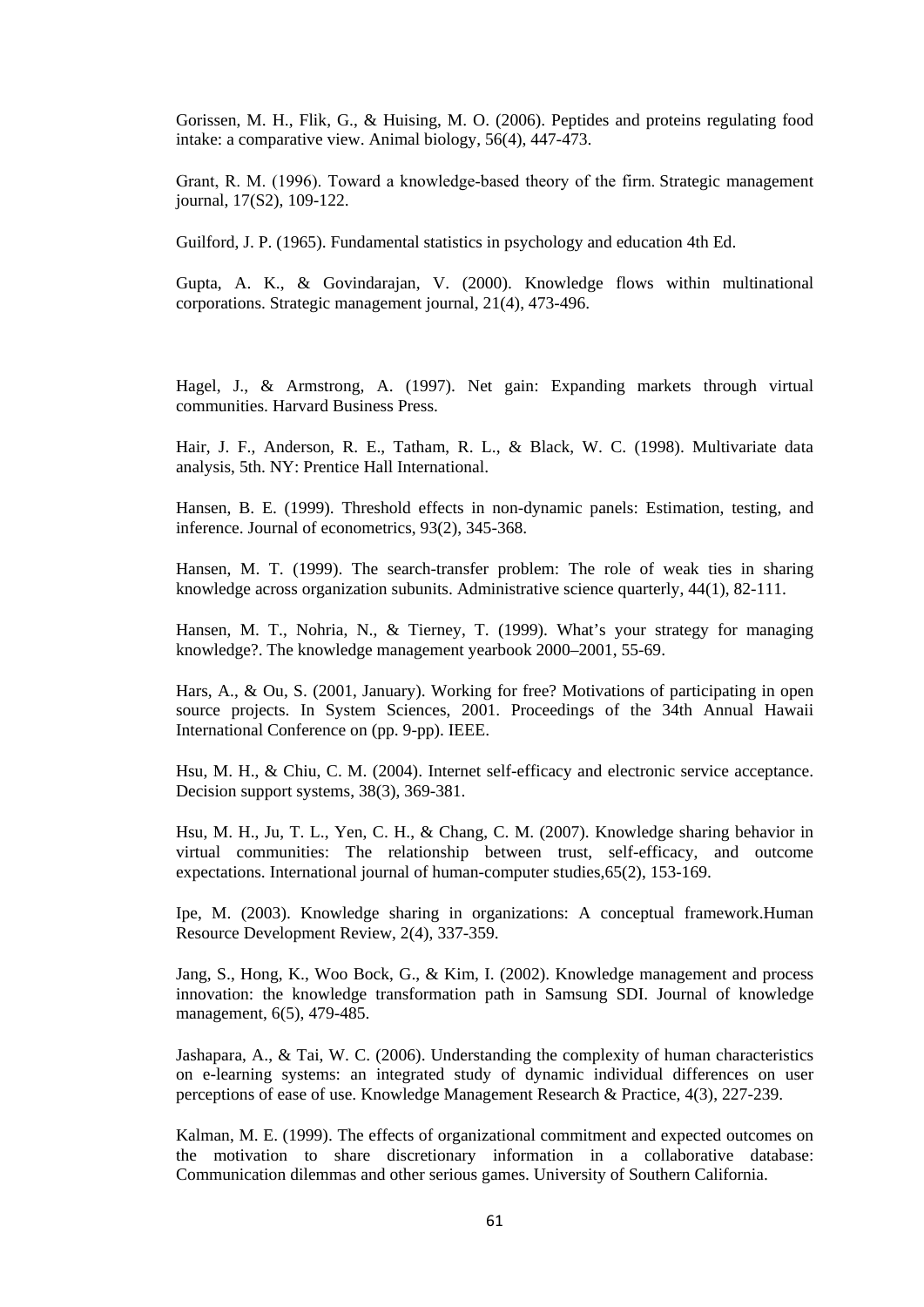Gorissen, M. H., Flik, G., & Huising, M. O. (2006). Peptides and proteins regulating food intake: a comparative view. Animal biology, 56(4), 447-473.

Grant, R. M. (1996). Toward a knowledge‐based theory of the firm. Strategic management journal, 17(S2), 109-122.

Guilford, J. P. (1965). Fundamental statistics in psychology and education 4th Ed.

Gupta, A. K., & Govindarajan, V. (2000). Knowledge flows within multinational corporations. Strategic management journal, 21(4), 473-496.

Hagel, J., & Armstrong, A. (1997). Net gain: Expanding markets through virtual communities. Harvard Business Press.

Hair, J. F., Anderson, R. E., Tatham, R. L., & Black, W. C. (1998). Multivariate data analysis, 5th. NY: Prentice Hall International.

Hansen, B. E. (1999). Threshold effects in non-dynamic panels: Estimation, testing, and inference. Journal of econometrics, 93(2), 345-368.

Hansen, M. T. (1999). The search-transfer problem: The role of weak ties in sharing knowledge across organization subunits. Administrative science quarterly, 44(1), 82-111.

Hansen, M. T., Nohria, N., & Tierney, T. (1999). What's your strategy for managing knowledge?. The knowledge management yearbook 2000–2001, 55-69.

Hars, A., & Ou, S. (2001, January). Working for free? Motivations of participating in open source projects. In System Sciences, 2001. Proceedings of the 34th Annual Hawaii International Conference on (pp. 9-pp). IEEE.

Hsu, M. H., & Chiu, C. M. (2004). Internet self-efficacy and electronic service acceptance. Decision support systems, 38(3), 369-381.

Hsu, M. H., Ju, T. L., Yen, C. H., & Chang, C. M. (2007). Knowledge sharing behavior in virtual communities: The relationship between trust, self-efficacy, and outcome expectations. International journal of human-computer studies,65(2), 153-169.

Ipe, M. (2003). Knowledge sharing in organizations: A conceptual framework.Human Resource Development Review, 2(4), 337-359.

Jang, S., Hong, K., Woo Bock, G., & Kim, I. (2002). Knowledge management and process innovation: the knowledge transformation path in Samsung SDI. Journal of knowledge management, 6(5), 479-485.

Jashapara, A., & Tai, W. C. (2006). Understanding the complexity of human characteristics on e-learning systems: an integrated study of dynamic individual differences on user perceptions of ease of use. Knowledge Management Research & Practice, 4(3), 227-239.

Kalman, M. E. (1999). The effects of organizational commitment and expected outcomes on the motivation to share discretionary information in a collaborative database: Communication dilemmas and other serious games. University of Southern California.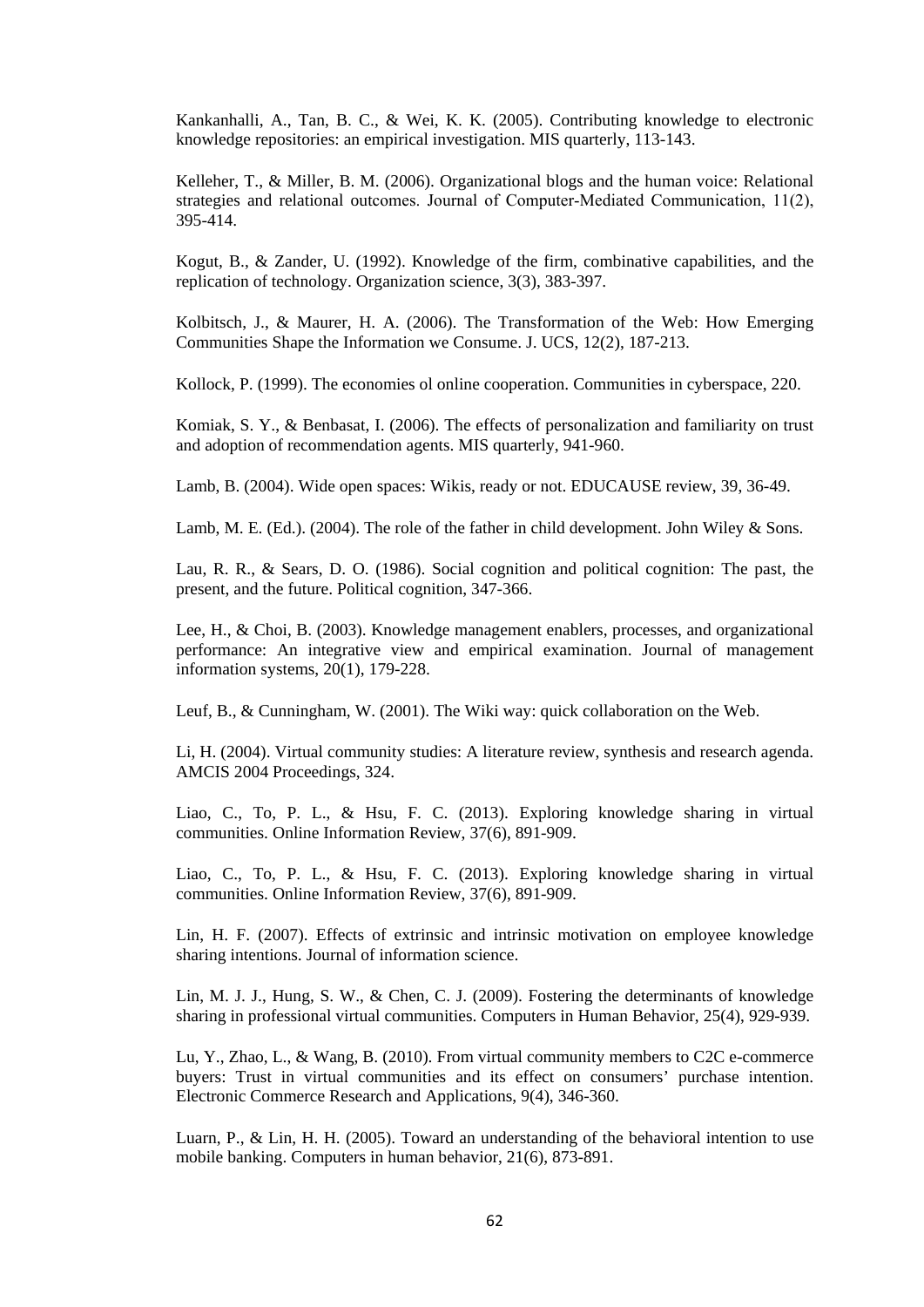Kankanhalli, A., Tan, B. C., & Wei, K. K. (2005). Contributing knowledge to electronic knowledge repositories: an empirical investigation. MIS quarterly, 113-143.

Kelleher, T., & Miller, B. M. (2006). Organizational blogs and the human voice: Relational strategies and relational outcomes. Journal of Computer-Mediated Communication, 11(2), 395-414.

Kogut, B., & Zander, U. (1992). Knowledge of the firm, combinative capabilities, and the replication of technology. Organization science, 3(3), 383-397.

Kolbitsch, J., & Maurer, H. A. (2006). The Transformation of the Web: How Emerging Communities Shape the Information we Consume. J. UCS, 12(2), 187-213.

Kollock, P. (1999). The economies ol online cooperation. Communities in cyberspace, 220.

Komiak, S. Y., & Benbasat, I. (2006). The effects of personalization and familiarity on trust and adoption of recommendation agents. MIS quarterly, 941-960.

Lamb, B. (2004). Wide open spaces: Wikis, ready or not. EDUCAUSE review, 39, 36-49.

Lamb, M. E. (Ed.). (2004). The role of the father in child development. John Wiley & Sons.

Lau, R. R., & Sears, D. O. (1986). Social cognition and political cognition: The past, the present, and the future. Political cognition, 347-366.

Lee, H., & Choi, B. (2003). Knowledge management enablers, processes, and organizational performance: An integrative view and empirical examination. Journal of management information systems, 20(1), 179-228.

Leuf, B., & Cunningham, W. (2001). The Wiki way: quick collaboration on the Web.

Li, H. (2004). Virtual community studies: A literature review, synthesis and research agenda. AMCIS 2004 Proceedings, 324.

Liao, C., To, P. L., & Hsu, F. C. (2013). Exploring knowledge sharing in virtual communities. Online Information Review, 37(6), 891-909.

Liao, C., To, P. L., & Hsu, F. C. (2013). Exploring knowledge sharing in virtual communities. Online Information Review, 37(6), 891-909.

Lin, H. F. (2007). Effects of extrinsic and intrinsic motivation on employee knowledge sharing intentions. Journal of information science.

Lin, M. J. J., Hung, S. W., & Chen, C. J. (2009). Fostering the determinants of knowledge sharing in professional virtual communities. Computers in Human Behavior, 25(4), 929-939.

Lu, Y., Zhao, L., & Wang, B. (2010). From virtual community members to C2C e-commerce buyers: Trust in virtual communities and its effect on consumers' purchase intention. Electronic Commerce Research and Applications, 9(4), 346-360.

Luarn, P., & Lin, H. H. (2005). Toward an understanding of the behavioral intention to use mobile banking. Computers in human behavior, 21(6), 873-891.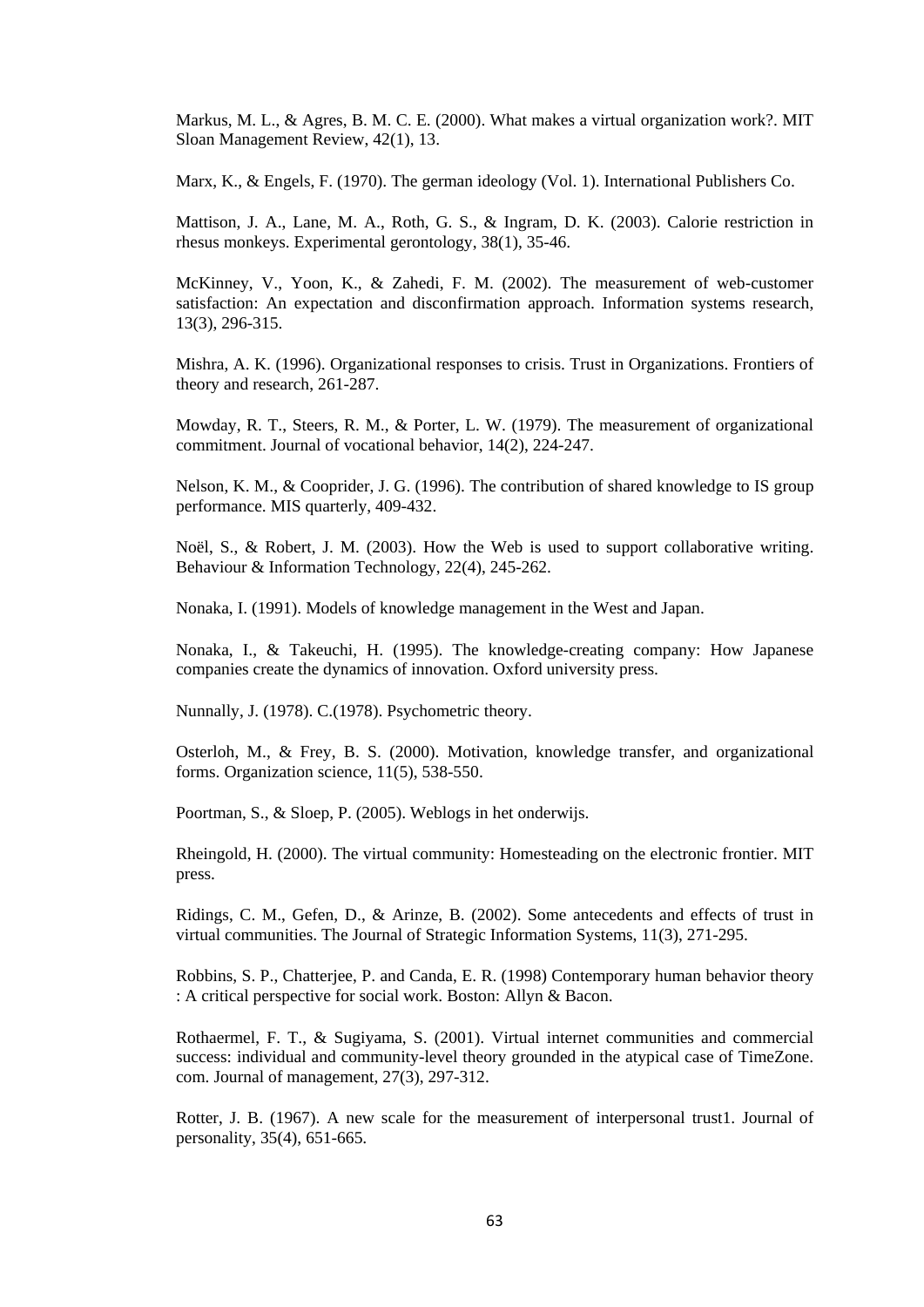Markus, M. L., & Agres, B. M. C. E. (2000). What makes a virtual organization work?. MIT Sloan Management Review, 42(1), 13.

Marx, K., & Engels, F. (1970). The german ideology (Vol. 1). International Publishers Co.

Mattison, J. A., Lane, M. A., Roth, G. S., & Ingram, D. K. (2003). Calorie restriction in rhesus monkeys. Experimental gerontology, 38(1), 35-46.

McKinney, V., Yoon, K., & Zahedi, F. M. (2002). The measurement of web-customer satisfaction: An expectation and disconfirmation approach. Information systems research, 13(3), 296-315.

Mishra, A. K. (1996). Organizational responses to crisis. Trust in Organizations. Frontiers of theory and research, 261-287.

Mowday, R. T., Steers, R. M., & Porter, L. W. (1979). The measurement of organizational commitment. Journal of vocational behavior, 14(2), 224-247.

Nelson, K. M., & Cooprider, J. G. (1996). The contribution of shared knowledge to IS group performance. MIS quarterly, 409-432.

Noël, S., & Robert, J. M. (2003). How the Web is used to support collaborative writing. Behaviour & Information Technology, 22(4), 245-262.

Nonaka, I. (1991). Models of knowledge management in the West and Japan.

Nonaka, I., & Takeuchi, H. (1995). The knowledge-creating company: How Japanese companies create the dynamics of innovation. Oxford university press.

Nunnally, J. (1978). C.(1978). Psychometric theory.

Osterloh, M., & Frey, B. S. (2000). Motivation, knowledge transfer, and organizational forms. Organization science, 11(5), 538-550.

Poortman, S., & Sloep, P. (2005). Weblogs in het onderwijs.

Rheingold, H. (2000). The virtual community: Homesteading on the electronic frontier. MIT press.

Ridings, C. M., Gefen, D., & Arinze, B. (2002). Some antecedents and effects of trust in virtual communities. The Journal of Strategic Information Systems, 11(3), 271-295.

Robbins, S. P., Chatterjee, P. and Canda, E. R. (1998) Contemporary human behavior theory : A critical perspective for social work. Boston: Allyn & Bacon.

Rothaermel, F. T., & Sugiyama, S. (2001). Virtual internet communities and commercial success: individual and community-level theory grounded in the atypical case of TimeZone. com. Journal of management, 27(3), 297-312.

Rotter, J. B. (1967). A new scale for the measurement of interpersonal trust1. Journal of personality, 35(4), 651-665.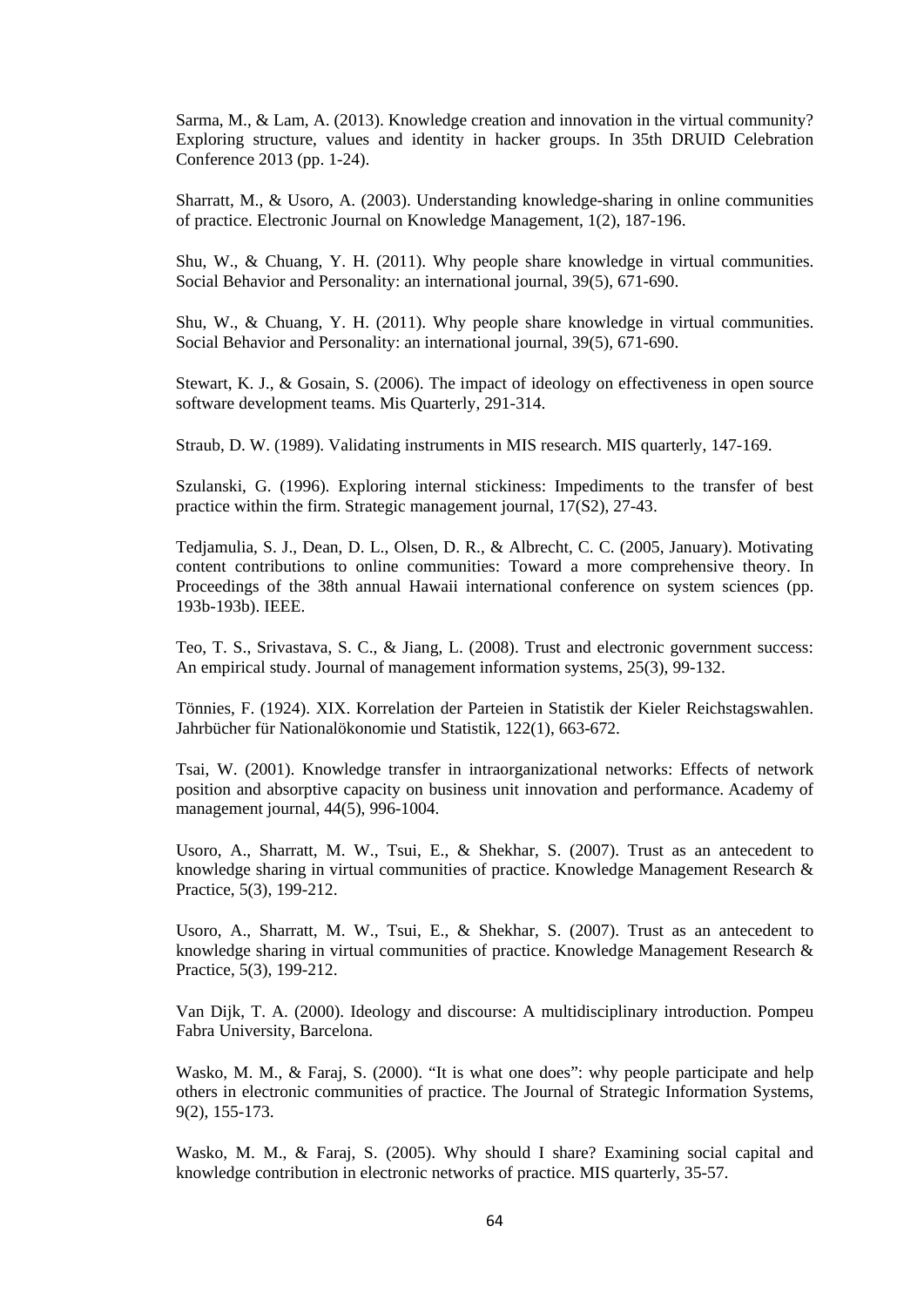Sarma, M., & Lam, A. (2013). Knowledge creation and innovation in the virtual community? Exploring structure, values and identity in hacker groups. In 35th DRUID Celebration Conference 2013 (pp. 1-24).

Sharratt, M., & Usoro, A. (2003). Understanding knowledge-sharing in online communities of practice. Electronic Journal on Knowledge Management, 1(2), 187-196.

Shu, W., & Chuang, Y. H. (2011). Why people share knowledge in virtual communities. Social Behavior and Personality: an international journal, 39(5), 671-690.

Shu, W., & Chuang, Y. H. (2011). Why people share knowledge in virtual communities. Social Behavior and Personality: an international journal, 39(5), 671-690.

Stewart, K. J., & Gosain, S. (2006). The impact of ideology on effectiveness in open source software development teams. Mis Quarterly, 291-314.

Straub, D. W. (1989). Validating instruments in MIS research. MIS quarterly, 147-169.

Szulanski, G. (1996). Exploring internal stickiness: Impediments to the transfer of best practice within the firm. Strategic management journal, 17(S2), 27-43.

Tedjamulia, S. J., Dean, D. L., Olsen, D. R., & Albrecht, C. C. (2005, January). Motivating content contributions to online communities: Toward a more comprehensive theory. In Proceedings of the 38th annual Hawaii international conference on system sciences (pp. 193b-193b). IEEE.

Teo, T. S., Srivastava, S. C., & Jiang, L. (2008). Trust and electronic government success: An empirical study. Journal of management information systems, 25(3), 99-132.

Tönnies, F. (1924). XIX. Korrelation der Parteien in Statistik der Kieler Reichstagswahlen. Jahrbücher für Nationalökonomie und Statistik, 122(1), 663-672.

Tsai, W. (2001). Knowledge transfer in intraorganizational networks: Effects of network position and absorptive capacity on business unit innovation and performance. Academy of management journal, 44(5), 996-1004.

Usoro, A., Sharratt, M. W., Tsui, E., & Shekhar, S. (2007). Trust as an antecedent to knowledge sharing in virtual communities of practice. Knowledge Management Research & Practice, 5(3), 199-212.

Usoro, A., Sharratt, M. W., Tsui, E., & Shekhar, S. (2007). Trust as an antecedent to knowledge sharing in virtual communities of practice. Knowledge Management Research & Practice, 5(3), 199-212.

Van Dijk, T. A. (2000). Ideology and discourse: A multidisciplinary introduction. Pompeu Fabra University, Barcelona.

Wasko, M. M., & Faraj, S. (2000). "It is what one does": why people participate and help others in electronic communities of practice. The Journal of Strategic Information Systems, 9(2), 155-173.

Wasko, M. M., & Faraj, S. (2005). Why should I share? Examining social capital and knowledge contribution in electronic networks of practice. MIS quarterly, 35-57.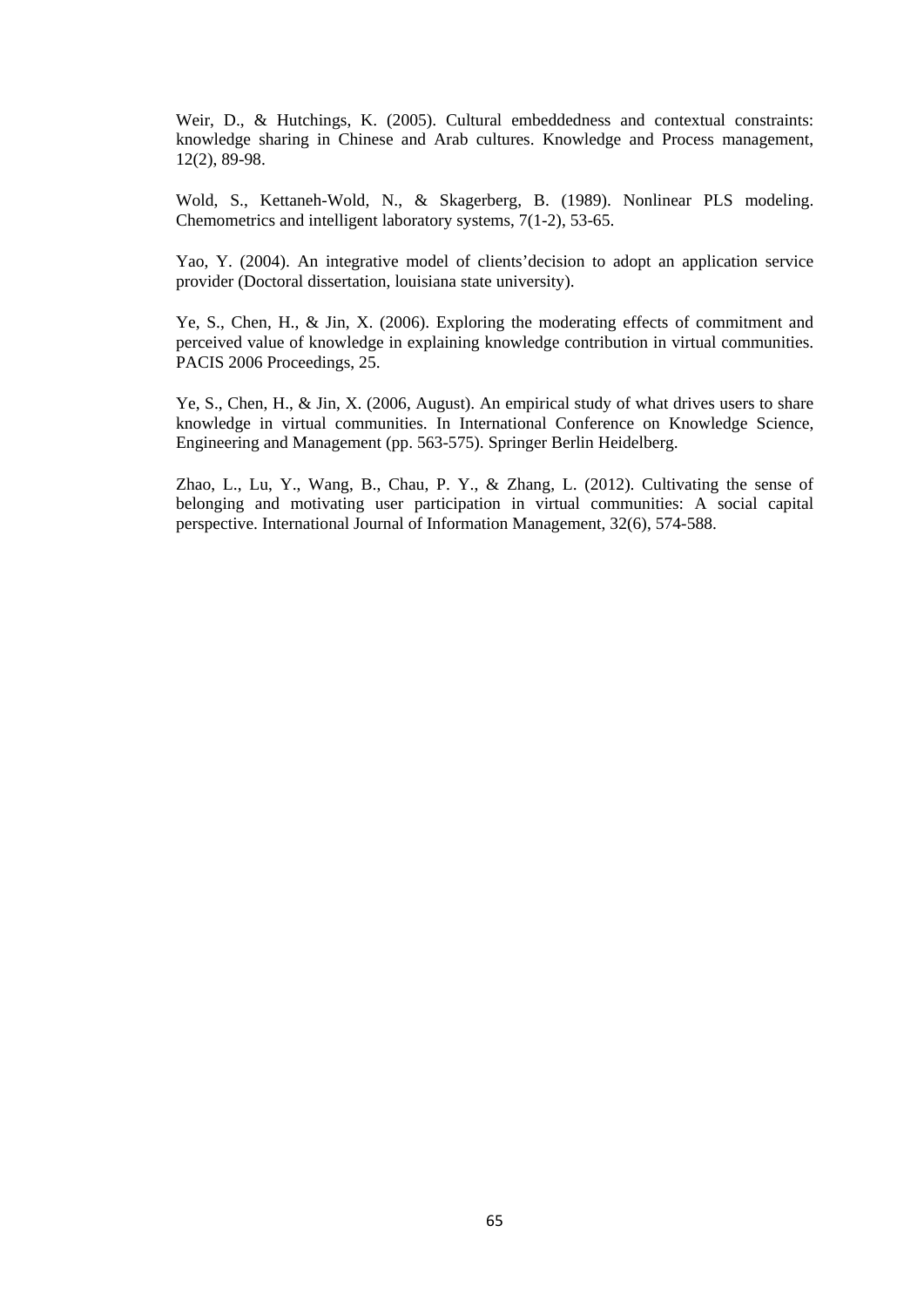Weir, D., & Hutchings, K. (2005). Cultural embeddedness and contextual constraints: knowledge sharing in Chinese and Arab cultures. Knowledge and Process management, 12(2), 89-98.

Wold, S., Kettaneh-Wold, N., & Skagerberg, B. (1989). Nonlinear PLS modeling. Chemometrics and intelligent laboratory systems, 7(1-2), 53-65.

Yao, Y. (2004). An integrative model of clients'decision to adopt an application service provider (Doctoral dissertation, louisiana state university).

Ye, S., Chen, H., & Jin, X. (2006). Exploring the moderating effects of commitment and perceived value of knowledge in explaining knowledge contribution in virtual communities. PACIS 2006 Proceedings, 25.

Ye, S., Chen, H., & Jin, X. (2006, August). An empirical study of what drives users to share knowledge in virtual communities. In International Conference on Knowledge Science, Engineering and Management (pp. 563-575). Springer Berlin Heidelberg.

Zhao, L., Lu, Y., Wang, B., Chau, P. Y., & Zhang, L. (2012). Cultivating the sense of belonging and motivating user participation in virtual communities: A social capital perspective. International Journal of Information Management, 32(6), 574-588.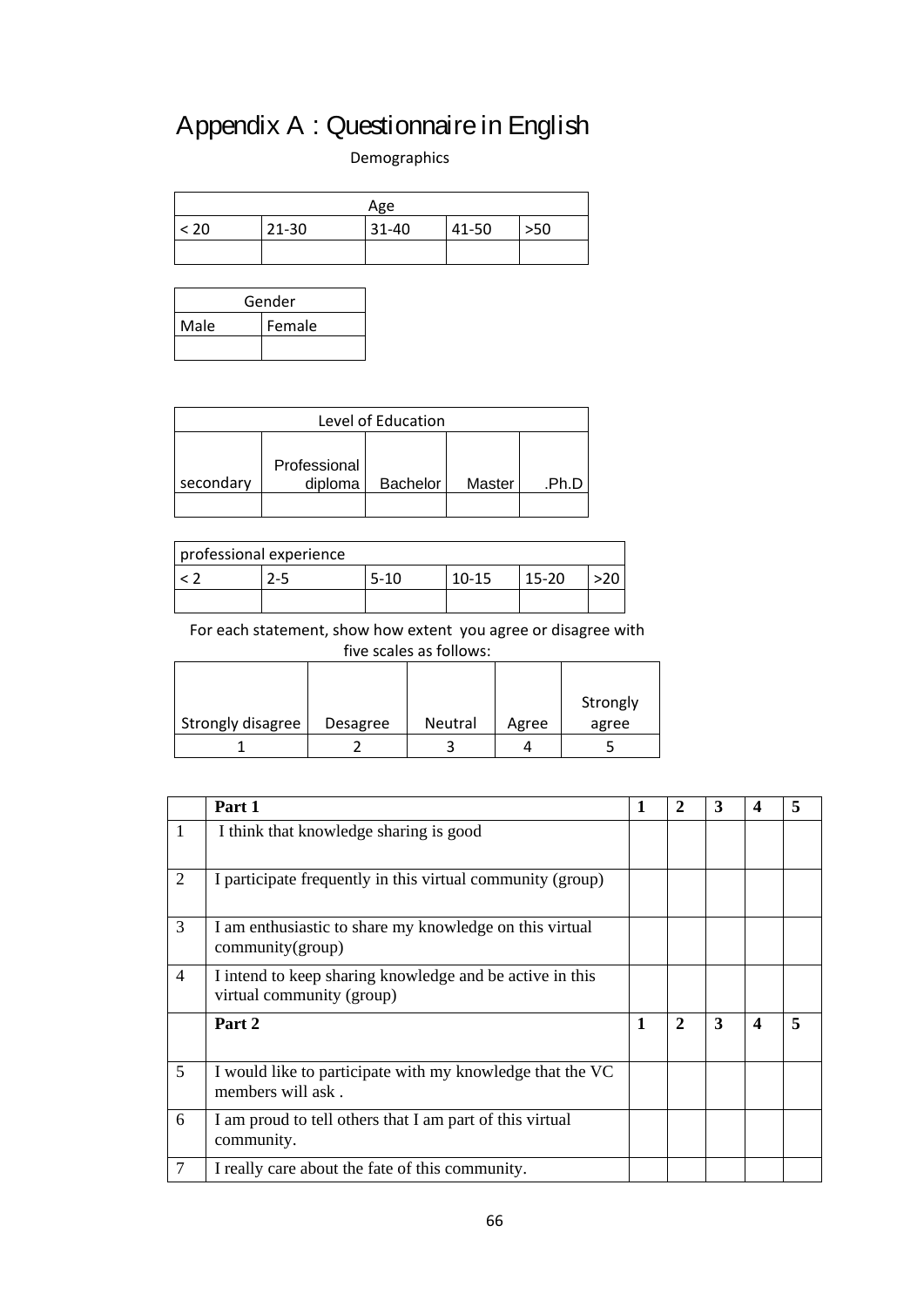# Appendix A : Questionnaire in English

Demographics

| Age  |           |       |       |     |  |
|------|-----------|-------|-------|-----|--|
| < 20 | $21 - 30$ | 31-40 | 41-50 | >50 |  |
|      |           |       |       |     |  |

| Gender |        |  |  |  |
|--------|--------|--|--|--|
| Male   | Female |  |  |  |
|        |        |  |  |  |

| Level of Education |         |                 |        |       |  |  |
|--------------------|---------|-----------------|--------|-------|--|--|
| Professional       |         |                 |        |       |  |  |
| secondary          | diploma | <b>Bachelor</b> | Master | .Ph.D |  |  |
|                    |         |                 |        |       |  |  |

| professional experience |      |           |           |  |
|-------------------------|------|-----------|-----------|--|
| $2-5$                   | 5-10 | $10 - 15$ | $15 - 20$ |  |
|                         |      |           |           |  |

For each statement, show how extent you agree or disagree with five scales as follows:

|                   |          |                |       | Strongly |
|-------------------|----------|----------------|-------|----------|
| Strongly disagree | Desagree | <b>Neutral</b> | Agree | agree    |
|                   |          |                |       |          |

|                | Part 1                                                                                | 1            | $\mathbf{2}$   | 3 | 4                | 5 |
|----------------|---------------------------------------------------------------------------------------|--------------|----------------|---|------------------|---|
| $\mathbf{1}$   | I think that knowledge sharing is good                                                |              |                |   |                  |   |
| $\overline{2}$ | I participate frequently in this virtual community (group)                            |              |                |   |                  |   |
| 3              | I am enthusiastic to share my knowledge on this virtual<br>community(group)           |              |                |   |                  |   |
| $\overline{4}$ | I intend to keep sharing knowledge and be active in this<br>virtual community (group) |              |                |   |                  |   |
|                | Part 2                                                                                | $\mathbf{1}$ | $\overline{2}$ | 3 | $\boldsymbol{4}$ | 5 |
| 5 <sup>5</sup> | I would like to participate with my knowledge that the VC<br>members will ask.        |              |                |   |                  |   |
| 6              | I am proud to tell others that I am part of this virtual<br>community.                |              |                |   |                  |   |
| 7              | I really care about the fate of this community.                                       |              |                |   |                  |   |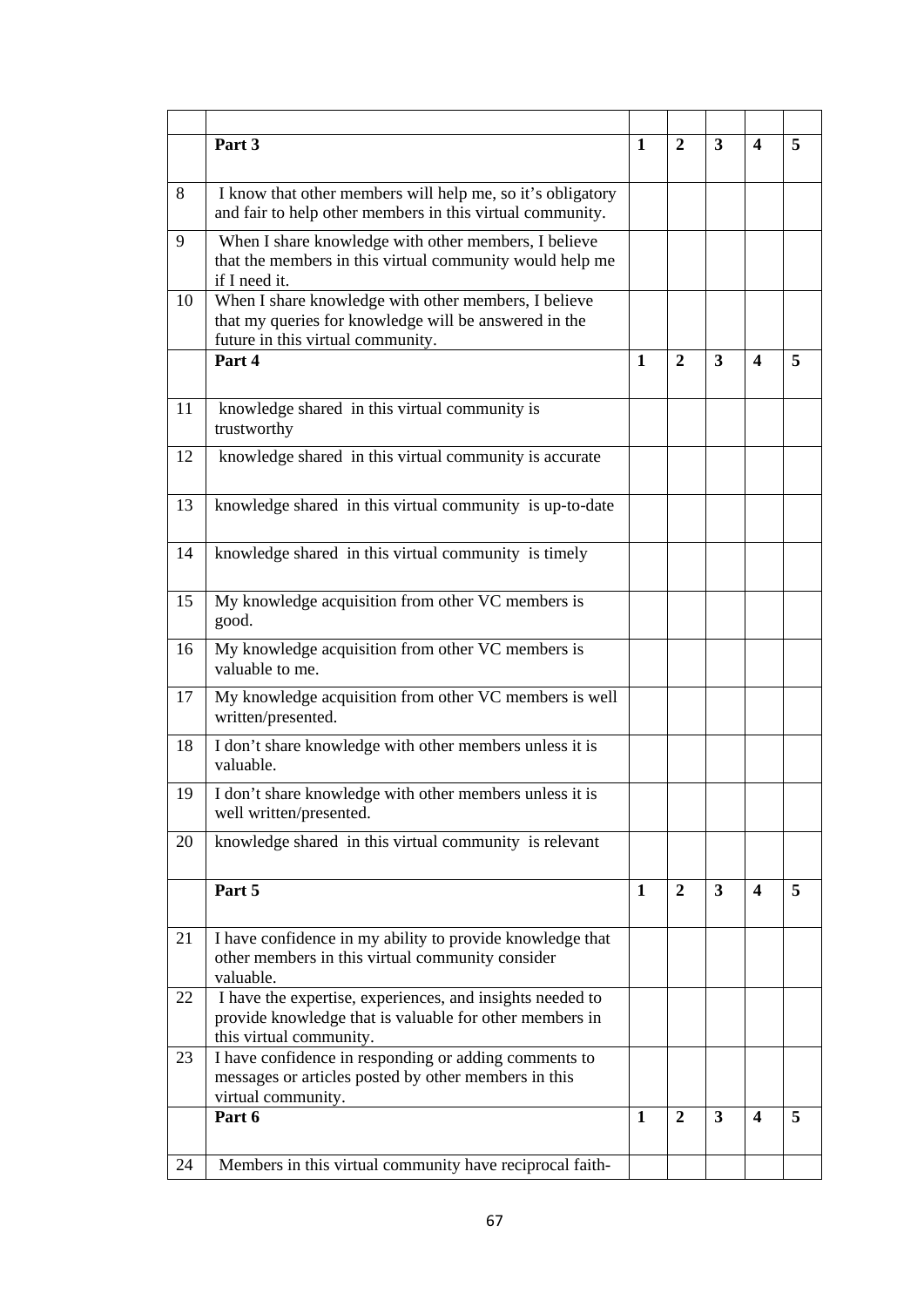|    | Part 3                                                                                                                                             | $\mathbf{1}$ | $\mathbf{2}$   | 3              | 4                       | 5 |
|----|----------------------------------------------------------------------------------------------------------------------------------------------------|--------------|----------------|----------------|-------------------------|---|
| 8  | I know that other members will help me, so it's obligatory<br>and fair to help other members in this virtual community.                            |              |                |                |                         |   |
| 9  | When I share knowledge with other members, I believe<br>that the members in this virtual community would help me<br>if I need it.                  |              |                |                |                         |   |
| 10 | When I share knowledge with other members, I believe<br>that my queries for knowledge will be answered in the<br>future in this virtual community. |              |                |                |                         |   |
|    | Part 4                                                                                                                                             | $\mathbf{1}$ | $\overline{2}$ | 3              | $\boldsymbol{4}$        | 5 |
| 11 | knowledge shared in this virtual community is<br>trustworthy                                                                                       |              |                |                |                         |   |
| 12 | knowledge shared in this virtual community is accurate                                                                                             |              |                |                |                         |   |
| 13 | knowledge shared in this virtual community is up-to-date                                                                                           |              |                |                |                         |   |
| 14 | knowledge shared in this virtual community is timely                                                                                               |              |                |                |                         |   |
| 15 | My knowledge acquisition from other VC members is<br>good.                                                                                         |              |                |                |                         |   |
| 16 | My knowledge acquisition from other VC members is<br>valuable to me.                                                                               |              |                |                |                         |   |
| 17 | My knowledge acquisition from other VC members is well<br>written/presented.                                                                       |              |                |                |                         |   |
| 18 | I don't share knowledge with other members unless it is<br>valuable.                                                                               |              |                |                |                         |   |
| 19 | I don't share knowledge with other members unless it is<br>well written/presented.                                                                 |              |                |                |                         |   |
| 20 | knowledge shared in this virtual community is relevant                                                                                             |              |                |                |                         |   |
|    | Part 5                                                                                                                                             | 1            | $\overline{2}$ | $\overline{3}$ | $\overline{\mathbf{4}}$ | 5 |
| 21 | I have confidence in my ability to provide knowledge that<br>other members in this virtual community consider<br>valuable.                         |              |                |                |                         |   |
| 22 | I have the expertise, experiences, and insights needed to<br>provide knowledge that is valuable for other members in<br>this virtual community.    |              |                |                |                         |   |
| 23 | I have confidence in responding or adding comments to<br>messages or articles posted by other members in this<br>virtual community.                |              |                |                |                         |   |
|    | Part 6                                                                                                                                             | 1            | 2              | 3              | $\boldsymbol{4}$        | 5 |
| 24 | Members in this virtual community have reciprocal faith-                                                                                           |              |                |                |                         |   |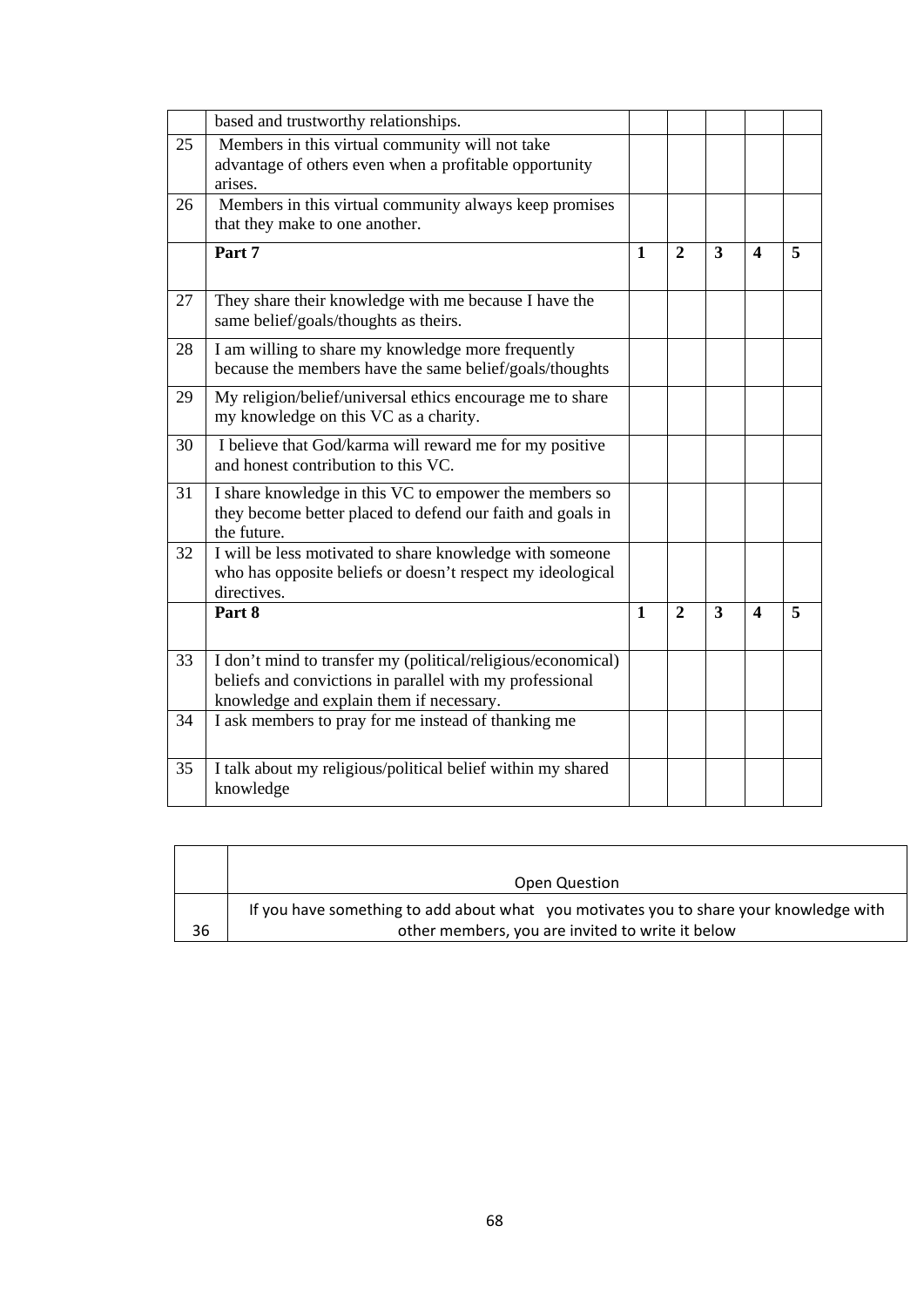|    | based and trustworthy relationships.                                                                                                                                 |              |                |                |                         |                         |
|----|----------------------------------------------------------------------------------------------------------------------------------------------------------------------|--------------|----------------|----------------|-------------------------|-------------------------|
| 25 | Members in this virtual community will not take<br>advantage of others even when a profitable opportunity<br>arises.                                                 |              |                |                |                         |                         |
| 26 | Members in this virtual community always keep promises<br>that they make to one another.                                                                             |              |                |                |                         |                         |
|    | Part 7                                                                                                                                                               | $\mathbf{1}$ | $\overline{2}$ | $\overline{3}$ | $\overline{\mathbf{4}}$ | 5                       |
| 27 | They share their knowledge with me because I have the<br>same belief/goals/thoughts as theirs.                                                                       |              |                |                |                         |                         |
| 28 | I am willing to share my knowledge more frequently<br>because the members have the same belief/goals/thoughts                                                        |              |                |                |                         |                         |
| 29 | My religion/belief/universal ethics encourage me to share<br>my knowledge on this VC as a charity.                                                                   |              |                |                |                         |                         |
| 30 | I believe that God/karma will reward me for my positive<br>and honest contribution to this VC.                                                                       |              |                |                |                         |                         |
| 31 | I share knowledge in this VC to empower the members so<br>they become better placed to defend our faith and goals in<br>the future.                                  |              |                |                |                         |                         |
| 32 | I will be less motivated to share knowledge with someone<br>who has opposite beliefs or doesn't respect my ideological<br>directives.                                |              |                |                |                         |                         |
|    | Part 8                                                                                                                                                               | $\mathbf{1}$ | $\overline{2}$ | 3              | $\boldsymbol{\Delta}$   | $\overline{\mathbf{5}}$ |
| 33 | I don't mind to transfer my (political/religious/economical)<br>beliefs and convictions in parallel with my professional<br>knowledge and explain them if necessary. |              |                |                |                         |                         |
| 34 | I ask members to pray for me instead of thanking me                                                                                                                  |              |                |                |                         |                         |
| 35 | I talk about my religious/political belief within my shared<br>knowledge                                                                                             |              |                |                |                         |                         |

|    | Open Question                                                                                                                              |
|----|--------------------------------------------------------------------------------------------------------------------------------------------|
| 36 | If you have something to add about what you motivates you to share your knowledge with<br>other members, you are invited to write it below |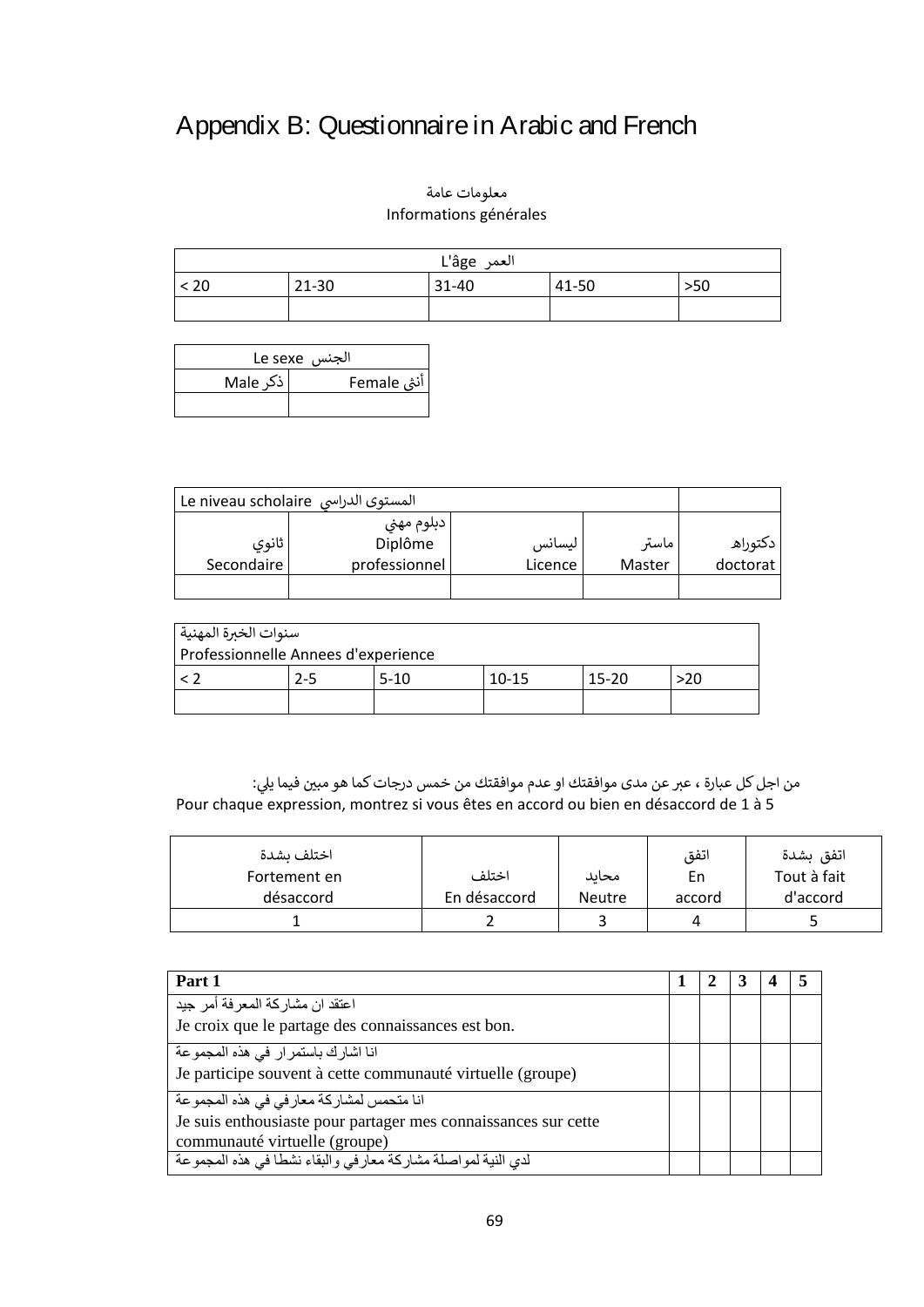## Appendix B: Questionnaire in Arabic and French

#### معلومات عامة Informations générales

| العمر L'âge                            |  |  |  |  |  |  |
|----------------------------------------|--|--|--|--|--|--|
| < 20<br>21-30<br>41-50<br>31-40<br>>50 |  |  |  |  |  |  |
|                                        |  |  |  |  |  |  |

| الجنس  Le sexe           |  |  |  |  |  |
|--------------------------|--|--|--|--|--|
| اذکر Male<br>آنثی Female |  |  |  |  |  |
|                          |  |  |  |  |  |

| المستوى الدراسي Le niveau scholaire |                       |         |        |          |
|-------------------------------------|-----------------------|---------|--------|----------|
| ثانوي                               | دبلوم مهني<br>Diplôme | ليسانس  | ماستر  | دكتوراه  |
| Secondaire                          | professionnel         | Licence | Master | doctorat |
|                                     |                       |         |        |          |

| سنوات الخبرة المهنية ا              |         |        |         |         |       |
|-------------------------------------|---------|--------|---------|---------|-------|
| Professionnelle Annees d'experience |         |        |         |         |       |
|                                     | $2 - 5$ | $5-10$ | $10-15$ | $15-20$ | $-20$ |
|                                     |         |        |         |         |       |

نمن اجل كل عبارة ، عبر عن مدى موافقتك او عدم موافقتك من خمس درجات كما هو مبين فيما يلي: Pour chaque expression, montrez si vous êtes en accord ou bien en désaccord de 1 à 5

| اختلف ىشدة   |              |               | اتفق   | اتفق بشدة   |
|--------------|--------------|---------------|--------|-------------|
| Fortement en | اختلف        | محاىد         | En.    | Tout à fait |
| désaccord    | En désaccord | <b>Neutre</b> | accord | d'accord    |
|              |              |               |        |             |

| Part 1                                                                                                                                      |  |  |  |
|---------------------------------------------------------------------------------------------------------------------------------------------|--|--|--|
| اعتقد ان مشاركة المعرفة أمر جيد<br>Je croix que le partage des connaissances est bon.                                                       |  |  |  |
| انا اشارك باستمرار في هذه المجموعة<br>Je participe souvent à cette communauté virtuelle (groupe)                                            |  |  |  |
| انا متحمس لمشاركة معارفي في هذه المجموعة<br>Je suis enthousiaste pour partager mes connaissances sur cette<br>communauté virtuelle (groupe) |  |  |  |
| لدي النية لمواصلة مشاركة معارفي والبقاء نشطا في هذه المجموعة                                                                                |  |  |  |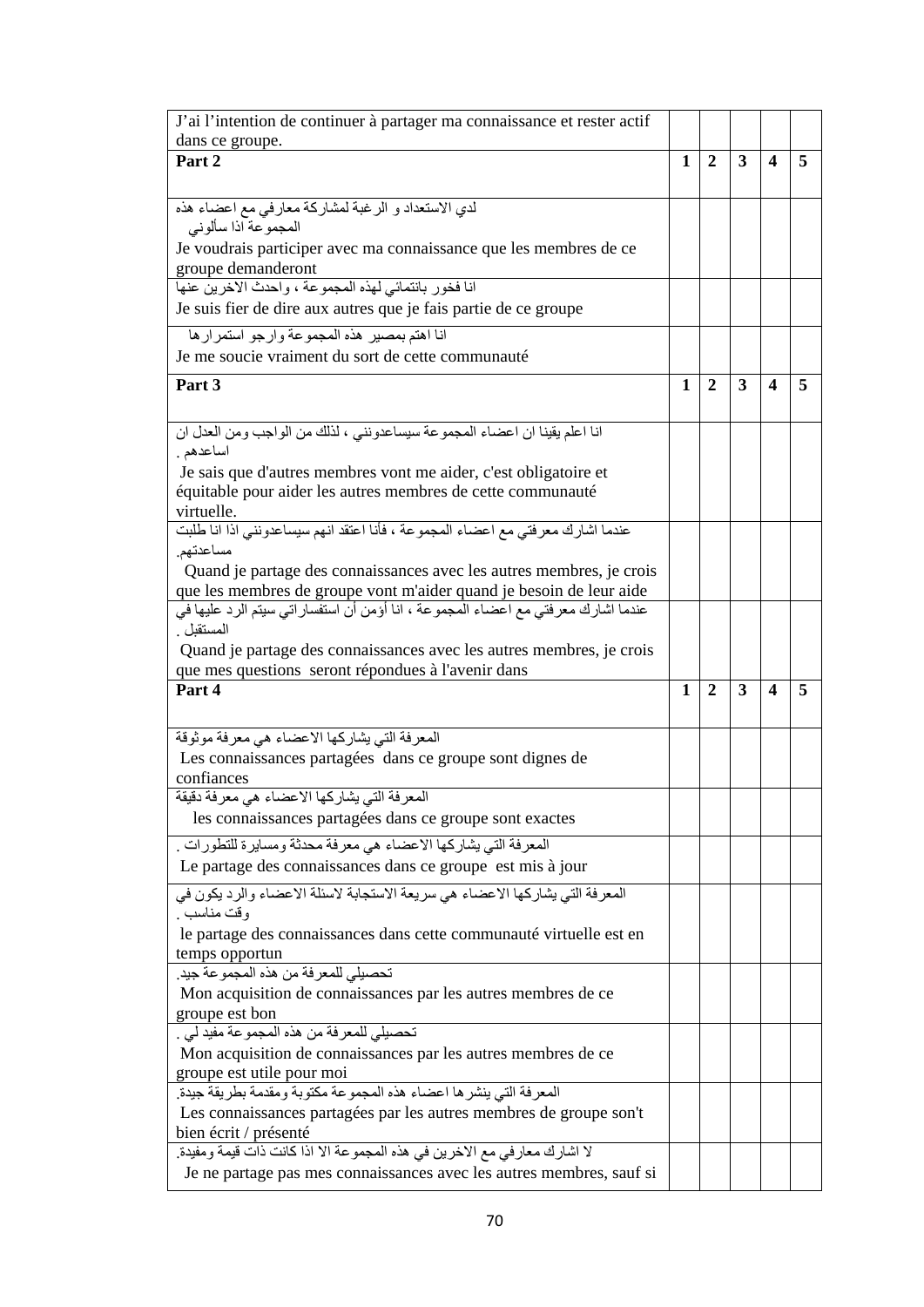| J'ai l'intention de continuer à partager ma connaissance et rester actif                                                                          |   |                |              |   |   |
|---------------------------------------------------------------------------------------------------------------------------------------------------|---|----------------|--------------|---|---|
| dans ce groupe.                                                                                                                                   |   |                |              |   |   |
| Part 2                                                                                                                                            | 1 | $\overline{2}$ | 3            | 4 | 5 |
|                                                                                                                                                   |   |                |              |   |   |
| لدي الاستعداد و الرغبة لمشاركة معارفي مع اعضاء هذه                                                                                                |   |                |              |   |   |
| المجموعة اذا سألوني                                                                                                                               |   |                |              |   |   |
| Je voudrais participer avec ma connaissance que les membres de ce                                                                                 |   |                |              |   |   |
| groupe demanderont<br>انا فخور بانتمائي لهذه المجموعة ، واحدث الاخرين عنها                                                                        |   |                |              |   |   |
| Je suis fier de dire aux autres que je fais partie de ce groupe                                                                                   |   |                |              |   |   |
|                                                                                                                                                   |   |                |              |   |   |
| انا اهتم بمصير هذه المجموعة وارجو استمرارها                                                                                                       |   |                |              |   |   |
| Je me soucie vraiment du sort de cette communauté                                                                                                 |   |                |              |   |   |
| Part 3                                                                                                                                            | 1 | $\overline{2}$ | 3            | 4 | 5 |
|                                                                                                                                                   |   |                |              |   |   |
| انا اعلم يقينا ان اعضاء المجموعة سيساعدونني ، لذلك من الواجب ومن العدل ان                                                                         |   |                |              |   |   |
| اساعدهم .                                                                                                                                         |   |                |              |   |   |
| Je sais que d'autres membres vont me aider, c'est obligatoire et                                                                                  |   |                |              |   |   |
| équitable pour aider les autres membres de cette communauté                                                                                       |   |                |              |   |   |
| virtuelle.<br>عندما اشارك معرفتي مع اعضاء المجموعة ، فأنا اعتقد انهم سيساعدونني اذا انا طلبت                                                      |   |                |              |   |   |
| مساعدتهم.                                                                                                                                         |   |                |              |   |   |
| Quand je partage des connaissances avec les autres membres, je crois                                                                              |   |                |              |   |   |
| que les membres de groupe vont m'aider quand je besoin de leur aide                                                                               |   |                |              |   |   |
| عندما اشارك معرفتي مع اعضاء المجموعة ، انا أؤمن أن استفسار اتي سيتم الرد عليها في                                                                 |   |                |              |   |   |
| المستقبل .                                                                                                                                        |   |                |              |   |   |
| Quand je partage des connaissances avec les autres membres, je crois                                                                              |   |                |              |   |   |
|                                                                                                                                                   |   |                |              |   |   |
|                                                                                                                                                   |   |                |              |   |   |
| que mes questions seront répondues à l'avenir dans<br>Part 4                                                                                      | 1 | $\overline{2}$ | $\mathbf{3}$ | 4 | 5 |
|                                                                                                                                                   |   |                |              |   |   |
|                                                                                                                                                   |   |                |              |   |   |
| المعرفة التي يشاركها الاعضاء هي معرفة موثوقة                                                                                                      |   |                |              |   |   |
| Les connaissances partagées dans ce groupe sont dignes de<br>confiances                                                                           |   |                |              |   |   |
|                                                                                                                                                   |   |                |              |   |   |
| المعرفة التي يشاركها الاعضاء هي معرفة دقيقة<br>les connaissances partagées dans ce groupe sont exactes                                            |   |                |              |   |   |
|                                                                                                                                                   |   |                |              |   |   |
| المعرفة التي يشاركها الاعضاء هي معرفة محدثة ومسايرة للتطورات .                                                                                    |   |                |              |   |   |
| Le partage des connaissances dans ce groupe est mis à jour                                                                                        |   |                |              |   |   |
| المعرفة التي يشاركها الاعضاء هي سريعة الاستجابة لاسئلة الاعضاء والرد يكون في                                                                      |   |                |              |   |   |
| وقت مناسب .                                                                                                                                       |   |                |              |   |   |
| le partage des connaissances dans cette communauté virtuelle est en                                                                               |   |                |              |   |   |
| temps opportun                                                                                                                                    |   |                |              |   |   |
| تحصيلي للمعرفة من هذه المجموعة جيد.                                                                                                               |   |                |              |   |   |
| Mon acquisition de connaissances par les autres membres de ce                                                                                     |   |                |              |   |   |
| groupe est bon                                                                                                                                    |   |                |              |   |   |
| تحصيلي للمعرفة من هذه المجموعة مفيد ليي .                                                                                                         |   |                |              |   |   |
| Mon acquisition de connaissances par les autres membres de ce                                                                                     |   |                |              |   |   |
| groupe est utile pour moi                                                                                                                         |   |                |              |   |   |
| المعرفة التي ينشرها اعضاء هذه المجموعة مكتوبة ومقدمة بطريقة جيدة.<br>Les connaissances partagées par les autres membres de groupe son't           |   |                |              |   |   |
| bien écrit / présenté                                                                                                                             |   |                |              |   |   |
| لا اشارك معار في مع الاخرين في هذه المجموعة الا اذا كانت ذات قيمة ومفيدة.<br>Je ne partage pas mes connaissances avec les autres membres, sauf si |   |                |              |   |   |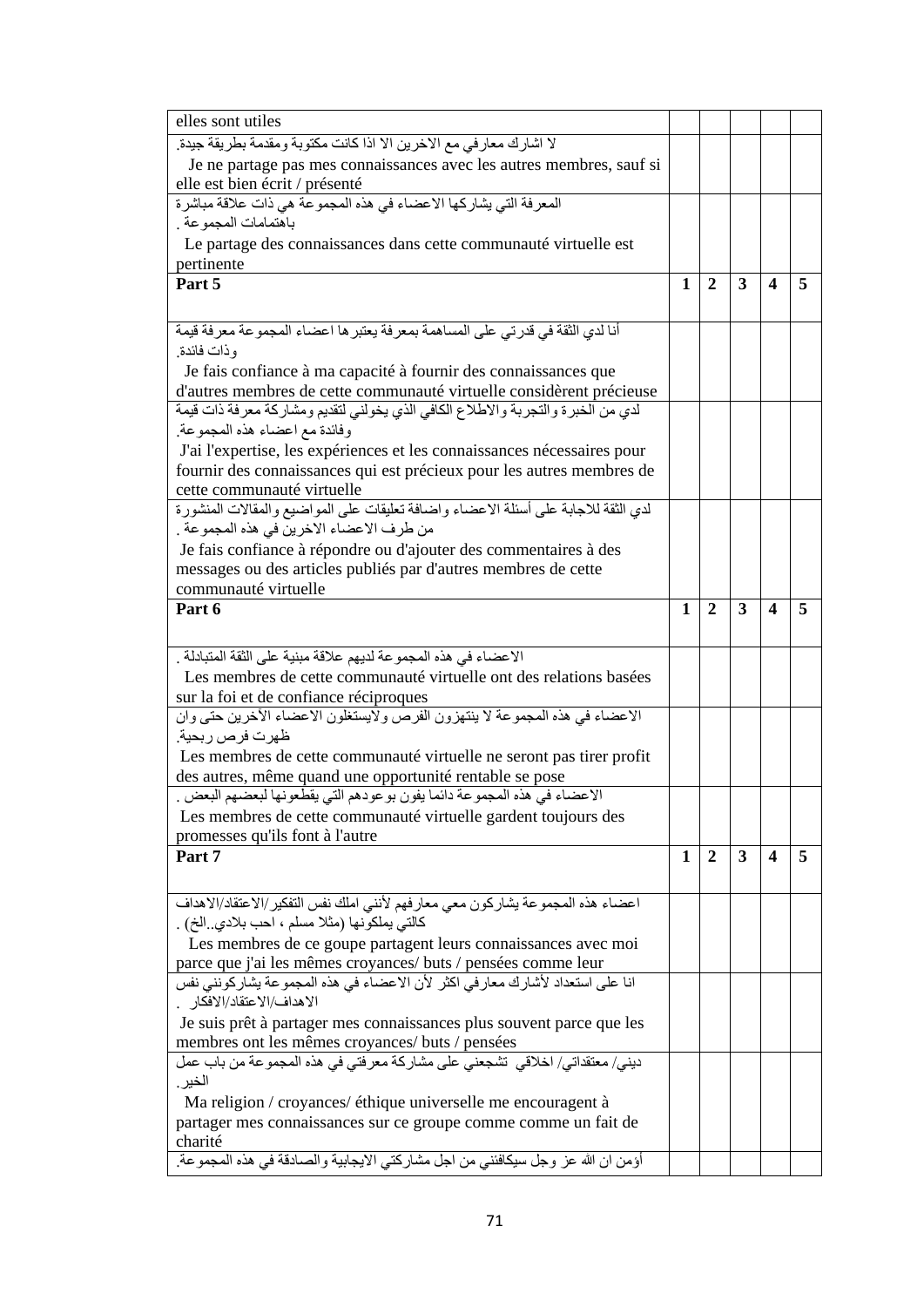| elles sont utiles                                                                                                              |   |                |   |   |   |
|--------------------------------------------------------------------------------------------------------------------------------|---|----------------|---|---|---|
| لا اشارك معار في مع الاخرين الا اذا كانت مكتوبة ومقدمة بطريقة جيدة.                                                            |   |                |   |   |   |
| Je ne partage pas mes connaissances avec les autres membres, sauf si                                                           |   |                |   |   |   |
| elle est bien écrit / présenté<br>المعرفة التي يشاركها الاعضاء في هذه المجموعة هي ذات علاقة مباشرة                             |   |                |   |   |   |
|                                                                                                                                |   |                |   |   |   |
| باهتمامات المجموعة .                                                                                                           |   |                |   |   |   |
| Le partage des connaissances dans cette communauté virtuelle est                                                               |   |                |   |   |   |
| pertinente<br>Part 5                                                                                                           | 1 | $\mathbf{2}$   | 3 | 4 | 5 |
|                                                                                                                                |   |                |   |   |   |
|                                                                                                                                |   |                |   |   |   |
| أنا لدي الثقة في قدرتي على المساهمة بمعرفة يعتبر ها اعضاء المجموعة معرفة قيمة                                                  |   |                |   |   |   |
| وذات فائدة.                                                                                                                    |   |                |   |   |   |
| Je fais confiance à ma capacité à fournir des connaissances que                                                                |   |                |   |   |   |
| d'autres membres de cette communauté virtuelle considèrent précieuse                                                           |   |                |   |   |   |
| لدي من الخبرة والتجربة والاطلاع الكافي الذي يخولني لتقديم ومشاركة معرفة ذات قيمة                                               |   |                |   |   |   |
| وفائدة مع اعضاء هذه المجموعة.                                                                                                  |   |                |   |   |   |
| J'ai l'expertise, les expériences et les connaissances nécessaires pour                                                        |   |                |   |   |   |
| fournir des connaissances qui est précieux pour les autres membres de                                                          |   |                |   |   |   |
| cette communauté virtuelle<br>لدي الثقة للاجابة على أسئلة الاعضاء واضافة تعليقات على المواضيع والمقالات المنشورة               |   |                |   |   |   |
|                                                                                                                                |   |                |   |   |   |
| من طرف الاعضاء الاخرين في هذه المجموعة .<br>Je fais confiance à répondre ou d'ajouter des commentaires à des                   |   |                |   |   |   |
| messages ou des articles publiés par d'autres membres de cette                                                                 |   |                |   |   |   |
| communauté virtuelle                                                                                                           |   |                |   |   |   |
| Part 6                                                                                                                         | 1 | 2              | 3 | 4 | 5 |
|                                                                                                                                |   |                |   |   |   |
|                                                                                                                                |   |                |   |   |   |
|                                                                                                                                |   |                |   |   |   |
| الاعضاء في هذه المجموعة لديهم علاقة مبنية على الثقة المتبادلة .                                                                |   |                |   |   |   |
| Les membres de cette communauté virtuelle ont des relations basées                                                             |   |                |   |   |   |
| sur la foi et de confiance réciproques                                                                                         |   |                |   |   |   |
| الاعضاء في هذه المجموعة لا ينتهزون الفرص ولايستغلون الاعضاء الأخرين حتى وان                                                    |   |                |   |   |   |
| ظهرت فرص ربحية.                                                                                                                |   |                |   |   |   |
| Les membres de cette communauté virtuelle ne seront pas tirer profit                                                           |   |                |   |   |   |
| des autres, même quand une opportunité rentable se pose                                                                        |   |                |   |   |   |
| الاعضاء في هذه المجموعة دائما يفون بوعودهم التي يقطعونها لبعضهم البعض .                                                        |   |                |   |   |   |
| Les membres de cette communauté virtuelle gardent toujours des                                                                 |   |                |   |   |   |
| promesses qu'ils font à l'autre                                                                                                | 1 |                | 3 | 4 | 5 |
| Part 7                                                                                                                         |   | $\overline{2}$ |   |   |   |
|                                                                                                                                |   |                |   |   |   |
| اعضاء هذه المجموعة يشاركون معي معارفهم لأننى املك نفس التفكير/الاعتقاد/الاهداف                                                 |   |                |   |   |   |
| كالتي يملكونها (مثلا مسلم ، احب بلادي .الخ) .                                                                                  |   |                |   |   |   |
| Les membres de ce goupe partagent leurs connaissances avec moi                                                                 |   |                |   |   |   |
| parce que j'ai les mêmes croyances/ buts / pensées comme leur                                                                  |   |                |   |   |   |
| انا على استعداد لأشارك معار في اكثر لأن الاعضاء في هذه المجموعة يشاركونني نفس                                                  |   |                |   |   |   |
| الاهداف/الاعتقاد/الافكار                                                                                                       |   |                |   |   |   |
| Je suis prêt à partager mes connaissances plus souvent parce que les                                                           |   |                |   |   |   |
| membres ont les mêmes croyances/ buts / pensées<br>ديني/ معتقداتي/ اخلاقي  تشجعني على مشاركة معرفتي في هذه المجموعة من باب عمل |   |                |   |   |   |
| الخير .                                                                                                                        |   |                |   |   |   |
| Ma religion / croyances/ éthique universelle me encouragent à                                                                  |   |                |   |   |   |
| partager mes connaissances sur ce groupe comme comme un fait de                                                                |   |                |   |   |   |
| charité<br>أؤمن ان الله عز وجل سيكافئني من اجل مشاركتي الايجابية والصادقة في هذه المجموعة.                                     |   |                |   |   |   |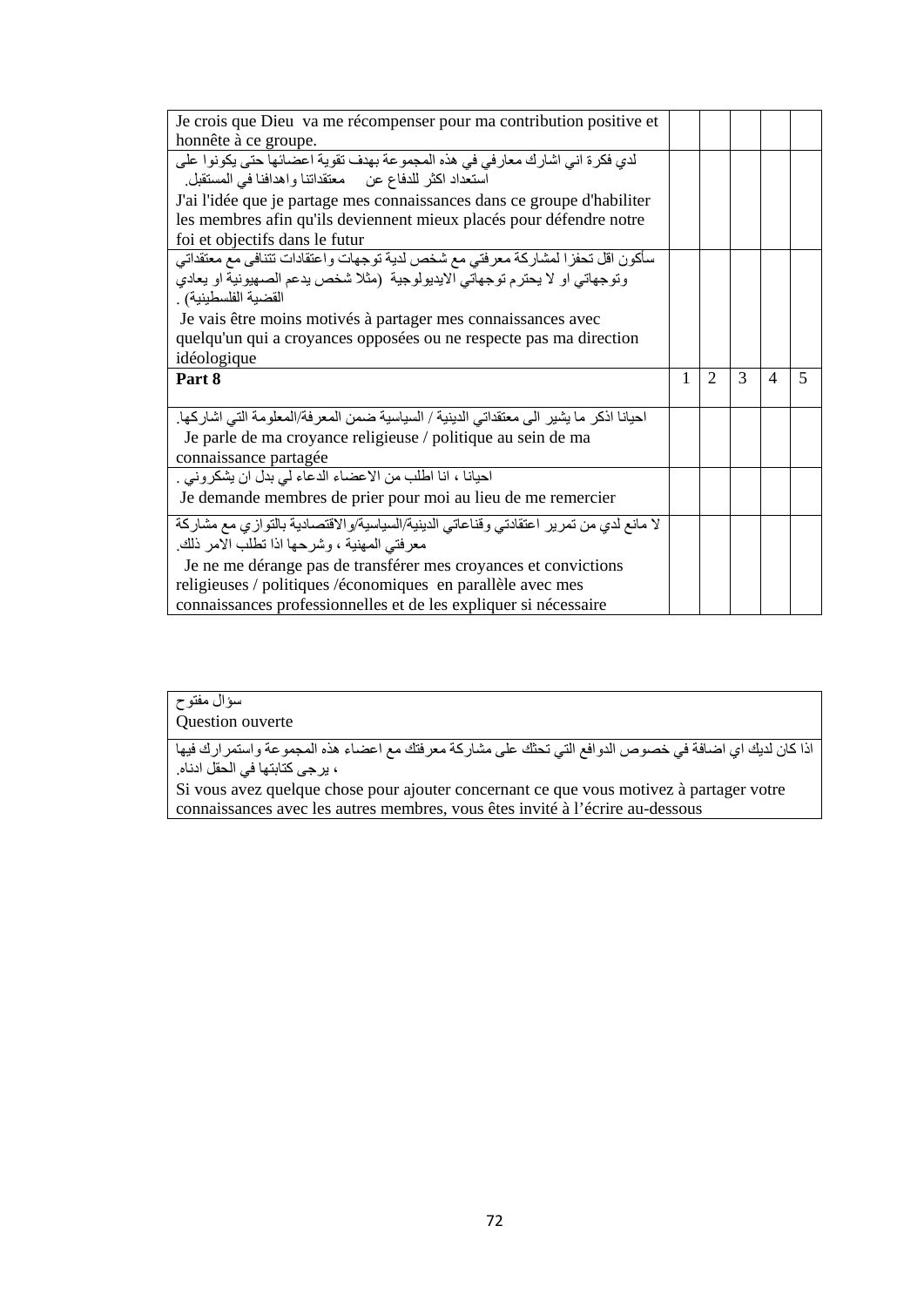| Je crois que Dieu va me récompenser pour ma contribution positive et                    |   |                |               |   |   |
|-----------------------------------------------------------------------------------------|---|----------------|---------------|---|---|
| honnête à ce groupe.                                                                    |   |                |               |   |   |
| لدى فكرة اني اشارك معار في في هذه المجموعة بهدف نقوية اعضائها حتى يكونوا على            |   |                |               |   |   |
| استعداد اكثر للدفاع عن معتقداتنا واهدافنا في المستقبل.                                  |   |                |               |   |   |
| J'ai l'idée que je partage mes connaissances dans ce groupe d'habiliter                 |   |                |               |   |   |
| les membres afin qu'ils deviennent mieux placés pour défendre notre                     |   |                |               |   |   |
| foi et objectifs dans le futur                                                          |   |                |               |   |   |
| سأكون اقل تحفزا لمشاركة معرفتي مع شخص لدية توجهات واعتقادات تتنافى مع معتقداتي          |   |                |               |   |   |
| وتوجهاتي او لا يحترم توجهاتي الايديولوجية (مثلا شخص يدعم الصهيونية او يعادي             |   |                |               |   |   |
| القضية الفلسطينية) .                                                                    |   |                |               |   |   |
| Je vais être moins motivés à partager mes connaissances avec                            |   |                |               |   |   |
| quelqu'un qui a croyances opposées ou ne respecte pas ma direction                      |   |                |               |   |   |
| idéologique                                                                             |   |                |               |   |   |
| Part 8                                                                                  | 1 | $\mathfrak{D}$ | $\mathcal{R}$ | 4 | 5 |
|                                                                                         |   |                |               |   |   |
| احيانا اذكر ما يشير الى معتقداتي الدينية / السياسية ضمن المعر فة/المعلومة التي اشاركها. |   |                |               |   |   |
| Je parle de ma croyance religieuse / politique au sein de ma                            |   |                |               |   |   |
|                                                                                         |   |                |               |   |   |
| connaissance partagée                                                                   |   |                |               |   |   |
| احيانا ، انا اطلب من الاعضاء الدعاء لي بدل ان يشكروني .                                 |   |                |               |   |   |
| Je demande membres de prier pour moi au lieu de me remercier                            |   |                |               |   |   |
| لا مانع لدي من تمرير اعتقادتي وقناعاتي الدينية/السياسية/والاقتصادية بالتوازي مع مشاركة  |   |                |               |   |   |
| معرفتي المهنية ، وشرحها اذا تطلب الامر ذلك.                                             |   |                |               |   |   |
| Je ne me dérange pas de transférer mes croyances et convictions                         |   |                |               |   |   |
| religieuses / politiques /économiques en parallèle avec mes                             |   |                |               |   |   |

## سؤال مفتوح

Question ouverte

اذا كان لدیك اي اضافة في خصوص الدوافع التي تحثك على مشاركة معرفتك مع اعضاء ھذه المجموعة واستمرارك فیھا ، یرجى كتابتھا في الحقل ادناه.

Si vous avez quelque chose pour ajouter concernant ce que vous motivez à partager votre connaissances avec les autres membres, vous êtes invité à l'écrire au-dessous